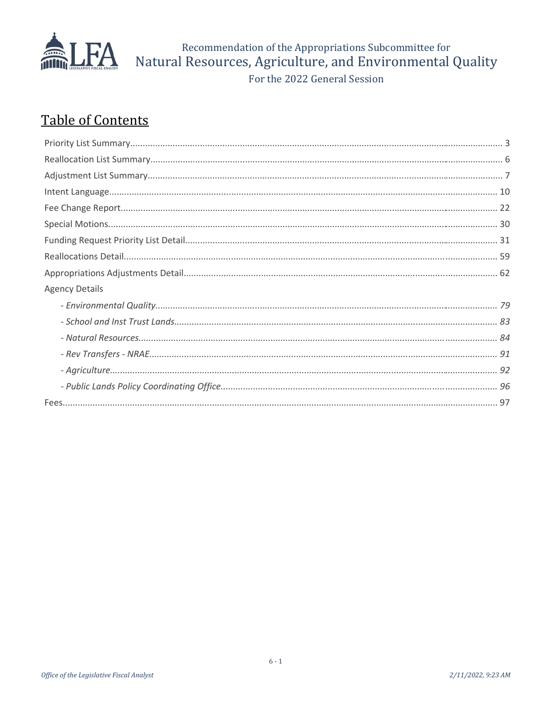

For the 2022 General Session

### **Table of Contents**

| <b>Agency Details</b> |  |
|-----------------------|--|
|                       |  |
|                       |  |
|                       |  |
|                       |  |
|                       |  |
|                       |  |
|                       |  |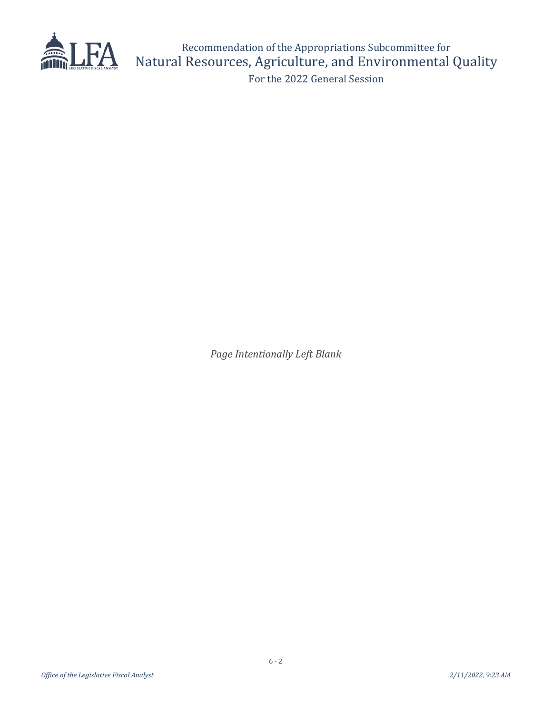

*Page Intentionally Left Blank*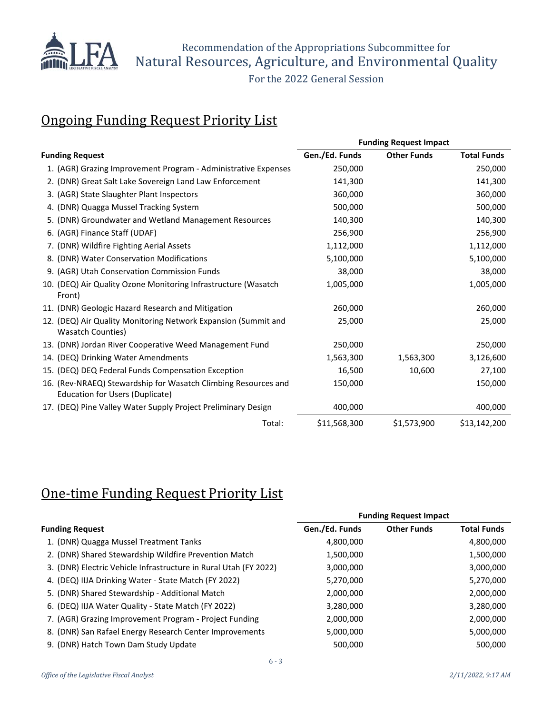

For the 2022 General Session

### Ongoing Funding Request Priority List

|                                                                                                   |                | <b>Funding Request Impact</b> |                    |
|---------------------------------------------------------------------------------------------------|----------------|-------------------------------|--------------------|
| <b>Funding Request</b>                                                                            | Gen./Ed. Funds | <b>Other Funds</b>            | <b>Total Funds</b> |
| 1. (AGR) Grazing Improvement Program - Administrative Expenses                                    | 250,000        |                               | 250,000            |
| 2. (DNR) Great Salt Lake Sovereign Land Law Enforcement                                           | 141,300        |                               | 141,300            |
| 3. (AGR) State Slaughter Plant Inspectors                                                         | 360,000        |                               | 360,000            |
| 4. (DNR) Quagga Mussel Tracking System                                                            | 500,000        |                               | 500,000            |
| 5. (DNR) Groundwater and Wetland Management Resources                                             | 140,300        |                               | 140,300            |
| 6. (AGR) Finance Staff (UDAF)                                                                     | 256,900        |                               | 256,900            |
| 7. (DNR) Wildfire Fighting Aerial Assets                                                          | 1,112,000      |                               | 1,112,000          |
| 8. (DNR) Water Conservation Modifications                                                         | 5,100,000      |                               | 5,100,000          |
| 9. (AGR) Utah Conservation Commission Funds                                                       | 38,000         |                               | 38,000             |
| 10. (DEQ) Air Quality Ozone Monitoring Infrastructure (Wasatch<br>Front)                          | 1,005,000      |                               | 1,005,000          |
| 11. (DNR) Geologic Hazard Research and Mitigation                                                 | 260,000        |                               | 260,000            |
| 12. (DEQ) Air Quality Monitoring Network Expansion (Summit and<br><b>Wasatch Counties)</b>        | 25,000         |                               | 25,000             |
| 13. (DNR) Jordan River Cooperative Weed Management Fund                                           | 250,000        |                               | 250,000            |
| 14. (DEQ) Drinking Water Amendments                                                               | 1,563,300      | 1,563,300                     | 3,126,600          |
| 15. (DEQ) DEQ Federal Funds Compensation Exception                                                | 16,500         | 10,600                        | 27,100             |
| 16. (Rev-NRAEQ) Stewardship for Wasatch Climbing Resources and<br>Education for Users (Duplicate) | 150,000        |                               | 150,000            |
| 17. (DEQ) Pine Valley Water Supply Project Preliminary Design                                     | 400,000        |                               | 400,000            |
| Total:                                                                                            | \$11,568,300   | \$1,573,900                   | \$13,142,200       |

### One-time Funding Request Priority List

|                                                                  | <b>Funding Request Impact</b> |                    |                    |
|------------------------------------------------------------------|-------------------------------|--------------------|--------------------|
| <b>Funding Request</b>                                           | Gen./Ed. Funds                | <b>Other Funds</b> | <b>Total Funds</b> |
| 1. (DNR) Quagga Mussel Treatment Tanks                           | 4,800,000                     |                    | 4,800,000          |
| 2. (DNR) Shared Stewardship Wildfire Prevention Match            | 1,500,000                     |                    | 1,500,000          |
| 3. (DNR) Electric Vehicle Infrastructure in Rural Utah (FY 2022) | 3,000,000                     |                    | 3,000,000          |
| 4. (DEQ) IIJA Drinking Water - State Match (FY 2022)             | 5,270,000                     |                    | 5,270,000          |
| 5. (DNR) Shared Stewardship - Additional Match                   | 2,000,000                     |                    | 2,000,000          |
| 6. (DEQ) IIJA Water Quality - State Match (FY 2022)              | 3,280,000                     |                    | 3,280,000          |
| 7. (AGR) Grazing Improvement Program - Project Funding           | 2,000,000                     |                    | 2,000,000          |
| 8. (DNR) San Rafael Energy Research Center Improvements          | 5,000,000                     |                    | 5,000,000          |
| 9. (DNR) Hatch Town Dam Study Update                             | 500.000                       |                    | 500,000            |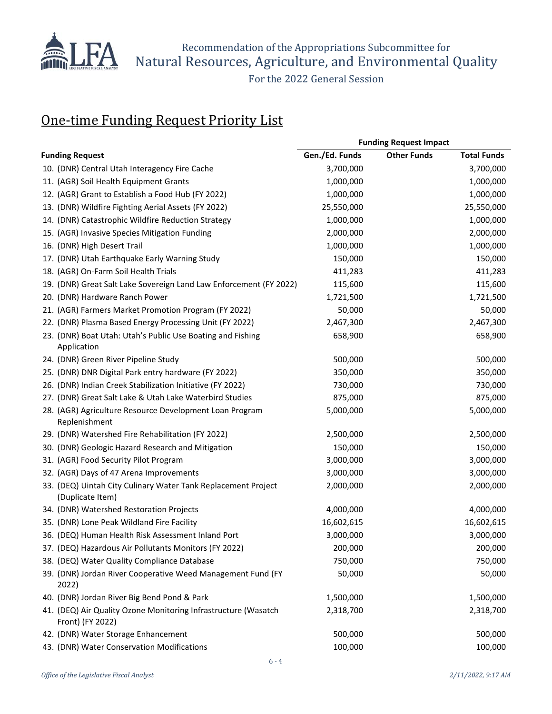

For the 2022 General Session

### One-time Funding Request Priority List

|                                                                                    |                | <b>Funding Request Impact</b> |                    |
|------------------------------------------------------------------------------------|----------------|-------------------------------|--------------------|
| <b>Funding Request</b>                                                             | Gen./Ed. Funds | <b>Other Funds</b>            | <b>Total Funds</b> |
| 10. (DNR) Central Utah Interagency Fire Cache                                      | 3,700,000      |                               | 3,700,000          |
| 11. (AGR) Soil Health Equipment Grants                                             | 1,000,000      |                               | 1,000,000          |
| 12. (AGR) Grant to Establish a Food Hub (FY 2022)                                  | 1,000,000      |                               | 1,000,000          |
| 13. (DNR) Wildfire Fighting Aerial Assets (FY 2022)                                | 25,550,000     |                               | 25,550,000         |
| 14. (DNR) Catastrophic Wildfire Reduction Strategy                                 | 1,000,000      |                               | 1,000,000          |
| 15. (AGR) Invasive Species Mitigation Funding                                      | 2,000,000      |                               | 2,000,000          |
| 16. (DNR) High Desert Trail                                                        | 1,000,000      |                               | 1,000,000          |
| 17. (DNR) Utah Earthquake Early Warning Study                                      | 150,000        |                               | 150,000            |
| 18. (AGR) On-Farm Soil Health Trials                                               | 411,283        |                               | 411,283            |
| 19. (DNR) Great Salt Lake Sovereign Land Law Enforcement (FY 2022)                 | 115,600        |                               | 115,600            |
| 20. (DNR) Hardware Ranch Power                                                     | 1,721,500      |                               | 1,721,500          |
| 21. (AGR) Farmers Market Promotion Program (FY 2022)                               | 50,000         |                               | 50,000             |
| 22. (DNR) Plasma Based Energy Processing Unit (FY 2022)                            | 2,467,300      |                               | 2,467,300          |
| 23. (DNR) Boat Utah: Utah's Public Use Boating and Fishing<br>Application          | 658,900        |                               | 658,900            |
| 24. (DNR) Green River Pipeline Study                                               | 500,000        |                               | 500,000            |
| 25. (DNR) DNR Digital Park entry hardware (FY 2022)                                | 350,000        |                               | 350,000            |
| 26. (DNR) Indian Creek Stabilization Initiative (FY 2022)                          | 730,000        |                               | 730,000            |
| 27. (DNR) Great Salt Lake & Utah Lake Waterbird Studies                            | 875,000        |                               | 875,000            |
| 28. (AGR) Agriculture Resource Development Loan Program<br>Replenishment           | 5,000,000      |                               | 5,000,000          |
| 29. (DNR) Watershed Fire Rehabilitation (FY 2022)                                  | 2,500,000      |                               | 2,500,000          |
| 30. (DNR) Geologic Hazard Research and Mitigation                                  | 150,000        |                               | 150,000            |
| 31. (AGR) Food Security Pilot Program                                              | 3,000,000      |                               | 3,000,000          |
| 32. (AGR) Days of 47 Arena Improvements                                            | 3,000,000      |                               | 3,000,000          |
| 33. (DEQ) Uintah City Culinary Water Tank Replacement Project<br>(Duplicate Item)  | 2,000,000      |                               | 2,000,000          |
| 34. (DNR) Watershed Restoration Projects                                           | 4,000,000      |                               | 4,000,000          |
| 35. (DNR) Lone Peak Wildland Fire Facility                                         | 16,602,615     |                               | 16,602,615         |
| 36. (DEQ) Human Health Risk Assessment Inland Port                                 | 3,000,000      |                               | 3,000,000          |
| 37. (DEQ) Hazardous Air Pollutants Monitors (FY 2022)                              | 200,000        |                               | 200,000            |
| 38. (DEQ) Water Quality Compliance Database                                        | 750,000        |                               | 750,000            |
| 39. (DNR) Jordan River Cooperative Weed Management Fund (FY<br>2022)               | 50,000         |                               | 50,000             |
| 40. (DNR) Jordan River Big Bend Pond & Park                                        | 1,500,000      |                               | 1,500,000          |
| 41. (DEQ) Air Quality Ozone Monitoring Infrastructure (Wasatch<br>Front) (FY 2022) | 2,318,700      |                               | 2,318,700          |
| 42. (DNR) Water Storage Enhancement                                                | 500,000        |                               | 500,000            |
| 43. (DNR) Water Conservation Modifications                                         | 100,000        |                               | 100,000            |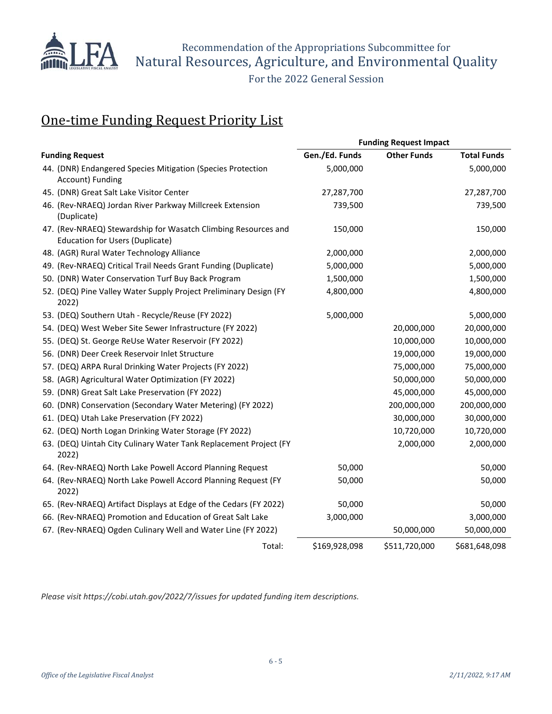

For the 2022 General Session

### One-time Funding Request Priority List

|                                                                                                          |                | <b>Funding Request Impact</b> |                    |
|----------------------------------------------------------------------------------------------------------|----------------|-------------------------------|--------------------|
| <b>Funding Request</b>                                                                                   | Gen./Ed. Funds | <b>Other Funds</b>            | <b>Total Funds</b> |
| 44. (DNR) Endangered Species Mitigation (Species Protection<br>Account) Funding                          | 5,000,000      |                               | 5,000,000          |
| 45. (DNR) Great Salt Lake Visitor Center                                                                 | 27,287,700     |                               | 27,287,700         |
| 46. (Rev-NRAEQ) Jordan River Parkway Millcreek Extension<br>(Duplicate)                                  | 739,500        |                               | 739,500            |
| 47. (Rev-NRAEQ) Stewardship for Wasatch Climbing Resources and<br><b>Education for Users (Duplicate)</b> | 150,000        |                               | 150,000            |
| 48. (AGR) Rural Water Technology Alliance                                                                | 2,000,000      |                               | 2,000,000          |
| 49. (Rev-NRAEQ) Critical Trail Needs Grant Funding (Duplicate)                                           | 5,000,000      |                               | 5,000,000          |
| 50. (DNR) Water Conservation Turf Buy Back Program                                                       | 1,500,000      |                               | 1,500,000          |
| 52. (DEQ) Pine Valley Water Supply Project Preliminary Design (FY<br>2022)                               | 4,800,000      |                               | 4,800,000          |
| 53. (DEQ) Southern Utah - Recycle/Reuse (FY 2022)                                                        | 5,000,000      |                               | 5,000,000          |
| 54. (DEQ) West Weber Site Sewer Infrastructure (FY 2022)                                                 |                | 20,000,000                    | 20,000,000         |
| 55. (DEQ) St. George ReUse Water Reservoir (FY 2022)                                                     |                | 10,000,000                    | 10,000,000         |
| 56. (DNR) Deer Creek Reservoir Inlet Structure                                                           |                | 19,000,000                    | 19,000,000         |
| 57. (DEQ) ARPA Rural Drinking Water Projects (FY 2022)                                                   |                | 75,000,000                    | 75,000,000         |
| 58. (AGR) Agricultural Water Optimization (FY 2022)                                                      |                | 50,000,000                    | 50,000,000         |
| 59. (DNR) Great Salt Lake Preservation (FY 2022)                                                         |                | 45,000,000                    | 45,000,000         |
| 60. (DNR) Conservation (Secondary Water Metering) (FY 2022)                                              |                | 200,000,000                   | 200,000,000        |
| 61. (DEQ) Utah Lake Preservation (FY 2022)                                                               |                | 30,000,000                    | 30,000,000         |
| 62. (DEQ) North Logan Drinking Water Storage (FY 2022)                                                   |                | 10,720,000                    | 10,720,000         |
| 63. (DEQ) Uintah City Culinary Water Tank Replacement Project (FY<br>2022)                               |                | 2,000,000                     | 2,000,000          |
| 64. (Rev-NRAEQ) North Lake Powell Accord Planning Request                                                | 50,000         |                               | 50,000             |
| 64. (Rev-NRAEQ) North Lake Powell Accord Planning Request (FY<br>2022)                                   | 50,000         |                               | 50,000             |
| 65. (Rev-NRAEQ) Artifact Displays at Edge of the Cedars (FY 2022)                                        | 50,000         |                               | 50,000             |
| 66. (Rev-NRAEQ) Promotion and Education of Great Salt Lake                                               | 3,000,000      |                               | 3,000,000          |
| 67. (Rev-NRAEQ) Ogden Culinary Well and Water Line (FY 2022)                                             |                | 50,000,000                    | 50,000,000         |
| Total:                                                                                                   | \$169,928,098  | \$511,720,000                 | \$681,648,098      |

*Please visit https://cobi.utah.gov/2022/7/issues for updated funding item descriptions.*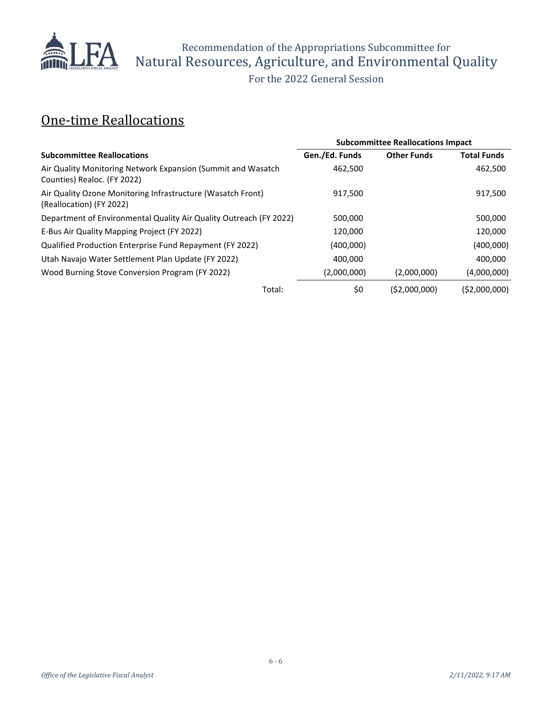

For the 2022 General Session

### One-time Reallocations

|                                                                                             | <b>Subcommittee Reallocations Impact</b> |                    |                    |
|---------------------------------------------------------------------------------------------|------------------------------------------|--------------------|--------------------|
| <b>Subcommittee Reallocations</b>                                                           | Gen./Ed. Funds                           | <b>Other Funds</b> | <b>Total Funds</b> |
| Air Quality Monitoring Network Expansion (Summit and Wasatch<br>Counties) Realoc. (FY 2022) | 462,500                                  |                    | 462,500            |
| Air Quality Ozone Monitoring Infrastructure (Wasatch Front)<br>(Reallocation) (FY 2022)     | 917.500                                  |                    | 917,500            |
| Department of Environmental Quality Air Quality Outreach (FY 2022)                          | 500,000                                  |                    | 500,000            |
| E-Bus Air Quality Mapping Project (FY 2022)                                                 | 120,000                                  |                    | 120,000            |
| Qualified Production Enterprise Fund Repayment (FY 2022)                                    | (400,000)                                |                    | (400,000)          |
| Utah Navajo Water Settlement Plan Update (FY 2022)                                          | 400.000                                  |                    | 400,000            |
| Wood Burning Stove Conversion Program (FY 2022)                                             | (2,000,000)                              | (2,000,000)        | (4,000,000)        |
| Total:                                                                                      | \$0                                      | (52.000.000)       | ( \$2,000,000)     |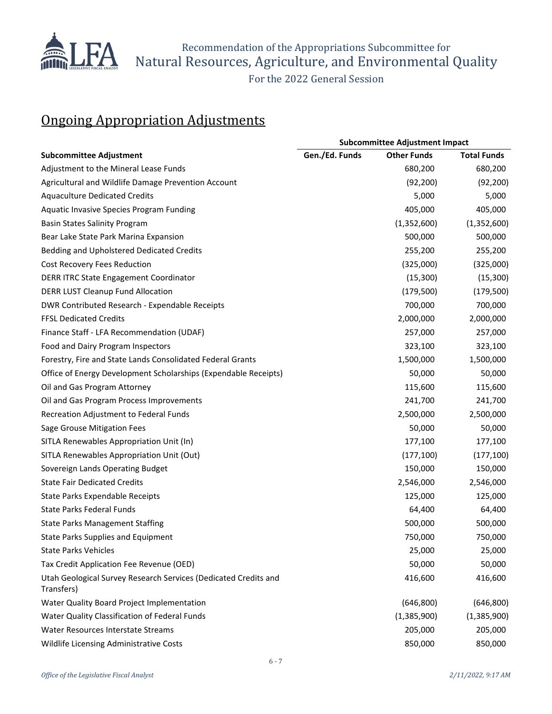

For the 2022 General Session

### Ongoing Appropriation Adjustments

|                                                                               |                | <b>Subcommittee Adjustment Impact</b> |                    |
|-------------------------------------------------------------------------------|----------------|---------------------------------------|--------------------|
| <b>Subcommittee Adjustment</b>                                                | Gen./Ed. Funds | <b>Other Funds</b>                    | <b>Total Funds</b> |
| Adjustment to the Mineral Lease Funds                                         |                | 680,200                               | 680,200            |
| Agricultural and Wildlife Damage Prevention Account                           |                | (92, 200)                             | (92, 200)          |
| <b>Aquaculture Dedicated Credits</b>                                          |                | 5,000                                 | 5,000              |
| Aquatic Invasive Species Program Funding                                      |                | 405,000                               | 405,000            |
| <b>Basin States Salinity Program</b>                                          |                | (1,352,600)                           | (1,352,600)        |
| Bear Lake State Park Marina Expansion                                         |                | 500,000                               | 500,000            |
| Bedding and Upholstered Dedicated Credits                                     |                | 255,200                               | 255,200            |
| Cost Recovery Fees Reduction                                                  |                | (325,000)                             | (325,000)          |
| DERR ITRC State Engagement Coordinator                                        |                | (15,300)                              | (15,300)           |
| <b>DERR LUST Cleanup Fund Allocation</b>                                      |                | (179,500)                             | (179,500)          |
| DWR Contributed Research - Expendable Receipts                                |                | 700,000                               | 700,000            |
| <b>FFSL Dedicated Credits</b>                                                 |                | 2,000,000                             | 2,000,000          |
| Finance Staff - LFA Recommendation (UDAF)                                     |                | 257,000                               | 257,000            |
| Food and Dairy Program Inspectors                                             |                | 323,100                               | 323,100            |
| Forestry, Fire and State Lands Consolidated Federal Grants                    |                | 1,500,000                             | 1,500,000          |
| Office of Energy Development Scholarships (Expendable Receipts)               |                | 50,000                                | 50,000             |
| Oil and Gas Program Attorney                                                  |                | 115,600                               | 115,600            |
| Oil and Gas Program Process Improvements                                      |                | 241,700                               | 241,700            |
| Recreation Adjustment to Federal Funds                                        |                | 2,500,000                             | 2,500,000          |
| Sage Grouse Mitigation Fees                                                   |                | 50,000                                | 50,000             |
| SITLA Renewables Appropriation Unit (In)                                      |                | 177,100                               | 177,100            |
| SITLA Renewables Appropriation Unit (Out)                                     |                | (177, 100)                            | (177, 100)         |
| Sovereign Lands Operating Budget                                              |                | 150,000                               | 150,000            |
| <b>State Fair Dedicated Credits</b>                                           |                | 2,546,000                             | 2,546,000          |
| <b>State Parks Expendable Receipts</b>                                        |                | 125,000                               | 125,000            |
| <b>State Parks Federal Funds</b>                                              |                | 64,400                                | 64,400             |
| <b>State Parks Management Staffing</b>                                        |                | 500,000                               | 500,000            |
| <b>State Parks Supplies and Equipment</b>                                     |                | 750,000                               | 750,000            |
| <b>State Parks Vehicles</b>                                                   |                | 25,000                                | 25,000             |
| Tax Credit Application Fee Revenue (OED)                                      |                | 50,000                                | 50,000             |
| Utah Geological Survey Research Services (Dedicated Credits and<br>Transfers) |                | 416,600                               | 416,600            |
| Water Quality Board Project Implementation                                    |                | (646, 800)                            | (646, 800)         |
| Water Quality Classification of Federal Funds                                 |                | (1,385,900)                           | (1,385,900)        |
| Water Resources Interstate Streams                                            |                | 205,000                               | 205,000            |
| Wildlife Licensing Administrative Costs                                       |                | 850,000                               | 850,000            |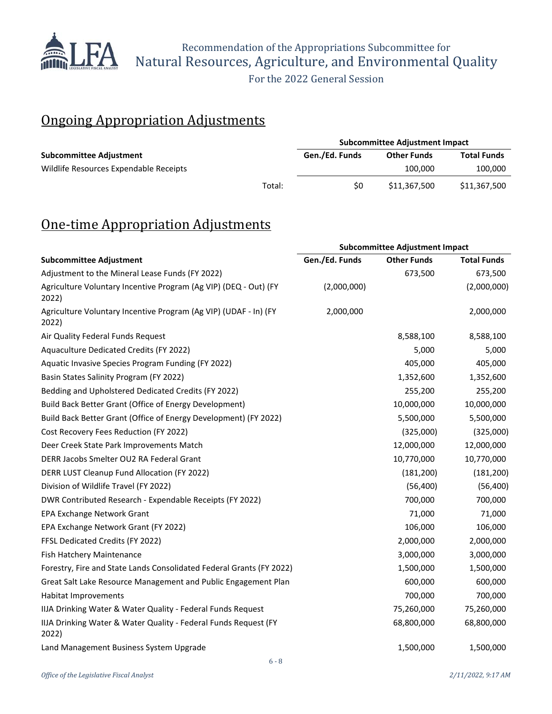

For the 2022 General Session

### Ongoing Appropriation Adjustments

|                                        |        | <b>Subcommittee Adjustment Impact</b> |                    |                    |
|----------------------------------------|--------|---------------------------------------|--------------------|--------------------|
| <b>Subcommittee Adjustment</b>         |        | Gen./Ed. Funds                        | <b>Other Funds</b> | <b>Total Funds</b> |
| Wildlife Resources Expendable Receipts |        |                                       | 100.000            | 100,000            |
|                                        | Total: | S0                                    | \$11,367,500       | \$11,367,500       |

### One-time Appropriation Adjustments

|                                                                           | <b>Subcommittee Adjustment Impact</b> |                    |                    |
|---------------------------------------------------------------------------|---------------------------------------|--------------------|--------------------|
| <b>Subcommittee Adjustment</b>                                            | Gen./Ed. Funds                        | <b>Other Funds</b> | <b>Total Funds</b> |
| Adjustment to the Mineral Lease Funds (FY 2022)                           |                                       | 673,500            | 673,500            |
| Agriculture Voluntary Incentive Program (Ag VIP) (DEQ - Out) (FY<br>2022) | (2,000,000)                           |                    | (2,000,000)        |
| Agriculture Voluntary Incentive Program (Ag VIP) (UDAF - In) (FY<br>2022) | 2,000,000                             |                    | 2,000,000          |
| Air Quality Federal Funds Request                                         |                                       | 8,588,100          | 8,588,100          |
| Aquaculture Dedicated Credits (FY 2022)                                   |                                       | 5,000              | 5,000              |
| Aquatic Invasive Species Program Funding (FY 2022)                        |                                       | 405,000            | 405,000            |
| Basin States Salinity Program (FY 2022)                                   |                                       | 1,352,600          | 1,352,600          |
| Bedding and Upholstered Dedicated Credits (FY 2022)                       |                                       | 255,200            | 255,200            |
| Build Back Better Grant (Office of Energy Development)                    |                                       | 10,000,000         | 10,000,000         |
| Build Back Better Grant (Office of Energy Development) (FY 2022)          |                                       | 5,500,000          | 5,500,000          |
| Cost Recovery Fees Reduction (FY 2022)                                    |                                       | (325,000)          | (325,000)          |
| Deer Creek State Park Improvements Match                                  |                                       | 12,000,000         | 12,000,000         |
| DERR Jacobs Smelter OU2 RA Federal Grant                                  |                                       | 10,770,000         | 10,770,000         |
| DERR LUST Cleanup Fund Allocation (FY 2022)                               |                                       | (181, 200)         | (181, 200)         |
| Division of Wildlife Travel (FY 2022)                                     |                                       | (56, 400)          | (56, 400)          |
| DWR Contributed Research - Expendable Receipts (FY 2022)                  |                                       | 700,000            | 700,000            |
| <b>EPA Exchange Network Grant</b>                                         |                                       | 71,000             | 71,000             |
| EPA Exchange Network Grant (FY 2022)                                      |                                       | 106,000            | 106,000            |
| FFSL Dedicated Credits (FY 2022)                                          |                                       | 2,000,000          | 2,000,000          |
| Fish Hatchery Maintenance                                                 |                                       | 3,000,000          | 3,000,000          |
| Forestry, Fire and State Lands Consolidated Federal Grants (FY 2022)      |                                       | 1,500,000          | 1,500,000          |
| Great Salt Lake Resource Management and Public Engagement Plan            |                                       | 600,000            | 600,000            |
| Habitat Improvements                                                      |                                       | 700,000            | 700,000            |
| IIJA Drinking Water & Water Quality - Federal Funds Request               |                                       | 75,260,000         | 75,260,000         |
| IIJA Drinking Water & Water Quality - Federal Funds Request (FY<br>2022)  |                                       | 68,800,000         | 68,800,000         |
| Land Management Business System Upgrade                                   |                                       | 1,500,000          | 1,500,000          |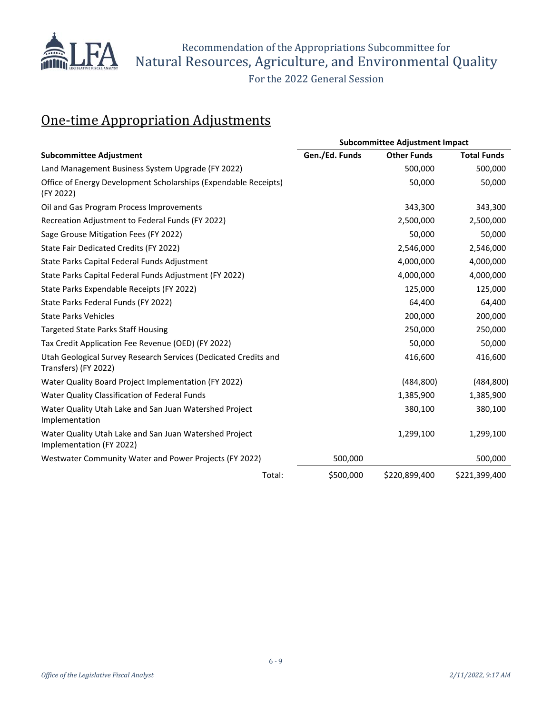

For the 2022 General Session

### One-time Appropriation Adjustments

|                                                                                         | <b>Subcommittee Adjustment Impact</b> |                    |                    |
|-----------------------------------------------------------------------------------------|---------------------------------------|--------------------|--------------------|
| <b>Subcommittee Adjustment</b>                                                          | Gen./Ed. Funds                        | <b>Other Funds</b> | <b>Total Funds</b> |
| Land Management Business System Upgrade (FY 2022)                                       |                                       | 500,000            | 500,000            |
| Office of Energy Development Scholarships (Expendable Receipts)<br>(FY 2022)            |                                       | 50,000             | 50,000             |
| Oil and Gas Program Process Improvements                                                |                                       | 343,300            | 343,300            |
| Recreation Adjustment to Federal Funds (FY 2022)                                        |                                       | 2,500,000          | 2,500,000          |
| Sage Grouse Mitigation Fees (FY 2022)                                                   |                                       | 50,000             | 50,000             |
| State Fair Dedicated Credits (FY 2022)                                                  |                                       | 2,546,000          | 2,546,000          |
| State Parks Capital Federal Funds Adjustment                                            |                                       | 4,000,000          | 4,000,000          |
| State Parks Capital Federal Funds Adjustment (FY 2022)                                  |                                       | 4,000,000          | 4,000,000          |
| State Parks Expendable Receipts (FY 2022)                                               |                                       | 125,000            | 125,000            |
| State Parks Federal Funds (FY 2022)                                                     |                                       | 64,400             | 64,400             |
| <b>State Parks Vehicles</b>                                                             |                                       | 200,000            | 200,000            |
| <b>Targeted State Parks Staff Housing</b>                                               |                                       | 250,000            | 250,000            |
| Tax Credit Application Fee Revenue (OED) (FY 2022)                                      |                                       | 50,000             | 50,000             |
| Utah Geological Survey Research Services (Dedicated Credits and<br>Transfers) (FY 2022) |                                       | 416,600            | 416,600            |
| Water Quality Board Project Implementation (FY 2022)                                    |                                       | (484, 800)         | (484, 800)         |
| Water Quality Classification of Federal Funds                                           |                                       | 1,385,900          | 1,385,900          |
| Water Quality Utah Lake and San Juan Watershed Project<br>Implementation                |                                       | 380,100            | 380,100            |
| Water Quality Utah Lake and San Juan Watershed Project<br>Implementation (FY 2022)      |                                       | 1,299,100          | 1,299,100          |
| Westwater Community Water and Power Projects (FY 2022)                                  | 500,000                               |                    | 500,000            |
| Total:                                                                                  | \$500,000                             | \$220,899,400      | \$221,399,400      |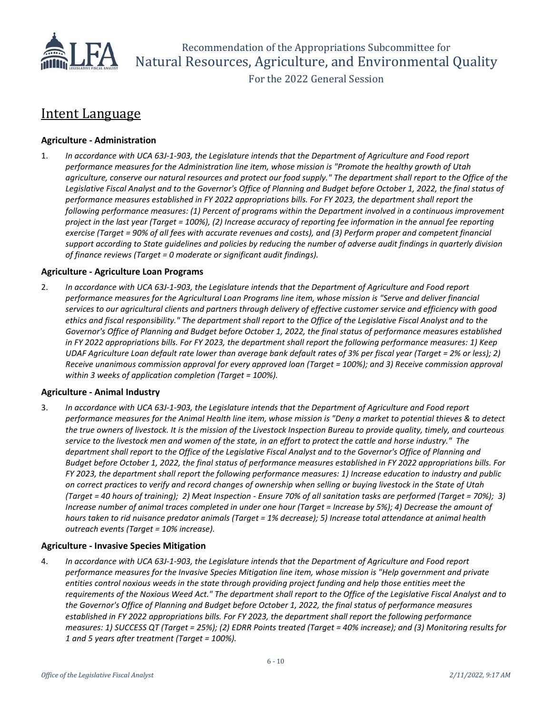

For the 2022 General Session

### Intent Language

#### **Agriculture ‐ Administration**

*In accordance with UCA 63J‐1‐903, the Legislature intends that the Department of Agriculture and Food report performance measures for the Administration line item, whose mission is "Promote the healthy growth of Utah agriculture, conserve our natural resources and protect our food supply." The department shall report to the Office of the Legislative Fiscal Analyst and to the Governor's Office of Planning and Budget before October 1, 2022, the final status of performance measures established in FY 2022 appropriations bills. For FY 2023, the department shall report the following performance measures: (1) Percent of programs within the Department involved in a continuous improvement project in the last year (Target = 100%), (2) Increase accuracy of reporting fee information in the annual fee reporting exercise (Target = 90% of all fees with accurate revenues and costs), and (3) Perform proper and competent financial support according to State guidelines and policies by reducing the number of adverse audit findings in quarterly division of finance reviews (Target = 0 moderate or significant audit findings).* 1.

#### **Agriculture ‐ Agriculture Loan Programs**

*In accordance with UCA 63J‐1‐903, the Legislature intends that the Department of Agriculture and Food report performance measures for the Agricultural Loan Programs line item, whose mission is "Serve and deliver financial services to our agricultural clients and partners through delivery of effective customer service and efficiency with good ethics and fiscal responsibility." The department shall report to the Office of the Legislative Fiscal Analyst and to the Governor's Office of Planning and Budget before October 1, 2022, the final status of performance measures established in FY 2022 appropriations bills. For FY 2023, the department shall report the following performance measures: 1) Keep UDAF Agriculture Loan default rate lower than average bank default rates of 3% per fiscal year (Target = 2% or less); 2) Receive unanimous commission approval for every approved loan (Target = 100%); and 3) Receive commission approval within 3 weeks of application completion (Target = 100%).* 2.

#### **Agriculture ‐ Animal Industry**

*In accordance with UCA 63J‐1‐903, the Legislature intends that the Department of Agriculture and Food report performance measures for the Animal Health line item, whose mission is "Deny a market to potential thieves & to detect the true owners of livestock. It is the mission of the Livestock Inspection Bureau to provide quality, timely, and courteous service to the livestock men and women of the state, in an effort to protect the cattle and horse industry." The department shall report to the Office of the Legislative Fiscal Analyst and to the Governor's Office of Planning and Budget before October 1, 2022, the final status of performance measures established in FY 2022 appropriations bills. For FY 2023, the department shall report the following performance measures: 1) Increase education to industry and public on correct practices to verify and record changes of ownership when selling or buying livestock in the State of Utah (Target = 40 hours of training); 2) Meat Inspection ‐ Ensure 70% of all sanitation tasks are performed (Target = 70%); 3) Increase number of animal traces completed in under one hour (Target = Increase by 5%); 4) Decrease the amount of hours taken to rid nuisance predator animals (Target = 1% decrease); 5) Increase total attendance at animal health outreach events (Target = 10% increase).* 3.

#### **Agriculture ‐ Invasive Species Mitigation**

*In accordance with UCA 63J‐1‐903, the Legislature intends that the Department of Agriculture and Food report performance measures for the Invasive Species Mitigation line item, whose mission is "Help government and private entities control noxious weeds in the state through providing project funding and help those entities meet the requirements of the Noxious Weed Act." The department shall report to the Office of the Legislative Fiscal Analyst and to the Governor's Office of Planning and Budget before October 1, 2022, the final status of performance measures established in FY 2022 appropriations bills. For FY 2023, the department shall report the following performance measures: 1) SUCCESS QT (Target = 25%); (2) EDRR Points treated (Target = 40% increase); and (3) Monitoring results for 1 and 5 years after treatment (Target = 100%).* 4.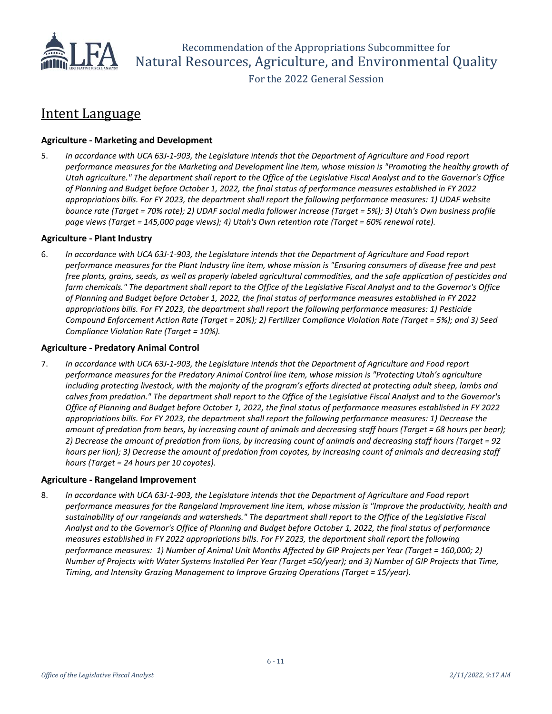

For the 2022 General Session

### Intent Language

### **Agriculture ‐ Marketing and Development**

*In accordance with UCA 63J‐1‐903, the Legislature intends that the Department of Agriculture and Food report performance measures for the Marketing and Development line item, whose mission is "Promoting the healthy growth of Utah agriculture." The department shall report to the Office of the Legislative Fiscal Analyst and to the Governor's Office of Planning and Budget before October 1, 2022, the final status of performance measures established in FY 2022 appropriations bills. For FY 2023, the department shall report the following performance measures: 1) UDAF website bounce rate (Target = 70% rate); 2) UDAF social media follower increase (Target = 5%); 3) Utah's Own business profile page views (Target = 145,000 page views); 4) Utah's Own retention rate (Target = 60% renewal rate).* 5.

#### **Agriculture ‐ Plant Industry**

*In accordance with UCA 63J‐1‐903, the Legislature intends that the Department of Agriculture and Food report performance measures for the Plant Industry line item, whose mission is "Ensuring consumers of disease free and pest free plants, grains, seeds, as well as properly labeled agricultural commodities, and the safe application of pesticides and farm chemicals." The department shall report to the Office of the Legislative Fiscal Analyst and to the Governor's Office of Planning and Budget before October 1, 2022, the final status of performance measures established in FY 2022 appropriations bills. For FY 2023, the department shall report the following performance measures: 1) Pesticide Compound Enforcement Action Rate (Target = 20%); 2) Fertilizer Compliance Violation Rate (Target = 5%); and 3) Seed Compliance Violation Rate (Target = 10%).* 6.

#### **Agriculture ‐ Predatory Animal Control**

*In accordance with UCA 63J‐1‐903, the Legislature intends that the Department of Agriculture and Food report performance measures for the Predatory Animal Control line item, whose mission is "Protecting Utah's agriculture including protecting livestock, with the majority of the program's efforts directed at protecting adult sheep, lambs and calves from predation." The department shall report to the Office of the Legislative Fiscal Analyst and to the Governor's Office of Planning and Budget before October 1, 2022, the final status of performance measures established in FY 2022 appropriations bills. For FY 2023, the department shall report the following performance measures: 1) Decrease the amount of predation from bears, by increasing count of animals and decreasing staff hours (Target = 68 hours per bear); 2) Decrease the amount of predation from lions, by increasing count of animals and decreasing staff hours (Target = 92 hours per lion); 3) Decrease the amount of predation from coyotes, by increasing count of animals and decreasing staff hours (Target = 24 hours per 10 coyotes).* 7.

#### **Agriculture ‐ Rangeland Improvement**

*In accordance with UCA 63J‐1‐903, the Legislature intends that the Department of Agriculture and Food report performance measures for the Rangeland Improvement line item, whose mission is "Improve the productivity, health and sustainability of our rangelands and watersheds." The department shall report to the Office of the Legislative Fiscal Analyst and to the Governor's Office of Planning and Budget before October 1, 2022, the final status of performance measures established in FY 2022 appropriations bills. For FY 2023, the department shall report the following performance measures: 1) Number of Animal Unit Months Affected by GIP Projects per Year (Target = 160,000; 2) Number of Projects with Water Systems Installed Per Year (Target =50/year); and 3) Number of GIP Projects that Time, Timing, and Intensity Grazing Management to Improve Grazing Operations (Target = 15/year).* 8.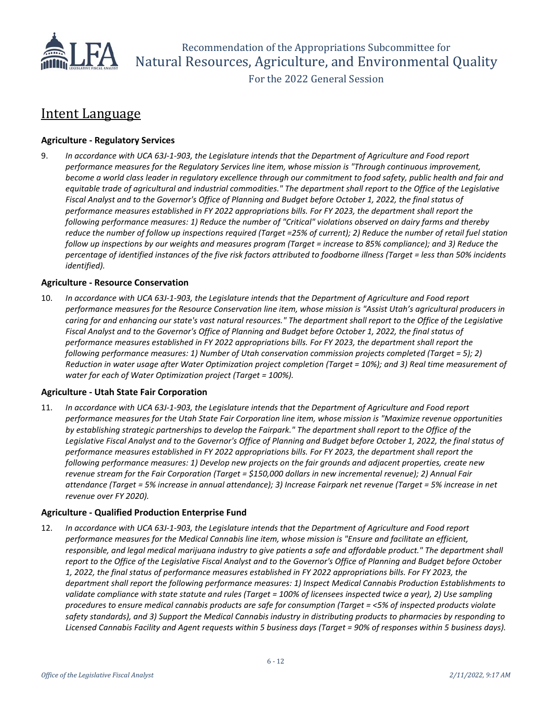

For the 2022 General Session

### Intent Language

### **Agriculture ‐ Regulatory Services**

*In accordance with UCA 63J‐1‐903, the Legislature intends that the Department of Agriculture and Food report performance measures for the Regulatory Services line item, whose mission is "Through continuous improvement,*  become a world class leader in regulatory excellence through our commitment to food safety, public health and fair and *equitable trade of agricultural and industrial commodities." The department shall report to the Office of the Legislative Fiscal Analyst and to the Governor's Office of Planning and Budget before October 1, 2022, the final status of performance measures established in FY 2022 appropriations bills. For FY 2023, the department shall report the following performance measures: 1) Reduce the number of "Critical" violations observed on dairy farms and thereby reduce the number of follow up inspections required (Target =25% of current); 2) Reduce the number of retail fuel station follow up inspections by our weights and measures program (Target = increase to 85% compliance); and 3) Reduce the percentage of identified instances of the five risk factors attributed to foodborne illness (Target = less than 50% incidents identified).* 9.

#### **Agriculture ‐ Resource Conservation**

*In accordance with UCA 63J‐1‐903, the Legislature intends that the Department of Agriculture and Food report performance measures for the Resource Conservation line item, whose mission is "Assist Utah's agricultural producers in caring for and enhancing our state's vast natural resources." The department shall report to the Office of the Legislative Fiscal Analyst and to the Governor's Office of Planning and Budget before October 1, 2022, the final status of performance measures established in FY 2022 appropriations bills. For FY 2023, the department shall report the following performance measures: 1) Number of Utah conservation commission projects completed (Target = 5); 2) Reduction in water usage after Water Optimization project completion (Target = 10%); and 3) Real time measurement of water for each of Water Optimization project (Target = 100%).* 10.

#### **Agriculture ‐ Utah State Fair Corporation**

*In accordance with UCA 63J‐1‐903, the Legislature intends that the Department of Agriculture and Food report performance measures for the Utah State Fair Corporation line item, whose mission is "Maximize revenue opportunities by establishing strategic partnerships to develop the Fairpark." The department shall report to the Office of the*  Legislative Fiscal Analyst and to the Governor's Office of Planning and Budget before October 1, 2022, the final status of *performance measures established in FY 2022 appropriations bills. For FY 2023, the department shall report the following performance measures: 1) Develop new projects on the fair grounds and adjacent properties, create new revenue stream for the Fair Corporation (Target = \$150,000 dollars in new incremental revenue); 2) Annual Fair attendance (Target = 5% increase in annual attendance); 3) Increase Fairpark net revenue (Target = 5% increase in net revenue over FY 2020).* 11.

#### **Agriculture ‐ Qualified Production Enterprise Fund**

*In accordance with UCA 63J‐1‐903, the Legislature intends that the Department of Agriculture and Food report performance measures for the Medical Cannabis line item, whose mission is "Ensure and facilitate an efficient, responsible, and legal medical marijuana industry to give patients a safe and affordable product." The department shall report to the Office of the Legislative Fiscal Analyst and to the Governor's Office of Planning and Budget before October 1, 2022, the final status of performance measures established in FY 2022 appropriations bills. For FY 2023, the department shall report the following performance measures: 1) Inspect Medical Cannabis Production Establishments to validate compliance with state statute and rules (Target = 100% of licensees inspected twice a year), 2) Use sampling procedures to ensure medical cannabis products are safe for consumption (Target = <5% of inspected products violate safety standards), and 3) Support the Medical Cannabis industry in distributing products to pharmacies by responding to Licensed Cannabis Facility and Agent requests within 5 business days (Target = 90% of responses within 5 business days).* 12.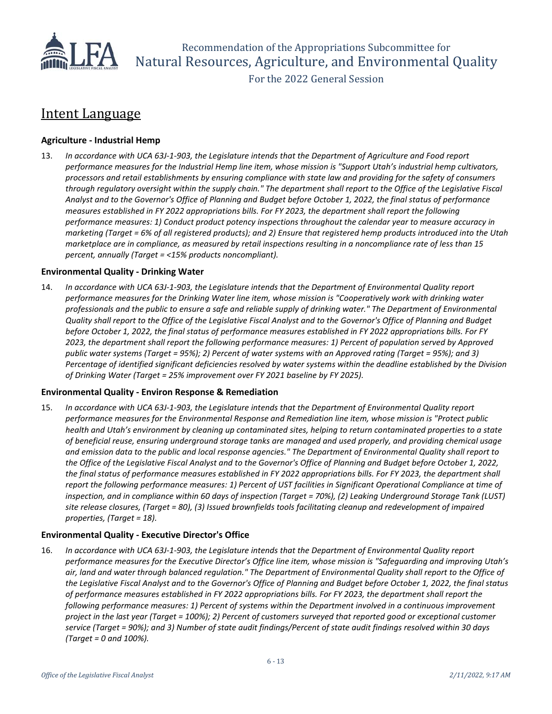

For the 2022 General Session

### Intent Language

#### **Agriculture ‐ Industrial Hemp**

*In accordance with UCA 63J‐1‐903, the Legislature intends that the Department of Agriculture and Food report performance measures for the Industrial Hemp line item, whose mission is "Support Utah's industrial hemp cultivators, processors and retail establishments by ensuring compliance with state law and providing for the safety of consumers through regulatory oversight within the supply chain." The department shall report to the Office of the Legislative Fiscal Analyst and to the Governor's Office of Planning and Budget before October 1, 2022, the final status of performance measures established in FY 2022 appropriations bills. For FY 2023, the department shall report the following performance measures: 1) Conduct product potency inspections throughout the calendar year to measure accuracy in marketing (Target = 6% of all registered products); and 2) Ensure that registered hemp products introduced into the Utah marketplace are in compliance, as measured by retail inspections resulting in a noncompliance rate of less than 15 percent, annually (Target = <15% products noncompliant).* 13.

#### **Environmental Quality ‐ Drinking Water**

*In accordance with UCA 63J‐1‐903, the Legislature intends that the Department of Environmental Quality report performance measures for the Drinking Water line item, whose mission is "Cooperatively work with drinking water professionals and the public to ensure a safe and reliable supply of drinking water." The Department of Environmental Quality shall report to the Office of the Legislative Fiscal Analyst and to the Governor's Office of Planning and Budget before October 1, 2022, the final status of performance measures established in FY 2022 appropriations bills. For FY 2023, the department shall report the following performance measures: 1) Percent of population served by Approved public water systems (Target = 95%); 2) Percent of water systems with an Approved rating (Target = 95%); and 3) Percentage of identified significant deficiencies resolved by water systems within the deadline established by the Division of Drinking Water (Target = 25% improvement over FY 2021 baseline by FY 2025).* 14.

#### **Environmental Quality ‐ Environ Response & Remediation**

*In accordance with UCA 63J‐1‐903, the Legislature intends that the Department of Environmental Quality report performance measures for the Environmental Response and Remediation line item, whose mission is "Protect public health and Utah's environment by cleaning up contaminated sites, helping to return contaminated properties to a state of beneficial reuse, ensuring underground storage tanks are managed and used properly, and providing chemical usage and emission data to the public and local response agencies." The Department of Environmental Quality shall report to the Office of the Legislative Fiscal Analyst and to the Governor's Office of Planning and Budget before October 1, 2022, the final status of performance measures established in FY 2022 appropriations bills. For FY 2023, the department shall report the following performance measures: 1) Percent of UST facilities in Significant Operational Compliance at time of inspection, and in compliance within 60 days of inspection (Target = 70%), (2) Leaking Underground Storage Tank (LUST) site release closures, (Target = 80), (3) Issued brownfields tools facilitating cleanup and redevelopment of impaired properties, (Target = 18).* 15.

#### **Environmental Quality ‐ Executive Director's Office**

*In accordance with UCA 63J‐1‐903, the Legislature intends that the Department of Environmental Quality report performance measures for the Executive Director's Office line item, whose mission is "Safeguarding and improving Utah's air, land and water through balanced regulation." The Department of Environmental Quality shall report to the Office of the Legislative Fiscal Analyst and to the Governor's Office of Planning and Budget before October 1, 2022, the final status of performance measures established in FY 2022 appropriations bills. For FY 2023, the department shall report the following performance measures: 1) Percent of systems within the Department involved in a continuous improvement project in the last year (Target = 100%); 2) Percent of customers surveyed that reported good or exceptional customer service (Target = 90%); and 3) Number of state audit findings/Percent of state audit findings resolved within 30 days (Target = 0 and 100%).* 16.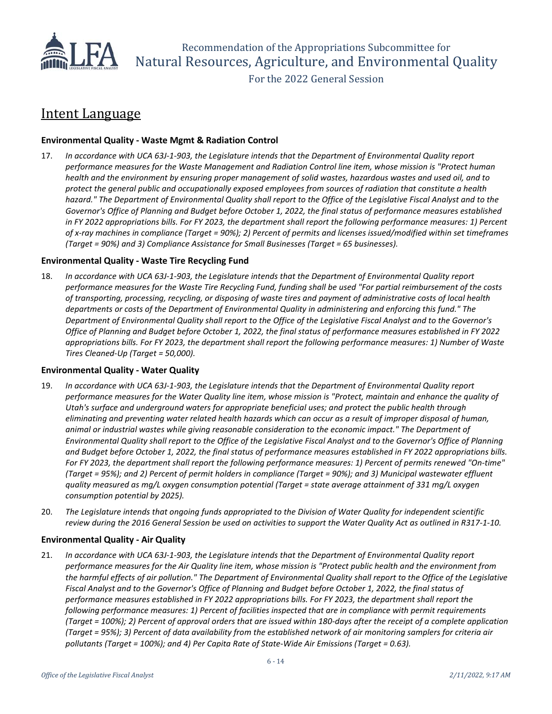

For the 2022 General Session

### Intent Language

#### **Environmental Quality ‐ Waste Mgmt & Radiation Control**

*In accordance with UCA 63J‐1‐903, the Legislature intends that the Department of Environmental Quality report performance measures for the Waste Management and Radiation Control line item, whose mission is "Protect human health and the environment by ensuring proper management of solid wastes, hazardous wastes and used oil, and to protect the general public and occupationally exposed employees from sources of radiation that constitute a health hazard." The Department of Environmental Quality shall report to the Office of the Legislative Fiscal Analyst and to the Governor's Office of Planning and Budget before October 1, 2022, the final status of performance measures established in FY 2022 appropriations bills. For FY 2023, the department shall report the following performance measures: 1) Percent of x‐ray machines in compliance (Target = 90%); 2) Percent of permits and licenses issued/modified within set timeframes (Target = 90%) and 3) Compliance Assistance for Small Businesses (Target = 65 businesses).* 17.

#### **Environmental Quality ‐ Waste Tire Recycling Fund**

*In accordance with UCA 63J‐1‐903, the Legislature intends that the Department of Environmental Quality report performance measures for the Waste Tire Recycling Fund, funding shall be used "For partial reimbursement of the costs of transporting, processing, recycling, or disposing of waste tires and payment of administrative costs of local health departments or costs of the Department of Environmental Quality in administering and enforcing this fund." The Department of Environmental Quality shall report to the Office of the Legislative Fiscal Analyst and to the Governor's Office of Planning and Budget before October 1, 2022, the final status of performance measures established in FY 2022 appropriations bills. For FY 2023, the department shall report the following performance measures: 1) Number of Waste Tires Cleaned‐Up (Target = 50,000).* 18.

#### **Environmental Quality ‐ Water Quality**

- *In accordance with UCA 63J‐1‐903, the Legislature intends that the Department of Environmental Quality report performance measures for the Water Quality line item, whose mission is "Protect, maintain and enhance the quality of Utah's surface and underground waters for appropriate beneficial uses; and protect the public health through eliminating and preventing water related health hazards which can occur as a result of improper disposal of human, animal or industrial wastes while giving reasonable consideration to the economic impact." The Department of Environmental Quality shall report to the Office of the Legislative Fiscal Analyst and to the Governor's Office of Planning and Budget before October 1, 2022, the final status of performance measures established in FY 2022 appropriations bills. For FY 2023, the department shall report the following performance measures: 1) Percent of permits renewed "On‐time" (Target = 95%); and 2) Percent of permit holders in compliance (Target = 90%); and 3) Municipal wastewater effluent quality measured as mg/L oxygen consumption potential (Target = state average attainment of 331 mg/L oxygen consumption potential by 2025).* 19.
- *The Legislature intends that ongoing funds appropriated to the Division of Water Quality for independent scientific review during the 2016 General Session be used on activities to support the Water Quality Act as outlined in R317‐1‐10.* 20.

#### **Environmental Quality ‐ Air Quality**

*In accordance with UCA 63J‐1‐903, the Legislature intends that the Department of Environmental Quality report performance measures for the Air Quality line item, whose mission is "Protect public health and the environment from the harmful effects of air pollution." The Department of Environmental Quality shall report to the Office of the Legislative Fiscal Analyst and to the Governor's Office of Planning and Budget before October 1, 2022, the final status of performance measures established in FY 2022 appropriations bills. For FY 2023, the department shall report the following performance measures: 1) Percent of facilities inspected that are in compliance with permit requirements (Target = 100%); 2) Percent of approval orders that are issued within 180‐days after the receipt of a complete application (Target = 95%); 3) Percent of data availability from the established network of air monitoring samplers for criteria air pollutants (Target = 100%); and 4) Per Capita Rate of State‐Wide Air Emissions (Target = 0.63).* 21.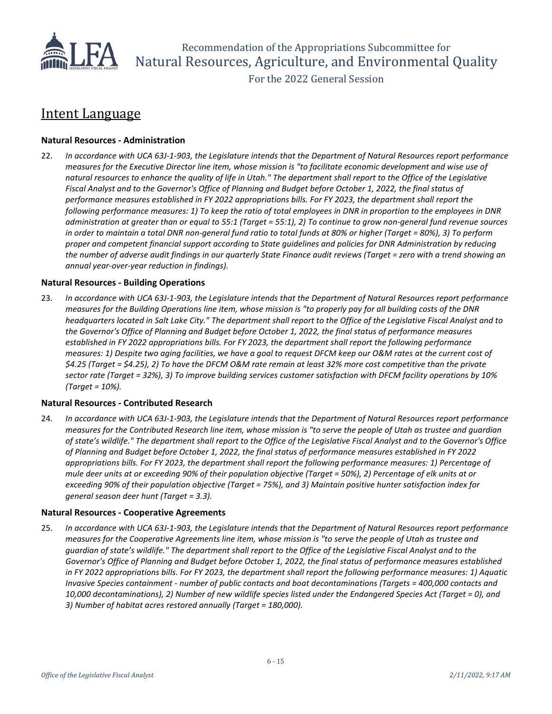

For the 2022 General Session

### Intent Language

### **Natural Resources ‐ Administration**

*In accordance with UCA 63J‐1‐903, the Legislature intends that the Department of Natural Resources report performance measures for the Executive Director line item, whose mission is "to facilitate economic development and wise use of natural resources to enhance the quality of life in Utah." The department shall report to the Office of the Legislative Fiscal Analyst and to the Governor's Office of Planning and Budget before October 1, 2022, the final status of performance measures established in FY 2022 appropriations bills. For FY 2023, the department shall report the following performance measures: 1) To keep the ratio of total employees in DNR in proportion to the employees in DNR administration at greater than or equal to 55:1 (Target = 55:1), 2) To continue to grow non‐general fund revenue sources in order to maintain a total DNR non‐general fund ratio to total funds at 80% or higher (Target = 80%), 3) To perform proper and competent financial support according to State guidelines and policies for DNR Administration by reducing the number of adverse audit findings in our quarterly State Finance audit reviews (Target = zero with a trend showing an annual year‐over‐year reduction in findings).* 22.

#### **Natural Resources ‐ Building Operations**

*In accordance with UCA 63J‐1‐903, the Legislature intends that the Department of Natural Resources report performance measures for the Building Operations line item, whose mission is "to properly pay for all building costs of the DNR headquarters located in Salt Lake City." The department shall report to the Office of the Legislative Fiscal Analyst and to the Governor's Office of Planning and Budget before October 1, 2022, the final status of performance measures established in FY 2022 appropriations bills. For FY 2023, the department shall report the following performance measures: 1) Despite two aging facilities, we have a goal to request DFCM keep our O&M rates at the current cost of \$4.25 (Target = \$4.25), 2) To have the DFCM O&M rate remain at least 32% more cost competitive than the private sector rate (Target = 32%), 3) To improve building services customer satisfaction with DFCM facility operations by 10% (Target = 10%).* 23.

#### **Natural Resources ‐ Contributed Research**

*In accordance with UCA 63J‐1‐903, the Legislature intends that the Department of Natural Resources report performance measures for the Contributed Research line item, whose mission is "to serve the people of Utah as trustee and guardian of state's wildlife." The department shall report to the Office of the Legislative Fiscal Analyst and to the Governor's Office of Planning and Budget before October 1, 2022, the final status of performance measures established in FY 2022 appropriations bills. For FY 2023, the department shall report the following performance measures: 1) Percentage of mule deer units at or exceeding 90% of their population objective (Target = 50%), 2) Percentage of elk units at or exceeding 90% of their population objective (Target = 75%), and 3) Maintain positive hunter satisfaction index for general season deer hunt (Target = 3.3).* 24.

#### **Natural Resources ‐ Cooperative Agreements**

*In accordance with UCA 63J‐1‐903, the Legislature intends that the Department of Natural Resources report performance measures for the Cooperative Agreements line item, whose mission is "to serve the people of Utah as trustee and guardian of state's wildlife." The department shall report to the Office of the Legislative Fiscal Analyst and to the Governor's Office of Planning and Budget before October 1, 2022, the final status of performance measures established in FY 2022 appropriations bills. For FY 2023, the department shall report the following performance measures: 1) Aquatic Invasive Species containment ‐ number of public contacts and boat decontaminations (Targets = 400,000 contacts and 10,000 decontaminations), 2) Number of new wildlife species listed under the Endangered Species Act (Target = 0), and 3) Number of habitat acres restored annually (Target = 180,000).* 25.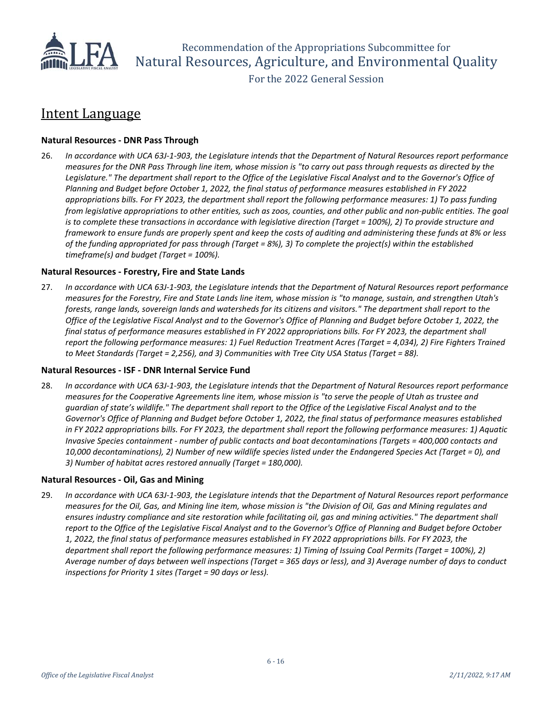

For the 2022 General Session

### Intent Language

### **Natural Resources ‐ DNR Pass Through**

*In accordance with UCA 63J‐1‐903, the Legislature intends that the Department of Natural Resources report performance measures for the DNR Pass Through line item, whose mission is "to carry out pass through requests as directed by the*  Legislature." The department shall report to the Office of the Legislative Fiscal Analyst and to the Governor's Office of *Planning and Budget before October 1, 2022, the final status of performance measures established in FY 2022 appropriations bills. For FY 2023, the department shall report the following performance measures: 1) To pass funding from legislative appropriations to other entities, such as zoos, counties, and other public and non‐public entities. The goal is to complete these transactions in accordance with legislative direction (Target = 100%), 2) To provide structure and framework to ensure funds are properly spent and keep the costs of auditing and administering these funds at 8% or less of the funding appropriated for pass through (Target = 8%), 3) To complete the project(s) within the established timeframe(s) and budget (Target = 100%).* 26.

#### **Natural Resources ‐ Forestry, Fire and State Lands**

*In accordance with UCA 63J‐1‐903, the Legislature intends that the Department of Natural Resources report performance measures for the Forestry, Fire and State Lands line item, whose mission is "to manage, sustain, and strengthen Utah's forests, range lands, sovereign lands and watersheds for its citizens and visitors." The department shall report to the Office of the Legislative Fiscal Analyst and to the Governor's Office of Planning and Budget before October 1, 2022, the final status of performance measures established in FY 2022 appropriations bills. For FY 2023, the department shall report the following performance measures: 1) Fuel Reduction Treatment Acres (Target = 4,034), 2) Fire Fighters Trained to Meet Standards (Target = 2,256), and 3) Communities with Tree City USA Status (Target = 88).* 27.

#### **Natural Resources ‐ ISF ‐ DNR Internal Service Fund**

*In accordance with UCA 63J‐1‐903, the Legislature intends that the Department of Natural Resources report performance measures for the Cooperative Agreements line item, whose mission is "to serve the people of Utah as trustee and guardian of state's wildlife." The department shall report to the Office of the Legislative Fiscal Analyst and to the Governor's Office of Planning and Budget before October 1, 2022, the final status of performance measures established in FY 2022 appropriations bills. For FY 2023, the department shall report the following performance measures: 1) Aquatic Invasive Species containment ‐ number of public contacts and boat decontaminations (Targets = 400,000 contacts and 10,000 decontaminations), 2) Number of new wildlife species listed under the Endangered Species Act (Target = 0), and 3) Number of habitat acres restored annually (Target = 180,000).* 28.

#### **Natural Resources ‐ Oil, Gas and Mining**

*In accordance with UCA 63J‐1‐903, the Legislature intends that the Department of Natural Resources report performance measures for the Oil, Gas, and Mining line item, whose mission is "the Division of Oil, Gas and Mining regulates and ensures industry compliance and site restoration while facilitating oil, gas and mining activities." The department shall report to the Office of the Legislative Fiscal Analyst and to the Governor's Office of Planning and Budget before October 1, 2022, the final status of performance measures established in FY 2022 appropriations bills. For FY 2023, the department shall report the following performance measures: 1) Timing of Issuing Coal Permits (Target = 100%), 2) Average number of days between well inspections (Target = 365 days or less), and 3) Average number of days to conduct inspections for Priority 1 sites (Target = 90 days or less).* 29.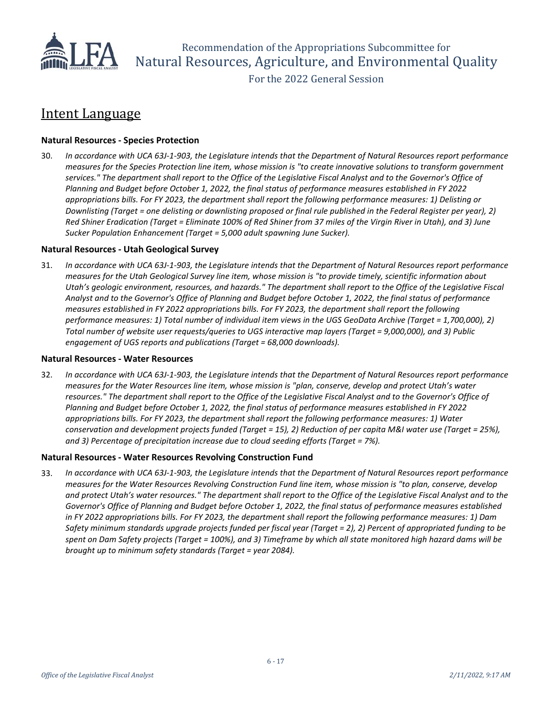

For the 2022 General Session

### Intent Language

### **Natural Resources ‐ Species Protection**

*In accordance with UCA 63J‐1‐903, the Legislature intends that the Department of Natural Resources report performance measures for the Species Protection line item, whose mission is "to create innovative solutions to transform government services." The department shall report to the Office of the Legislative Fiscal Analyst and to the Governor's Office of Planning and Budget before October 1, 2022, the final status of performance measures established in FY 2022 appropriations bills. For FY 2023, the department shall report the following performance measures: 1) Delisting or Downlisting (Target = one delisting or downlisting proposed or final rule published in the Federal Register per year), 2) Red Shiner Eradication (Target = Eliminate 100% of Red Shiner from 37 miles of the Virgin River in Utah), and 3) June Sucker Population Enhancement (Target = 5,000 adult spawning June Sucker).* 30.

#### **Natural Resources ‐ Utah Geological Survey**

*In accordance with UCA 63J‐1‐903, the Legislature intends that the Department of Natural Resources report performance measures for the Utah Geological Survey line item, whose mission is "to provide timely, scientific information about Utah's geologic environment, resources, and hazards." The department shall report to the Office of the Legislative Fiscal Analyst and to the Governor's Office of Planning and Budget before October 1, 2022, the final status of performance measures established in FY 2022 appropriations bills. For FY 2023, the department shall report the following performance measures: 1) Total number of individual item views in the UGS GeoData Archive (Target = 1,700,000), 2) Total number of website user requests/queries to UGS interactive map layers (Target = 9,000,000), and 3) Public engagement of UGS reports and publications (Target = 68,000 downloads).* 31.

#### **Natural Resources ‐ Water Resources**

*In accordance with UCA 63J‐1‐903, the Legislature intends that the Department of Natural Resources report performance measures for the Water Resources line item, whose mission is "plan, conserve, develop and protect Utah's water resources." The department shall report to the Office of the Legislative Fiscal Analyst and to the Governor's Office of Planning and Budget before October 1, 2022, the final status of performance measures established in FY 2022 appropriations bills. For FY 2023, the department shall report the following performance measures: 1) Water conservation and development projects funded (Target = 15), 2) Reduction of per capita M&I water use (Target = 25%), and 3) Percentage of precipitation increase due to cloud seeding efforts (Target = 7%).* 32.

#### **Natural Resources ‐ Water Resources Revolving Construction Fund**

*In accordance with UCA 63J‐1‐903, the Legislature intends that the Department of Natural Resources report performance measures for the Water Resources Revolving Construction Fund line item, whose mission is "to plan, conserve, develop and protect Utah's water resources." The department shall report to the Office of the Legislative Fiscal Analyst and to the Governor's Office of Planning and Budget before October 1, 2022, the final status of performance measures established in FY 2022 appropriations bills. For FY 2023, the department shall report the following performance measures: 1) Dam Safety minimum standards upgrade projects funded per fiscal year (Target = 2), 2) Percent of appropriated funding to be spent on Dam Safety projects (Target = 100%), and 3) Timeframe by which all state monitored high hazard dams will be brought up to minimum safety standards (Target = year 2084).* 33.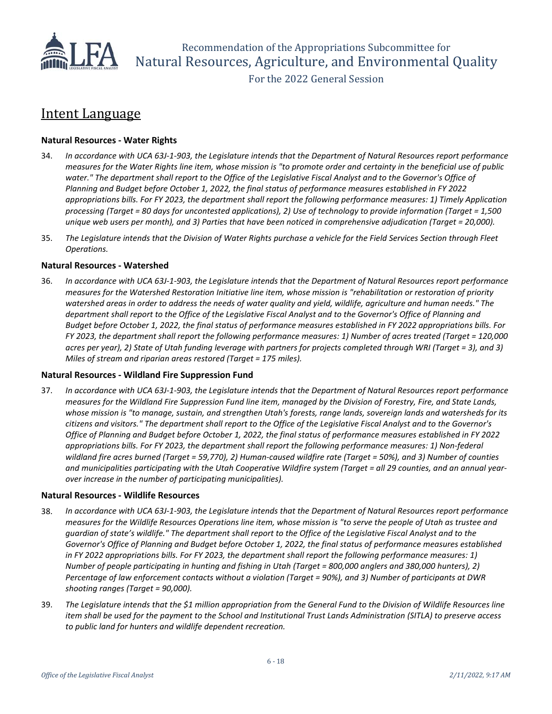

For the 2022 General Session

### Intent Language

#### **Natural Resources ‐ Water Rights**

- *In accordance with UCA 63J‐1‐903, the Legislature intends that the Department of Natural Resources report performance measures for the Water Rights line item, whose mission is "to promote order and certainty in the beneficial use of public*  water." The department shall report to the Office of the Legislative Fiscal Analyst and to the Governor's Office of *Planning and Budget before October 1, 2022, the final status of performance measures established in FY 2022 appropriations bills. For FY 2023, the department shall report the following performance measures: 1) Timely Application processing (Target = 80 days for uncontested applications), 2) Use of technology to provide information (Target = 1,500 unique web users per month), and 3) Parties that have been noticed in comprehensive adjudication (Target = 20,000).* 34.
- *The Legislature intends that the Division of Water Rights purchase a vehicle for the Field Services Section through Fleet Operations.* 35.

#### **Natural Resources ‐ Watershed**

*In accordance with UCA 63J‐1‐903, the Legislature intends that the Department of Natural Resources report performance measures for the Watershed Restoration Initiative line item, whose mission is "rehabilitation or restoration of priority watershed areas in order to address the needs of water quality and yield, wildlife, agriculture and human needs." The department shall report to the Office of the Legislative Fiscal Analyst and to the Governor's Office of Planning and Budget before October 1, 2022, the final status of performance measures established in FY 2022 appropriations bills. For FY 2023, the department shall report the following performance measures: 1) Number of acres treated (Target = 120,000 acres per year), 2) State of Utah funding leverage with partners for projects completed through WRI (Target = 3), and 3) Miles of stream and riparian areas restored (Target = 175 miles).* 36.

#### **Natural Resources ‐ Wildland Fire Suppression Fund**

*In accordance with UCA 63J‐1‐903, the Legislature intends that the Department of Natural Resources report performance measures for the Wildland Fire Suppression Fund line item, managed by the Division of Forestry, Fire, and State Lands, whose mission is "to manage, sustain, and strengthen Utah's forests, range lands, sovereign lands and watersheds for its citizens and visitors." The department shall report to the Office of the Legislative Fiscal Analyst and to the Governor's Office of Planning and Budget before October 1, 2022, the final status of performance measures established in FY 2022 appropriations bills. For FY 2023, the department shall report the following performance measures: 1) Non‐federal wildland fire acres burned (Target = 59,770), 2) Human‐caused wildfire rate (Target = 50%), and 3) Number of counties and municipalities participating with the Utah Cooperative Wildfire system (Target = all 29 counties, and an annual year‐ over increase in the number of participating municipalities).* 37.

#### **Natural Resources ‐ Wildlife Resources**

- *In accordance with UCA 63J‐1‐903, the Legislature intends that the Department of Natural Resources report performance measures for the Wildlife Resources Operations line item, whose mission is "to serve the people of Utah as trustee and guardian of state's wildlife." The department shall report to the Office of the Legislative Fiscal Analyst and to the Governor's Office of Planning and Budget before October 1, 2022, the final status of performance measures established in FY 2022 appropriations bills. For FY 2023, the department shall report the following performance measures: 1) Number of people participating in hunting and fishing in Utah (Target = 800,000 anglers and 380,000 hunters), 2) Percentage of law enforcement contacts without a violation (Target = 90%), and 3) Number of participants at DWR shooting ranges (Target = 90,000).* 38.
- *The Legislature intends that the \$1 million appropriation from the General Fund to the Division of Wildlife Resources line item shall be used for the payment to the School and Institutional Trust Lands Administration (SITLA) to preserve access to public land for hunters and wildlife dependent recreation.* 39.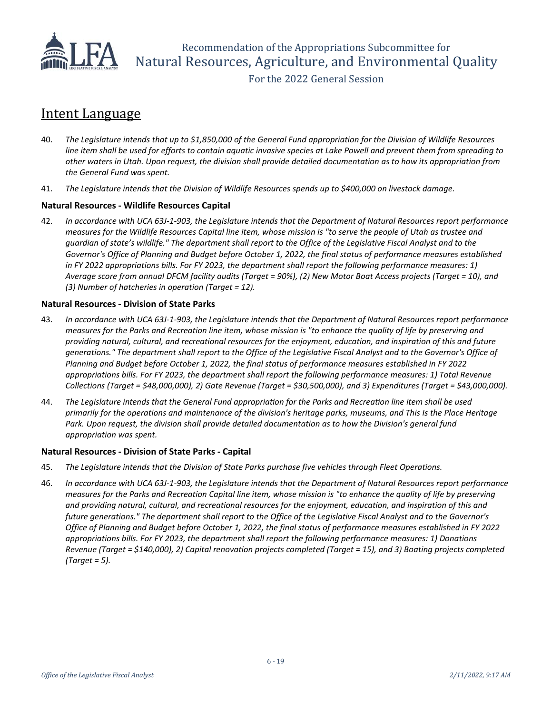

For the 2022 General Session

### Intent Language

- *The Legislature intends that up to \$1,850,000 of the General Fund appropriation for the Division of Wildlife Resources line item shall be used for efforts to contain aquatic invasive species at Lake Powell and prevent them from spreading to other waters in Utah. Upon request, the division shall provide detailed documentation as to how its appropriation from the General Fund was spent.* 40.
- 41. *The Legislature intends that the Division of Wildlife Resources spends up to \$400,000 on livestock damage.*

### **Natural Resources ‐ Wildlife Resources Capital**

*In accordance with UCA 63J‐1‐903, the Legislature intends that the Department of Natural Resources report performance measures for the Wildlife Resources Capital line item, whose mission is "to serve the people of Utah as trustee and guardian of state's wildlife." The department shall report to the Office of the Legislative Fiscal Analyst and to the Governor's Office of Planning and Budget before October 1, 2022, the final status of performance measures established*  in FY 2022 appropriations bills. For FY 2023, the department shall report the following performance measures: 1) *Average score from annual DFCM facility audits (Target = 90%), (2) New Motor Boat Access projects (Target = 10), and (3) Number of hatcheries in operation (Target = 12).* 42.

#### **Natural Resources ‐ Division of State Parks**

- *In accordance with UCA 63J‐1‐903, the Legislature intends that the Department of Natural Resources report performance measures for the Parks and Recreation line item, whose mission is "to enhance the quality of life by preserving and providing natural, cultural, and recreational resources for the enjoyment, education, and inspiration of this and future generations." The department shall report to the Office of the Legislative Fiscal Analyst and to the Governor's Office of Planning and Budget before October 1, 2022, the final status of performance measures established in FY 2022 appropriations bills. For FY 2023, the department shall report the following performance measures: 1) Total Revenue Collections (Target = \$48,000,000), 2) Gate Revenue (Target = \$30,500,000), and 3) Expenditures (Target = \$43,000,000).* 43.
- The Legislature intends that the General Fund appropriation for the Parks and Recreation line item shall be used *primarily for the operations and maintenance of the division's heritage parks, museums, and This Is the Place Heritage Park. Upon request, the division shall provide detailed documentation as to how the Division's general fund appropriation was spent.* 44.

#### **Natural Resources ‐ Division of State Parks ‐ Capital**

- 45. *The Legislature intends that the Division of State Parks purchase five vehicles through Fleet Operations.*
- *In accordance with UCA 63J‐1‐903, the Legislature intends that the Department of Natural Resources report performance measures for the Parks and Recreation Capital line item, whose mission is "to enhance the quality of life by preserving and providing natural, cultural, and recreational resources for the enjoyment, education, and inspiration of this and future generations." The department shall report to the Office of the Legislative Fiscal Analyst and to the Governor's Office of Planning and Budget before October 1, 2022, the final status of performance measures established in FY 2022 appropriations bills. For FY 2023, the department shall report the following performance measures: 1) Donations Revenue (Target = \$140,000), 2) Capital renovation projects completed (Target = 15), and 3) Boating projects completed (Target = 5).* 46.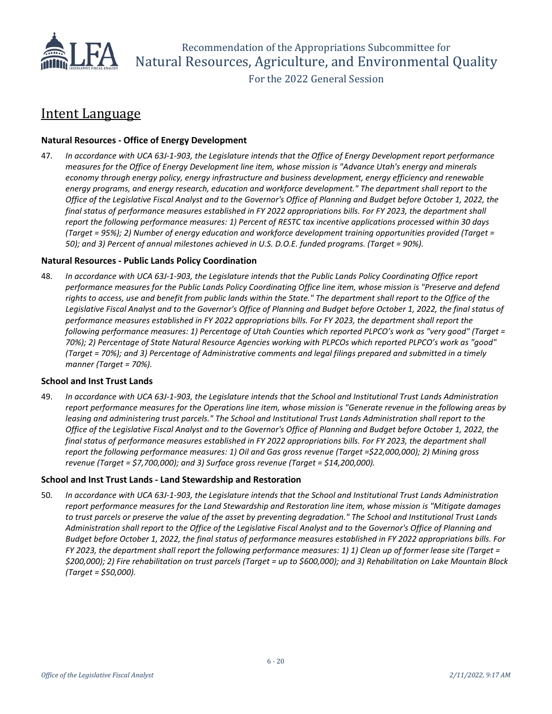

For the 2022 General Session

### Intent Language

### **Natural Resources ‐ Office of Energy Development**

*In accordance with UCA 63J‐1‐903, the Legislature intends that the Office of Energy Development report performance measures for the Office of Energy Development line item, whose mission is "Advance Utah's energy and minerals economy through energy policy, energy infrastructure and business development, energy efficiency and renewable energy programs, and energy research, education and workforce development." The department shall report to the Office of the Legislative Fiscal Analyst and to the Governor's Office of Planning and Budget before October 1, 2022, the final status of performance measures established in FY 2022 appropriations bills. For FY 2023, the department shall report the following performance measures: 1) Percent of RESTC tax incentive applications processed within 30 days (Target = 95%); 2) Number of energy education and workforce development training opportunities provided (Target = 50); and 3) Percent of annual milestones achieved in U.S. D.O.E. funded programs. (Target = 90%).* 47.

#### **Natural Resources ‐ Public Lands Policy Coordination**

*In accordance with UCA 63J‐1‐903, the Legislature intends that the Public Lands Policy Coordinating Office report performance measures for the Public Lands Policy Coordinating Office line item, whose mission is "Preserve and defend rights to access, use and benefit from public lands within the State." The department shall report to the Office of the*  Legislative Fiscal Analyst and to the Governor's Office of Planning and Budget before October 1, 2022, the final status of *performance measures established in FY 2022 appropriations bills. For FY 2023, the department shall report the following performance measures: 1) Percentage of Utah Counties which reported PLPCO's work as "very good" (Target = 70%); 2) Percentage of State Natural Resource Agencies working with PLPCOs which reported PLPCO's work as "good" (Target = 70%); and 3) Percentage of Administrative comments and legal filings prepared and submitted in a timely manner (Target = 70%).* 48.

#### **School and Inst Trust Lands**

*In accordance with UCA 63J‐1‐903, the Legislature intends that the School and Institutional Trust Lands Administration report performance measures for the Operations line item, whose mission is "Generate revenue in the following areas by leasing and administering trust parcels." The School and Institutional Trust Lands Administration shall report to the Office of the Legislative Fiscal Analyst and to the Governor's Office of Planning and Budget before October 1, 2022, the final status of performance measures established in FY 2022 appropriations bills. For FY 2023, the department shall report the following performance measures: 1) Oil and Gas gross revenue (Target =\$22,000,000); 2) Mining gross revenue (Target = \$7,700,000); and 3) Surface gross revenue (Target = \$14,200,000).* 49.

#### **School and Inst Trust Lands ‐ Land Stewardship and Restoration**

*In accordance with UCA 63J‐1‐903, the Legislature intends that the School and Institutional Trust Lands Administration report performance measures for the Land Stewardship and Restoration line item, whose mission is "Mitigate damages to trust parcels or preserve the value of the asset by preventing degradation." The School and Institutional Trust Lands Administration shall report to the Office of the Legislative Fiscal Analyst and to the Governor's Office of Planning and Budget before October 1, 2022, the final status of performance measures established in FY 2022 appropriations bills. For FY 2023, the department shall report the following performance measures: 1) 1) Clean up of former lease site (Target = \$200,000); 2) Fire rehabilitation on trust parcels (Target = up to \$600,000); and 3) Rehabilitation on Lake Mountain Block (Target = \$50,000).* 50.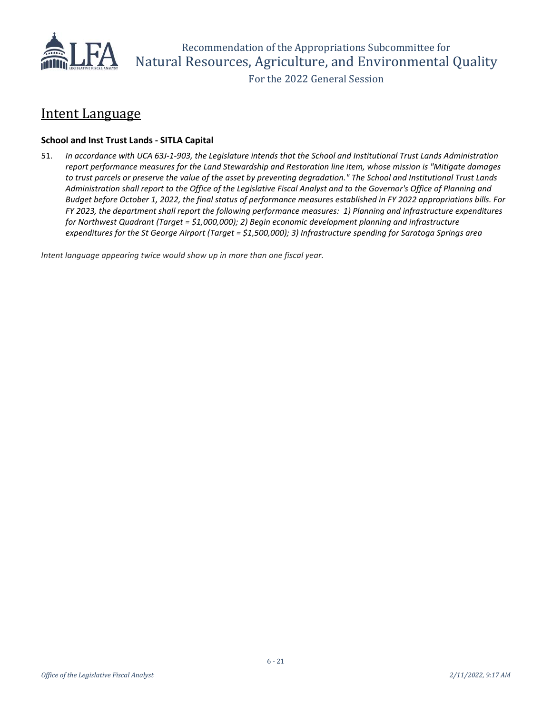

Recommendation of the Appropriations Subcommittee for Natural Resources, Agriculture, and Environmental Quality For the 2022 General Session

### Intent Language

### **School and Inst Trust Lands ‐ SITLA Capital**

*In accordance with UCA 63J‐1‐903, the Legislature intends that the School and Institutional Trust Lands Administration report performance measures for the Land Stewardship and Restoration line item, whose mission is "Mitigate damages to trust parcels or preserve the value of the asset by preventing degradation." The School and Institutional Trust Lands Administration shall report to the Office of the Legislative Fiscal Analyst and to the Governor's Office of Planning and Budget before October 1, 2022, the final status of performance measures established in FY 2022 appropriations bills. For FY 2023, the department shall report the following performance measures: 1) Planning and infrastructure expenditures for Northwest Quadrant (Target = \$1,000,000); 2) Begin economic development planning and infrastructure expenditures for the St George Airport (Target = \$1,500,000); 3) Infrastructure spending for Saratoga Springs area*  51.

*Intent language appearing twice would show up in more than one fiscal year.*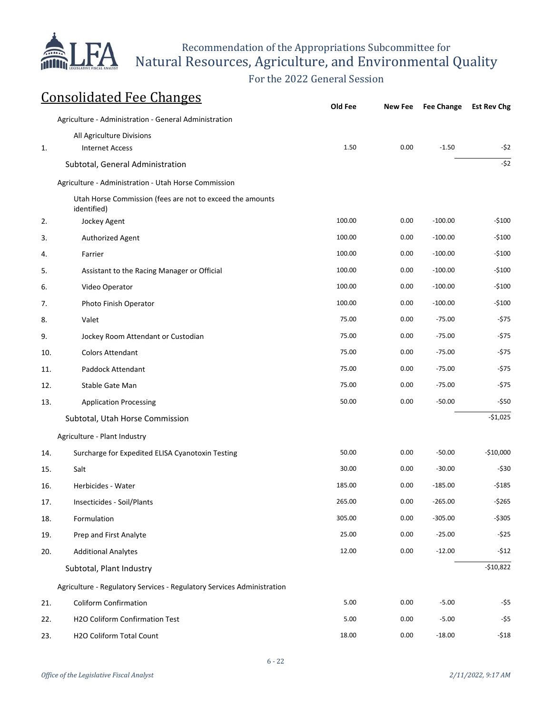

For the 2022 General Session

### **Consolidated Fee Changes** Consolidated Fee Changes

|     |                                                                          | Old Fee | New Fee | <b>Fee Change</b> | <b>Est Rev Chg</b> |
|-----|--------------------------------------------------------------------------|---------|---------|-------------------|--------------------|
|     | Agriculture - Administration - General Administration                    |         |         |                   |                    |
|     | All Agriculture Divisions                                                |         |         |                   |                    |
| 1.  | <b>Internet Access</b>                                                   | 1.50    | 0.00    | $-1.50$           | $-52$              |
|     | Subtotal, General Administration                                         |         |         |                   | $-52$              |
|     | Agriculture - Administration - Utah Horse Commission                     |         |         |                   |                    |
|     | Utah Horse Commission (fees are not to exceed the amounts<br>identified) |         |         |                   |                    |
| 2.  | Jockey Agent                                                             | 100.00  | 0.00    | $-100.00$         | $-$100$            |
| 3.  | <b>Authorized Agent</b>                                                  | 100.00  | 0.00    | $-100.00$         | $-$100$            |
| 4.  | Farrier                                                                  | 100.00  | 0.00    | $-100.00$         | $-5100$            |
| 5.  | Assistant to the Racing Manager or Official                              | 100.00  | 0.00    | $-100.00$         | $-5100$            |
| 6.  | Video Operator                                                           | 100.00  | 0.00    | $-100.00$         | $-5100$            |
| 7.  | Photo Finish Operator                                                    | 100.00  | 0.00    | $-100.00$         | $-5100$            |
| 8.  | Valet                                                                    | 75.00   | 0.00    | $-75.00$          | $-575$             |
| 9.  | Jockey Room Attendant or Custodian                                       | 75.00   | 0.00    | $-75.00$          | $-575$             |
| 10. | <b>Colors Attendant</b>                                                  | 75.00   | 0.00    | $-75.00$          | $-575$             |
| 11. | Paddock Attendant                                                        | 75.00   | 0.00    | $-75.00$          | $-575$             |
| 12. | Stable Gate Man                                                          | 75.00   | 0.00    | $-75.00$          | $-575$             |
| 13. | <b>Application Processing</b>                                            | 50.00   | 0.00    | $-50.00$          | $-$ \$50           |
|     | Subtotal, Utah Horse Commission                                          |         |         |                   | $-$1,025$          |
|     | Agriculture - Plant Industry                                             |         |         |                   |                    |
| 14. | Surcharge for Expedited ELISA Cyanotoxin Testing                         | 50.00   | 0.00    | $-50.00$          | $-$10,000$         |
| 15. | Salt                                                                     | 30.00   | 0.00    | $-30.00$          | -\$30              |
| 16. | Herbicides - Water                                                       | 185.00  | 0.00    | $-185.00$         | $-5185$            |
| 17. | Insecticides - Soil/Plants                                               | 265.00  | 0.00    | $-265.00$         | $-5265$            |
| 18. | Formulation                                                              | 305.00  | 0.00    | $-305.00$         | $-5305$            |
| 19. | Prep and First Analyte                                                   | 25.00   | 0.00    | $-25.00$          | $-525$             |
| 20. | <b>Additional Analytes</b>                                               | 12.00   | 0.00    | $-12.00$          | $-512$             |
|     | Subtotal, Plant Industry                                                 |         |         |                   | $-$10,822$         |
|     | Agriculture - Regulatory Services - Regulatory Services Administration   |         |         |                   |                    |
| 21. | <b>Coliform Confirmation</b>                                             | 5.00    | 0.00    | $-5.00$           | $-55$              |
| 22. | H2O Coliform Confirmation Test                                           | 5.00    | 0.00    | $-5.00$           | $-55$              |
| 23. | H2O Coliform Total Count                                                 | 18.00   | 0.00    | $-18.00$          | $-518$             |
|     |                                                                          |         |         |                   |                    |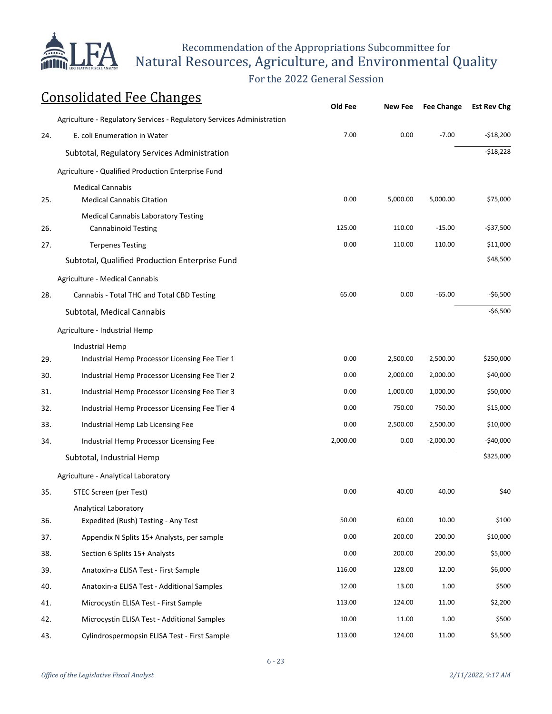

For the 2022 General Session

|     |                                                                        | Old Fee  | <b>New Fee</b> | <b>Fee Change</b> | <b>Est Rev Chg</b> |
|-----|------------------------------------------------------------------------|----------|----------------|-------------------|--------------------|
|     | Agriculture - Regulatory Services - Regulatory Services Administration |          |                |                   |                    |
| 24. | E. coli Enumeration in Water                                           | 7.00     | 0.00           | $-7.00$           | $-518,200$         |
|     | Subtotal, Regulatory Services Administration                           |          |                |                   | $-$18,228$         |
|     | Agriculture - Qualified Production Enterprise Fund                     |          |                |                   |                    |
|     | <b>Medical Cannabis</b>                                                |          |                |                   |                    |
| 25. | <b>Medical Cannabis Citation</b>                                       | 0.00     | 5,000.00       | 5,000.00          | \$75,000           |
|     | <b>Medical Cannabis Laboratory Testing</b>                             |          |                |                   |                    |
| 26. | <b>Cannabinoid Testing</b>                                             | 125.00   | 110.00         | $-15.00$          | $-$ \$37,500       |
| 27. | <b>Terpenes Testing</b>                                                | 0.00     | 110.00         | 110.00            | \$11,000           |
|     | Subtotal, Qualified Production Enterprise Fund                         |          |                |                   | \$48,500           |
|     | Agriculture - Medical Cannabis                                         |          |                |                   |                    |
| 28. | Cannabis - Total THC and Total CBD Testing                             | 65.00    | 0.00           | $-65.00$          | $-$6,500$          |
|     | Subtotal, Medical Cannabis                                             |          |                |                   | $-56,500$          |
|     | Agriculture - Industrial Hemp                                          |          |                |                   |                    |
|     | Industrial Hemp                                                        |          |                |                   |                    |
| 29. | Industrial Hemp Processor Licensing Fee Tier 1                         | 0.00     | 2,500.00       | 2,500.00          | \$250,000          |
| 30. | Industrial Hemp Processor Licensing Fee Tier 2                         | 0.00     | 2,000.00       | 2,000.00          | \$40,000           |
| 31. | Industrial Hemp Processor Licensing Fee Tier 3                         | 0.00     | 1,000.00       | 1,000.00          | \$50,000           |
| 32. | Industrial Hemp Processor Licensing Fee Tier 4                         | 0.00     | 750.00         | 750.00            | \$15,000           |
| 33. | Industrial Hemp Lab Licensing Fee                                      | 0.00     | 2,500.00       | 2,500.00          | \$10,000           |
| 34. | Industrial Hemp Processor Licensing Fee                                | 2,000.00 | 0.00           | $-2,000.00$       | $-540,000$         |
|     | Subtotal, Industrial Hemp                                              |          |                |                   | \$325,000          |
|     | Agriculture - Analytical Laboratory                                    |          |                |                   |                    |
| 35. | STEC Screen (per Test)                                                 | 0.00     | 40.00          | 40.00             | \$40               |
|     | Analytical Laboratory                                                  |          |                |                   |                    |
| 36. | Expedited (Rush) Testing - Any Test                                    | 50.00    | 60.00          | 10.00             | \$100              |
| 37. | Appendix N Splits 15+ Analysts, per sample                             | 0.00     | 200.00         | 200.00            | \$10,000           |
| 38. | Section 6 Splits 15+ Analysts                                          | 0.00     | 200.00         | 200.00            | \$5,000            |
| 39. | Anatoxin-a ELISA Test - First Sample                                   | 116.00   | 128.00         | 12.00             | \$6,000            |
| 40. | Anatoxin-a ELISA Test - Additional Samples                             | 12.00    | 13.00          | 1.00              | \$500              |
| 41. | Microcystin ELISA Test - First Sample                                  | 113.00   | 124.00         | 11.00             | \$2,200            |
| 42. | Microcystin ELISA Test - Additional Samples                            | 10.00    | 11.00          | 1.00              | \$500              |
| 43. | Cylindrospermopsin ELISA Test - First Sample                           | 113.00   | 124.00         | 11.00             | \$5,500            |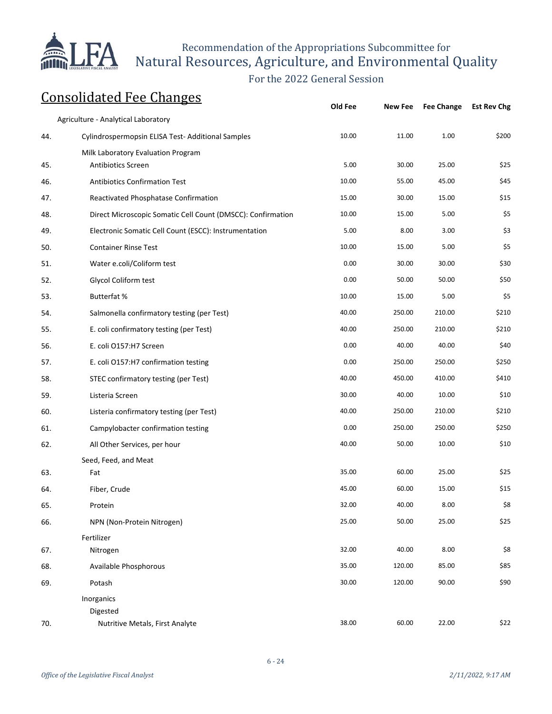

For the 2022 General Session

|     |                                                             | Old Fee | <b>New Fee</b> | <b>Fee Change</b> | <b>Est Rev Chg</b> |
|-----|-------------------------------------------------------------|---------|----------------|-------------------|--------------------|
|     | Agriculture - Analytical Laboratory                         |         |                |                   |                    |
| 44. | Cylindrospermopsin ELISA Test- Additional Samples           | 10.00   | 11.00          | 1.00              | \$200              |
|     | Milk Laboratory Evaluation Program                          |         |                |                   |                    |
| 45. | <b>Antibiotics Screen</b>                                   | 5.00    | 30.00          | 25.00             | \$25               |
| 46. | <b>Antibiotics Confirmation Test</b>                        | 10.00   | 55.00          | 45.00             | \$45               |
| 47. | Reactivated Phosphatase Confirmation                        | 15.00   | 30.00          | 15.00             | \$15               |
| 48. | Direct Microscopic Somatic Cell Count (DMSCC): Confirmation | 10.00   | 15.00          | 5.00              | \$5                |
| 49. | Electronic Somatic Cell Count (ESCC): Instrumentation       | 5.00    | 8.00           | 3.00              | \$3                |
| 50. | <b>Container Rinse Test</b>                                 | 10.00   | 15.00          | 5.00              | \$5                |
| 51. | Water e.coli/Coliform test                                  | 0.00    | 30.00          | 30.00             | \$30               |
| 52. | Glycol Coliform test                                        | 0.00    | 50.00          | 50.00             | \$50               |
| 53. | Butterfat %                                                 | 10.00   | 15.00          | 5.00              | \$5                |
| 54. | Salmonella confirmatory testing (per Test)                  | 40.00   | 250.00         | 210.00            | \$210              |
| 55. | E. coli confirmatory testing (per Test)                     | 40.00   | 250.00         | 210.00            | \$210              |
| 56. | E. coli O157:H7 Screen                                      | 0.00    | 40.00          | 40.00             | \$40               |
| 57. | E. coli O157:H7 confirmation testing                        | 0.00    | 250.00         | 250.00            | \$250              |
| 58. | STEC confirmatory testing (per Test)                        | 40.00   | 450.00         | 410.00            | \$410              |
| 59. | Listeria Screen                                             | 30.00   | 40.00          | 10.00             | \$10               |
| 60. | Listeria confirmatory testing (per Test)                    | 40.00   | 250.00         | 210.00            | \$210              |
| 61. | Campylobacter confirmation testing                          | 0.00    | 250.00         | 250.00            | \$250              |
| 62. | All Other Services, per hour                                | 40.00   | 50.00          | 10.00             | \$10               |
|     | Seed, Feed, and Meat                                        |         |                |                   |                    |
| 63. | Fat                                                         | 35.00   | 60.00          | 25.00             | \$25               |
| 64. | Fiber, Crude                                                | 45.00   | 60.00          | 15.00             | \$15               |
| 65. | Protein                                                     | 32.00   | 40.00          | 8.00              | \$8                |
| 66. | NPN (Non-Protein Nitrogen)                                  | 25.00   | 50.00          | 25.00             | \$25               |
|     | Fertilizer                                                  |         |                |                   |                    |
| 67. | Nitrogen                                                    | 32.00   | 40.00          | 8.00              | \$8                |
| 68. | Available Phosphorous                                       | 35.00   | 120.00         | 85.00             | \$85               |
| 69. | Potash                                                      | 30.00   | 120.00         | 90.00             | \$90               |
|     | Inorganics                                                  |         |                |                   |                    |
|     | Digested                                                    |         |                |                   |                    |
| 70. | Nutritive Metals, First Analyte                             | 38.00   | 60.00          | 22.00             | \$22               |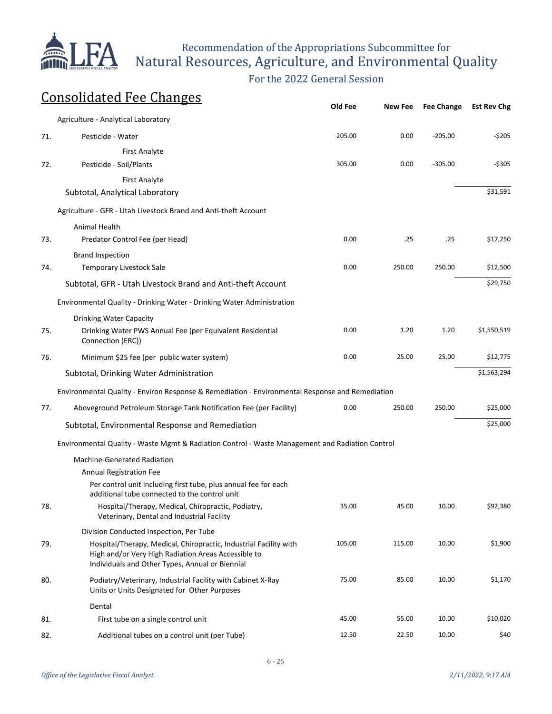

For the 2022 General Session

|     | <u> Sonsonaatea 1 ee Ghanges</u>                                                                                                                                            | Old Fee | <b>New Fee</b> | <b>Fee Change</b> | <b>Est Rev Chg</b> |
|-----|-----------------------------------------------------------------------------------------------------------------------------------------------------------------------------|---------|----------------|-------------------|--------------------|
|     | Agriculture - Analytical Laboratory                                                                                                                                         |         |                |                   |                    |
| 71. | Pesticide - Water                                                                                                                                                           | 205.00  | 0.00           | $-205.00$         | $-5205$            |
|     | <b>First Analyte</b>                                                                                                                                                        |         |                |                   |                    |
| 72. | Pesticide - Soil/Plants                                                                                                                                                     | 305.00  | 0.00           | $-305.00$         | $-$ \$305          |
|     | <b>First Analyte</b>                                                                                                                                                        |         |                |                   |                    |
|     | Subtotal, Analytical Laboratory                                                                                                                                             |         |                |                   | \$31,591           |
|     | Agriculture - GFR - Utah Livestock Brand and Anti-theft Account                                                                                                             |         |                |                   |                    |
|     | Animal Health                                                                                                                                                               |         |                |                   |                    |
| 73. | Predator Control Fee (per Head)                                                                                                                                             | 0.00    | .25            | .25               | \$17,250           |
|     | <b>Brand Inspection</b>                                                                                                                                                     |         |                |                   |                    |
| 74. | <b>Temporary Livestock Sale</b>                                                                                                                                             | 0.00    | 250.00         | 250.00            | \$12,500           |
|     | Subtotal, GFR - Utah Livestock Brand and Anti-theft Account                                                                                                                 |         |                |                   | \$29,750           |
|     | Environmental Quality - Drinking Water - Drinking Water Administration                                                                                                      |         |                |                   |                    |
|     | <b>Drinking Water Capacity</b>                                                                                                                                              |         |                |                   |                    |
| 75. | Drinking Water PWS Annual Fee (per Equivalent Residential<br>Connection (ERC))                                                                                              | 0.00    | 1.20           | 1.20              | \$1,550,519        |
| 76. | Minimum \$25 fee (per public water system)                                                                                                                                  | 0.00    | 25.00          | 25.00             | \$12,775           |
|     | Subtotal, Drinking Water Administration                                                                                                                                     |         |                |                   | \$1,563,294        |
|     | Environmental Quality - Environ Response & Remediation - Environmental Response and Remediation                                                                             |         |                |                   |                    |
| 77. | Aboveground Petroleum Storage Tank Notification Fee (per Facility)                                                                                                          | 0.00    | 250.00         | 250.00            | \$25,000           |
|     | Subtotal, Environmental Response and Remediation                                                                                                                            |         |                |                   | \$25,000           |
|     | Environmental Quality - Waste Mgmt & Radiation Control - Waste Management and Radiation Control                                                                             |         |                |                   |                    |
|     | Machine-Generated Radiation                                                                                                                                                 |         |                |                   |                    |
|     | <b>Annual Registration Fee</b>                                                                                                                                              |         |                |                   |                    |
|     | Per control unit including first tube, plus annual fee for each<br>additional tube connected to the control unit                                                            |         |                |                   |                    |
| 78. | Hospital/Therapy, Medical, Chiropractic, Podiatry,<br>Veterinary, Dental and Industrial Facility                                                                            | 35.00   | 45.00          | 10.00             | \$92,380           |
|     | Division Conducted Inspection, Per Tube                                                                                                                                     |         |                |                   |                    |
| 79. | Hospital/Therapy, Medical, Chiropractic, Industrial Facility with<br>High and/or Very High Radiation Areas Accessible to<br>Individuals and Other Types, Annual or Biennial | 105.00  | 115.00         | 10.00             | \$1,900            |
| 80. | Podiatry/Veterinary, Industrial Facility with Cabinet X-Ray<br>Units or Units Designated for Other Purposes                                                                 | 75.00   | 85.00          | 10.00             | \$1,170            |
|     | Dental                                                                                                                                                                      |         |                |                   |                    |
| 81. | First tube on a single control unit                                                                                                                                         | 45.00   | 55.00          | 10.00             | \$10,020           |
| 82. | Additional tubes on a control unit (per Tube)                                                                                                                               | 12.50   | 22.50          | 10.00             | \$40               |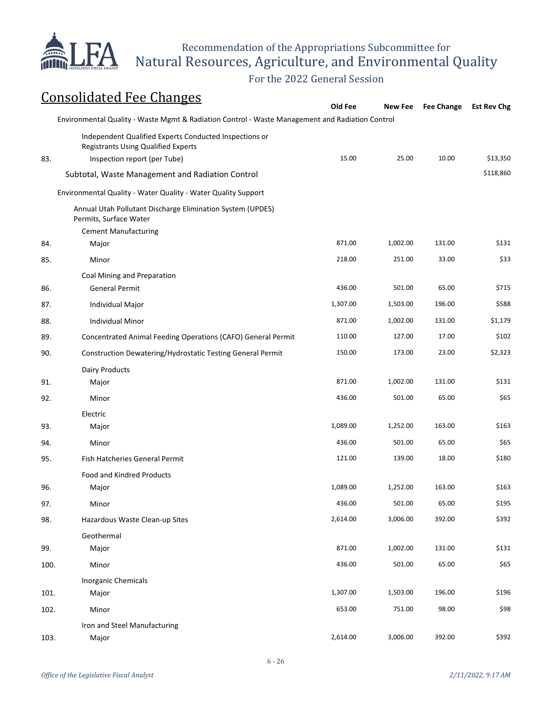

Recommendation of the Appropriations Subcommittee for

Natural Resources, Agriculture, and Environmental Quality

For the 2022 General Session

|      | <u>Consonaated Fee Ghanges</u>                                                                       | Old Fee  | <b>New Fee</b> | <b>Fee Change</b> | <b>Est Rev Chg</b> |
|------|------------------------------------------------------------------------------------------------------|----------|----------------|-------------------|--------------------|
|      | Environmental Quality - Waste Mgmt & Radiation Control - Waste Management and Radiation Control      |          |                |                   |                    |
|      | Independent Qualified Experts Conducted Inspections or<br><b>Registrants Using Qualified Experts</b> |          |                |                   |                    |
| 83.  | Inspection report (per Tube)                                                                         | 15.00    | 25.00          | 10.00             | \$13,350           |
|      | Subtotal, Waste Management and Radiation Control                                                     |          |                |                   | \$118,860          |
|      | Environmental Quality - Water Quality - Water Quality Support                                        |          |                |                   |                    |
|      | Annual Utah Pollutant Discharge Elimination System (UPDES)<br>Permits, Surface Water                 |          |                |                   |                    |
|      | <b>Cement Manufacturing</b>                                                                          |          |                |                   |                    |
| 84.  | Major                                                                                                | 871.00   | 1,002.00       | 131.00            | \$131              |
| 85.  | Minor                                                                                                | 218.00   | 251.00         | 33.00             | \$33               |
|      | Coal Mining and Preparation                                                                          |          |                |                   |                    |
| 86.  | <b>General Permit</b>                                                                                | 436.00   | 501.00         | 65.00             | \$715              |
| 87.  | Individual Major                                                                                     | 1,307.00 | 1,503.00       | 196.00            | \$588              |
| 88.  | <b>Individual Minor</b>                                                                              | 871.00   | 1,002.00       | 131.00            | \$1,179            |
| 89.  | Concentrated Animal Feeding Operations (CAFO) General Permit                                         | 110.00   | 127.00         | 17.00             | \$102              |
| 90.  | Construction Dewatering/Hydrostatic Testing General Permit                                           | 150.00   | 173.00         | 23.00             | \$2,323            |
|      | Dairy Products                                                                                       |          |                |                   |                    |
| 91.  | Major                                                                                                | 871.00   | 1,002.00       | 131.00            | \$131              |
| 92.  | Minor                                                                                                | 436.00   | 501.00         | 65.00             | \$65               |
|      | Electric                                                                                             |          |                |                   |                    |
| 93.  | Major                                                                                                | 1,089.00 | 1,252.00       | 163.00            | \$163              |
| 94.  | Minor                                                                                                | 436.00   | 501.00         | 65.00             | \$65               |
| 95.  | <b>Fish Hatcheries General Permit</b>                                                                | 121.00   | 139.00         | 18.00             | \$180              |
|      | Food and Kindred Products                                                                            |          |                |                   |                    |
| 96.  | Major                                                                                                | 1,089.00 | 1,252.00       | 163.00            | \$163              |
| 97.  | Minor                                                                                                | 436.00   | 501.00         | 65.00             | \$195              |
| 98.  | Hazardous Waste Clean-up Sites                                                                       | 2,614.00 | 3,006.00       | 392.00            | \$392              |
|      | Geothermal                                                                                           |          |                |                   |                    |
| 99.  | Major                                                                                                | 871.00   | 1,002.00       | 131.00            | \$131              |
| 100. | Minor                                                                                                | 436.00   | 501.00         | 65.00             | \$65               |
|      | Inorganic Chemicals                                                                                  |          |                |                   |                    |
| 101. | Major                                                                                                | 1,307.00 | 1,503.00       | 196.00            | \$196              |
| 102. | Minor                                                                                                | 653.00   | 751.00         | 98.00             | \$98               |
|      | Iron and Steel Manufacturing                                                                         |          |                |                   |                    |
| 103. | Major                                                                                                | 2,614.00 | 3,006.00       | 392.00            | \$392              |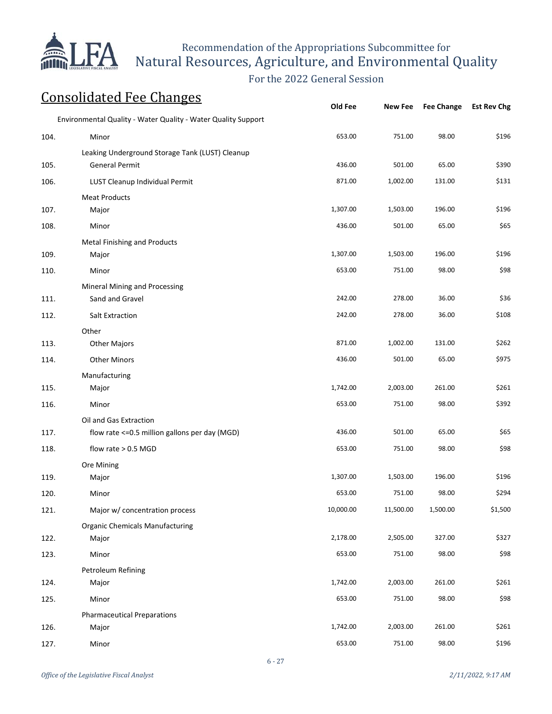

For the 2022 General Session

|      |                                                                          | Old Fee   | New Fee   | <b>Fee Change</b> | <b>Est Rev Chg</b> |
|------|--------------------------------------------------------------------------|-----------|-----------|-------------------|--------------------|
|      | Environmental Quality - Water Quality - Water Quality Support            |           |           |                   |                    |
| 104. | Minor                                                                    | 653.00    | 751.00    | 98.00             | \$196              |
|      | Leaking Underground Storage Tank (LUST) Cleanup                          |           |           |                   |                    |
| 105. | <b>General Permit</b>                                                    | 436.00    | 501.00    | 65.00             | \$390              |
| 106. | LUST Cleanup Individual Permit                                           | 871.00    | 1,002.00  | 131.00            | \$131              |
|      | <b>Meat Products</b>                                                     |           |           |                   |                    |
| 107. | Major                                                                    | 1,307.00  | 1,503.00  | 196.00            | \$196              |
| 108. | Minor                                                                    | 436.00    | 501.00    | 65.00             | \$65               |
|      | <b>Metal Finishing and Products</b>                                      |           |           |                   |                    |
| 109. | Major                                                                    | 1,307.00  | 1,503.00  | 196.00            | \$196              |
| 110. | Minor                                                                    | 653.00    | 751.00    | 98.00             | \$98               |
|      | Mineral Mining and Processing                                            |           |           |                   |                    |
| 111. | Sand and Gravel                                                          | 242.00    | 278.00    | 36.00             | \$36               |
| 112. | Salt Extraction                                                          | 242.00    | 278.00    | 36.00             | \$108              |
|      | Other                                                                    |           |           |                   |                    |
| 113. | <b>Other Majors</b>                                                      | 871.00    | 1,002.00  | 131.00            | \$262              |
| 114. | <b>Other Minors</b>                                                      | 436.00    | 501.00    | 65.00             | \$975              |
|      | Manufacturing                                                            | 1,742.00  | 2,003.00  | 261.00            | \$261              |
| 115. | Major                                                                    |           |           |                   |                    |
| 116. | Minor                                                                    | 653.00    | 751.00    | 98.00             | \$392              |
| 117. | Oil and Gas Extraction<br>flow rate <= 0.5 million gallons per day (MGD) | 436.00    | 501.00    | 65.00             | \$65               |
|      |                                                                          | 653.00    | 751.00    | 98.00             | \$98               |
| 118. | flow rate $> 0.5$ MGD                                                    |           |           |                   |                    |
| 119. | Ore Mining<br>Major                                                      | 1,307.00  | 1,503.00  | 196.00            | \$196              |
| 120. | Minor                                                                    | 653.00    | 751.00    | 98.00             | \$294              |
| 121. | Major w/ concentration process                                           | 10,000.00 | 11,500.00 | 1,500.00          | \$1,500            |
|      | <b>Organic Chemicals Manufacturing</b>                                   |           |           |                   |                    |
| 122. | Major                                                                    | 2,178.00  | 2,505.00  | 327.00            | \$327              |
| 123. | Minor                                                                    | 653.00    | 751.00    | 98.00             | \$98               |
|      | Petroleum Refining                                                       |           |           |                   |                    |
| 124. | Major                                                                    | 1,742.00  | 2,003.00  | 261.00            | \$261              |
| 125. | Minor                                                                    | 653.00    | 751.00    | 98.00             | \$98               |
|      | <b>Pharmaceutical Preparations</b>                                       |           |           |                   |                    |
| 126. | Major                                                                    | 1,742.00  | 2,003.00  | 261.00            | \$261              |
| 127. | Minor                                                                    | 653.00    | 751.00    | 98.00             | \$196              |
|      |                                                                          |           |           |                   |                    |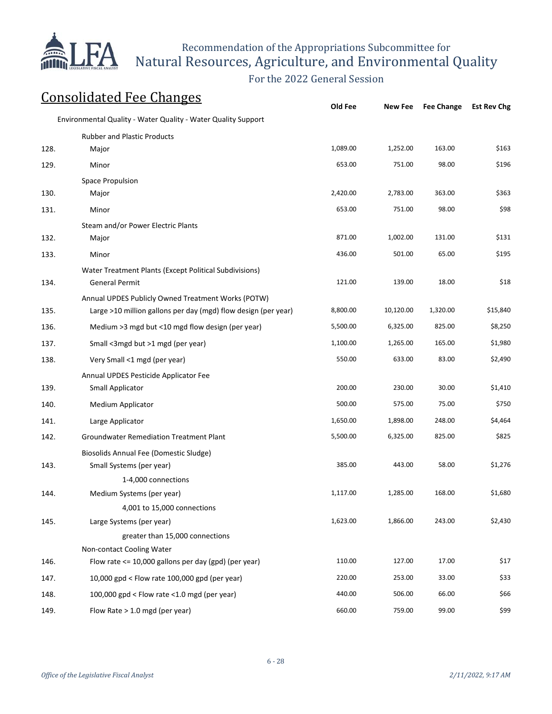

For the 2022 General Session

|      |                                                                                   | Old Fee  | New Fee   | <b>Fee Change</b> | <b>Est Rev Chg</b> |
|------|-----------------------------------------------------------------------------------|----------|-----------|-------------------|--------------------|
|      | Environmental Quality - Water Quality - Water Quality Support                     |          |           |                   |                    |
|      | <b>Rubber and Plastic Products</b>                                                |          |           |                   |                    |
| 128. | Major                                                                             | 1,089.00 | 1,252.00  | 163.00            | \$163              |
| 129. | Minor                                                                             | 653.00   | 751.00    | 98.00             | \$196              |
|      | <b>Space Propulsion</b>                                                           |          |           |                   |                    |
| 130. | Major                                                                             | 2,420.00 | 2,783.00  | 363.00            | \$363              |
| 131. | Minor                                                                             | 653.00   | 751.00    | 98.00             | \$98               |
|      | Steam and/or Power Electric Plants                                                |          |           |                   |                    |
| 132. | Major                                                                             | 871.00   | 1,002.00  | 131.00            | \$131              |
| 133. | Minor                                                                             | 436.00   | 501.00    | 65.00             | \$195              |
|      | Water Treatment Plants (Except Political Subdivisions)                            |          |           |                   |                    |
| 134. | <b>General Permit</b>                                                             | 121.00   | 139.00    | 18.00             | \$18               |
|      | Annual UPDES Publicly Owned Treatment Works (POTW)                                |          |           |                   |                    |
| 135. | Large >10 million gallons per day (mgd) flow design (per year)                    | 8,800.00 | 10,120.00 | 1,320.00          | \$15,840           |
| 136. | Medium >3 mgd but <10 mgd flow design (per year)                                  | 5,500.00 | 6,325.00  | 825.00            | \$8,250            |
| 137. | Small <3mgd but >1 mgd (per year)                                                 | 1,100.00 | 1,265.00  | 165.00            | \$1,980            |
| 138. | Very Small <1 mgd (per year)                                                      | 550.00   | 633.00    | 83.00             | \$2,490            |
|      | Annual UPDES Pesticide Applicator Fee                                             |          |           |                   |                    |
| 139. | Small Applicator                                                                  | 200.00   | 230.00    | 30.00             | \$1,410            |
| 140. | Medium Applicator                                                                 | 500.00   | 575.00    | 75.00             | \$750              |
| 141. | Large Applicator                                                                  | 1,650.00 | 1,898.00  | 248.00            | \$4,464            |
| 142. | <b>Groundwater Remediation Treatment Plant</b>                                    | 5,500.00 | 6,325.00  | 825.00            | \$825              |
|      | Biosolids Annual Fee (Domestic Sludge)                                            |          |           |                   |                    |
| 143. | Small Systems (per year)                                                          | 385.00   | 443.00    | 58.00             | \$1,276            |
|      | 1-4,000 connections                                                               |          |           |                   |                    |
| 144. | Medium Systems (per year)                                                         | 1,117.00 | 1,285.00  | 168.00            | \$1,680            |
|      | 4,001 to 15,000 connections                                                       |          |           |                   |                    |
| 145. | Large Systems (per year)                                                          | 1,623.00 | 1,866.00  | 243.00            | \$2,430            |
|      | greater than 15,000 connections                                                   |          |           |                   |                    |
| 146. | Non-contact Cooling Water<br>Flow rate <= 10,000 gallons per day (gpd) (per year) | 110.00   | 127.00    | 17.00             | \$17               |
| 147. | 10,000 gpd < Flow rate 100,000 gpd (per year)                                     | 220.00   | 253.00    | 33.00             | \$33               |
|      |                                                                                   |          |           |                   |                    |
| 148. | 100,000 gpd < Flow rate <1.0 mgd (per year)                                       | 440.00   | 506.00    | 66.00             | \$66               |
| 149. | Flow Rate > 1.0 mgd (per year)                                                    | 660.00   | 759.00    | 99.00             | \$99               |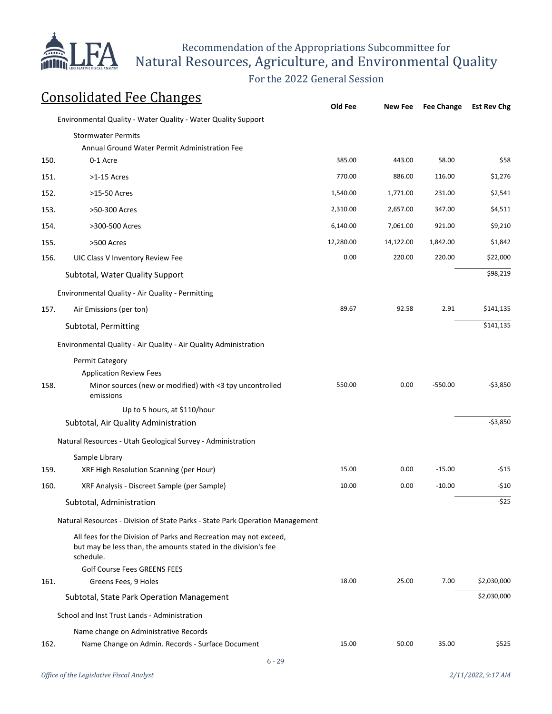

Recommendation of the Appropriations Subcommittee for

Natural Resources, Agriculture, and Environmental Quality

For the 2022 General Session

|      |                                                                                                                                                  | Old Fee   | <b>New Fee</b> | <b>Fee Change</b> | <b>Est Rev Chg</b> |
|------|--------------------------------------------------------------------------------------------------------------------------------------------------|-----------|----------------|-------------------|--------------------|
|      | Environmental Quality - Water Quality - Water Quality Support                                                                                    |           |                |                   |                    |
|      | <b>Stormwater Permits</b>                                                                                                                        |           |                |                   |                    |
|      | Annual Ground Water Permit Administration Fee                                                                                                    |           |                |                   |                    |
| 150. | 0-1 Acre                                                                                                                                         | 385.00    | 443.00         | 58.00             | \$58               |
| 151. | >1-15 Acres                                                                                                                                      | 770.00    | 886.00         | 116.00            | \$1,276            |
| 152. | >15-50 Acres                                                                                                                                     | 1,540.00  | 1,771.00       | 231.00            | \$2,541            |
| 153. | >50-300 Acres                                                                                                                                    | 2,310.00  | 2,657.00       | 347.00            | \$4,511            |
| 154. | >300-500 Acres                                                                                                                                   | 6,140.00  | 7,061.00       | 921.00            | \$9,210            |
| 155. | >500 Acres                                                                                                                                       | 12,280.00 | 14,122.00      | 1,842.00          | \$1,842            |
| 156. | UIC Class V Inventory Review Fee                                                                                                                 | 0.00      | 220.00         | 220.00            | \$22,000           |
|      | Subtotal, Water Quality Support                                                                                                                  |           |                |                   | \$98,219           |
|      | Environmental Quality - Air Quality - Permitting                                                                                                 |           |                |                   |                    |
| 157. | Air Emissions (per ton)                                                                                                                          | 89.67     | 92.58          | 2.91              | \$141,135          |
|      | Subtotal, Permitting                                                                                                                             |           |                |                   | \$141,135          |
|      | Environmental Quality - Air Quality - Air Quality Administration                                                                                 |           |                |                   |                    |
|      | Permit Category<br><b>Application Review Fees</b>                                                                                                |           |                |                   |                    |
| 158. | Minor sources (new or modified) with <3 tpy uncontrolled<br>emissions                                                                            | 550.00    | 0.00           | $-550.00$         | $-53,850$          |
|      | Up to 5 hours, at \$110/hour                                                                                                                     |           |                |                   |                    |
|      | Subtotal, Air Quality Administration                                                                                                             |           |                |                   | $-53,850$          |
|      | Natural Resources - Utah Geological Survey - Administration                                                                                      |           |                |                   |                    |
|      | Sample Library                                                                                                                                   |           |                |                   |                    |
| 159. | XRF High Resolution Scanning (per Hour)                                                                                                          | 15.00     | 0.00           | $-15.00$          | $-515$             |
| 160. | XRF Analysis - Discreet Sample (per Sample)                                                                                                      | 10.00     | 0.00           | $-10.00$          | -\$10              |
|      | Subtotal, Administration                                                                                                                         |           |                |                   | $-525$             |
|      | Natural Resources - Division of State Parks - State Park Operation Management                                                                    |           |                |                   |                    |
|      | All fees for the Division of Parks and Recreation may not exceed,<br>but may be less than, the amounts stated in the division's fee<br>schedule. |           |                |                   |                    |
|      | <b>Golf Course Fees GREENS FEES</b>                                                                                                              |           |                |                   |                    |
| 161. | Greens Fees, 9 Holes                                                                                                                             | 18.00     | 25.00          | 7.00              | \$2,030,000        |
|      | Subtotal, State Park Operation Management                                                                                                        |           |                |                   | \$2,030,000        |
|      | School and Inst Trust Lands - Administration                                                                                                     |           |                |                   |                    |
|      | Name change on Administrative Records                                                                                                            |           |                |                   |                    |
| 162. | Name Change on Admin. Records - Surface Document                                                                                                 | 15.00     | 50.00          | 35.00             | \$525              |
|      |                                                                                                                                                  |           |                |                   |                    |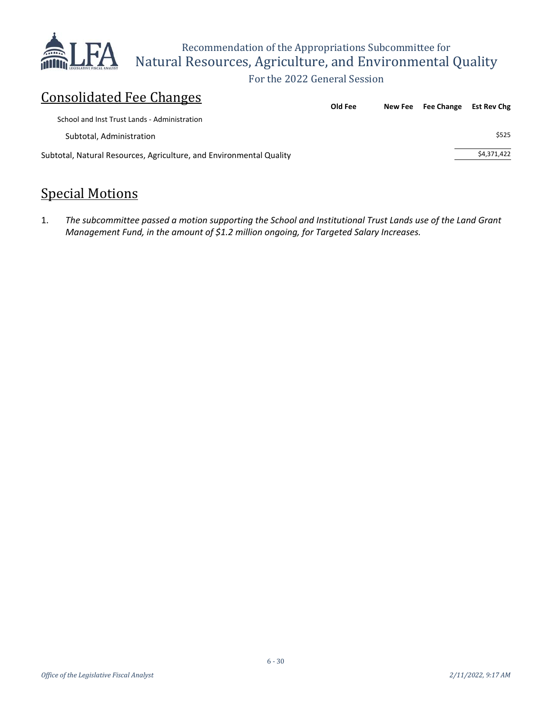

For the 2022 General Session

### **Consolidated Fee Changes** Consolidated Fee Changes

|                                                                     | Old Fee | New Fee Fee Change Est Rev Chg |             |
|---------------------------------------------------------------------|---------|--------------------------------|-------------|
| School and Inst Trust Lands - Administration                        |         |                                |             |
| Subtotal, Administration                                            |         |                                | \$525       |
| Subtotal, Natural Resources, Agriculture, and Environmental Quality |         |                                | \$4,371,422 |

### Special Motions

*The subcommittee passed a motion supporting the School and Institutional Trust Lands use of the Land Grant Management Fund, in the amount of \$1.2 million ongoing, for Targeted Salary Increases.*  1.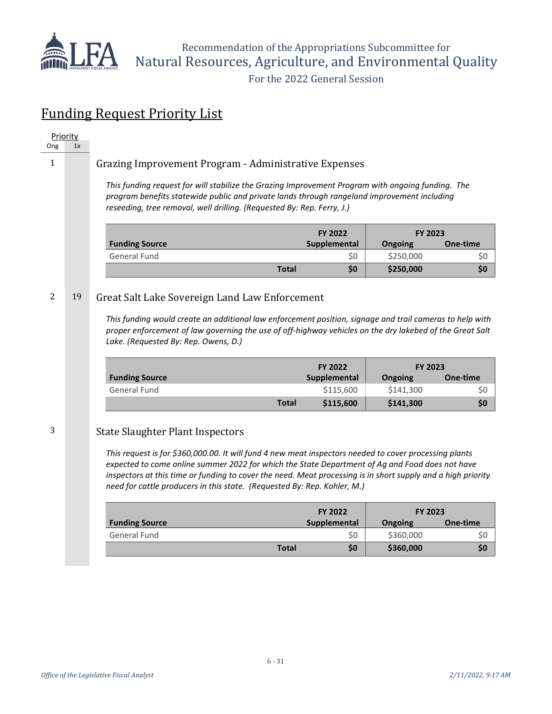

For the 2022 General Session

### Funding Request Priority List

### 1 Grazing Improvement Program - Administrative Expenses

*This funding request for will stabilize the Grazing Improvement Program with ongoing funding. The program benefits statewide public and private lands through rangeland improvement including reseeding, tree removal, well drilling. (Requested By: Rep. Ferry, J.)*

|                       | <b>FY 2022</b>      | <b>FY 2023</b> |          |
|-----------------------|---------------------|----------------|----------|
| <b>Funding Source</b> | Supplemental        | Ongoing        | One-time |
| General Fund          | \$0                 | \$250,000      |          |
|                       | \$0<br><b>Total</b> | \$250,000      | \$0      |

### 2 19 Great Salt Lake Sovereign Land Law Enforcement

*This funding would create an additional law enforcement position, signage and trail cameras to help with proper enforcement of law governing the use of off‐highway vehicles on the dry lakebed of the Great Salt Lake. (Requested By: Rep. Owens, D.)*

|                       |       | <b>FY 2022</b> | <b>FY 2023</b> |          |
|-----------------------|-------|----------------|----------------|----------|
| <b>Funding Source</b> |       | Supplemental   | Ongoing        | One-time |
| General Fund          |       | \$115,600      | \$141,300      | \$0      |
|                       | Total | \$115,600      | \$141,300      | \$0      |

### 3 State Slaughter Plant Inspectors

*This request is for \$360,000.00. It will fund 4 new meat inspectors needed to cover processing plants expected to come online summer 2022 for which the State Department of Ag and Food does not have inspectors at this time or funding to cover the need. Meat processing is in short supply and a high priority need for cattle producers in this state. (Requested By: Rep. Kohler, M.)*

|                       |              | <b>FY 2022</b> | <b>FY 2023</b> |          |
|-----------------------|--------------|----------------|----------------|----------|
| <b>Funding Source</b> |              | Supplemental   | Ongoing        | One-time |
| General Fund          |              | \$0            | \$360,000      |          |
|                       | <b>Total</b> | \$0            | \$360,000      | \$0      |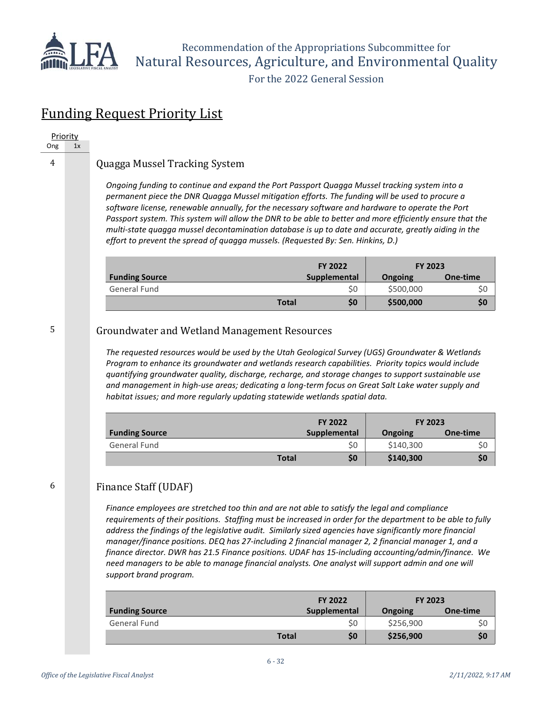

For the 2022 General Session

### Funding Request Priority List

#### Ong 1x Priority

### 4 Quagga Mussel Tracking System

*Ongoing funding to continue and expand the Port Passport Quagga Mussel tracking system into a permanent piece the DNR Quagga Mussel mitigation efforts. The funding will be used to procure a software license, renewable annually, for the necessary software and hardware to operate the Port Passport system. This system will allow the DNR to be able to better and more efficiently ensure that the multi‐state quagga mussel decontamination database is up to date and accurate, greatly aiding in the effort to prevent the spread of quagga mussels. (Requested By: Sen. Hinkins, D.)*

|                       | <b>FY 2022</b>      | <b>FY 2023</b> |          |
|-----------------------|---------------------|----------------|----------|
| <b>Funding Source</b> | Supplemental        | Ongoing        | One-time |
| General Fund          | \$0                 | \$500,000      | \$0      |
|                       | \$0<br><b>Total</b> | \$500,000      | \$0      |

### 5 Groundwater and Wetland Management Resources

*The requested resources would be used by the Utah Geological Survey (UGS) Groundwater & Wetlands Program to enhance its groundwater and wetlands research capabilities. Priority topics would include quantifying groundwater quality, discharge, recharge, and storage changes to support sustainable use and management in high‐use areas; dedicating a long‐term focus on Great Salt Lake water supply and habitat issues; and more regularly updating statewide wetlands spatial data.*

|                       | FY 2022             | <b>FY 2023</b> |          |
|-----------------------|---------------------|----------------|----------|
| <b>Funding Source</b> | Supplemental        | Ongoing        | One-time |
| General Fund          | \$0                 | \$140,300      | \$0      |
|                       | \$0<br><b>Total</b> | \$140,300      | \$0      |

### 6 Finance Staff (UDAF)

*Finance employees are stretched too thin and are not able to satisfy the legal and compliance requirements of their positions. Staffing must be increased in order for the department to be able to fully address the findings of the legislative audit. Similarly sized agencies have significantly more financial manager/finance positions. DEQ has 27‐including 2 financial manager 2, 2 financial manager 1, and a finance director. DWR has 21.5 Finance positions. UDAF has 15‐including accounting/admin/finance. We need managers to be able to manage financial analysts. One analyst will support admin and one will support brand program.*

|                       | <b>FY 2022</b>      | <b>FY 2023</b> |          |
|-----------------------|---------------------|----------------|----------|
| <b>Funding Source</b> | Supplemental        | Ongoing        | One-time |
| General Fund          | \$0                 | \$256,900      | \$0      |
|                       | \$0<br><b>Total</b> | \$256,900      | \$0      |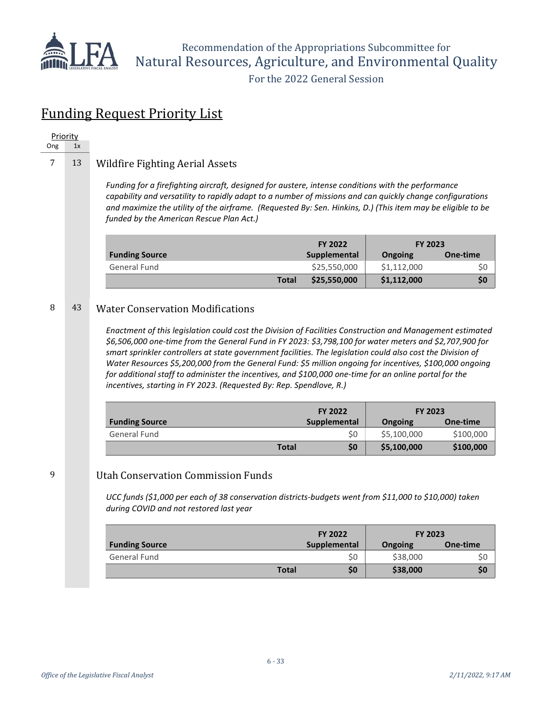

For the 2022 General Session

### Funding Request Priority List

### 7 13 Wildfire Fighting Aerial Assets

*Funding for a firefighting aircraft, designed for austere, intense conditions with the performance capability and versatility to rapidly adapt to a number of missions and can quickly change configurations and maximize the utility of the airframe. (Requested By: Sen. Hinkins, D.) (This item may be eligible to be funded by the American Rescue Plan Act.)*

|                       |       | <b>FY 2022</b> | <b>FY 2023</b> |          |
|-----------------------|-------|----------------|----------------|----------|
| <b>Funding Source</b> |       | Supplemental   | Ongoing        | One-time |
| General Fund          |       | \$25,550,000   | \$1,112,000    | \$0      |
|                       | Total | \$25,550,000   | \$1,112,000    | \$0      |

### 8 43 Water Conservation Modifications

*Enactment of this legislation could cost the Division of Facilities Construction and Management estimated \$6,506,000 one‐time from the General Fund in FY 2023: \$3,798,100 for water meters and \$2,707,900 for smart sprinkler controllers at state government facilities. The legislation could also cost the Division of Water Resources \$5,200,000 from the General Fund: \$5 million ongoing for incentives, \$100,000 ongoing for additional staff to administer the incentives, and \$100,000 one‐time for an online portal for the incentives, starting in FY 2023. (Requested By: Rep. Spendlove, R.)*

|                       |              | <b>FY 2022</b> | <b>FY 2023</b> |           |
|-----------------------|--------------|----------------|----------------|-----------|
| <b>Funding Source</b> |              | Supplemental   | Ongoing        | One-time  |
| General Fund          |              | Ś0             | \$5,100,000    | \$100,000 |
|                       | <b>Total</b> | \$0            | \$5,100,000    | \$100,000 |

### 9 Utah Conservation Commission Funds

*UCC funds (\$1,000 per each of 38 conservation districts‐budgets went from \$11,000 to \$10,000) taken during COVID and not restored last year*

|                       | FY 2022      | <b>FY 2023</b> |          |
|-----------------------|--------------|----------------|----------|
| <b>Funding Source</b> | Supplemental | Ongoing        | One-time |
| General Fund          | SO.          | \$38,000       | \$0      |
|                       | \$0<br>Total | \$38,000       | \$0      |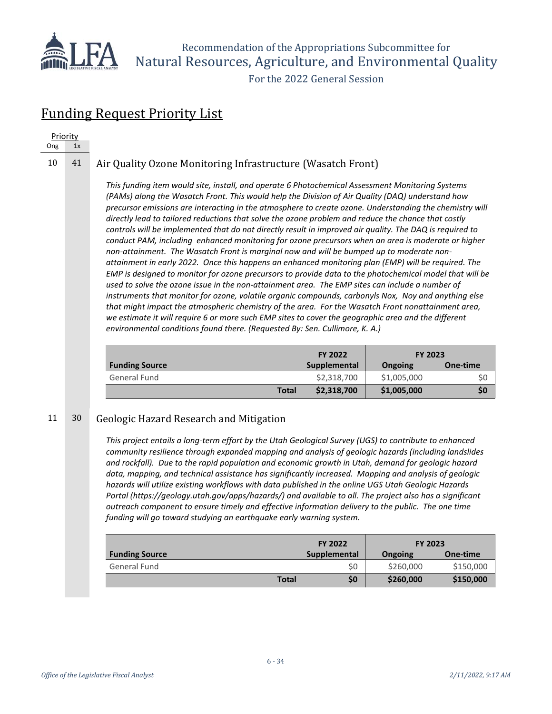

For the 2022 General Session

### Funding Request Priority List

### 10 41 Air Quality Ozone Monitoring Infrastructure (Wasatch Front)

*This funding item would site, install, and operate 6 Photochemical Assessment Monitoring Systems (PAMs) along the Wasatch Front. This would help the Division of Air Quality (DAQ) understand how precursor emissions are interacting in the atmosphere to create ozone. Understanding the chemistry will directly lead to tailored reductions that solve the ozone problem and reduce the chance that costly controls will be implemented that do not directly result in improved air quality. The DAQ is required to conduct PAM, including enhanced monitoring for ozone precursors when an area is moderate or higher non‐attainment. The Wasatch Front is marginal now and will be bumped up to moderate non‐ attainment in early 2022. Once this happens an enhanced monitoring plan (EMP) will be required. The EMP is designed to monitor for ozone precursors to provide data to the photochemical model that will be used to solve the ozone issue in the non‐attainment area. The EMP sites can include a number of instruments that monitor for ozone, volatile organic compounds, carbonyls Nox, Noy and anything else that might impact the atmospheric chemistry of the area. For the Wasatch Front nonattainment area, we estimate it will require 6 or more such EMP sites to cover the geographic area and the different environmental conditions found there. (Requested By: Sen. Cullimore, K. A.)*

|                       |              | <b>FY 2022</b> | <b>FY 2023</b> |          |
|-----------------------|--------------|----------------|----------------|----------|
| <b>Funding Source</b> |              | Supplemental   | Ongoing        | One-time |
| General Fund          |              | \$2,318,700    | \$1,005,000    | \$0      |
|                       | <b>Total</b> | \$2,318,700    | \$1,005,000    | \$0      |

### 11 30 Geologic Hazard Research and Mitigation

*This project entails a long‐term effort by the Utah Geological Survey (UGS) to contribute to enhanced community resilience through expanded mapping and analysis of geologic hazards (including landslides and rockfall). Due to the rapid population and economic growth in Utah, demand for geologic hazard data, mapping, and technical assistance has significantly increased. Mapping and analysis of geologic hazards will utilize existing workflows with data published in the online UGS Utah Geologic Hazards Portal (https://geology.utah.gov/apps/hazards/) and available to all. The project also has a significant outreach component to ensure timely and effective information delivery to the public. The one time funding will go toward studying an earthquake early warning system.*

|                       |              | <b>FY 2022</b> | <b>FY 2023</b> |           |
|-----------------------|--------------|----------------|----------------|-----------|
| <b>Funding Source</b> |              | Supplemental   | Ongoing        | One-time  |
| General Fund          |              | \$0            | \$260,000      | \$150,000 |
|                       | <b>Total</b> | \$0            | \$260,000      | \$150,000 |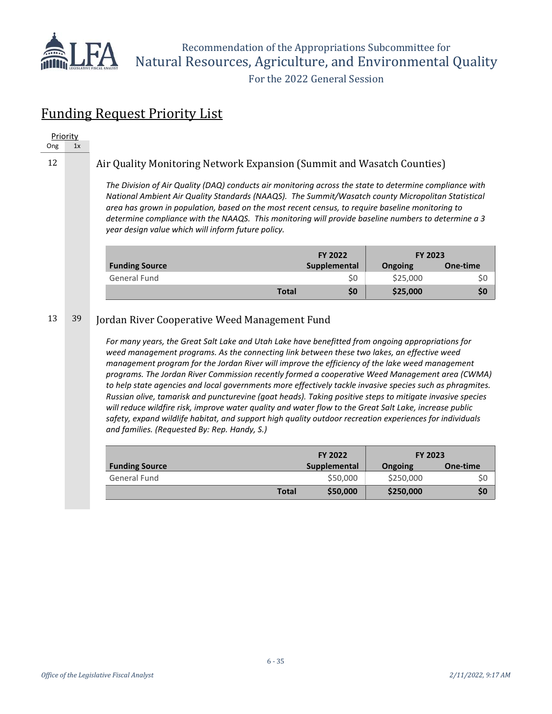

For the 2022 General Session

### Funding Request Priority List

### 12 Air Quality Monitoring Network Expansion (Summit and Wasatch Counties)

*The Division of Air Quality (DAQ) conducts air monitoring across the state to determine compliance with National Ambient Air Quality Standards (NAAQS). The Summit/Wasatch county Micropolitan Statistical area has grown in population, based on the most recent census, to require baseline monitoring to determine compliance with the NAAQS. This monitoring will provide baseline numbers to determine a 3 year design value which will inform future policy.*

|                       |              | <b>FY 2022</b> | FY 2023  |          |
|-----------------------|--------------|----------------|----------|----------|
| <b>Funding Source</b> |              | Supplemental   | Ongoing  | One-time |
| General Fund          |              | \$0            | \$25,000 | ŚС       |
|                       | <b>Total</b> | \$0            | \$25,000 | \$0      |

### 13 39 Jordan River Cooperative Weed Management Fund

*For many years, the Great Salt Lake and Utah Lake have benefitted from ongoing appropriations for weed management programs. As the connecting link between these two lakes, an effective weed management program for the Jordan River will improve the efficiency of the lake weed management programs. The Jordan River Commission recently formed a cooperative Weed Management area (CWMA) to help state agencies and local governments more effectively tackle invasive species such as phragmites. Russian olive, tamarisk and puncturevine (goat heads). Taking positive steps to mitigate invasive species will reduce wildfire risk, improve water quality and water flow to the Great Salt Lake, increase public safety, expand wildlife habitat, and support high quality outdoor recreation experiences for individuals and families. (Requested By: Rep. Handy, S.)*

|                       |              | <b>FY 2022</b> | <b>FY 2023</b> |          |
|-----------------------|--------------|----------------|----------------|----------|
| <b>Funding Source</b> |              | Supplemental   | Ongoing        | One-time |
| General Fund          |              | \$50,000       | \$250,000      | \$0      |
|                       | <b>Total</b> | \$50,000       | \$250,000      | \$0      |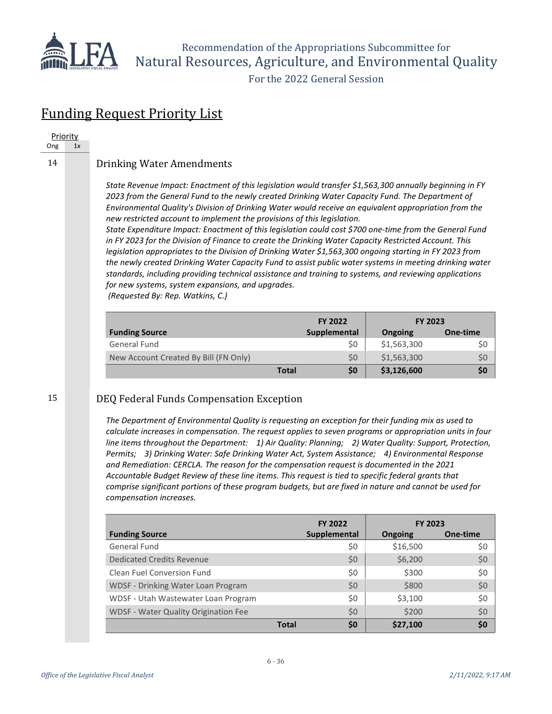

For the 2022 General Session

### Funding Request Priority List

# Ong 1x Priority

### 14 Drinking Water Amendments

*State Revenue Impact: Enactment of this legislation would transfer \$1,563,300 annually beginning in FY 2023 from the General Fund to the newly created Drinking Water Capacity Fund. The Department of Environmental Quality's Division of Drinking Water would receive an equivalent appropriation from the new restricted account to implement the provisions of this legislation.*

*State Expenditure Impact: Enactment of this legislation could cost \$700 one‐time from the General Fund in FY 2023 for the Division of Finance to create the Drinking Water Capacity Restricted Account. This legislation appropriates to the Division of Drinking Water \$1,563,300 ongoing starting in FY 2023 from the newly created Drinking Water Capacity Fund to assist public water systems in meeting drinking water standards, including providing technical assistance and training to systems, and reviewing applications for new systems, system expansions, and upgrades.*

 *(Requested By: Rep. Watkins, C.)*

|                                       | FY 2022      | <b>FY 2023</b> |          |
|---------------------------------------|--------------|----------------|----------|
| <b>Funding Source</b>                 | Supplemental | Ongoing        | One-time |
| General Fund                          | \$0          | \$1,563,300    | \$0      |
| New Account Created By Bill (FN Only) | \$0          | \$1,563,300    | \$0      |
|                                       | \$0<br>Total | \$3,126,600    | \$0      |

### 15 DEQ Federal Funds Compensation Exception

*The Department of Environmental Quality is requesting an exception for their funding mix as used to calculate increases in compensation. The request applies to seven programs or appropriation units in four line items throughout the Department: 1) Air Quality: Planning; 2) Water Quality: Support, Protection, Permits; 3) Drinking Water: Safe Drinking Water Act, System Assistance; 4) Environmental Response and Remediation: CERCLA. The reason for the compensation request is documented in the 2021 Accountable Budget Review of these line items. This request is tied to specific federal grants that comprise significant portions of these program budgets, but are fixed in nature and cannot be used for compensation increases.*

|                                             | <b>FY 2022</b> | <b>FY 2023</b> |          |
|---------------------------------------------|----------------|----------------|----------|
| <b>Funding Source</b>                       | Supplemental   | Ongoing        | One-time |
| General Fund                                | \$0            | \$16,500       | \$0      |
| Dedicated Credits Revenue                   | \$0            | \$6,200        | \$0      |
| Clean Fuel Conversion Fund                  | \$0            | \$300          | \$0      |
| WDSF - Drinking Water Loan Program          | \$0            | \$800          | \$0      |
| WDSF - Utah Wastewater Loan Program         | \$0            | \$3,100        | \$0      |
| <b>WDSF - Water Quality Origination Fee</b> | \$0            | \$200          | \$0      |
| Total                                       | SO             | \$27,100       | \$0      |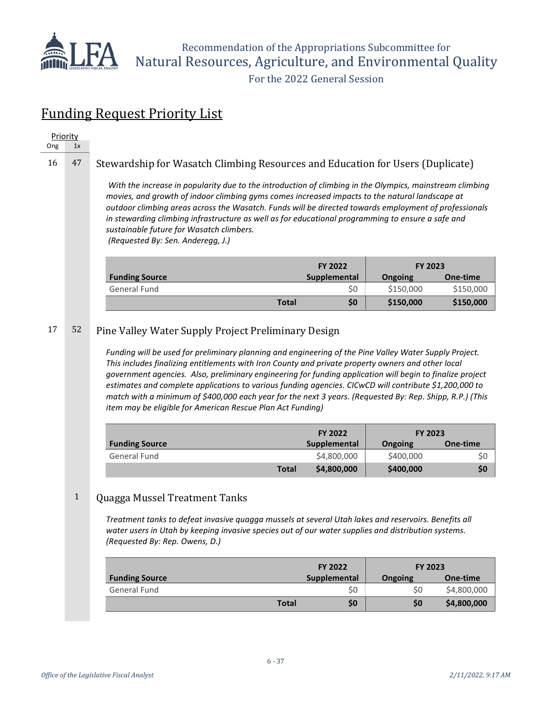

For the 2022 General Session

# Funding Request Priority List

# 16 47 Stewardship for Wasatch Climbing Resources and Education for Users (Duplicate)

 *With the increase in popularity due to the introduction of climbing in the Olympics, mainstream climbing movies, and growth of indoor climbing gyms comes increased impacts to the natural landscape at outdoor climbing areas across the Wasatch. Funds will be directed towards employment of professionals in stewarding climbing infrastructure as well as for educational programming to ensure a safe and sustainable future for Wasatch climbers. (Requested By: Sen. Anderegg, J.)*

**Supplemental Ongoing One‐time FY 2022 FY 2023 Funding Source** General Fund  $\begin{array}{c|c|c|c|c} \text{General Fund} & \text{S} & \text{S} & \text{S} & \text{S} & \text{S} & \text{S} & \text{S} & \text{S} & \text{S} & \text{S} & \text{S} & \text{S} & \text{S} & \text{S} & \text{S} & \text{S} & \text{S} & \text{S} & \text{S} & \text{S} & \text{S} & \text{S} & \text{S} & \text{S} & \text{S} & \text{S} & \text{S} & \text{S} & \text{S} & \text{S} & \text{S}$ **Total \$0 \$150,000 \$150,000**

### 17 52 Pine Valley Water Supply Project Preliminary Design

*Funding will be used for preliminary planning and engineering of the Pine Valley Water Supply Project. This includes finalizing entitlements with Iron County and private property owners and other local government agencies. Also, preliminary engineering for funding application will begin to finalize project estimates and complete applications to various funding agencies. CICwCD will contribute \$1,200,000 to match with a minimum of \$400,000 each year for the next 3 years. (Requested By: Rep. Shipp, R.P.) (This item may be eligible for American Rescue Plan Act Funding)*

|                       |              | <b>FY 2022</b> | <b>FY 2023</b> |          |
|-----------------------|--------------|----------------|----------------|----------|
| <b>Funding Source</b> |              | Supplemental   | Ongoing        | One-time |
| General Fund          |              | \$4,800,000    | \$400,000      | \$0      |
|                       | <b>Total</b> | \$4,800,000    | \$400,000      | \$0      |

### 1 Quagga Mussel Treatment Tanks

*Treatment tanks to defeat invasive quagga mussels at several Utah lakes and reservoirs. Benefits all water users in Utah by keeping invasive species out of our water supplies and distribution systems. (Requested By: Rep. Owens, D.)*

|                       |              | <b>FY 2022</b> | <b>FY 2023</b> |             |
|-----------------------|--------------|----------------|----------------|-------------|
| <b>Funding Source</b> |              | Supplemental   | Ongoing        | One-time    |
| General Fund          |              | \$0            | S0             | \$4,800,000 |
|                       | <b>Total</b> | \$0            | \$0            | \$4,800,000 |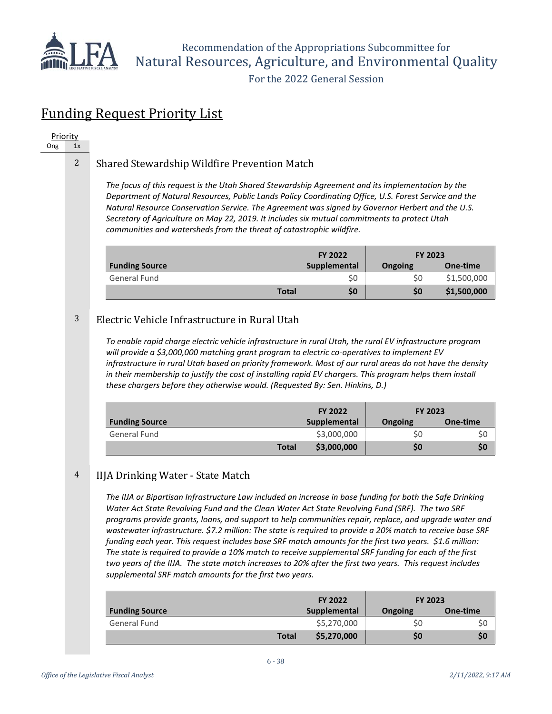

For the 2022 General Session

# Funding Request Priority List

# 2 Shared Stewardship Wildfire Prevention Match

*The focus of this request is the Utah Shared Stewardship Agreement and its implementation by the Department of Natural Resources, Public Lands Policy Coordinating Office, U.S. Forest Service and the Natural Resource Conservation Service. The Agreement was signed by Governor Herbert and the U.S. Secretary of Agriculture on May 22, 2019. It includes six mutual commitments to protect Utah communities and watersheds from the threat of catastrophic wildfire.*

|                       | <b>FY 2022</b>      |         | <b>FY 2023</b> |
|-----------------------|---------------------|---------|----------------|
| <b>Funding Source</b> | Supplemental        | Ongoing | One-time       |
| General Fund          | \$0                 | S0      | \$1,500,000    |
|                       | \$0<br><b>Total</b> | \$0     | \$1,500,000    |

### 3 Electric Vehicle Infrastructure in Rural Utah

*To enable rapid charge electric vehicle infrastructure in rural Utah, the rural EV infrastructure program will provide a \$3,000,000 matching grant program to electric co‐operatives to implement EV infrastructure in rural Utah based on priority framework. Most of our rural areas do not have the density in their membership to justify the cost of installing rapid EV chargers. This program helps them install these chargers before they otherwise would. (Requested By: Sen. Hinkins, D.)*

|                       |              | <b>FY 2022</b> | <b>FY 2023</b> |          |
|-----------------------|--------------|----------------|----------------|----------|
| <b>Funding Source</b> |              | Supplemental   | Ongoing        | One-time |
| General Fund          |              | \$3,000,000    | Ś0             | \$0      |
|                       | <b>Total</b> | \$3,000,000    | \$0            | \$0      |

# 4 IIJA Drinking Water - State Match

*The IIJA or Bipartisan Infrastructure Law included an increase in base funding for both the Safe Drinking Water Act State Revolving Fund and the Clean Water Act State Revolving Fund (SRF). The two SRF programs provide grants, loans, and support to help communities repair, replace, and upgrade water and wastewater infrastructure. \$7.2 million: The state is required to provide a 20% match to receive base SRF funding each year. This request includes base SRF match amounts for the first two years. \$1.6 million: The state is required to provide a 10% match to receive supplemental SRF funding for each of the first two years of the IIJA. The state match increases to 20% after the first two years. This request includes supplemental SRF match amounts for the first two years.*

|                       |              | <b>FY 2022</b> | <b>FY 2023</b> |          |
|-----------------------|--------------|----------------|----------------|----------|
| <b>Funding Source</b> |              | Supplemental   | Ongoing        | One-time |
| General Fund          |              | \$5,270,000    | Ś0             | \$0      |
|                       | <b>Total</b> | \$5,270,000    | \$0            | \$0      |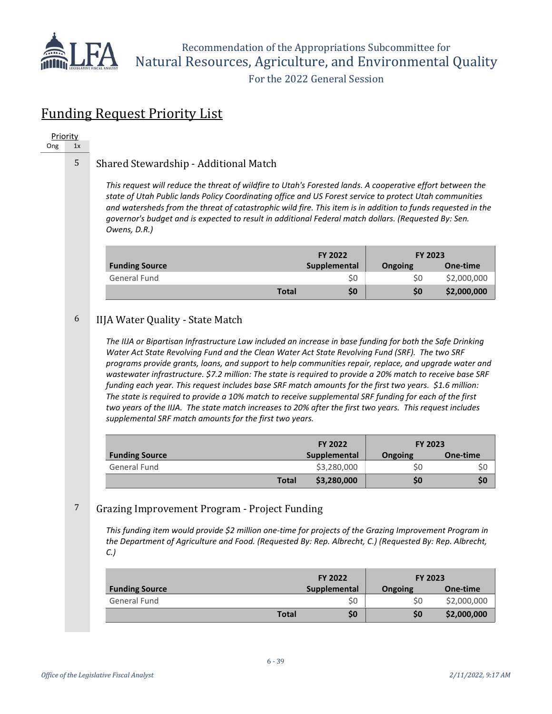

For the 2022 General Session

# Funding Request Priority List

# 5 Shared Stewardship - Additional Match

*This request will reduce the threat of wildfire to Utah's Forested lands. A cooperative effort between the state of Utah Public lands Policy Coordinating office and US Forest service to protect Utah communities and watersheds from the threat of catastrophic wild fire. This item is in addition to funds requested in the governor's budget and is expected to result in additional Federal match dollars. (Requested By: Sen. Owens, D.R.)*

|                       |              | <b>FY 2022</b> | <b>FY 2023</b> |             |
|-----------------------|--------------|----------------|----------------|-------------|
| <b>Funding Source</b> |              | Supplemental   | Ongoing        | One-time    |
| General Fund          |              | \$0            | S0             | \$2,000,000 |
|                       | <b>Total</b> | \$0            | \$0            | \$2,000,000 |

## 6 IIJA Water Quality - State Match

*The IIJA or Bipartisan Infrastructure Law included an increase in base funding for both the Safe Drinking Water Act State Revolving Fund and the Clean Water Act State Revolving Fund (SRF). The two SRF programs provide grants, loans, and support to help communities repair, replace, and upgrade water and wastewater infrastructure. \$7.2 million: The state is required to provide a 20% match to receive base SRF funding each year. This request includes base SRF match amounts for the first two years. \$1.6 million: The state is required to provide a 10% match to receive supplemental SRF funding for each of the first two years of the IIJA. The state match increases to 20% after the first two years. This request includes supplemental SRF match amounts for the first two years.*

|                       |              | <b>FY 2022</b> | <b>FY 2023</b> |          |
|-----------------------|--------------|----------------|----------------|----------|
| <b>Funding Source</b> |              | Supplemental   | Ongoing        | One-time |
| General Fund          |              | \$3,280,000    | S0             | \$0      |
|                       | <b>Total</b> | \$3,280,000    | \$0            | \$0      |

### 7 Grazing Improvement Program - Project Funding

*This funding item would provide \$2 million one‐time for projects of the Grazing Improvement Program in the Department of Agriculture and Food. (Requested By: Rep. Albrecht, C.) (Requested By: Rep. Albrecht, C.)*

|                       |              | <b>FY 2022</b> | <b>FY 2023</b> |             |
|-----------------------|--------------|----------------|----------------|-------------|
| <b>Funding Source</b> |              | Supplemental   | Ongoing        | One-time    |
| General Fund          |              | SO.            | Ś0             | \$2,000,000 |
|                       | <b>Total</b> | \$0            | \$0            | \$2,000,000 |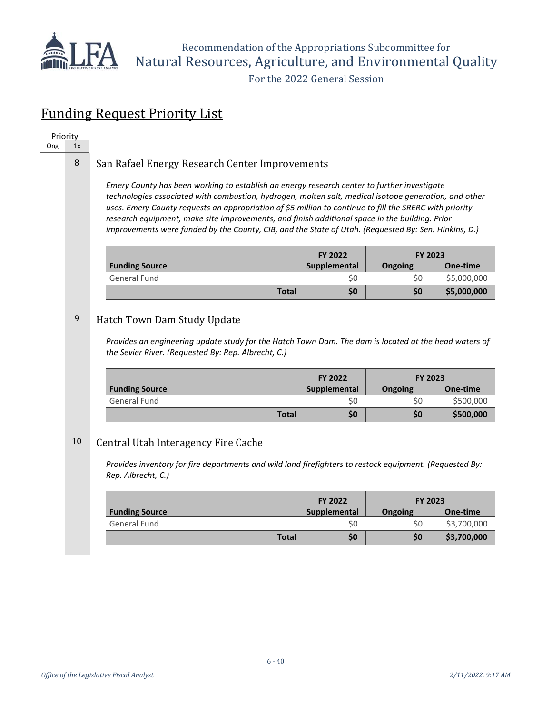

For the 2022 General Session

# Funding Request Priority List

# 8 San Rafael Energy Research Center Improvements

*Emery County has been working to establish an energy research center to further investigate technologies associated with combustion, hydrogen, molten salt, medical isotope generation, and other uses. Emery County requests an appropriation of \$5 million to continue to fill the SRERC with priority research equipment, make site improvements, and finish additional space in the building. Prior improvements were funded by the County, CIB, and the State of Utah. (Requested By: Sen. Hinkins, D.)*

|                       |       | <b>FY 2022</b> | FY 2023 |             |
|-----------------------|-------|----------------|---------|-------------|
| <b>Funding Source</b> |       | Supplemental   | Ongoing | One-time    |
| General Fund          |       | Ś0             | S0      | \$5,000,000 |
|                       | Total | \$0            | \$0     | \$5,000,000 |

### 9 Hatch Town Dam Study Update

*Provides an engineering update study for the Hatch Town Dam. The dam is located at the head waters of the Sevier River. (Requested By: Rep. Albrecht, C.)*

|                       | <b>FY 2022</b>      | <b>FY 2023</b> |           |
|-----------------------|---------------------|----------------|-----------|
| <b>Funding Source</b> | Supplemental        | Ongoing        | One-time  |
| General Fund          | S0                  | Ś0             | \$500,000 |
|                       | \$0<br><b>Total</b> | \$0            | \$500,000 |

# 10 Central Utah Interagency Fire Cache

*Provides inventory for fire departments and wild land firefighters to restock equipment. (Requested By: Rep. Albrecht, C.)*

|                       |              | <b>FY 2022</b> | <b>FY 2023</b> |             |
|-----------------------|--------------|----------------|----------------|-------------|
| <b>Funding Source</b> |              | Supplemental   | Ongoing        | One-time    |
| General Fund          |              | Ś0             | \$0            | \$3,700,000 |
|                       | <b>Total</b> | \$0            | \$0            | \$3,700,000 |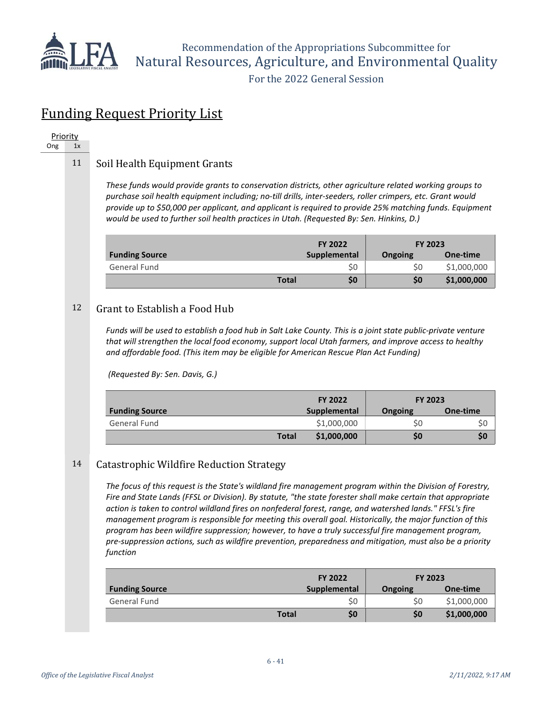

# Funding Request Priority List

#### Ong 1x **Priority**

## 11 Soil Health Equipment Grants

*These funds would provide grants to conservation districts, other agriculture related working groups to purchase soil health equipment including; no‐till drills, inter‐seeders, roller crimpers, etc. Grant would provide up to \$50,000 per applicant, and applicant is required to provide 25% matching funds. Equipment would be used to further soil health practices in Utah. (Requested By: Sen. Hinkins, D.)*

|                       | <b>FY 2022</b>      |         | <b>FY 2023</b> |
|-----------------------|---------------------|---------|----------------|
| <b>Funding Source</b> | Supplemental        | Ongoing | One-time       |
| General Fund          | S0                  | Ś0      | \$1,000,000    |
|                       | \$0<br><b>Total</b> | \$0     | \$1,000,000    |

## 12 Grant to Establish a Food Hub

*Funds will be used to establish a food hub in Salt Lake County. This is a joint state public‐private venture that will strengthen the local food economy, support local Utah farmers, and improve access to healthy and affordable food. (This item may be eligible for American Rescue Plan Act Funding)*

 *(Requested By: Sen. Davis, G.)*

|                       |              | <b>FY 2022</b> | <b>FY 2023</b> |          |
|-----------------------|--------------|----------------|----------------|----------|
| <b>Funding Source</b> |              | Supplemental   | Ongoing        | One-time |
| General Fund          |              | \$1,000,000    | Ś0             | \$C      |
|                       | <b>Total</b> | \$1,000,000    | \$0            | \$0      |

### 14 Catastrophic Wildfire Reduction Strategy

*The focus of this request is the State's wildland fire management program within the Division of Forestry, Fire and State Lands (FFSL or Division). By statute, "the state forester shall make certain that appropriate action is taken to control wildland fires on nonfederal forest, range, and watershed lands." FFSL's fire management program is responsible for meeting this overall goal. Historically, the major function of this program has been wildfire suppression; however, to have a truly successful fire management program, pre‐suppression actions, such as wildfire prevention, preparedness and mitigation, must also be a priority function*

|                       | <b>FY 2022</b>      | <b>FY 2023</b> |             |
|-----------------------|---------------------|----------------|-------------|
| <b>Funding Source</b> | Supplemental        | Ongoing        | One-time    |
| General Fund          | \$0                 | \$0            | \$1,000,000 |
|                       | \$0<br><b>Total</b> | \$0            | \$1,000,000 |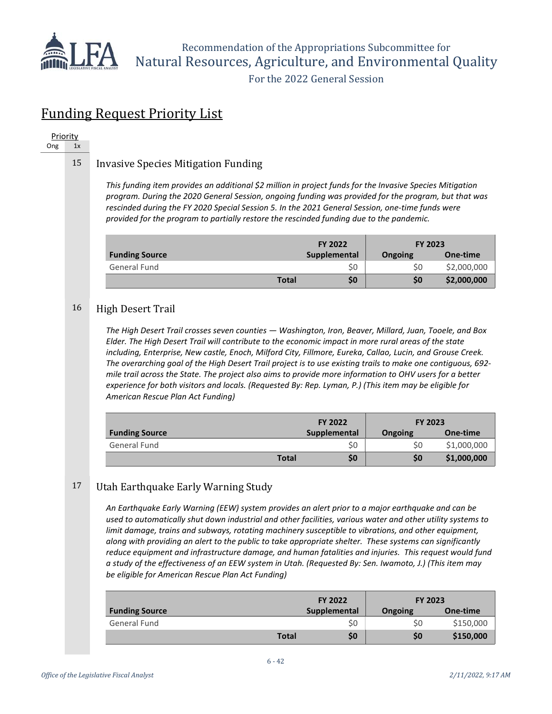

# Funding Request Priority List

#### Ong 1x **Priority**

## 15 Invasive Species Mitigation Funding

*This funding item provides an additional \$2 million in project funds for the Invasive Species Mitigation program. During the 2020 General Session, ongoing funding was provided for the program, but that was rescinded during the FY 2020 Special Session 5. In the 2021 General Session, one‐time funds were provided for the program to partially restore the rescinded funding due to the pandemic.*

|                       | FY 2022      | <b>FY 2023</b> |             |
|-----------------------|--------------|----------------|-------------|
| <b>Funding Source</b> | Supplemental | Ongoing        | One-time    |
| General Fund          | Ś0           | S0             | \$2,000,000 |
|                       | \$0<br>Total | \$0            | \$2,000,000 |

## 16 High Desert Trail

*The High Desert Trail crosses seven counties — Washington, Iron, Beaver, Millard, Juan, Tooele, and Box Elder. The High Desert Trail will contribute to the economic impact in more rural areas of the state including, Enterprise, New castle, Enoch, Milford City, Fillmore, Eureka, Callao, Lucin, and Grouse Creek. The overarching goal of the High Desert Trail project is to use existing trails to make one contiguous, 692‐ mile trail across the State. The project also aims to provide more information to OHV users for a better experience for both visitors and locals. (Requested By: Rep. Lyman, P.) (This item may be eligible for American Rescue Plan Act Funding)*

|                       | <b>FY 2022</b>      | <b>FY 2023</b> |             |
|-----------------------|---------------------|----------------|-------------|
| <b>Funding Source</b> | Supplemental        | Ongoing        | One-time    |
| General Fund          | S0                  | S0             | \$1,000,000 |
|                       | \$0<br><b>Total</b> | \$0            | \$1,000,000 |

# 17 Utah Earthquake Early Warning Study

*An Earthquake Early Warning (EEW) system provides an alert prior to a major earthquake and can be used to automatically shut down industrial and other facilities, various water and other utility systems to limit damage, trains and subways, rotating machinery susceptible to vibrations, and other equipment, along with providing an alert to the public to take appropriate shelter. These systems can significantly reduce equipment and infrastructure damage, and human fatalities and injuries. This request would fund a study of the effectiveness of an EEW system in Utah. (Requested By: Sen. Iwamoto, J.) (This item may be eligible for American Rescue Plan Act Funding)*

|                       | <b>FY 2022</b> | <b>FY 2023</b> |           |
|-----------------------|----------------|----------------|-----------|
| <b>Funding Source</b> | Supplemental   | Ongoing        | One-time  |
| General Fund          | \$0            | Ś0             | \$150,000 |
|                       | \$0<br>Total   | \$0            | \$150,000 |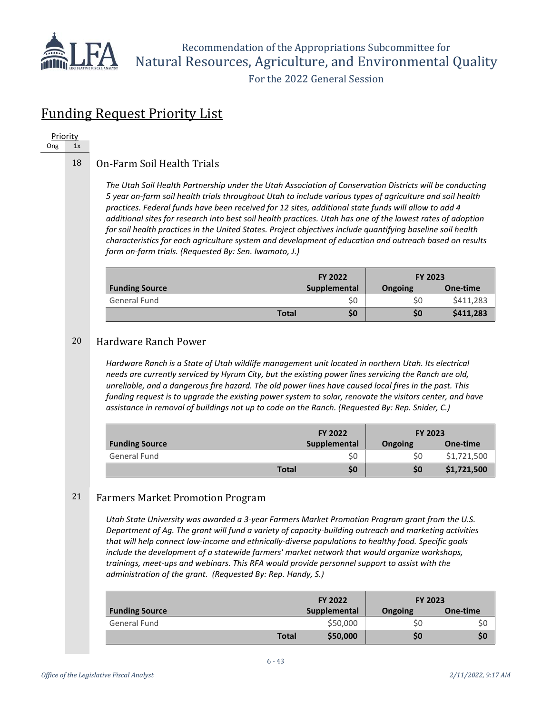

# Funding Request Priority List

#### Ong 1x Priority

# 18 On-Farm Soil Health Trials

*The Utah Soil Health Partnership under the Utah Association of Conservation Districts will be conducting 5 year on‐farm soil health trials throughout Utah to include various types of agriculture and soil health practices. Federal funds have been received for 12 sites, additional state funds will allow to add 4 additional sites for research into best soil health practices. Utah has one of the lowest rates of adoption for soil health practices in the United States. Project objectives include quantifying baseline soil health characteristics for each agriculture system and development of education and outreach based on results form on‐farm trials. (Requested By: Sen. Iwamoto, J.)*

|                       |              | <b>FY 2022</b> | <b>FY 2023</b> |           |
|-----------------------|--------------|----------------|----------------|-----------|
| <b>Funding Source</b> |              | Supplemental   | Ongoing        | One-time  |
| General Fund          |              | \$0            | S0             | \$411,283 |
|                       | <b>Total</b> | \$0            | \$0            | \$411,283 |

### 20 Hardware Ranch Power

*Hardware Ranch is a State of Utah wildlife management unit located in northern Utah. Its electrical needs are currently serviced by Hyrum City, but the existing power lines servicing the Ranch are old, unreliable, and a dangerous fire hazard. The old power lines have caused local fires in the past. This funding request is to upgrade the existing power system to solar, renovate the visitors center, and have assistance in removal of buildings not up to code on the Ranch. (Requested By: Rep. Snider, C.)*

|                       |       | <b>FY 2022</b> | <b>FY 2023</b> |             |
|-----------------------|-------|----------------|----------------|-------------|
| <b>Funding Source</b> |       | Supplemental   | Ongoing        | One-time    |
| General Fund          |       | \$0            |                | \$1,721,500 |
|                       | Total | \$0            | \$0            | \$1,721,500 |

### 21 Farmers Market Promotion Program

*Utah State University was awarded a 3‐year Farmers Market Promotion Program grant from the U.S. Department of Ag. The grant will fund a variety of capacity‐building outreach and marketing activities that will help connect low‐income and ethnically‐diverse populations to healthy food. Specific goals include the development of a statewide farmers' market network that would organize workshops, trainings, meet‐ups and webinars. This RFA would provide personnel support to assist with the administration of the grant. (Requested By: Rep. Handy, S.)*

|                       | <b>FY 2022</b>           | <b>FY 2023</b> |          |
|-----------------------|--------------------------|----------------|----------|
| <b>Funding Source</b> | Supplemental             | Ongoing        | One-time |
| General Fund          | \$50,000                 | \$0            | \$0      |
|                       | \$50,000<br><b>Total</b> | \$0            | \$0      |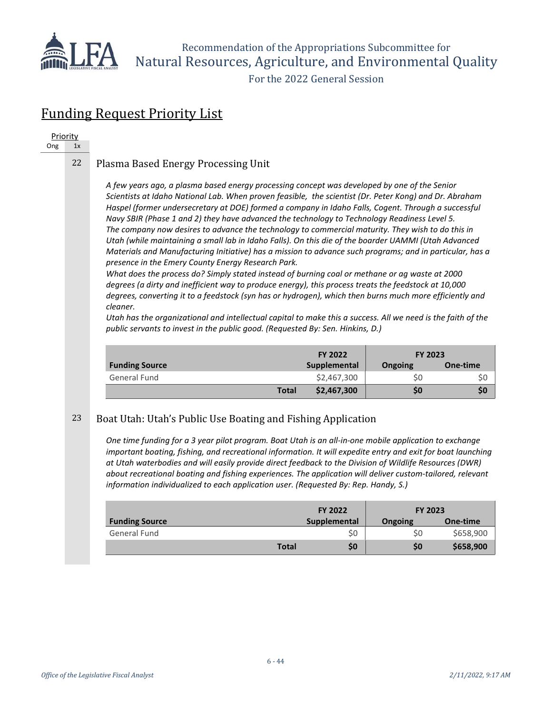

# Funding Request Priority List

Ong 1x Priority

### 22 Plasma Based Energy Processing Unit

*A few years ago, a plasma based energy processing concept was developed by one of the Senior Scientists at Idaho National Lab. When proven feasible, the scientist (Dr. Peter Kong) and Dr. Abraham Haspel (former undersecretary at DOE) formed a company in Idaho Falls, Cogent. Through a successful Navy SBIR (Phase 1 and 2) they have advanced the technology to Technology Readiness Level 5. The company now desires to advance the technology to commercial maturity. They wish to do this in Utah (while maintaining a small lab in Idaho Falls). On this die of the boarder UAMMI (Utah Advanced Materials and Manufacturing Initiative) has a mission to advance such programs; and in particular, has a presence in the Emery County Energy Research Park.*

*What does the process do? Simply stated instead of burning coal or methane or ag waste at 2000 degrees (a dirty and inefficient way to produce energy), this process treats the feedstock at 10,000 degrees, converting it to a feedstock (syn has or hydrogen), which then burns much more efficiently and cleaner.*

*Utah has the organizational and intellectual capital to make this a success. All we need is the faith of the public servants to invest in the public good. (Requested By: Sen. Hinkins, D.)*

|                       |              | <b>FY 2022</b> | <b>FY 2023</b> |          |
|-----------------------|--------------|----------------|----------------|----------|
| <b>Funding Source</b> |              | Supplemental   | Ongoing        | One-time |
| General Fund          |              | \$2,467,300    | S0             | Ś0       |
|                       | <b>Total</b> | \$2,467,300    | \$0            | \$0      |

## 23 Boat Utah: Utah's Public Use Boating and Fishing Application

*One time funding for a 3 year pilot program. Boat Utah is an all‐in‐one mobile application to exchange important boating, fishing, and recreational information. It will expedite entry and exit for boat launching at Utah waterbodies and will easily provide direct feedback to the Division of Wildlife Resources (DWR) about recreational boating and fishing experiences. The application will deliver custom‐tailored, relevant information individualized to each application user. (Requested By: Rep. Handy, S.)*

|                       |              | FY 2022      | <b>FY 2023</b> |           |
|-----------------------|--------------|--------------|----------------|-----------|
| <b>Funding Source</b> |              | Supplemental | Ongoing        | One-time  |
| General Fund          |              | \$0          | Ś0             | \$658,900 |
|                       | <b>Total</b> | \$0          | \$0            | \$658,900 |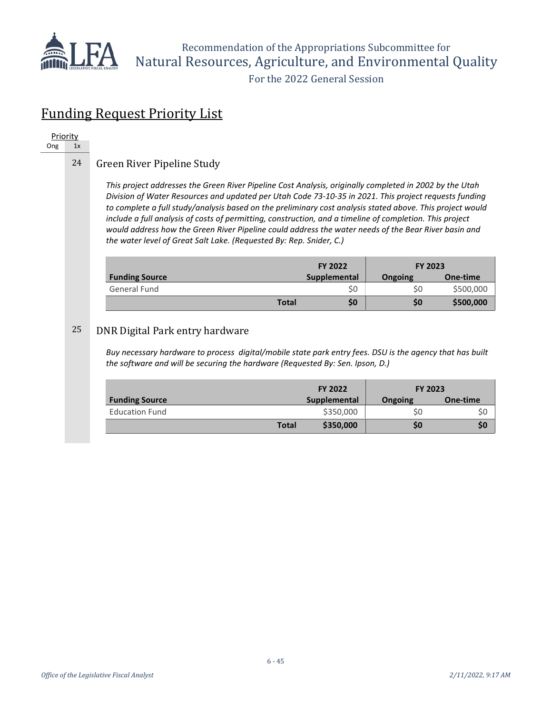

# Funding Request Priority List

#### Ong 1x **Priority**

# 24 Green River Pipeline Study

*This project addresses the Green River Pipeline Cost Analysis, originally completed in 2002 by the Utah Division of Water Resources and updated per Utah Code 73‐10‐35 in 2021. This project requests funding to complete a full study/analysis based on the preliminary cost analysis stated above. This project would include a full analysis of costs of permitting, construction, and a timeline of completion. This project would address how the Green River Pipeline could address the water needs of the Bear River basin and the water level of Great Salt Lake. (Requested By: Rep. Snider, C.)*

|                       |              | <b>FY 2022</b> | <b>FY 2023</b> |           |
|-----------------------|--------------|----------------|----------------|-----------|
| <b>Funding Source</b> |              | Supplemental   | Ongoing        | One-time  |
| General Fund          |              | S0             | Ś0             | \$500,000 |
|                       | <b>Total</b> | \$0            | \$0            | \$500,000 |

## 25 DNR Digital Park entry hardware

*Buy necessary hardware to process digital/mobile state park entry fees. DSU is the agency that has built the software and will be securing the hardware (Requested By: Sen. Ipson, D.)*

|                       | <b>FY 2022</b> | <b>FY 2023</b> |          |
|-----------------------|----------------|----------------|----------|
| <b>Funding Source</b> | Supplemental   | Ongoing        | One-time |
| <b>Education Fund</b> | \$350,000      | ŚΟ             | Ś0       |
| <b>Total</b>          | \$350,000      | \$0            | \$0      |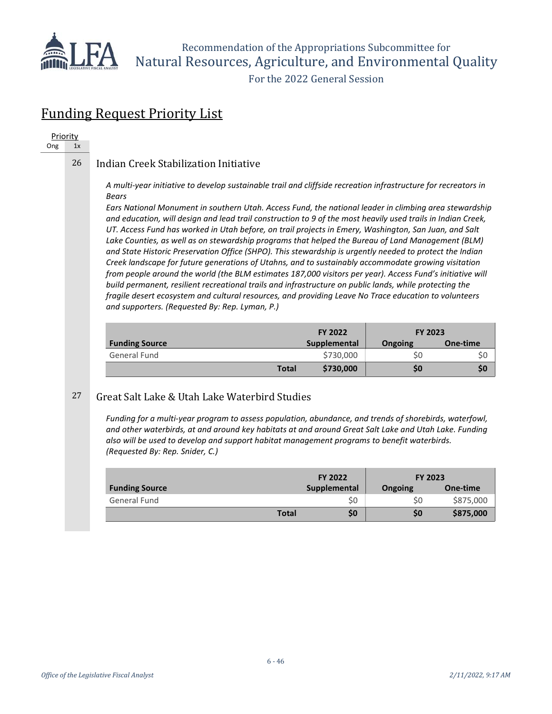

For the 2022 General Session

# Funding Request Priority List

#### Ong 1x **Priority**

### 26 Indian Creek Stabilization Initiative

*A multi‐year initiative to develop sustainable trail and cliffside recreation infrastructure for recreators in Bears*

*Ears National Monument in southern Utah. Access Fund, the national leader in climbing area stewardship and education, will design and lead trail construction to 9 of the most heavily used trails in Indian Creek, UT. Access Fund has worked in Utah before, on trail projects in Emery, Washington, San Juan, and Salt Lake Counties, as well as on stewardship programs that helped the Bureau of Land Management (BLM) and State Historic Preservation Office (SHPO). This stewardship is urgently needed to protect the Indian Creek landscape for future generations of Utahns, and to sustainably accommodate growing visitation from people around the world (the BLM estimates 187,000 visitors per year). Access Fund's initiative will build permanent, resilient recreational trails and infrastructure on public lands, while protecting the fragile desert ecosystem and cultural resources, and providing Leave No Trace education to volunteers and supporters. (Requested By: Rep. Lyman, P.)*

|                       |              | <b>FY 2022</b> | FY 2023 |          |
|-----------------------|--------------|----------------|---------|----------|
| <b>Funding Source</b> |              | Supplemental   | Ongoing | One-time |
| General Fund          |              | \$730,000      | Ś0      | \$0      |
|                       | <b>Total</b> | \$730,000      | \$0     | \$0      |

### 27 Great Salt Lake & Utah Lake Waterbird Studies

*Funding for a multi‐year program to assess population, abundance, and trends of shorebirds, waterfowl, and other waterbirds, at and around key habitats at and around Great Salt Lake and Utah Lake. Funding also will be used to develop and support habitat management programs to benefit waterbirds. (Requested By: Rep. Snider, C.)*

|                       |              | <b>FY 2022</b> | <b>FY 2023</b> |           |
|-----------------------|--------------|----------------|----------------|-----------|
| <b>Funding Source</b> |              | Supplemental   | Ongoing        | One-time  |
| General Fund          |              | \$0            | Ś0             | \$875,000 |
|                       | <b>Total</b> | \$0            | \$0            | \$875,000 |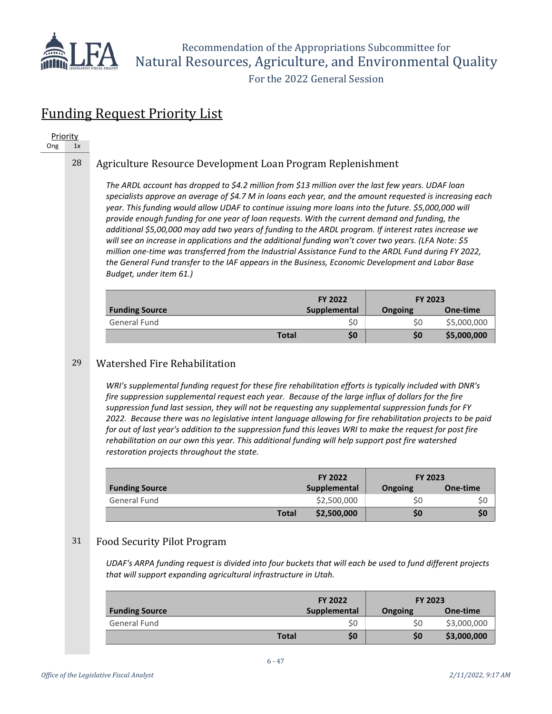

# Funding Request Priority List

#### Ong 1x Priority

# 28 Agriculture Resource Development Loan Program Replenishment

*The ARDL account has dropped to \$4.2 million from \$13 million over the last few years. UDAF loan specialists approve an average of \$4.7 M in loans each year, and the amount requested is increasing each year. This funding would allow UDAF to continue issuing more loans into the future. \$5,000,000 will provide enough funding for one year of loan requests. With the current demand and funding, the additional \$5,00,000 may add two years of funding to the ARDL program. If interest rates increase we will see an increase in applications and the additional funding won't cover two years. (LFA Note: \$5 million one‐time was transferred from the Industrial Assistance Fund to the ARDL Fund during FY 2022, the General Fund transfer to the IAF appears in the Business, Economic Development and Labor Base Budget, under item 61.)*

|                       |       | <b>FY 2022</b> | <b>FY 2023</b> |             |
|-----------------------|-------|----------------|----------------|-------------|
| <b>Funding Source</b> |       | Supplemental   | Ongoing        | One-time    |
| General Fund          |       | Ś0             | S <sub>0</sub> | \$5,000,000 |
|                       | Total | \$0            | \$0            | \$5,000,000 |

### 29 Watershed Fire Rehabilitation

*WRI's supplemental funding request for these fire rehabilitation efforts is typically included with DNR's fire suppression supplemental request each year. Because of the large influx of dollars for the fire suppression fund last session, they will not be requesting any supplemental suppression funds for FY 2022. Because there was no legislative intent language allowing for fire rehabilitation projects to be paid for out of last year's addition to the suppression fund this leaves WRI to make the request for post fire rehabilitation on our own this year. This additional funding will help support post fire watershed restoration projects throughout the state.*

|                       |              | FY 2022      | <b>FY 2023</b> |          |
|-----------------------|--------------|--------------|----------------|----------|
| <b>Funding Source</b> |              | Supplemental | Ongoing        | One-time |
| General Fund          |              | \$2,500,000  | Ś0             | \$0      |
|                       | <b>Total</b> | \$2,500,000  | \$0            | \$0      |

# 31 Food Security Pilot Program

*UDAF's ARPA funding request is divided into four buckets that will each be used to fund different projects that will support expanding agricultural infrastructure in Utah.*

|                       | <b>FY 2022</b> | <b>FY 2023</b> |             |
|-----------------------|----------------|----------------|-------------|
| <b>Funding Source</b> | Supplemental   | Ongoing        | One-time    |
| General Fund          | S0             | \$0            | \$3,000,000 |
|                       | \$0<br>Total   | \$0            | \$3,000,000 |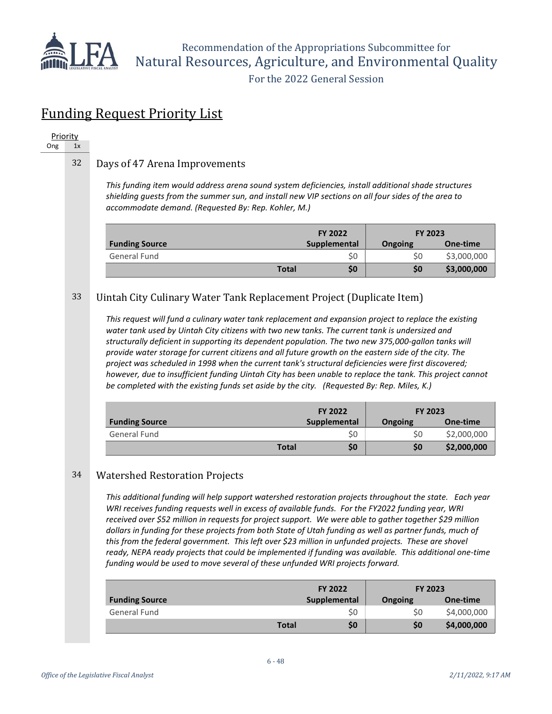

# Funding Request Priority List

#### Ong 1x **Priority**

### 32 Days of 47 Arena Improvements

*This funding item would address arena sound system deficiencies, install additional shade structures shielding guests from the summer sun, and install new VIP sections on all four sides of the area to accommodate demand. (Requested By: Rep. Kohler, M.)*

|                       |              | <b>FY 2022</b> | <b>FY 2023</b> |             |
|-----------------------|--------------|----------------|----------------|-------------|
| <b>Funding Source</b> |              | Supplemental   | Ongoing        | One-time    |
| General Fund          |              | Ś0             | S0             | \$3,000,000 |
|                       | <b>Total</b> | \$0            | \$0            | \$3,000,000 |

### 33 Uintah City Culinary Water Tank Replacement Project (Duplicate Item)

*This request will fund a culinary water tank replacement and expansion project to replace the existing water tank used by Uintah City citizens with two new tanks. The current tank is undersized and structurally deficient in supporting its dependent population. The two new 375,000‐gallon tanks will provide water storage for current citizens and all future growth on the eastern side of the city. The project was scheduled in 1998 when the current tank's structural deficiencies were first discovered; however, due to insufficient funding Uintah City has been unable to replace the tank. This project cannot be completed with the existing funds set aside by the city. (Requested By: Rep. Miles, K.)*

|                       | <b>FY 2022</b>      | <b>FY 2023</b> |             |
|-----------------------|---------------------|----------------|-------------|
| <b>Funding Source</b> | Supplemental        | Ongoing        | One-time    |
| General Fund          | S0                  | Ś0             | \$2,000,000 |
|                       | <b>Total</b><br>\$0 | \$0            | \$2,000,000 |

### 34 Watershed Restoration Projects

*This additional funding will help support watershed restoration projects throughout the state. Each year WRI receives funding requests well in excess of available funds. For the FY2022 funding year, WRI received over \$52 million in requests for project support. We were able to gather together \$29 million dollars in funding for these projects from both State of Utah funding as well as partner funds, much of this from the federal government. This left over \$23 million in unfunded projects. These are shovel ready, NEPA ready projects that could be implemented if funding was available. This additional one‐time funding would be used to move several of these unfunded WRI projects forward.*

|                       |              | <b>FY 2022</b> | <b>FY 2023</b> |             |
|-----------------------|--------------|----------------|----------------|-------------|
| <b>Funding Source</b> |              | Supplemental   | Ongoing        | One-time    |
| General Fund          |              | \$0            | \$0            | \$4,000,000 |
|                       | <b>Total</b> | \$0            | \$0            | \$4,000,000 |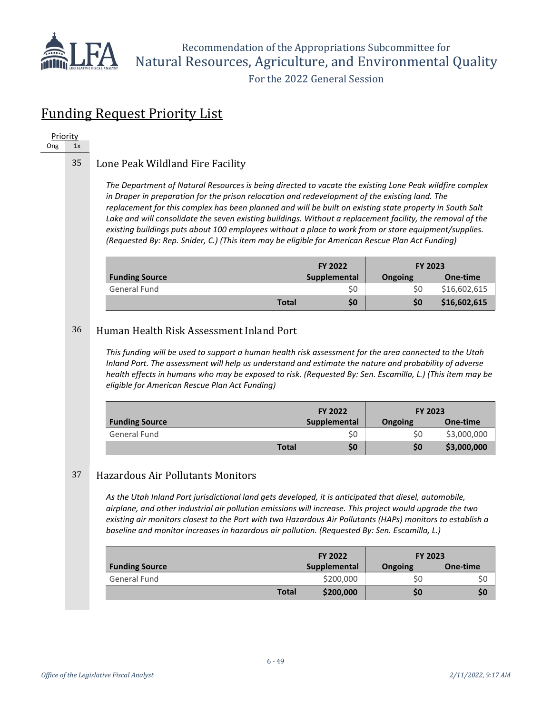

# Funding Request Priority List

#### Ong 1x **Priority**

# 35 Lone Peak Wildland Fire Facility

*The Department of Natural Resources is being directed to vacate the existing Lone Peak wildfire complex in Draper in preparation for the prison relocation and redevelopment of the existing land. The replacement for this complex has been planned and will be built on existing state property in South Salt Lake and will consolidate the seven existing buildings. Without a replacement facility, the removal of the existing buildings puts about 100 employees without a place to work from or store equipment/supplies. (Requested By: Rep. Snider, C.) (This item may be eligible for American Rescue Plan Act Funding)*

|                       |              | <b>FY 2022</b> | <b>FY 2023</b> |              |
|-----------------------|--------------|----------------|----------------|--------------|
| <b>Funding Source</b> |              | Supplemental   | Ongoing        | One-time     |
| General Fund          |              | \$0            | S0             | \$16,602,615 |
|                       | <b>Total</b> | \$0            | \$0            | \$16,602,615 |

#### 36 Human Health Risk Assessment Inland Port

*This funding will be used to support a human health risk assessment for the area connected to the Utah Inland Port. The assessment will help us understand and estimate the nature and probability of adverse health effects in humans who may be exposed to risk. (Requested By: Sen. Escamilla, L.) (This item may be eligible for American Rescue Plan Act Funding)*

|                       |              | <b>FY 2022</b> | <b>FY 2023</b> |             |
|-----------------------|--------------|----------------|----------------|-------------|
| <b>Funding Source</b> |              | Supplemental   | Ongoing        | One-time    |
| General Fund          |              | \$0            | S0             | \$3,000,000 |
|                       | <b>Total</b> | \$0            | \$0            | \$3,000,000 |

#### 37 Hazardous Air Pollutants Monitors

*As the Utah Inland Port jurisdictional land gets developed, it is anticipated that diesel, automobile, airplane, and other industrial air pollution emissions will increase. This project would upgrade the two existing air monitors closest to the Port with two Hazardous Air Pollutants (HAPs) monitors to establish a baseline and monitor increases in hazardous air pollution. (Requested By: Sen. Escamilla, L.)*

|                       |              | <b>FY 2022</b> | <b>FY 2023</b> |          |
|-----------------------|--------------|----------------|----------------|----------|
| <b>Funding Source</b> |              | Supplemental   | Ongoing        | One-time |
| General Fund          |              | \$200,000      | Ś0             | \$0      |
|                       | <b>Total</b> | \$200,000      | \$0            | \$0      |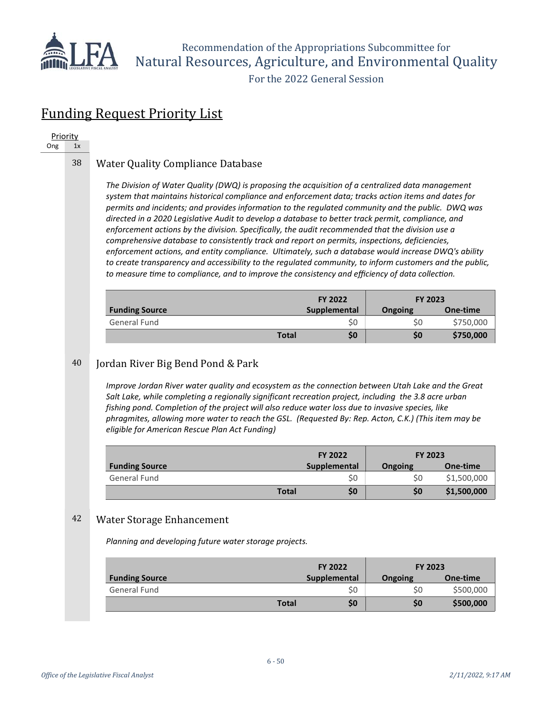

Ong

Recommendation of the Appropriations Subcommittee for Natural Resources, Agriculture, and Environmental Quality

For the 2022 General Session

# Funding Request Priority List

| )ng<br>1x<br>38<br><b>Water Quality Compliance Database</b><br>The Division of Water Quality (DWQ) is proposing the acquisition of a centralized data management<br>system that maintains historical compliance and enforcement data; tracks action items and dates for<br>permits and incidents; and provides information to the regulated community and the public. DWQ was<br>directed in a 2020 Legislative Audit to develop a database to better track permit, compliance, and<br>enforcement actions by the division. Specifically, the audit recommended that the division use a<br>comprehensive database to consistently track and report on permits, inspections, deficiencies,<br>enforcement actions, and entity compliance. Ultimately, such a database would increase DWQ's ability<br>to create transparency and accessibility to the regulated community, to inform customers and the public,<br>to measure time to compliance, and to improve the consistency and efficiency of data collection.<br><b>FY 2022</b><br><b>FY 2023</b><br><b>Funding Source</b><br>Supplemental<br>Ongoing<br>One-time<br><b>General Fund</b><br>\$0<br>\$0<br>\$750,000<br>\$750,000<br>\$0<br>\$0<br><b>Total</b><br>40<br>Jordan River Big Bend Pond & Park<br>Improve Jordan River water quality and ecosystem as the connection between Utah Lake and the Great<br>Salt Lake, while completing a regionally significant recreation project, including the 3.8 acre urban<br>fishing pond. Completion of the project will also reduce water loss due to invasive species, like<br>phragmites, allowing more water to reach the GSL. (Requested By: Rep. Acton, C.K.) (This item may be<br>eligible for American Rescue Plan Act Funding)<br><b>FY 2022</b><br>FY 2023<br><b>Funding Source</b><br>Supplemental<br>Ongoing<br>One-time<br><b>General Fund</b><br>\$1,500,000<br>\$0<br>\$0<br>\$0<br>\$0<br>\$1,500,000<br><b>Total</b><br>42<br>Water Storage Enhancement<br>Planning and developing future water storage projects.<br><b>FY 2022</b><br><b>FY 2023</b> | Priority |  |  |  |
|----------------------------------------------------------------------------------------------------------------------------------------------------------------------------------------------------------------------------------------------------------------------------------------------------------------------------------------------------------------------------------------------------------------------------------------------------------------------------------------------------------------------------------------------------------------------------------------------------------------------------------------------------------------------------------------------------------------------------------------------------------------------------------------------------------------------------------------------------------------------------------------------------------------------------------------------------------------------------------------------------------------------------------------------------------------------------------------------------------------------------------------------------------------------------------------------------------------------------------------------------------------------------------------------------------------------------------------------------------------------------------------------------------------------------------------------------------------------------------------------------------------------------------------------------------------------------------------------------------------------------------------------------------------------------------------------------------------------------------------------------------------------------------------------------------------------------------------------------------------------------------------------------------------------------------------------------------------------------------------------------------------------------------------------------------------------------|----------|--|--|--|
|                                                                                                                                                                                                                                                                                                                                                                                                                                                                                                                                                                                                                                                                                                                                                                                                                                                                                                                                                                                                                                                                                                                                                                                                                                                                                                                                                                                                                                                                                                                                                                                                                                                                                                                                                                                                                                                                                                                                                                                                                                                                            |          |  |  |  |
|                                                                                                                                                                                                                                                                                                                                                                                                                                                                                                                                                                                                                                                                                                                                                                                                                                                                                                                                                                                                                                                                                                                                                                                                                                                                                                                                                                                                                                                                                                                                                                                                                                                                                                                                                                                                                                                                                                                                                                                                                                                                            |          |  |  |  |
|                                                                                                                                                                                                                                                                                                                                                                                                                                                                                                                                                                                                                                                                                                                                                                                                                                                                                                                                                                                                                                                                                                                                                                                                                                                                                                                                                                                                                                                                                                                                                                                                                                                                                                                                                                                                                                                                                                                                                                                                                                                                            |          |  |  |  |
|                                                                                                                                                                                                                                                                                                                                                                                                                                                                                                                                                                                                                                                                                                                                                                                                                                                                                                                                                                                                                                                                                                                                                                                                                                                                                                                                                                                                                                                                                                                                                                                                                                                                                                                                                                                                                                                                                                                                                                                                                                                                            |          |  |  |  |
|                                                                                                                                                                                                                                                                                                                                                                                                                                                                                                                                                                                                                                                                                                                                                                                                                                                                                                                                                                                                                                                                                                                                                                                                                                                                                                                                                                                                                                                                                                                                                                                                                                                                                                                                                                                                                                                                                                                                                                                                                                                                            |          |  |  |  |
|                                                                                                                                                                                                                                                                                                                                                                                                                                                                                                                                                                                                                                                                                                                                                                                                                                                                                                                                                                                                                                                                                                                                                                                                                                                                                                                                                                                                                                                                                                                                                                                                                                                                                                                                                                                                                                                                                                                                                                                                                                                                            |          |  |  |  |
|                                                                                                                                                                                                                                                                                                                                                                                                                                                                                                                                                                                                                                                                                                                                                                                                                                                                                                                                                                                                                                                                                                                                                                                                                                                                                                                                                                                                                                                                                                                                                                                                                                                                                                                                                                                                                                                                                                                                                                                                                                                                            |          |  |  |  |
|                                                                                                                                                                                                                                                                                                                                                                                                                                                                                                                                                                                                                                                                                                                                                                                                                                                                                                                                                                                                                                                                                                                                                                                                                                                                                                                                                                                                                                                                                                                                                                                                                                                                                                                                                                                                                                                                                                                                                                                                                                                                            |          |  |  |  |
|                                                                                                                                                                                                                                                                                                                                                                                                                                                                                                                                                                                                                                                                                                                                                                                                                                                                                                                                                                                                                                                                                                                                                                                                                                                                                                                                                                                                                                                                                                                                                                                                                                                                                                                                                                                                                                                                                                                                                                                                                                                                            |          |  |  |  |
|                                                                                                                                                                                                                                                                                                                                                                                                                                                                                                                                                                                                                                                                                                                                                                                                                                                                                                                                                                                                                                                                                                                                                                                                                                                                                                                                                                                                                                                                                                                                                                                                                                                                                                                                                                                                                                                                                                                                                                                                                                                                            |          |  |  |  |
|                                                                                                                                                                                                                                                                                                                                                                                                                                                                                                                                                                                                                                                                                                                                                                                                                                                                                                                                                                                                                                                                                                                                                                                                                                                                                                                                                                                                                                                                                                                                                                                                                                                                                                                                                                                                                                                                                                                                                                                                                                                                            |          |  |  |  |
|                                                                                                                                                                                                                                                                                                                                                                                                                                                                                                                                                                                                                                                                                                                                                                                                                                                                                                                                                                                                                                                                                                                                                                                                                                                                                                                                                                                                                                                                                                                                                                                                                                                                                                                                                                                                                                                                                                                                                                                                                                                                            |          |  |  |  |
|                                                                                                                                                                                                                                                                                                                                                                                                                                                                                                                                                                                                                                                                                                                                                                                                                                                                                                                                                                                                                                                                                                                                                                                                                                                                                                                                                                                                                                                                                                                                                                                                                                                                                                                                                                                                                                                                                                                                                                                                                                                                            |          |  |  |  |
|                                                                                                                                                                                                                                                                                                                                                                                                                                                                                                                                                                                                                                                                                                                                                                                                                                                                                                                                                                                                                                                                                                                                                                                                                                                                                                                                                                                                                                                                                                                                                                                                                                                                                                                                                                                                                                                                                                                                                                                                                                                                            |          |  |  |  |

|                       |              | <b>FY 2022</b> | <b>FY 2023</b> |           |
|-----------------------|--------------|----------------|----------------|-----------|
| <b>Funding Source</b> |              | Supplemental   | Ongoing        | One-time  |
| General Fund          |              | Ś0             | S0             | \$500,000 |
|                       | <b>Total</b> | \$0            | \$0            | \$500,000 |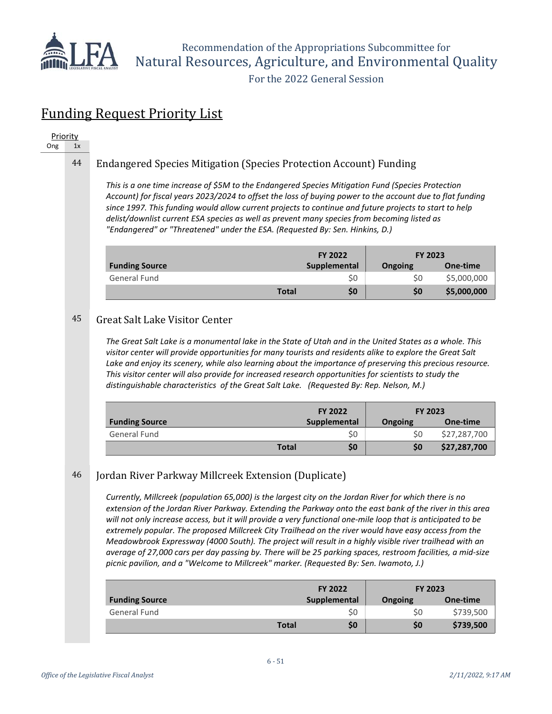

For the 2022 General Session

# Funding Request Priority List

# 44 Endangered Species Mitigation (Species Protection Account) Funding

*This is a one time increase of \$5M to the Endangered Species Mitigation Fund (Species Protection Account) for fiscal years 2023/2024 to offset the loss of buying power to the account due to flat funding since 1997. This funding would allow current projects to continue and future projects to start to help delist/downlist current ESA species as well as prevent many species from becoming listed as "Endangered" or "Threatened" under the ESA. (Requested By: Sen. Hinkins, D.)*

|                       |              | <b>FY 2022</b> | <b>FY 2023</b> |             |
|-----------------------|--------------|----------------|----------------|-------------|
| <b>Funding Source</b> |              | Supplemental   | Ongoing        | One-time    |
| General Fund          |              | Ś0             | Ś0             | \$5,000,000 |
|                       | <b>Total</b> | \$0            | \$0            | \$5,000,000 |

#### 45 Great Salt Lake Visitor Center

*The Great Salt Lake is a monumental lake in the State of Utah and in the United States as a whole. This visitor center will provide opportunities for many tourists and residents alike to explore the Great Salt Lake and enjoy its scenery, while also learning about the importance of preserving this precious resource. This visitor center will also provide for increased research opportunities for scientists to study the distinguishable characteristics of the Great Salt Lake. (Requested By: Rep. Nelson, M.)*

|                       | <b>FY 2022</b> | <b>FY 2023</b> |              |
|-----------------------|----------------|----------------|--------------|
| <b>Funding Source</b> | Supplemental   | Ongoing        | One-time     |
| General Fund          | S0             | Ś0             | \$27,287,700 |
|                       | Total<br>\$0   | S0             | \$27,287,700 |

### 46 Jordan River Parkway Millcreek Extension (Duplicate)

*Currently, Millcreek (population 65,000) is the largest city on the Jordan River for which there is no extension of the Jordan River Parkway. Extending the Parkway onto the east bank of the river in this area will not only increase access, but it will provide a very functional one‐mile loop that is anticipated to be extremely popular. The proposed Millcreek City Trailhead on the river would have easy access from the Meadowbrook Expressway (4000 South). The project will result in a highly visible river trailhead with an average of 27,000 cars per day passing by. There will be 25 parking spaces, restroom facilities, a mid‐size picnic pavilion, and a "Welcome to Millcreek" marker. (Requested By: Sen. Iwamoto, J.)*

|                       |              | <b>FY 2022</b> | <b>FY 2023</b> |           |
|-----------------------|--------------|----------------|----------------|-----------|
| <b>Funding Source</b> |              | Supplemental   | Ongoing        | One-time  |
| General Fund          |              | \$0            | \$0            | \$739,500 |
|                       | <b>Total</b> | \$0            | \$0            | \$739,500 |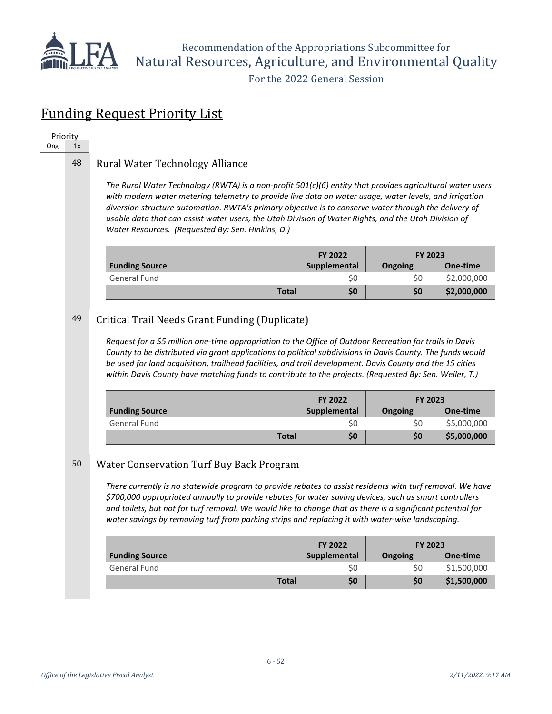

For the 2022 General Session

# Funding Request Priority List

# 48 Rural Water Technology Alliance *The Rural Water Technology (RWTA) is a non‐profit 501(c)(6) entity that provides agricultural water users with modern water metering telemetry to provide live data on water usage, water levels, and irrigation diversion structure automation. RWTA's primary objective is to conserve water through the delivery of usable data that can assist water users, the Utah Division of Water Rights, and the Utah Division of Water Resources. (Requested By: Sen. Hinkins, D.)* **Supplemental Ongoing One‐time FY 2022 FY 2023 Funding Source** General Fund \$0 \$2,000,000 \$0 **Total \$0 \$0 \$2,000,000** 49 Critical Trail Needs Grant Funding (Duplicate) *Request for a \$5 million one‐time appropriation to the Office of Outdoor Recreation for trails in Davis*

*County to be distributed via grant applications to political subdivisions in Davis County. The funds would be used for land acquisition, trailhead facilities, and trail development. Davis County and the 15 cities within Davis County have matching funds to contribute to the projects. (Requested By: Sen. Weiler, T.)*

|                       |              | <b>FY 2022</b> | <b>FY 2023</b> |             |
|-----------------------|--------------|----------------|----------------|-------------|
| <b>Funding Source</b> |              | Supplemental   | Ongoing        | One-time    |
| General Fund          |              | S0             | SO.            | \$5,000,000 |
|                       | <b>Total</b> | \$0            | \$0            | \$5,000,000 |

# 50 Water Conservation Turf Buy Back Program

*There currently is no statewide program to provide rebates to assist residents with turf removal. We have \$700,000 appropriated annually to provide rebates for water saving devices, such as smart controllers and toilets, but not for turf removal. We would like to change that as there is a significant potential for water savings by removing turf from parking strips and replacing it with water‐wise landscaping.*

|                       | <b>FY 2022</b>      | <b>FY 2023</b> |             |
|-----------------------|---------------------|----------------|-------------|
| <b>Funding Source</b> | Supplemental        | Ongoing        | One-time    |
| General Fund          | Ś0                  | Ś0             | \$1,500,000 |
|                       | \$0<br><b>Total</b> | \$0            | \$1,500,000 |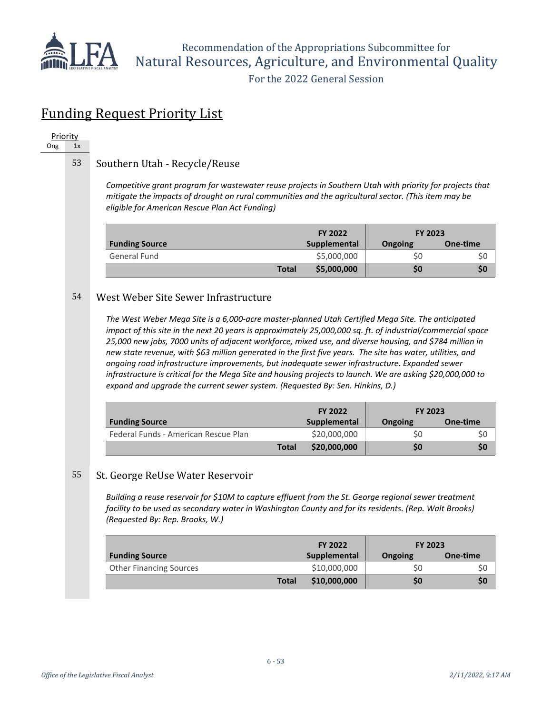

# Funding Request Priority List

#### Ong 1x **Priority**

### 53 Southern Utah - Recycle/Reuse

*Competitive grant program for wastewater reuse projects in Southern Utah with priority for projects that mitigate the impacts of drought on rural communities and the agricultural sector. (This item may be eligible for American Rescue Plan Act Funding)*

|                       |              | <b>FY 2022</b> | <b>FY 2023</b> |          |
|-----------------------|--------------|----------------|----------------|----------|
| <b>Funding Source</b> |              | Supplemental   | Ongoing        | One-time |
| General Fund          |              | \$5,000,000    | Ś0             | Ś0       |
|                       | <b>Total</b> | \$5,000,000    | \$0            | \$0      |

#### 54 West Weber Site Sewer Infrastructure

*The West Weber Mega Site is a 6,000‐acre master‐planned Utah Certified Mega Site. The anticipated impact of this site in the next 20 years is approximately 25,000,000 sq. ft. of industrial/commercial space 25,000 new jobs, 7000 units of adjacent workforce, mixed use, and diverse housing, and \$784 million in new state revenue, with \$63 million generated in the first five years. The site has water, utilities, and ongoing road infrastructure improvements, but inadequate sewer infrastructure. Expanded sewer infrastructure is critical for the Mega Site and housing projects to launch. We are asking \$20,000,000 to expand and upgrade the current sewer system. (Requested By: Sen. Hinkins, D.)*

|                                      |              | <b>FY 2022</b>      | <b>FY 2023</b> |          |
|--------------------------------------|--------------|---------------------|----------------|----------|
| <b>Funding Source</b>                |              | <b>Supplemental</b> | Ongoing        | One-time |
| Federal Funds - American Rescue Plan |              | \$20,000,000        | S0             | SC       |
|                                      | <b>Total</b> | \$20,000,000        | \$0            | \$0      |

#### 55 St. George ReUse Water Reservoir

*Building a reuse reservoir for \$10M to capture effluent from the St. George regional sewer treatment facility to be used as secondary water in Washington County and for its residents. (Rep. Walt Brooks) (Requested By: Rep. Brooks, W.)*

|                                |              | <b>FY 2022</b> | FY 2023 |          |
|--------------------------------|--------------|----------------|---------|----------|
| <b>Funding Source</b>          |              | Supplemental   | Ongoing | One-time |
| <b>Other Financing Sources</b> |              | \$10,000,000   | S0      | ŚΟ       |
|                                | <b>Total</b> | \$10,000,000   | \$0     | \$0      |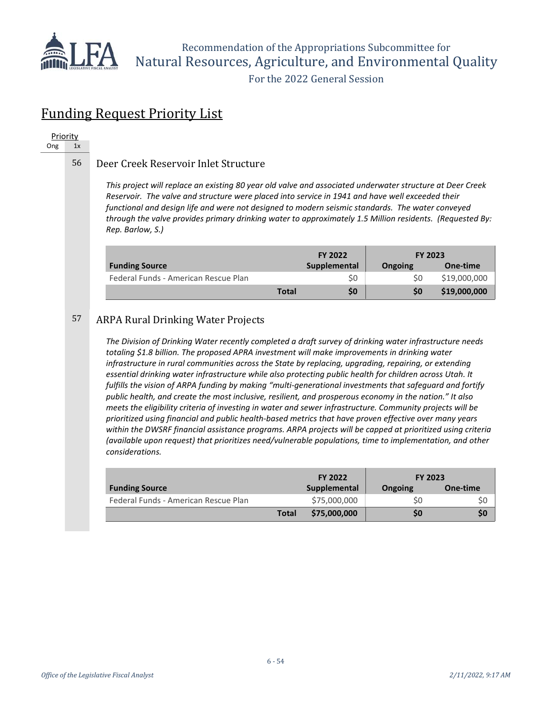

# Funding Request Priority List

#### Ong 1x Priority

## 56 Deer Creek Reservoir Inlet Structure

*This project will replace an existing 80 year old valve and associated underwater structure at Deer Creek Reservoir. The valve and structure were placed into service in 1941 and have well exceeded their functional and design life and were not designed to modern seismic standards. The water conveyed through the valve provides primary drinking water to approximately 1.5 Million residents. (Requested By: Rep. Barlow, S.)*

|                                      |       | <b>FY 2022</b> | <b>FY 2023</b> |              |
|--------------------------------------|-------|----------------|----------------|--------------|
| <b>Funding Source</b>                |       | Supplemental   | Ongoing        | One-time     |
| Federal Funds - American Rescue Plan |       | \$0            |                | \$19,000,000 |
|                                      | Total | \$0            | S0             | \$19,000,000 |

# 57 ARPA Rural Drinking Water Projects

*The Division of Drinking Water recently completed a draft survey of drinking water infrastructure needs totaling \$1.8 billion. The proposed APRA investment will make improvements in drinking water infrastructure in rural communities across the State by replacing, upgrading, repairing, or extending essential drinking water infrastructure while also protecting public health for children across Utah. It fulfills the vision of ARPA funding by making "multi‐generational investments that safeguard and fortify public health, and create the most inclusive, resilient, and prosperous economy in the nation." It also meets the eligibility criteria of investing in water and sewer infrastructure. Community projects will be prioritized using financial and public health‐based metrics that have proven effective over many years within the DWSRF financial assistance programs. ARPA projects will be capped at prioritized using criteria (available upon request) that prioritizes need/vulnerable populations, time to implementation, and other considerations.*

|                                      |              | <b>FY 2022</b> | <b>FY 2023</b> |          |
|--------------------------------------|--------------|----------------|----------------|----------|
| <b>Funding Source</b>                |              | Supplemental   | Ongoing        | One-time |
| Federal Funds - American Rescue Plan |              | \$75,000,000   | S0             | \$0      |
|                                      | <b>Total</b> | \$75,000,000   | \$0            | \$0      |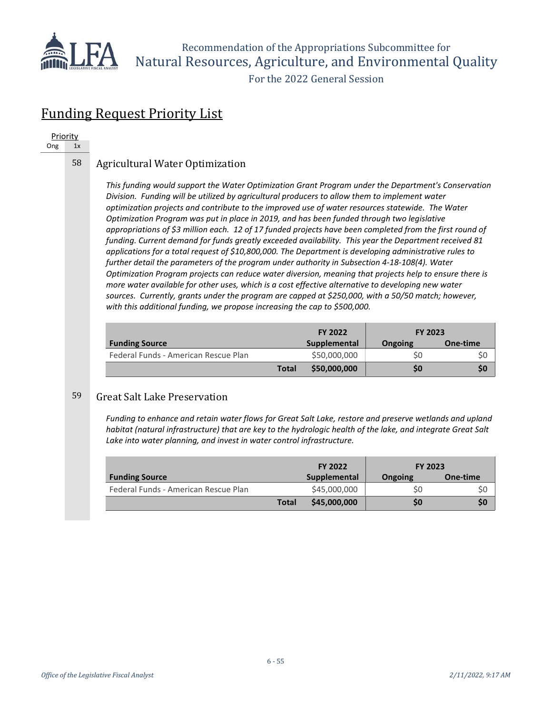

For the 2022 General Session

# Funding Request Priority List

#### Ong 1x **Priority**

### 58 Agricultural Water Optimization

*This funding would support the Water Optimization Grant Program under the Department's Conservation Division. Funding will be utilized by agricultural producers to allow them to implement water optimization projects and contribute to the improved use of water resources statewide. The Water Optimization Program was put in place in 2019, and has been funded through two legislative appropriations of \$3 million each. 12 of 17 funded projects have been completed from the first round of funding. Current demand for funds greatly exceeded availability. This year the Department received 81 applications for a total request of \$10,800,000. The Department is developing administrative rules to further detail the parameters of the program under authority in Subsection 4‐18‐108(4). Water Optimization Program projects can reduce water diversion, meaning that projects help to ensure there is more water available for other uses, which is a cost effective alternative to developing new water sources. Currently, grants under the program are capped at \$250,000, with a 50/50 match; however, with this additional funding, we propose increasing the cap to \$500,000.*

|                                      |              | <b>FY 2022</b> | <b>FY 2023</b> |          |
|--------------------------------------|--------------|----------------|----------------|----------|
| <b>Funding Source</b>                |              | Supplemental   | Ongoing        | One-time |
| Federal Funds - American Rescue Plan |              | \$50,000,000   | S0             | S0       |
|                                      | <b>Total</b> | \$50,000,000   | \$0            | \$0      |

#### 59 Great Salt Lake Preservation

*Funding to enhance and retain water flows for Great Salt Lake, restore and preserve wetlands and upland habitat (natural infrastructure) that are key to the hydrologic health of the lake, and integrate Great Salt Lake into water planning, and invest in water control infrastructure.*

|                                      |       | <b>FY 2022</b> | <b>FY 2023</b> |          |
|--------------------------------------|-------|----------------|----------------|----------|
| <b>Funding Source</b>                |       | Supplemental   | Ongoing        | One-time |
| Federal Funds - American Rescue Plan |       | \$45,000,000   | S0             | \$0      |
|                                      | Total | \$45,000,000   | \$0            | \$0      |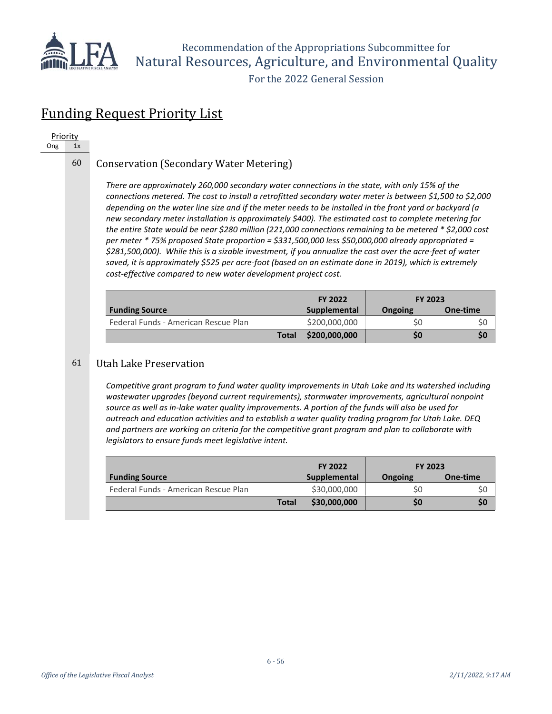

# Funding Request Priority List

Ong 1x **Priority** 

# 60 Conservation (Secondary Water Metering)

*There are approximately 260,000 secondary water connections in the state, with only 15% of the connections metered. The cost to install a retrofitted secondary water meter is between \$1,500 to \$2,000 depending on the water line size and if the meter needs to be installed in the front yard or backyard (a new secondary meter installation is approximately \$400). The estimated cost to complete metering for the entire State would be near \$280 million (221,000 connections remaining to be metered \* \$2,000 cost per meter \* 75% proposed State proportion = \$331,500,000 less \$50,000,000 already appropriated = \$281,500,000). While this is a sizable investment, if you annualize the cost over the acre‐feet of water saved, it is approximately \$525 per acre‐foot (based on an estimate done in 2019), which is extremely cost‐effective compared to new water development project cost.*

|                                      |              | <b>FY 2022</b> | <b>FY 2023</b> |          |
|--------------------------------------|--------------|----------------|----------------|----------|
| <b>Funding Source</b>                |              | Supplemental   | Ongoing        | One-time |
| Federal Funds - American Rescue Plan |              | \$200,000,000  | S0             | Ś0       |
|                                      | <b>Total</b> | \$200,000,000  | \$0            | \$0      |

#### 61 Utah Lake Preservation

*Competitive grant program to fund water quality improvements in Utah Lake and its watershed including wastewater upgrades (beyond current requirements), stormwater improvements, agricultural nonpoint source as well as in‐lake water quality improvements. A portion of the funds will also be used for outreach and education activities and to establish a water quality trading program for Utah Lake. DEQ and partners are working on criteria for the competitive grant program and plan to collaborate with legislators to ensure funds meet legislative intent.*

|                                      |              | <b>FY 2022</b> | <b>FY 2023</b> |          |
|--------------------------------------|--------------|----------------|----------------|----------|
| <b>Funding Source</b>                |              | Supplemental   | Ongoing        | One-time |
| Federal Funds - American Rescue Plan |              | \$30,000,000   | S0             | SÜ       |
|                                      | <b>Total</b> | \$30,000,000   | S0             | \$0      |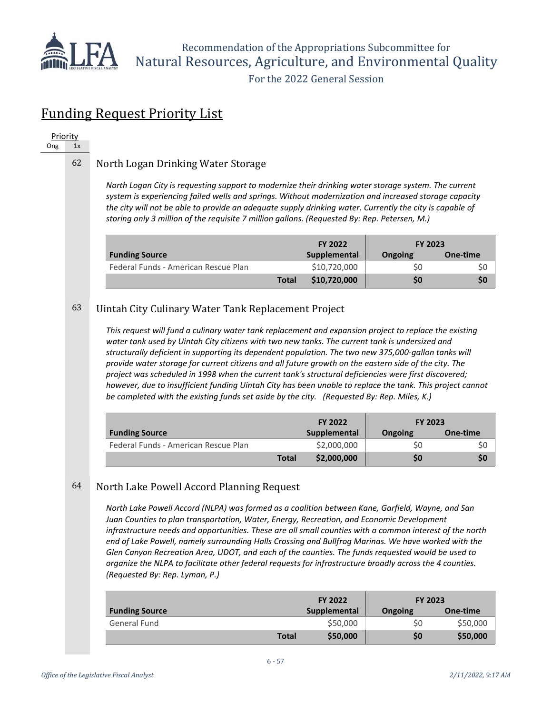

Ong

For the 2022 General Session

# Funding Request Priority List

| 1x |                                                                                                                                                                                                                                                                                                                                                                                                                                                                                                                                   |                             |                |          |
|----|-----------------------------------------------------------------------------------------------------------------------------------------------------------------------------------------------------------------------------------------------------------------------------------------------------------------------------------------------------------------------------------------------------------------------------------------------------------------------------------------------------------------------------------|-----------------------------|----------------|----------|
|    |                                                                                                                                                                                                                                                                                                                                                                                                                                                                                                                                   |                             |                |          |
| 62 | North Logan Drinking Water Storage                                                                                                                                                                                                                                                                                                                                                                                                                                                                                                |                             |                |          |
|    | North Logan City is requesting support to modernize their drinking water storage system. The current<br>system is experiencing failed wells and springs. Without modernization and increased storage capacity<br>the city will not be able to provide an adequate supply drinking water. Currently the city is capable of<br>storing only 3 million of the requisite 7 million gallons. (Requested By: Rep. Petersen, M.)                                                                                                         |                             |                |          |
|    |                                                                                                                                                                                                                                                                                                                                                                                                                                                                                                                                   | FY 2022                     | FY 2023        |          |
|    | <b>Funding Source</b>                                                                                                                                                                                                                                                                                                                                                                                                                                                                                                             | Supplemental                | Ongoing        | One-time |
|    | Federal Funds - American Rescue Plan                                                                                                                                                                                                                                                                                                                                                                                                                                                                                              | \$10,720,000                | \$0            | \$0      |
|    | <b>Total</b>                                                                                                                                                                                                                                                                                                                                                                                                                                                                                                                      | \$10,720,000                | \$0            | \$0      |
|    | This request will fund a culinary water tank replacement and expansion project to replace the existing<br>water tank used by Uintah City citizens with two new tanks. The current tank is undersized and<br>structurally deficient in supporting its dependent population. The two new 375,000-gallon tanks will<br>provide water storage for current citizens and all future growth on the eastern side of the city. The<br>project was scheduled in 1998 when the current tank's structural deficiencies were first discovered; |                             |                |          |
|    | however, due to insufficient funding Uintah City has been unable to replace the tank. This project cannot<br>be completed with the existing funds set aside by the city. (Requested By: Rep. Miles, K.)                                                                                                                                                                                                                                                                                                                           |                             |                |          |
|    |                                                                                                                                                                                                                                                                                                                                                                                                                                                                                                                                   | FY 2022                     | FY 2023        | One-time |
|    | <b>Funding Source</b><br>Federal Funds - American Rescue Plan                                                                                                                                                                                                                                                                                                                                                                                                                                                                     | Supplemental<br>\$2,000,000 | Ongoing<br>\$0 | \$0      |

*organize the NLPA to facilitate other federal requests for infrastructure broadly across the 4 counties. (Requested By: Rep. Lyman, P.)*

|                       |              | <b>FY 2022</b> | <b>FY 2023</b> |          |
|-----------------------|--------------|----------------|----------------|----------|
| <b>Funding Source</b> |              | Supplemental   | Ongoing        | One-time |
| General Fund          |              | \$50,000       | S0             | \$50,000 |
|                       | <b>Total</b> | \$50,000       | \$0            | \$50,000 |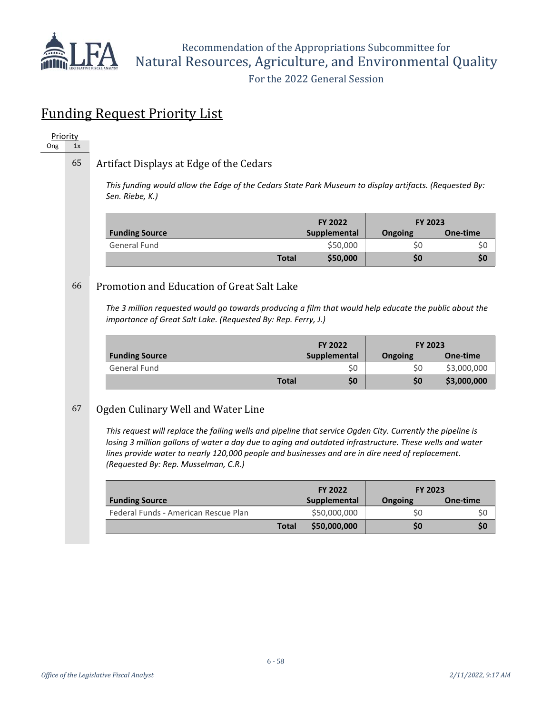

For the 2022 General Session

# Funding Request Priority List

# 65 Artifact Displays at Edge of the Cedars

*This funding would allow the Edge of the Cedars State Park Museum to display artifacts. (Requested By: Sen. Riebe, K.)*

|                       |              | <b>FY 2022</b> | <b>FY 2023</b> |          |
|-----------------------|--------------|----------------|----------------|----------|
| <b>Funding Source</b> |              | Supplemental   | Ongoing        | One-time |
| General Fund          |              | \$50,000       | Ś0             |          |
|                       | <b>Total</b> | \$50,000       | \$0            | \$0      |

#### 66 Promotion and Education of Great Salt Lake

*The 3 million requested would go towards producing a film that would help educate the public about the importance of Great Salt Lake. (Requested By: Rep. Ferry, J.)*

|                       |              | <b>FY 2022</b> | <b>FY 2023</b> |             |
|-----------------------|--------------|----------------|----------------|-------------|
| <b>Funding Source</b> |              | Supplemental   | Ongoing        | One-time    |
| General Fund          |              | Ś0             | S0             | \$3,000,000 |
|                       | <b>Total</b> | \$0            | \$0            | \$3,000,000 |

### 67 Ogden Culinary Well and Water Line

*This request will replace the failing wells and pipeline that service Ogden City. Currently the pipeline is losing 3 million gallons of water a day due to aging and outdated infrastructure. These wells and water lines provide water to nearly 120,000 people and businesses and are in dire need of replacement. (Requested By: Rep. Musselman, C.R.)*

|                                      |       | <b>FY 2022</b> | <b>FY 2023</b> |          |
|--------------------------------------|-------|----------------|----------------|----------|
| <b>Funding Source</b>                |       | Supplemental   | Ongoing        | One-time |
| Federal Funds - American Rescue Plan |       | \$50,000,000   | S0             | \$0      |
|                                      | Total | \$50,000,000   | \$0            | \$0      |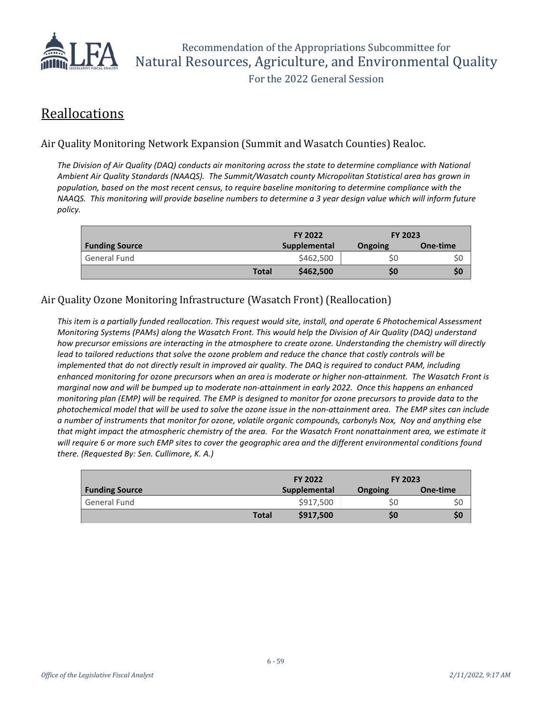

For the 2022 General Session

# Reallocations

Air Quality Monitoring Network Expansion (Summit and Wasatch Counties) Realoc.

*The Division of Air Quality (DAQ) conducts air monitoring across the state to determine compliance with National Ambient Air Quality Standards (NAAQS). The Summit/Wasatch county Micropolitan Statistical area has grown in population, based on the most recent census, to require baseline monitoring to determine compliance with the NAAQS. This monitoring will provide baseline numbers to determine a 3 year design value which will inform future policy.*

|                       |              | <b>FY 2022</b> | <b>FY 2023</b> |           |
|-----------------------|--------------|----------------|----------------|-----------|
| <b>Funding Source</b> |              | Supplemental   | Ongoing        | One-time  |
| General Fund          |              | \$462,500      | S0             | SC        |
|                       | <b>Total</b> | \$462,500      | \$0            | <b>SO</b> |

## Air Quality Ozone Monitoring Infrastructure (Wasatch Front) (Reallocation)

*This item is a partially funded reallocation. This request would site, install, and operate 6 Photochemical Assessment Monitoring Systems (PAMs) along the Wasatch Front. This would help the Division of Air Quality (DAQ) understand how precursor emissions are interacting in the atmosphere to create ozone. Understanding the chemistry will directly lead to tailored reductions that solve the ozone problem and reduce the chance that costly controls will be implemented that do not directly result in improved air quality. The DAQ is required to conduct PAM, including enhanced monitoring for ozone precursors when an area is moderate or higher non‐attainment. The Wasatch Front is marginal now and will be bumped up to moderate non‐attainment in early 2022. Once this happens an enhanced monitoring plan (EMP) will be required. The EMP is designed to monitor for ozone precursors to provide data to the photochemical model that will be used to solve the ozone issue in the non‐attainment area. The EMP sites can include a number of instruments that monitor for ozone, volatile organic compounds, carbonyls Nox, Noy and anything else that might impact the atmospheric chemistry of the area. For the Wasatch Front nonattainment area, we estimate it will require 6 or more such EMP sites to cover the geographic area and the different environmental conditions found there. (Requested By: Sen. Cullimore, K. A.)*

|                       |              | <b>FY 2022</b> | <b>FY 2023</b> |          |
|-----------------------|--------------|----------------|----------------|----------|
| <b>Funding Source</b> |              | Supplemental   | Ongoing        | One-time |
| General Fund          |              | \$917,500      | SO             |          |
|                       | <b>Total</b> | \$917,500      | \$0            | \$0      |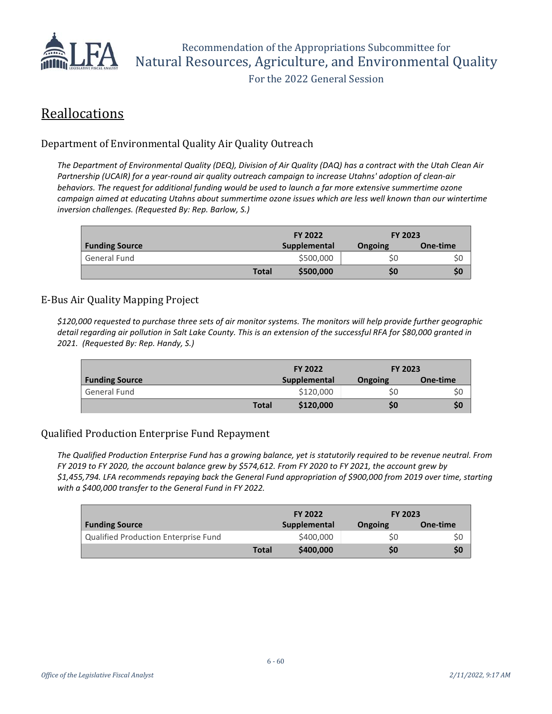

For the 2022 General Session

# Reallocations

## Department of Environmental Quality Air Quality Outreach

*The Department of Environmental Quality (DEQ), Division of Air Quality (DAQ) has a contract with the Utah Clean Air Partnership (UCAIR) for a year‐round air quality outreach campaign to increase Utahns' adoption of clean‐air behaviors. The request for additional funding would be used to launch a far more extensive summertime ozone campaign aimed at educating Utahns about summertime ozone issues which are less well known than our wintertime inversion challenges. (Requested By: Rep. Barlow, S.)*

|                       |              | <b>FY 2022</b> | <b>FY 2023</b> |          |
|-----------------------|--------------|----------------|----------------|----------|
| <b>Funding Source</b> |              | Supplemental   | Ongoing        | One-time |
| General Fund          |              | \$500,000      | \$C            |          |
|                       | <b>Total</b> | \$500,000      | \$0            | \$0      |

#### E-Bus Air Quality Mapping Project

*\$120,000 requested to purchase three sets of air monitor systems. The monitors will help provide further geographic detail regarding air pollution in Salt Lake County. This is an extension of the successful RFA for \$80,000 granted in 2021. (Requested By: Rep. Handy, S.)*

|                       |              | <b>FY 2022</b> | <b>FY 2023</b> |          |
|-----------------------|--------------|----------------|----------------|----------|
| <b>Funding Source</b> |              | Supplemental   | Ongoing        | One-time |
| General Fund          |              | \$120,000      | S0             |          |
|                       | <b>Total</b> | \$120,000      | \$0            | \$0      |

### Qualified Production Enterprise Fund Repayment

*The Qualified Production Enterprise Fund has a growing balance, yet is statutorily required to be revenue neutral. From FY 2019 to FY 2020, the account balance grew by \$574,612. From FY 2020 to FY 2021, the account grew by \$1,455,794. LFA recommends repaying back the General Fund appropriation of \$900,000 from 2019 over time, starting with a \$400,000 transfer to the General Fund in FY 2022.*

|                                      |              | <b>FY 2022</b> | <b>FY 2023</b> |          |
|--------------------------------------|--------------|----------------|----------------|----------|
| <b>Funding Source</b>                |              | Supplemental   | Ongoing        | One-time |
| Qualified Production Enterprise Fund |              | \$400,000      | S0             |          |
|                                      | <b>Total</b> | \$400,000      | \$0            |          |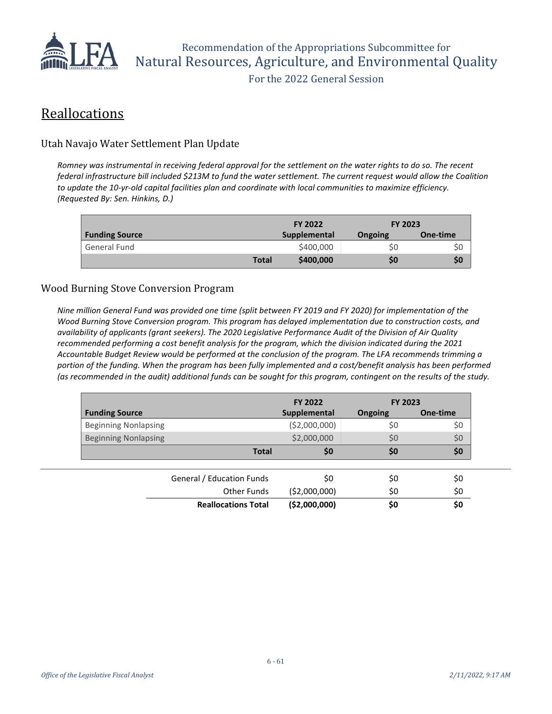

For the 2022 General Session

# Reallocations

## Utah Navajo Water Settlement Plan Update

*Romney was instrumental in receiving federal approval for the settlement on the water rights to do so. The recent federal infrastructure bill included \$213M to fund the water settlement. The current request would allow the Coalition to update the 10‐yr‐old capital facilities plan and coordinate with local communities to maximize efficiency. (Requested By: Sen. Hinkins, D.)*

|                       |              | <b>FY 2022</b> | <b>FY 2023</b> |          |
|-----------------------|--------------|----------------|----------------|----------|
| <b>Funding Source</b> |              | Supplemental   | Ongoing        | One-time |
| General Fund          |              | \$400,000      | S0             | SO       |
|                       | <b>Total</b> | \$400,000      | \$0            | \$0      |

#### Wood Burning Stove Conversion Program

*Nine million General Fund was provided one time (split between FY 2019 and FY 2020) for implementation of the Wood Burning Stove Conversion program. This program has delayed implementation due to construction costs, and availability of applicants (grant seekers). The 2020 Legislative Performance Audit of the Division of Air Quality recommended performing a cost benefit analysis for the program, which the division indicated during the 2021 Accountable Budget Review would be performed at the conclusion of the program. The LFA recommends trimming a*  portion of the funding. When the program has been fully implemented and a cost/benefit analysis has been performed *(as recommended in the audit) additional funds can be sought for this program, contingent on the results of the study.*

|                             |                            | <b>FY 2022</b> | <b>FY 2023</b> |          |
|-----------------------------|----------------------------|----------------|----------------|----------|
| <b>Funding Source</b>       |                            | Supplemental   | <b>Ongoing</b> | One-time |
| <b>Beginning Nonlapsing</b> |                            | ( \$2,000,000) | \$0            | \$0      |
| <b>Beginning Nonlapsing</b> |                            | \$2,000,000    | \$0            | \$0      |
|                             | <b>Total</b>               | \$0            | \$0            | \$0      |
|                             | General / Education Funds  | \$0            | \$0            | \$0      |
|                             | <b>Other Funds</b>         | ( \$2,000,000) | \$0            | \$0      |
|                             | <b>Reallocations Total</b> | ( \$2,000,000) | \$0            | \$0      |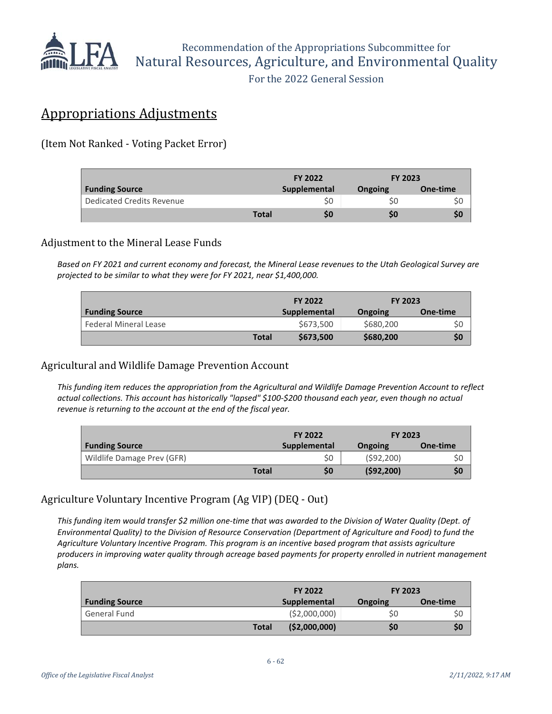

# Appropriations Adjustments

# (Item Not Ranked - Voting Packet Error)

|                           |       | <b>FY 2022</b> |         | <b>FY 2023</b> |
|---------------------------|-------|----------------|---------|----------------|
| <b>Funding Source</b>     |       | Supplemental   | Ongoing | One-time       |
| Dedicated Credits Revenue |       | S0             | S0      |                |
|                           | Total | S0             | \$0     | SC             |

## Adjustment to the Mineral Lease Funds

*Based on FY 2021 and current economy and forecast, the Mineral Lease revenues to the Utah Geological Survey are projected to be similar to what they were for FY 2021, near \$1,400,000.*

|                              |              | <b>FY 2022</b> | <b>FY 2023</b> |          |
|------------------------------|--------------|----------------|----------------|----------|
| <b>Funding Source</b>        |              | Supplemental   | Ongoing        | One-time |
| <b>Federal Mineral Lease</b> |              | \$673,500      | \$680,200      | \$0      |
|                              | <b>Total</b> | \$673,500      | \$680,200      | \$0      |

### Agricultural and Wildlife Damage Prevention Account

*This funding item reduces the appropriation from the Agricultural and Wildlife Damage Prevention Account to reflect actual collections. This account has historically "lapsed" \$100‐\$200 thousand each year, even though no actual revenue is returning to the account at the end of the fiscal year.*

|                            |              | <b>FY 2022</b> | <b>FY 2023</b> |          |
|----------------------------|--------------|----------------|----------------|----------|
| <b>Funding Source</b>      |              | Supplemental   | Ongoing        | One-time |
| Wildlife Damage Prev (GFR) |              | \$0            | (592, 200)     | S0       |
|                            | <b>Total</b> | \$0            | (592, 200)     | \$0      |

### Agriculture Voluntary Incentive Program (Ag VIP) (DEQ - Out)

*This funding item would transfer \$2 million one‐time that was awarded to the Division of Water Quality (Dept. of Environmental Quality) to the Division of Resource Conservation (Department of Agriculture and Food) to fund the Agriculture Voluntary Incentive Program. This program is an incentive based program that assists agriculture producers in improving water quality through acreage based payments for property enrolled in nutrient management plans.*

|                       | <b>FY 2022</b> | <b>FY 2023</b> |          |
|-----------------------|----------------|----------------|----------|
| <b>Funding Source</b> | Supplemental   | Ongoing        | One-time |
| General Fund          | ( \$2,000,000) | S0             | SC       |
| <b>Total</b>          | ( \$2,000,000) | \$0            | Ş0       |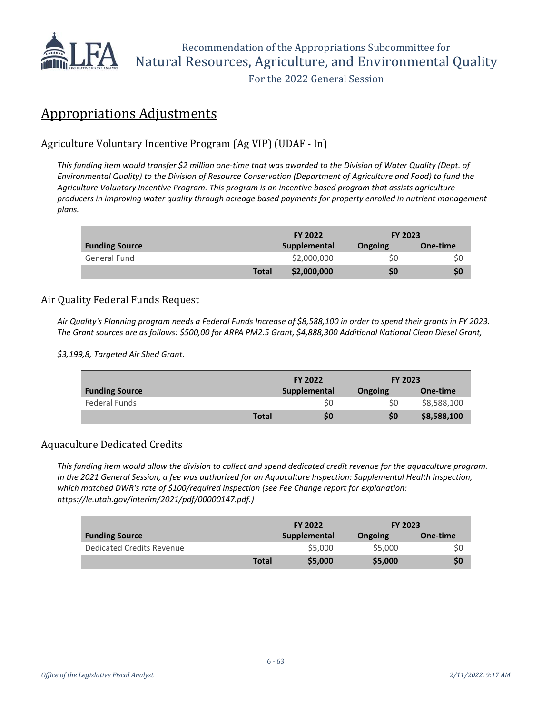

# Appropriations Adjustments

# Agriculture Voluntary Incentive Program (Ag VIP) (UDAF - In)

*This funding item would transfer \$2 million one‐time that was awarded to the Division of Water Quality (Dept. of Environmental Quality) to the Division of Resource Conservation (Department of Agriculture and Food) to fund the Agriculture Voluntary Incentive Program. This program is an incentive based program that assists agriculture producers in improving water quality through acreage based payments for property enrolled in nutrient management plans.*

|                       |              | <b>FY 2022</b> | <b>FY 2023</b> |           |
|-----------------------|--------------|----------------|----------------|-----------|
| <b>Funding Source</b> |              | Supplemental   | Ongoing        | One-time  |
| General Fund          |              | \$2,000,000    | S0             | SC        |
|                       | <b>Total</b> | \$2,000,000    | \$0            | <b>SO</b> |

### Air Quality Federal Funds Request

*Air Quality's Planning program needs a Federal Funds Increase of \$8,588,100 in order to spend their grants in FY 2023.*  The Grant sources are as follows: \$500,00 for ARPA PM2.5 Grant, \$4,888,300 Additional National Clean Diesel Grant,

*\$3,199,8, Targeted Air Shed Grant.*

|                       |              | <b>FY 2022</b> | <b>FY 2023</b> |             |
|-----------------------|--------------|----------------|----------------|-------------|
| <b>Funding Source</b> |              | Supplemental   | Ongoing        | One-time    |
| Federal Funds         |              | \$0            | S0             | \$8,588,100 |
|                       | <b>Total</b> | \$0            | \$0            | \$8,588,100 |

### Aquaculture Dedicated Credits

*This funding item would allow the division to collect and spend dedicated credit revenue for the aquaculture program. In the 2021 General Session, a fee was authorized for an Aquaculture Inspection: Supplemental Health Inspection, which matched DWR's rate of \$100/required inspection (see Fee Change report for explanation: https://le.utah.gov/interim/2021/pdf/00000147.pdf.)*

|                           |              | <b>FY 2022</b> | <b>FY 2023</b> |          |
|---------------------------|--------------|----------------|----------------|----------|
| <b>Funding Source</b>     |              | Supplemental   | Ongoing        | One-time |
| Dedicated Credits Revenue |              | \$5,000        | \$5,000        |          |
|                           | <b>Total</b> | \$5,000        | \$5,000        | S0       |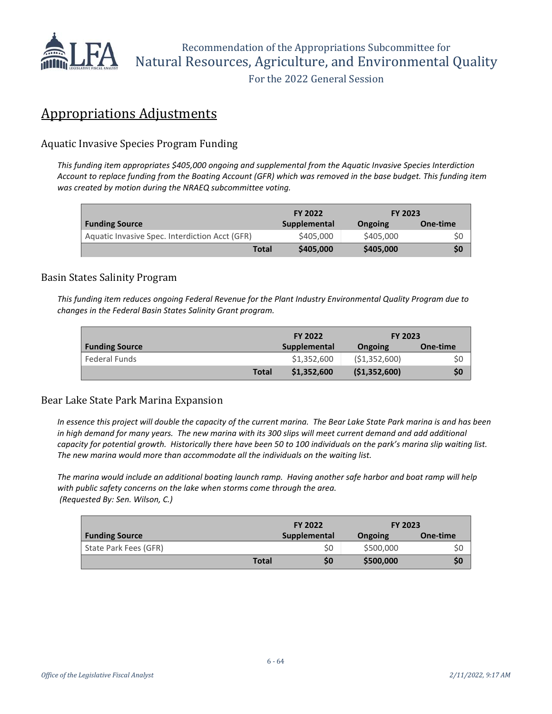

# Appropriations Adjustments

## Aquatic Invasive Species Program Funding

*This funding item appropriates \$405,000 ongoing and supplemental from the Aquatic Invasive Species Interdiction Account to replace funding from the Boating Account (GFR) which was removed in the base budget. This funding item was created by motion during the NRAEQ subcommittee voting.*

|                                                | <b>FY 2022</b> | <b>FY 2023</b> |          |
|------------------------------------------------|----------------|----------------|----------|
| <b>Funding Source</b>                          | Supplemental   | Ongoing        | One-time |
| Aquatic Invasive Spec. Interdiction Acct (GFR) | \$405,000      | \$405,000      | \$0      |
| <b>Total</b>                                   | \$405,000      | \$405,000      | \$0      |

### Basin States Salinity Program

*This funding item reduces ongoing Federal Revenue for the Plant Industry Environmental Quality Program due to changes in the Federal Basin States Salinity Grant program.*

|                       |              | <b>FY 2022</b> | <b>FY 2023</b> |          |
|-----------------------|--------------|----------------|----------------|----------|
| <b>Funding Source</b> |              | Supplemental   | Ongoing        | One-time |
| Federal Funds         |              | \$1,352,600    | ( \$1,352,600) | \$0      |
|                       | <b>Total</b> | \$1,352,600    | (\$1,352,600)  | \$0      |

### Bear Lake State Park Marina Expansion

*In essence this project will double the capacity of the current marina. The Bear Lake State Park marina is and has been*  in high demand for many years. The new marina with its 300 slips will meet current demand and add additional *capacity for potential growth. Historically there have been 50 to 100 individuals on the park's marina slip waiting list. The new marina would more than accommodate all the individuals on the waiting list.*

*The marina would include an additional boating launch ramp. Having another safe harbor and boat ramp will help with public safety concerns on the lake when storms come through the area. (Requested By: Sen. Wilson, C.)*

|                       |       | <b>FY 2022</b> | <b>FY 2023</b> |          |
|-----------------------|-------|----------------|----------------|----------|
| <b>Funding Source</b> |       | Supplemental   | Ongoing        | One-time |
| State Park Fees (GFR) |       | S0             | \$500,000      |          |
|                       | Total | S0             | \$500,000      | \$0      |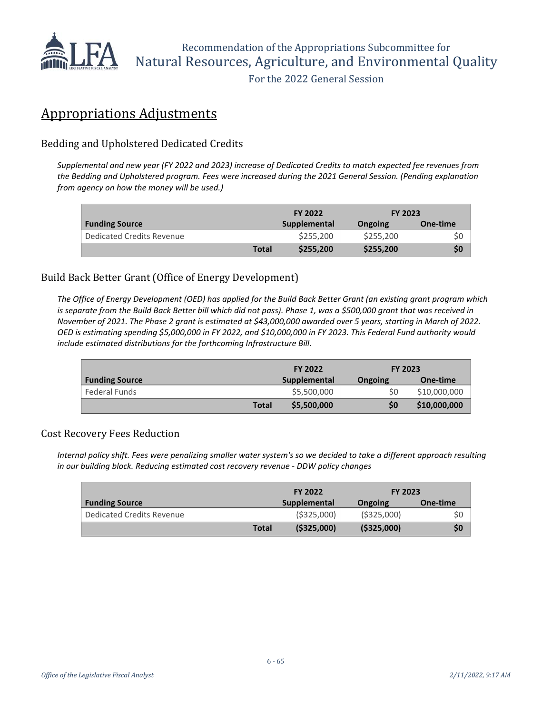

# Appropriations Adjustments

# Bedding and Upholstered Dedicated Credits

*Supplemental and new year (FY 2022 and 2023) increase of Dedicated Credits to match expected fee revenues from the Bedding and Upholstered program. Fees were increased during the 2021 General Session. (Pending explanation from agency on how the money will be used.)*

|                           |              | <b>FY 2022</b> | <b>FY 2023</b> |           |
|---------------------------|--------------|----------------|----------------|-----------|
| <b>Funding Source</b>     |              | Supplemental   | Ongoing        | One-time  |
| Dedicated Credits Revenue |              | \$255,200      | \$255,200      | \$0       |
|                           | <b>Total</b> | \$255,200      | \$255,200      | <b>SO</b> |

# Build Back Better Grant (Office of Energy Development)

*The Office of Energy Development (OED) has applied for the Build Back Better Grant (an existing grant program which is separate from the Build Back Better bill which did not pass). Phase 1, was a \$500,000 grant that was received in November of 2021. The Phase 2 grant is estimated at \$43,000,000 awarded over 5 years, starting in March of 2022. OED is estimating spending \$5,000,000 in FY 2022, and \$10,000,000 in FY 2023. This Federal Fund authority would include estimated distributions for the forthcoming Infrastructure Bill.*

|                       |              | <b>FY 2022</b> | <b>FY 2023</b> |              |
|-----------------------|--------------|----------------|----------------|--------------|
| <b>Funding Source</b> |              | Supplemental   | Ongoing        | One-time     |
| Federal Funds         |              | \$5,500,000    | S0             | \$10,000,000 |
|                       | <b>Total</b> | \$5,500,000    | <b>SO</b>      | \$10,000,000 |

### Cost Recovery Fees Reduction

*Internal policy shift. Fees were penalizing smaller water system's so we decided to take a different approach resulting in our building block. Reducing estimated cost recovery revenue ‐ DDW policy changes*

|                           |       | <b>FY 2022</b> | <b>FY 2023</b> |          |
|---------------------------|-------|----------------|----------------|----------|
| <b>Funding Source</b>     |       | Supplemental   | Ongoing        | One-time |
| Dedicated Credits Revenue |       | ( \$325,000)   | ( \$325,000)   |          |
|                           | Total | (5325,000)     | ( \$325,000)   | S0       |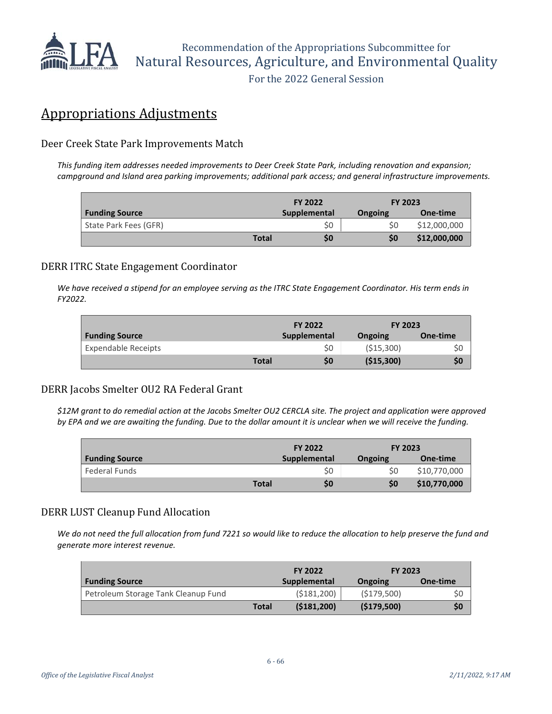

# Appropriations Adjustments

### Deer Creek State Park Improvements Match

*This funding item addresses needed improvements to Deer Creek State Park, including renovation and expansion; campground and Island area parking improvements; additional park access; and general infrastructure improvements.*

|                       |       | <b>FY 2022</b> |           | <b>FY 2023</b> |
|-----------------------|-------|----------------|-----------|----------------|
| <b>Funding Source</b> |       | Supplemental   | Ongoing   | One-time       |
| State Park Fees (GFR) |       | \$0            | S0        | \$12,000,000   |
|                       | Total | S0             | <b>SO</b> | \$12,000,000   |

#### DERR ITRC State Engagement Coordinator

*We have received a stipend for an employee serving as the ITRC State Engagement Coordinator. His term ends in FY2022.*

|                       |              | <b>FY 2022</b> | <b>FY 2023</b> |          |
|-----------------------|--------------|----------------|----------------|----------|
| <b>Funding Source</b> |              | Supplemental   | Ongoing        | One-time |
| Expendable Receipts   |              | \$0            | ( \$15,300)    | ŚΟ       |
|                       | <b>Total</b> | \$0            | ( \$15,300)    | S0       |

### DERR Jacobs Smelter OU2 RA Federal Grant

*\$12M grant to do remedial action at the Jacobs Smelter OU2 CERCLA site. The project and application were approved by EPA and we are awaiting the funding. Due to the dollar amount it is unclear when we will receive the funding.*

|                       |       | <b>FY 2022</b> |         | <b>FY 2023</b> |
|-----------------------|-------|----------------|---------|----------------|
| <b>Funding Source</b> |       | Supplemental   | Ongoing | One-time       |
| Federal Funds         |       | \$0            | S0      | \$10,770,000   |
|                       | Total | \$0            | 50      | \$10,770,000   |

### DERR LUST Cleanup Fund Allocation

We do not need the full allocation from fund 7221 so would like to reduce the allocation to help preserve the fund and *generate more interest revenue.*

|                                     |              | <b>FY 2022</b> | <b>FY 2023</b> |          |
|-------------------------------------|--------------|----------------|----------------|----------|
| <b>Funding Source</b>               |              | Supplemental   | Ongoing        | One-time |
| Petroleum Storage Tank Cleanup Fund |              | ( \$181, 200)  | ( \$179,500)   | ŚС       |
|                                     | <b>Total</b> | (5181, 200)    | ( \$179,500)   | \$0      |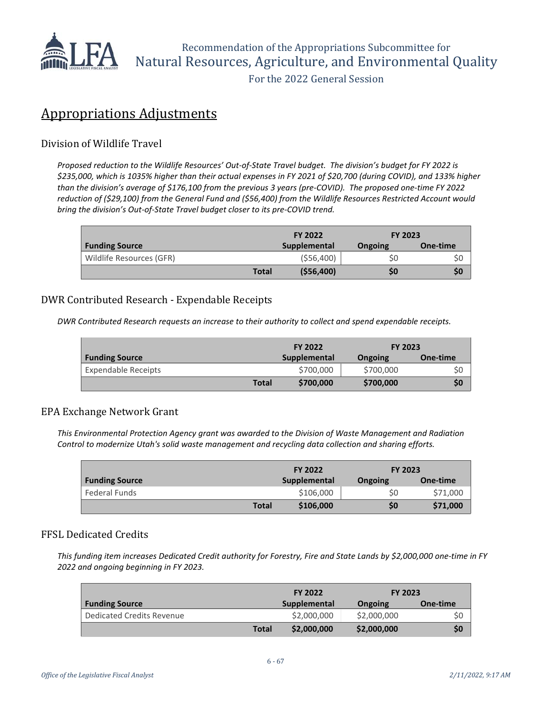

# Appropriations Adjustments

## Division of Wildlife Travel

*Proposed reduction to the Wildlife Resources' Out‐of‐State Travel budget. The division's budget for FY 2022 is \$235,000, which is 1035% higher than their actual expenses in FY 2021 of \$20,700 (during COVID), and 133% higher than the division's average of \$176,100 from the previous 3 years (pre‐COVID). The proposed one‐time FY 2022 reduction of (\$29,100) from the General Fund and (\$56,400) from the Wildlife Resources Restricted Account would bring the division's Out‐of‐State Travel budget closer to its pre‐COVID trend.*

|                          |       | <b>FY 2022</b> | <b>FY 2023</b> |          |
|--------------------------|-------|----------------|----------------|----------|
| <b>Funding Source</b>    |       | Supplemental   | Ongoing        | One-time |
| Wildlife Resources (GFR) |       | (556,400)      | S0             |          |
|                          | Total | ( \$56,400)    | \$0            | \$C      |

### DWR Contributed Research - Expendable Receipts

*DWR Contributed Research requests an increase to their authority to collect and spend expendable receipts.*

|                            |              | <b>FY 2022</b>      | <b>FY 2023</b> |          |
|----------------------------|--------------|---------------------|----------------|----------|
| <b>Funding Source</b>      |              | <b>Supplemental</b> | Ongoing        | One-time |
| <b>Expendable Receipts</b> |              | \$700,000           | \$700,000      | S0       |
|                            | <b>Total</b> | \$700,000           | \$700,000      | \$0      |

### EPA Exchange Network Grant

*This Environmental Protection Agency grant was awarded to the Division of Waste Management and Radiation Control to modernize Utah's solid waste management and recycling data collection and sharing efforts.*

|                       |              | <b>FY 2022</b> | <b>FY 2023</b> |          |
|-----------------------|--------------|----------------|----------------|----------|
| <b>Funding Source</b> |              | Supplemental   | Ongoing        | One-time |
| Federal Funds         |              | \$106,000      | S0             | \$71,000 |
|                       | <b>Total</b> | \$106,000      | \$0            | \$71,000 |

### FFSL Dedicated Credits

*This funding item increases Dedicated Credit authority for Forestry, Fire and State Lands by \$2,000,000 one‐time in FY 2022 and ongoing beginning in FY 2023.*

|                           |              | <b>FY 2022</b> | <b>FY 2023</b> |           |
|---------------------------|--------------|----------------|----------------|-----------|
| <b>Funding Source</b>     |              | Supplemental   | Ongoing        | One-time  |
| Dedicated Credits Revenue |              | \$2,000,000    | \$2,000,000    | \$0       |
|                           | <b>Total</b> | \$2,000,000    | \$2,000,000    | <b>SO</b> |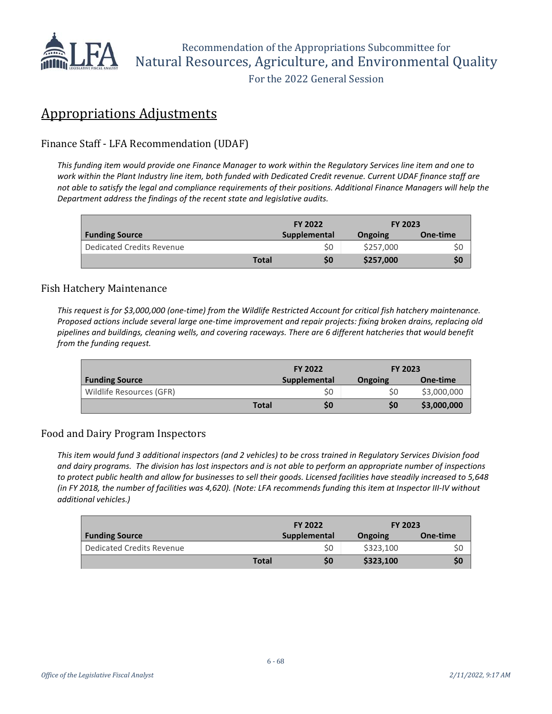

# Appropriations Adjustments

# Finance Staff - LFA Recommendation (UDAF)

*This funding item would provide one Finance Manager to work within the Regulatory Services line item and one to work within the Plant Industry line item, both funded with Dedicated Credit revenue. Current UDAF finance staff are not able to satisfy the legal and compliance requirements of their positions. Additional Finance Managers will help the Department address the findings of the recent state and legislative audits.*

|                           |       | <b>FY 2022</b> | <b>FY 2023</b> |          |
|---------------------------|-------|----------------|----------------|----------|
| <b>Funding Source</b>     |       | Supplemental   | Ongoing        | One-time |
| Dedicated Credits Revenue |       | \$0            | \$257,000      | S0       |
|                           | Total | S0             | \$257,000      | \$0      |

#### Fish Hatchery Maintenance

*This request is for \$3,000,000 (one‐time) from the Wildlife Restricted Account for critical fish hatchery maintenance. Proposed actions include several large one‐time improvement and repair projects: fixing broken drains, replacing old pipelines and buildings, cleaning wells, and covering raceways. There are 6 different hatcheries that would benefit from the funding request.*

|                          |       | <b>FY 2022</b> |         | <b>FY 2023</b> |
|--------------------------|-------|----------------|---------|----------------|
| <b>Funding Source</b>    |       | Supplemental   | Ongoing | One-time       |
| Wildlife Resources (GFR) |       | \$0            | Ś0      | \$3,000,000    |
|                          | Total | \$0            | SO      | \$3,000,000    |

# Food and Dairy Program Inspectors

*This item would fund 3 additional inspectors (and 2 vehicles) to be cross trained in Regulatory Services Division food and dairy programs. The division has lost inspectors and is not able to perform an appropriate number of inspections to protect public health and allow for businesses to sell their goods. Licensed facilities have steadily increased to 5,648 (in FY 2018, the number of facilities was 4,620). (Note: LFA recommends funding this item at Inspector III‐IV without additional vehicles.)*

|                           |              | <b>FY 2022</b> | <b>FY 2023</b> |          |
|---------------------------|--------------|----------------|----------------|----------|
| <b>Funding Source</b>     |              | Supplemental   | Ongoing        | One-time |
| Dedicated Credits Revenue |              | \$0            | \$323,100      | Ś0       |
|                           | <b>Total</b> | S0             | \$323,100      | \$0      |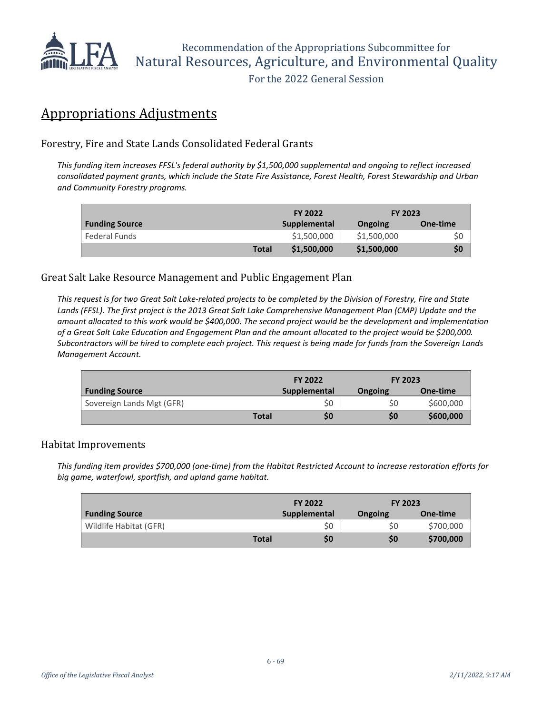

# Appropriations Adjustments

## Forestry, Fire and State Lands Consolidated Federal Grants

*This funding item increases FFSL's federal authority by \$1,500,000 supplemental and ongoing to reflect increased consolidated payment grants, which include the State Fire Assistance, Forest Health, Forest Stewardship and Urban and Community Forestry programs.*

|                       |       | <b>FY 2022</b> | <b>FY 2023</b> |          |
|-----------------------|-------|----------------|----------------|----------|
| <b>Funding Source</b> |       | Supplemental   | Ongoing        | One-time |
| Federal Funds         |       | \$1,500,000    | \$1,500,000    | S0       |
|                       | Total | \$1,500,000    | \$1,500,000    | \$0      |

#### Great Salt Lake Resource Management and Public Engagement Plan

*This request is for two Great Salt Lake‐related projects to be completed by the Division of Forestry, Fire and State*  Lands (FFSL). The first project is the 2013 Great Salt Lake Comprehensive Management Plan (CMP) Update and the *amount allocated to this work would be \$400,000. The second project would be the development and implementation of a Great Salt Lake Education and Engagement Plan and the amount allocated to the project would be \$200,000. Subcontractors will be hired to complete each project. This request is being made for funds from the Sovereign Lands Management Account.*

|                           |       | <b>FY 2022</b> |         | <b>FY 2023</b> |
|---------------------------|-------|----------------|---------|----------------|
| <b>Funding Source</b>     |       | Supplemental   | Ongoing | One-time       |
| Sovereign Lands Mgt (GFR) |       | \$0            | S0      | \$600,000      |
|                           | Total | \$0            | \$0     | \$600,000      |

#### Habitat Improvements

*This funding item provides \$700,000 (one‐time) from the Habitat Restricted Account to increase restoration efforts for big game, waterfowl, sportfish, and upland game habitat.*

|                        |              | <b>FY 2022</b> |         | <b>FY 2023</b> |
|------------------------|--------------|----------------|---------|----------------|
| <b>Funding Source</b>  |              | Supplemental   | Ongoing | One-time       |
| Wildlife Habitat (GFR) |              | S0             | S0      | \$700,000      |
|                        | <b>Total</b> | S0             | \$0     | \$700,000      |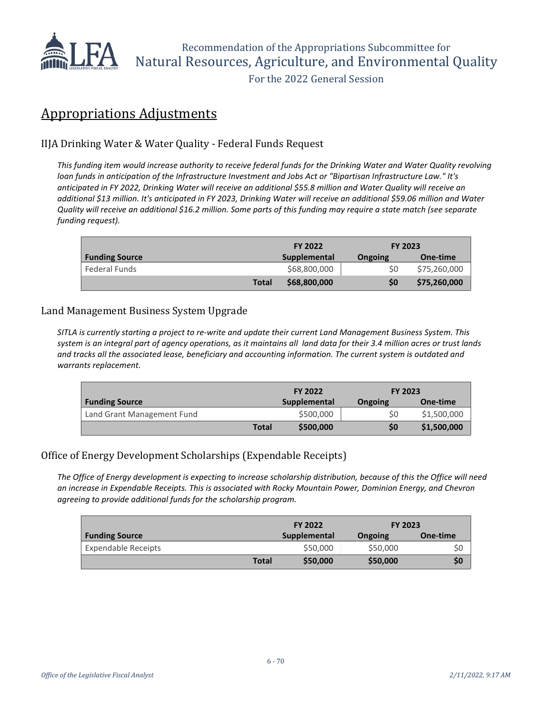

# Appropriations Adjustments

# IIJA Drinking Water & Water Quality - Federal Funds Request

*This funding item would increase authority to receive federal funds for the Drinking Water and Water Quality revolving loan funds in anticipation of the Infrastructure Investment and Jobs Act or "Bipartisan Infrastructure Law." It's anticipated in FY 2022, Drinking Water will receive an additional \$55.8 million and Water Quality will receive an additional \$13 million. It's anticipated in FY 2023, Drinking Water will receive an additional \$59.06 million and Water Quality will receive an additional \$16.2 million. Some parts of this funding may require a state match (see separate funding request).*

|                       |              | <b>FY 2022</b> | <b>FY 2023</b> |              |
|-----------------------|--------------|----------------|----------------|--------------|
| <b>Funding Source</b> |              | Supplemental   | Ongoing        | One-time     |
| Federal Funds         |              | \$68,800,000   | S0             | \$75,260,000 |
|                       | <b>Total</b> | \$68,800,000   | <b>SO</b>      | \$75,260,000 |

### Land Management Business System Upgrade

*SITLA is currently starting a project to re‐write and update their current Land Management Business System. This system is an integral part of agency operations, as it maintains all land data for their 3.4 million acres or trust lands and tracks all the associated lease, beneficiary and accounting information. The current system is outdated and warrants replacement.*

|                            |       | <b>FY 2022</b> |         | <b>FY 2023</b> |
|----------------------------|-------|----------------|---------|----------------|
| <b>Funding Source</b>      |       | Supplemental   | Ongoing | One-time       |
| Land Grant Management Fund |       | \$500,000      | S0      | \$1,500,000    |
|                            | Total | \$500,000      | \$0     | \$1,500,000    |

### Office of Energy Development Scholarships (Expendable Receipts)

*The Office of Energy development is expecting to increase scholarship distribution, because of this the Office will need an increase in Expendable Receipts. This is associated with Rocky Mountain Power, Dominion Energy, and Chevron agreeing to provide additional funds for the scholarship program.*

|                            |              | <b>FY 2022</b> | <b>FY 2023</b> |          |
|----------------------------|--------------|----------------|----------------|----------|
| <b>Funding Source</b>      |              | Supplemental   | Ongoing        | One-time |
| <b>Expendable Receipts</b> |              | \$50,000       | \$50,000       |          |
|                            | <b>Total</b> | \$50,000       | \$50,000       | \$0      |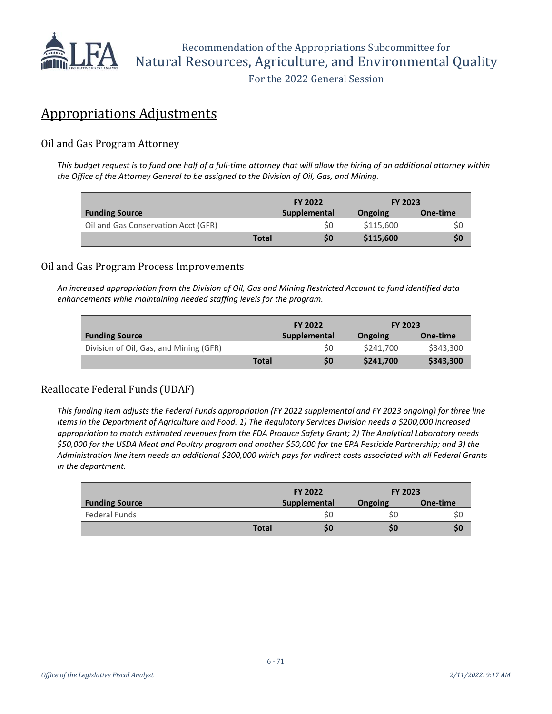

# Appropriations Adjustments

#### Oil and Gas Program Attorney

*This budget request is to fund one half of a full‐time attorney that will allow the hiring of an additional attorney within the Office of the Attorney General to be assigned to the Division of Oil, Gas, and Mining.*

|                                     |       | <b>FY 2022</b> | <b>FY 2023</b> |          |
|-------------------------------------|-------|----------------|----------------|----------|
| <b>Funding Source</b>               |       | Supplemental   | Ongoing        | One-time |
| Oil and Gas Conservation Acct (GFR) |       | \$0            | \$115,600      |          |
|                                     | Total | \$0            | \$115,600      | S0       |

#### Oil and Gas Program Process Improvements

*An increased appropriation from the Division of Oil, Gas and Mining Restricted Account to fund identified data enhancements while maintaining needed staffing levels for the program.*

|                                        |       | <b>FY 2022</b> |           | <b>FY 2023</b> |
|----------------------------------------|-------|----------------|-----------|----------------|
| <b>Funding Source</b>                  |       | Supplemental   | Ongoing   | One-time       |
| Division of Oil, Gas, and Mining (GFR) |       | \$0            | \$241,700 | \$343,300      |
|                                        | Total | \$0            | \$241,700 | \$343,300      |

### Reallocate Federal Funds (UDAF)

*This funding item adjusts the Federal Funds appropriation (FY 2022 supplemental and FY 2023 ongoing) for three line items in the Department of Agriculture and Food. 1) The Regulatory Services Division needs a \$200,000 increased appropriation to match estimated revenues from the FDA Produce Safety Grant; 2) The Analytical Laboratory needs \$50,000 for the USDA Meat and Poultry program and another \$50,000 for the EPA Pesticide Partnership; and 3) the Administration line item needs an additional \$200,000 which pays for indirect costs associated with all Federal Grants in the department.*

|                       |              | <b>FY 2022</b> | <b>FY 2023</b> |          |
|-----------------------|--------------|----------------|----------------|----------|
| <b>Funding Source</b> |              | Supplemental   | Ongoing        | One-time |
| Federal Funds         |              | Ś0             | SÜ             | SC       |
|                       | <b>Total</b> | SO             | Ş0             | Ş0       |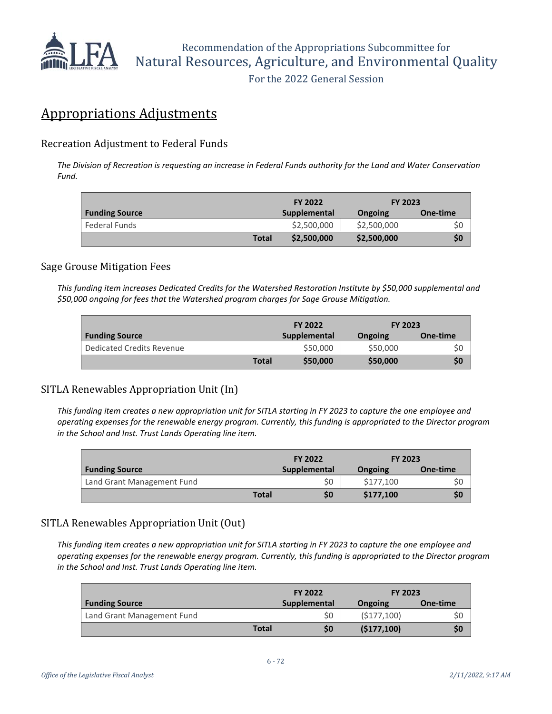

# Appropriations Adjustments

## Recreation Adjustment to Federal Funds

*The Division of Recreation is requesting an increase in Federal Funds authority for the Land and Water Conservation Fund.*

|                       |              | <b>FY 2022</b> | <b>FY 2023</b> |          |
|-----------------------|--------------|----------------|----------------|----------|
| <b>Funding Source</b> |              | Supplemental   | Ongoing        | One-time |
| Federal Funds         |              | \$2,500,000    | \$2,500,000    |          |
|                       | <b>Total</b> | \$2,500,000    | \$2,500,000    | S0       |

#### Sage Grouse Mitigation Fees

*This funding item increases Dedicated Credits for the Watershed Restoration Institute by \$50,000 supplemental and \$50,000 ongoing for fees that the Watershed program charges for Sage Grouse Mitigation.*

|                           |              | <b>FY 2022</b> | <b>FY 2023</b> |          |
|---------------------------|--------------|----------------|----------------|----------|
| <b>Funding Source</b>     |              | Supplemental   | Ongoing        | One-time |
| Dedicated Credits Revenue |              | \$50,000       | \$50,000       | Ś0       |
|                           | <b>Total</b> | \$50,000       | \$50,000       | \$0      |

### SITLA Renewables Appropriation Unit (In)

*This funding item creates a new appropriation unit for SITLA starting in FY 2023 to capture the one employee and operating expenses for the renewable energy program. Currently, this funding is appropriated to the Director program in the School and Inst. Trust Lands Operating line item.*

|                            |       | <b>FY 2022</b> | <b>FY 2023</b> |          |
|----------------------------|-------|----------------|----------------|----------|
| <b>Funding Source</b>      |       | Supplemental   | Ongoing        | One-time |
| Land Grant Management Fund |       | S0             | \$177.100      |          |
|                            | Total | S0             | \$177.100      | \$C      |

# SITLA Renewables Appropriation Unit (Out)

*This funding item creates a new appropriation unit for SITLA starting in FY 2023 to capture the one employee and operating expenses for the renewable energy program. Currently, this funding is appropriated to the Director program in the School and Inst. Trust Lands Operating line item.*

|                            |              | <b>FY 2022</b> | <b>FY 2023</b> |          |
|----------------------------|--------------|----------------|----------------|----------|
| <b>Funding Source</b>      |              | Supplemental   | Ongoing        | One-time |
| Land Grant Management Fund |              | \$0            | (5177, 100)    | \$0      |
|                            | <b>Total</b> | \$0            | (5177, 100)    | \$0      |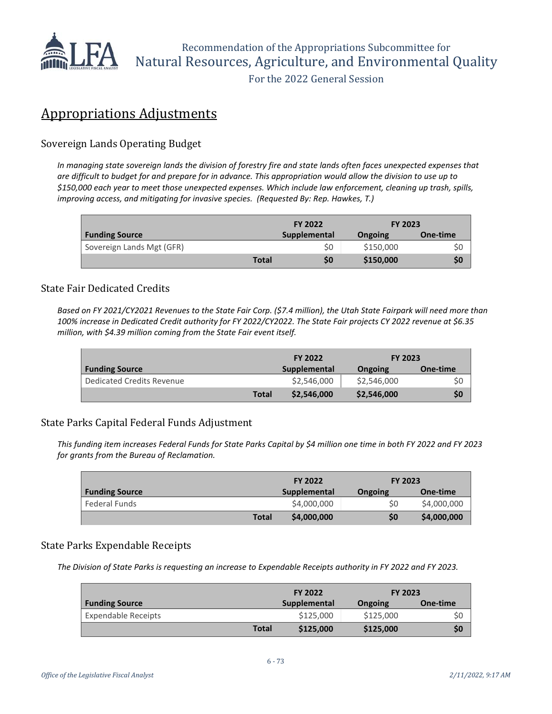

### Sovereign Lands Operating Budget

In managing state sovereign lands the division of forestry fire and state lands often faces unexpected expenses that *are difficult to budget for and prepare for in advance. This appropriation would allow the division to use up to \$150,000 each year to meet those unexpected expenses. Which include law enforcement, cleaning up trash, spills, improving access, and mitigating for invasive species. (Requested By: Rep. Hawkes, T.)*

|                           |              | <b>FY 2022</b> | <b>FY 2023</b> |          |
|---------------------------|--------------|----------------|----------------|----------|
| <b>Funding Source</b>     |              | Supplemental   | Ongoing        | One-time |
| Sovereign Lands Mgt (GFR) |              | \$0            | \$150,000      | ŚС       |
|                           | <b>Total</b> | \$0            | \$150,000      | \$0      |

#### State Fair Dedicated Credits

*Based on FY 2021/CY2021 Revenues to the State Fair Corp. (\$7.4 million), the Utah State Fairpark will need more than 100% increase in Dedicated Credit authority for FY 2022/CY2022. The State Fair projects CY 2022 revenue at \$6.35 million, with \$4.39 million coming from the State Fair event itself.*

|                           |       | <b>FY 2022</b> | <b>FY 2023</b> |           |
|---------------------------|-------|----------------|----------------|-----------|
| <b>Funding Source</b>     |       | Supplemental   | Ongoing        | One-time  |
| Dedicated Credits Revenue |       | \$2,546,000    | \$2,546,000    | SC        |
|                           | Total | \$2,546,000    | \$2,546,000    | <b>SO</b> |

### State Parks Capital Federal Funds Adjustment

*This funding item increases Federal Funds for State Parks Capital by \$4 million one time in both FY 2022 and FY 2023 for grants from the Bureau of Reclamation.*

|                       |       | <b>FY 2022</b> | <b>FY 2023</b> |             |
|-----------------------|-------|----------------|----------------|-------------|
| <b>Funding Source</b> |       | Supplemental   | Ongoing        | One-time    |
| Federal Funds         |       | \$4,000,000    | S0             | \$4,000,000 |
|                       | Total | \$4,000,000    | SO             | \$4,000,000 |

### State Parks Expendable Receipts

*The Division of State Parks is requesting an increase to Expendable Receipts authority in FY 2022 and FY 2023.*

|                            |              | <b>FY 2022</b> | <b>FY 2023</b> |          |
|----------------------------|--------------|----------------|----------------|----------|
| <b>Funding Source</b>      |              | Supplemental   | Ongoing        | One-time |
| <b>Expendable Receipts</b> |              | \$125,000      | \$125,000      | \$C      |
|                            | <b>Total</b> | \$125,000      | \$125,000      | \$0      |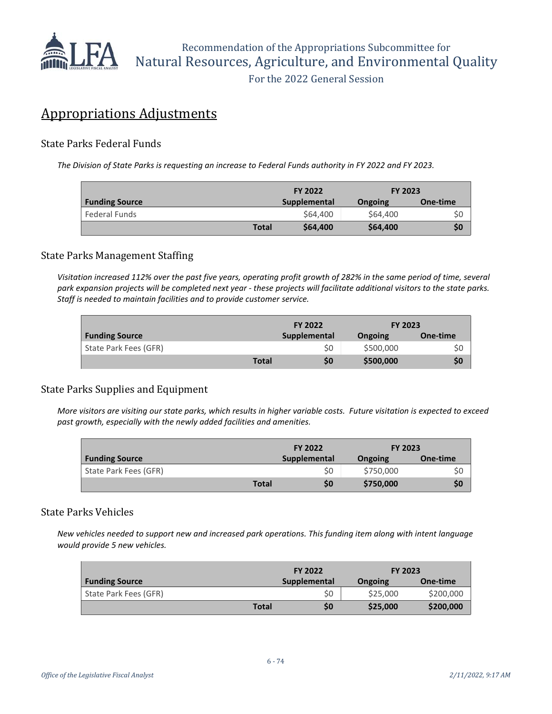

### State Parks Federal Funds

*The Division of State Parks is requesting an increase to Federal Funds authority in FY 2022 and FY 2023.*

|                       |       | <b>FY 2022</b> | <b>FY 2023</b> |          |
|-----------------------|-------|----------------|----------------|----------|
| <b>Funding Source</b> |       | Supplemental   | Ongoing        | One-time |
| Federal Funds         |       | \$64,400       | \$64,400       | \$0      |
|                       | Total | \$64,400       | \$64,400       | \$0      |

#### State Parks Management Staffing

*Visitation increased 112% over the past five years, operating profit growth of 282% in the same period of time, several park expansion projects will be completed next year ‐ these projects will facilitate additional visitors to the state parks. Staff is needed to maintain facilities and to provide customer service.*

|                       |       | <b>FY 2022</b> | <b>FY 2023</b> |          |
|-----------------------|-------|----------------|----------------|----------|
| <b>Funding Source</b> |       | Supplemental   | Ongoing        | One-time |
| State Park Fees (GFR) |       | \$0            | \$500,000      | S0       |
|                       | Total | S0             | \$500,000      | \$C      |

### State Parks Supplies and Equipment

*More visitors are visiting our state parks, which results in higher variable costs. Future visitation is expected to exceed past growth, especially with the newly added facilities and amenities.*

|                       |              | <b>FY 2022</b> | <b>FY 2023</b> |          |
|-----------------------|--------------|----------------|----------------|----------|
| <b>Funding Source</b> |              | Supplemental   | Ongoing        | One-time |
| State Park Fees (GFR) |              | \$0            | \$750,000      | SC       |
|                       | <b>Total</b> | \$0            | \$750,000      | SC       |

### State Parks Vehicles

*New vehicles needed to support new and increased park operations. This funding item along with intent language would provide 5 new vehicles.*

|                       |              | <b>FY 2022</b> | <b>FY 2023</b> |           |
|-----------------------|--------------|----------------|----------------|-----------|
| <b>Funding Source</b> |              | Supplemental   | Ongoing        | One-time  |
| State Park Fees (GFR) |              | \$0            | \$25,000       | \$200,000 |
|                       | <b>Total</b> | SO             | \$25,000       | \$200,000 |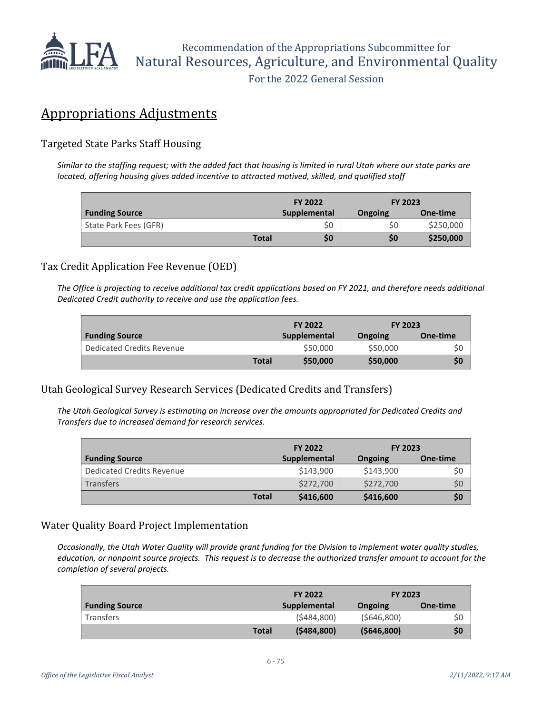

### Targeted State Parks Staff Housing

*Similar to the staffing request; with the added fact that housing is limited in rural Utah where our state parks are located, offering housing gives added incentive to attracted motived, skilled, and qualified staff*

|                       |              | <b>FY 2022</b> |         | <b>FY 2023</b> |
|-----------------------|--------------|----------------|---------|----------------|
| <b>Funding Source</b> |              | Supplemental   | Ongoing | One-time       |
| State Park Fees (GFR) |              | \$0            | S0      | \$250,000      |
|                       | <b>Total</b> | \$0            | \$0     | \$250,000      |

### Tax Credit Application Fee Revenue (OED)

*The Office is projecting to receive additional tax credit applications based on FY 2021, and therefore needs additional Dedicated Credit authority to receive and use the application fees.*

|                           |              | <b>FY 2022</b> | <b>FY 2023</b> |           |
|---------------------------|--------------|----------------|----------------|-----------|
| <b>Funding Source</b>     |              | Supplemental   | Ongoing        | One-time  |
| Dedicated Credits Revenue |              | \$50,000       | \$50,000       | ŚС        |
|                           | <b>Total</b> | \$50,000       | \$50,000       | <b>SO</b> |

### Utah Geological Survey Research Services (Dedicated Credits and Transfers)

*The Utah Geological Survey is estimating an increase over the amounts appropriated for Dedicated Credits and Transfers due to increased demand for research services.*

|                           |              | <b>FY 2022</b> | <b>FY 2023</b> |          |
|---------------------------|--------------|----------------|----------------|----------|
| <b>Funding Source</b>     |              | Supplemental   | Ongoing        | One-time |
| Dedicated Credits Revenue |              | \$143,900      | \$143,900      | \$0      |
| <b>Transfers</b>          |              | \$272,700      | \$272,700      | \$0      |
|                           | <b>Total</b> | \$416,600      | \$416,600      | \$0      |

#### Water Quality Board Project Implementation

*Occasionally, the Utah Water Quality will provide grant funding for the Division to implement water quality studies, education, or nonpoint source projects. This request is to decrease the authorized transfer amount to account for the completion of several projects.*

|                       |              | <b>FY 2022</b> | <b>FY 2023</b> |          |
|-----------------------|--------------|----------------|----------------|----------|
| <b>Funding Source</b> |              | Supplemental   | Ongoing        | One-time |
| <b>Transfers</b>      |              | (5484,800)     | (5646,800)     | \$0      |
|                       | <b>Total</b> | (5484,800)     | ( \$646, 800)  | \$0      |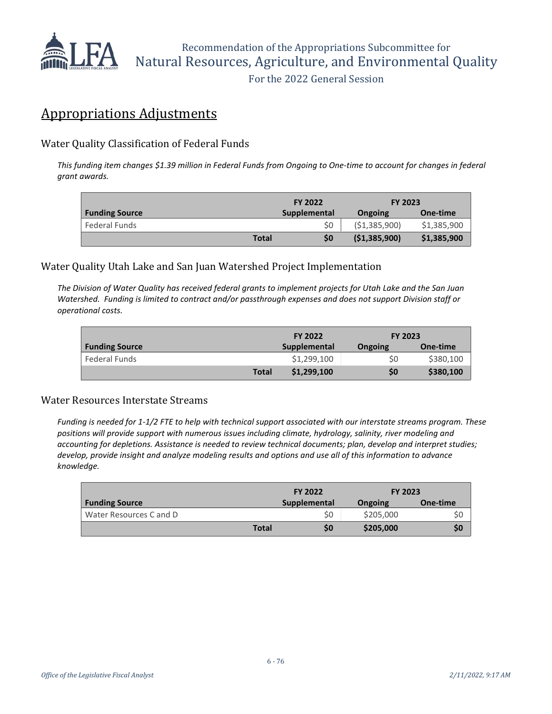

For the 2022 General Session

### Appropriations Adjustments

### Water Quality Classification of Federal Funds

*This funding item changes \$1.39 million in Federal Funds from Ongoing to One‐time to account for changes in federal grant awards.*

|                       |              | <b>FY 2022</b> | <b>FY 2023</b> |             |
|-----------------------|--------------|----------------|----------------|-------------|
| <b>Funding Source</b> |              | Supplemental   | Ongoing        | One-time    |
| Federal Funds         |              | S0             | (51,385,900)   | \$1,385,900 |
|                       | <b>Total</b> | \$0            | (\$1,385,900)  | \$1,385,900 |

### Water Quality Utah Lake and San Juan Watershed Project Implementation

*The Division of Water Quality has received federal grants to implement projects for Utah Lake and the San Juan Watershed. Funding is limited to contract and/or passthrough expenses and does not support Division staff or operational costs.*

|                       |              | <b>FY 2022</b> | <b>FY 2023</b> |           |
|-----------------------|--------------|----------------|----------------|-----------|
| <b>Funding Source</b> |              | Supplemental   | Ongoing        | One-time  |
| Federal Funds         |              | \$1,299,100    | S0             | \$380,100 |
|                       | <b>Total</b> | \$1,299,100    | \$0            | \$380,100 |

### Water Resources Interstate Streams

*Funding is needed for 1‐1/2 FTE to help with technical support associated with our interstate streams program. These positions will provide support with numerous issues including climate, hydrology, salinity, river modeling and accounting for depletions. Assistance is needed to review technical documents; plan, develop and interpret studies; develop, provide insight and analyze modeling results and options and use all of this information to advance knowledge.*

|                         |       | <b>FY 2022</b> | <b>FY 2023</b> |          |
|-------------------------|-------|----------------|----------------|----------|
| <b>Funding Source</b>   |       | Supplemental   | Ongoing        | One-time |
| Water Resources C and D |       | \$0            | \$205,000      |          |
|                         | Total | S0             | \$205,000      |          |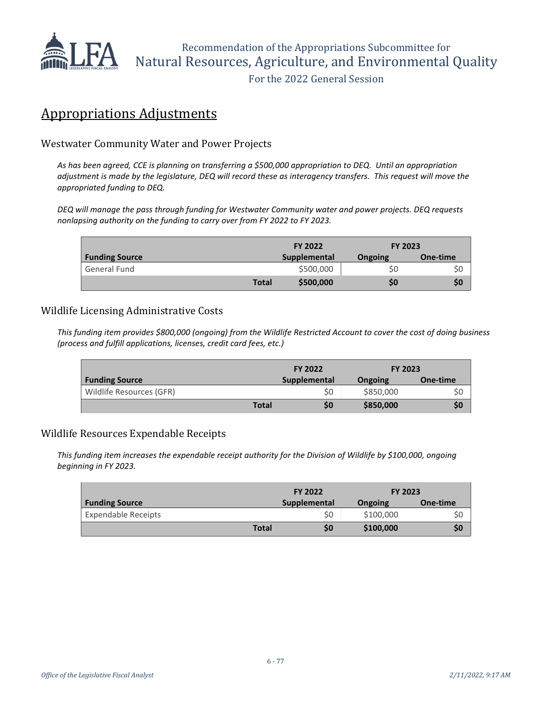

For the 2022 General Session

### Appropriations Adjustments

### Westwater Community Water and Power Projects

*As has been agreed, CCE is planning on transferring a \$500,000 appropriation to DEQ. Until an appropriation adjustment is made by the legislature, DEQ will record these as interagency transfers. This request will move the appropriated funding to DEQ.*

*DEQ will manage the pass through funding for Westwater Community water and power projects. DEQ requests nonlapsing authority on the funding to carry over from FY 2022 to FY 2023.*

|                       |              | <b>FY 2022</b> | <b>FY 2023</b> |          |
|-----------------------|--------------|----------------|----------------|----------|
| <b>Funding Source</b> |              | Supplemental   | Ongoing        | One-time |
| General Fund          |              | \$500,000      | S0             |          |
|                       | <b>Total</b> | \$500,000      | \$0            | \$C      |

### Wildlife Licensing Administrative Costs

*This funding item provides \$800,000 (ongoing) from the Wildlife Restricted Account to cover the cost of doing business (process and fulfill applications, licenses, credit card fees, etc.)*

|                          |              | <b>FY 2022</b> | <b>FY 2023</b> |           |
|--------------------------|--------------|----------------|----------------|-----------|
| <b>Funding Source</b>    |              | Supplemental   | Ongoing        | One-time  |
| Wildlife Resources (GFR) |              | \$0            | \$850,000      |           |
|                          | <b>Total</b> | \$0            | \$850,000      | <b>SC</b> |

### Wildlife Resources Expendable Receipts

*This funding item increases the expendable receipt authority for the Division of Wildlife by \$100,000, ongoing beginning in FY 2023.*

|                            |              | <b>FY 2022</b> | <b>FY 2023</b> |          |
|----------------------------|--------------|----------------|----------------|----------|
| <b>Funding Source</b>      |              | Supplemental   | Ongoing        | One-time |
| <b>Expendable Receipts</b> |              | \$0            | \$100,000      | ŚС       |
|                            | <b>Total</b> | S0             | \$100,000      | \$C      |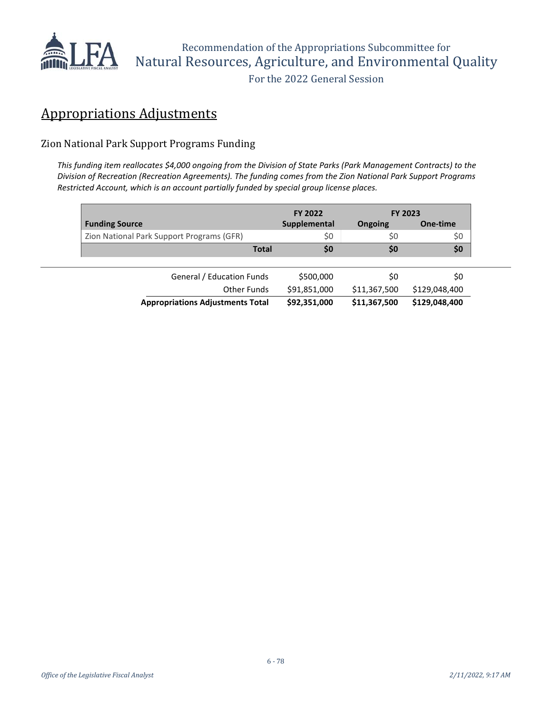

### Zion National Park Support Programs Funding

*This funding item reallocates \$4,000 ongoing from the Division of State Parks (Park Management Contracts) to the Division of Recreation (Recreation Agreements). The funding comes from the Zion National Park Support Programs Restricted Account, which is an account partially funded by special group license places.*

|                                           | <b>FY 2022</b> | FY 2023      |               |  |
|-------------------------------------------|----------------|--------------|---------------|--|
| <b>Funding Source</b>                     | Supplemental   | Ongoing      | One-time      |  |
| Zion National Park Support Programs (GFR) | \$0            | \$0          | \$0           |  |
| <b>Total</b>                              | \$0            | \$0          | \$0           |  |
| General / Education Funds                 | \$500,000      | \$0          | \$0           |  |
| Other Funds                               | \$91,851,000   | \$11,367,500 | \$129,048,400 |  |
| <b>Appropriations Adjustments Total</b>   | \$92,351,000   | \$11,367,500 | \$129,048,400 |  |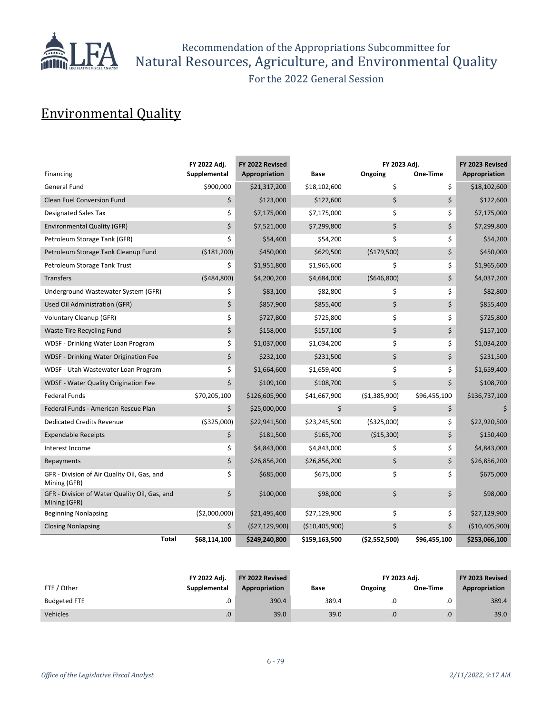

For the 2022 General Session

|                                                               | FY 2022 Adj.   | FY 2022 Revised |                | FY 2023 Adj.   |              | FY 2023 Revised |
|---------------------------------------------------------------|----------------|-----------------|----------------|----------------|--------------|-----------------|
| Financing                                                     | Supplemental   | Appropriation   | Base           | Ongoing        | One-Time     | Appropriation   |
| General Fund                                                  | \$900,000      | \$21,317,200    | \$18,102,600   | \$             | \$           | \$18,102,600    |
| <b>Clean Fuel Conversion Fund</b>                             | \$             | \$123,000       | \$122,600      | \$             | \$           | \$122,600       |
| Designated Sales Tax                                          | \$             | \$7,175,000     | \$7,175,000    | \$             | \$           | \$7,175,000     |
| <b>Environmental Quality (GFR)</b>                            | \$             | \$7,521,000     | \$7,299,800    | \$             | \$           | \$7,299,800     |
| Petroleum Storage Tank (GFR)                                  | \$             | \$54,400        | \$54,200       | \$             | \$           | \$54,200        |
| Petroleum Storage Tank Cleanup Fund                           | ( \$181, 200)  | \$450,000       | \$629,500      | (\$179,500)    | \$           | \$450,000       |
| Petroleum Storage Tank Trust                                  | \$             | \$1,951,800     | \$1,965,600    | \$             | \$           | \$1,965,600     |
| Transfers                                                     | (5484,800)     | \$4,200,200     | \$4,684,000    | ( \$646, 800)  | \$           | \$4,037,200     |
| Underground Wastewater System (GFR)                           | \$             | \$83,100        | \$82,800       | \$             | \$           | \$82,800        |
| Used Oil Administration (GFR)                                 | \$             | \$857,900       | \$855,400      | \$             | \$           | \$855,400       |
| <b>Voluntary Cleanup (GFR)</b>                                | \$             | \$727,800       | \$725,800      | \$             | \$           | \$725,800       |
| Waste Tire Recycling Fund                                     | \$             | \$158,000       | \$157,100      | \$             | \$           | \$157,100       |
| WDSF - Drinking Water Loan Program                            | \$             | \$1,037,000     | \$1,034,200    | \$             | \$           | \$1,034,200     |
| WDSF - Drinking Water Origination Fee                         | \$             | \$232,100       | \$231,500      | \$             | \$           | \$231,500       |
| WDSF - Utah Wastewater Loan Program                           | \$             | \$1,664,600     | \$1,659,400    | \$             | \$           | \$1,659,400     |
| WDSF - Water Quality Origination Fee                          | \$             | \$109,100       | \$108,700      | \$             | \$           | \$108,700       |
| <b>Federal Funds</b>                                          | \$70,205,100   | \$126,605,900   | \$41,667,900   | ( \$1,385,900) | \$96,455,100 | \$136,737,100   |
| Federal Funds - American Rescue Plan                          | \$             | \$25,000,000    | \$             | \$             | \$           | Ś               |
| <b>Dedicated Credits Revenue</b>                              | ( \$325,000)   | \$22,941,500    | \$23,245,500   | ( \$325,000)   | \$           | \$22,920,500    |
| <b>Expendable Receipts</b>                                    | \$             | \$181,500       | \$165,700      | (\$15,300)     | \$           | \$150,400       |
| Interest Income                                               | \$             | \$4,843,000     | \$4,843,000    | \$             | \$           | \$4,843,000     |
| Repayments                                                    | \$             | \$26,856,200    | \$26,856,200   | \$             | \$           | \$26,856,200    |
| GFR - Division of Air Quality Oil, Gas, and<br>Mining (GFR)   | \$             | \$685,000       | \$675,000      | \$             | \$           | \$675,000       |
| GFR - Division of Water Quality Oil, Gas, and<br>Mining (GFR) | \$             | \$100,000       | \$98,000       | \$             | \$           | \$98,000        |
| <b>Beginning Nonlapsing</b>                                   | ( \$2,000,000) | \$21,495,400    | \$27,129,900   | \$             | \$           | \$27,129,900    |
| <b>Closing Nonlapsing</b>                                     | Ś.             | (527, 129, 900) | (\$10,405,900) | \$             | Ś.           | ( \$10,405,900) |
| <b>Total</b>                                                  | \$68,114,100   | \$249,240,800   | \$159,163,500  | (\$2,552,500)  | \$96,455,100 | \$253,066,100   |

| FTE / Other         | FY 2022 Adj.<br>Supplemental | FY 2022 Revised<br>Appropriation | <b>Base</b> | Ongoing | FY 2023 Adi.<br>One-Time | FY 2023 Revised<br>Appropriation |
|---------------------|------------------------------|----------------------------------|-------------|---------|--------------------------|----------------------------------|
| <b>Budgeted FTE</b> |                              | 390.4                            | 389.4       |         |                          | 389.4                            |
| Vehicles            |                              | 39.0                             | 39.0        |         | .0 <sub>1</sub>          | 39.0                             |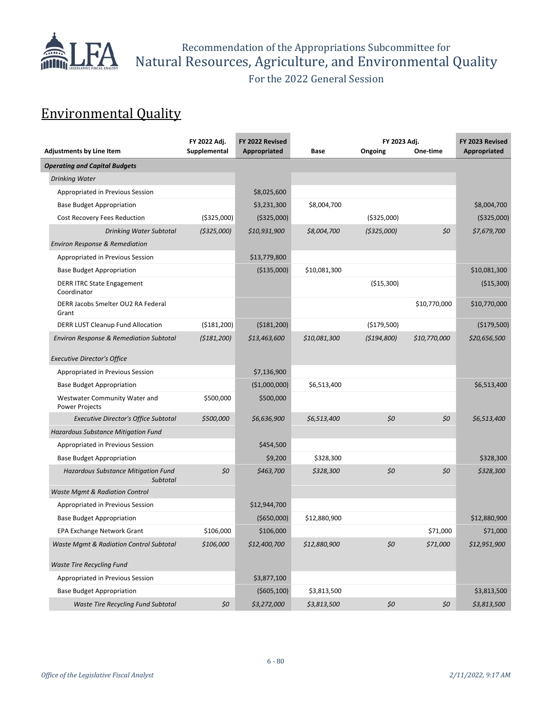

I

Recommendation of the Appropriations Subcommittee for Natural Resources, Agriculture, and Environmental Quality

For the 2022 General Session

|                                                        | FY 2022 Adj.  | FY 2022 Revised |              | FY 2023 Adj. |              | FY 2023 Revised |
|--------------------------------------------------------|---------------|-----------------|--------------|--------------|--------------|-----------------|
| <b>Adjustments by Line Item</b>                        | Supplemental  | Appropriated    | Base         | Ongoing      | One-time     | Appropriated    |
| <b>Operating and Capital Budgets</b>                   |               |                 |              |              |              |                 |
| <b>Drinking Water</b>                                  |               |                 |              |              |              |                 |
| Appropriated in Previous Session                       |               | \$8,025,600     |              |              |              |                 |
| <b>Base Budget Appropriation</b>                       |               | \$3,231,300     | \$8,004,700  |              |              | \$8,004,700     |
| Cost Recovery Fees Reduction                           | ( \$325,000)  | ( \$325,000)    |              | ( \$325,000) |              | ( \$325,000)    |
| <b>Drinking Water Subtotal</b>                         | ( \$325,000]  | \$10,931,900    | \$8,004,700  | ( \$325,000] | \$0          | \$7,679,700     |
| <b>Environ Response &amp; Remediation</b>              |               |                 |              |              |              |                 |
| Appropriated in Previous Session                       |               | \$13,779,800    |              |              |              |                 |
| <b>Base Budget Appropriation</b>                       |               | (\$135,000)     | \$10,081,300 |              |              | \$10,081,300    |
| <b>DERR ITRC State Engagement</b><br>Coordinator       |               |                 |              | ( \$15,300)  |              | ( \$15,300)     |
| DERR Jacobs Smelter OU2 RA Federal<br>Grant            |               |                 |              |              | \$10,770,000 | \$10,770,000    |
| <b>DERR LUST Cleanup Fund Allocation</b>               | ( \$181, 200) | ( \$181, 200)   |              | (\$179,500)  |              | (\$179,500)     |
| <b>Environ Response &amp; Remediation Subtotal</b>     | (5181, 200)   | \$13,463,600    | \$10,081,300 | (5194,800)   | \$10,770,000 | \$20,656,500    |
| <b>Executive Director's Office</b>                     |               |                 |              |              |              |                 |
| Appropriated in Previous Session                       |               | \$7,136,900     |              |              |              |                 |
| <b>Base Budget Appropriation</b>                       |               | (\$1,000,000)   | \$6,513,400  |              |              | \$6,513,400     |
| Westwater Community Water and<br><b>Power Projects</b> | \$500,000     | \$500,000       |              |              |              |                 |
| <b>Executive Director's Office Subtotal</b>            | \$500,000     | \$6,636,900     | \$6,513,400  | \$0          | \$0          | \$6,513,400     |
| Hazardous Substance Mitigation Fund                    |               |                 |              |              |              |                 |
| Appropriated in Previous Session                       |               | \$454,500       |              |              |              |                 |
| <b>Base Budget Appropriation</b>                       |               | \$9,200         | \$328,300    |              |              | \$328,300       |
| Hazardous Substance Mitigation Fund<br>Subtotal        | \$0           | \$463,700       | \$328,300    | \$0          | \$0          | \$328,300       |
| <b>Waste Mgmt &amp; Radiation Control</b>              |               |                 |              |              |              |                 |
| Appropriated in Previous Session                       |               | \$12,944,700    |              |              |              |                 |
| <b>Base Budget Appropriation</b>                       |               | ( \$650,000]    | \$12,880,900 |              |              | \$12,880,900    |
| <b>EPA Exchange Network Grant</b>                      | \$106,000     | \$106,000       |              |              | \$71,000     | \$71,000        |
| Waste Mgmt & Radiation Control Subtotal                | \$106,000     | \$12,400,700    | \$12,880,900 | \$0          | \$71,000     | \$12,951,900    |
| <b>Waste Tire Recycling Fund</b>                       |               |                 |              |              |              |                 |
| Appropriated in Previous Session                       |               | \$3,877,100     |              |              |              |                 |
| <b>Base Budget Appropriation</b>                       |               | ( \$605, 100)   | \$3,813,500  |              |              | \$3,813,500     |
| <b>Waste Tire Recycling Fund Subtotal</b>              | \$0           | \$3,272,000     | \$3,813,500  | \$0          | \$0          | \$3,813,500     |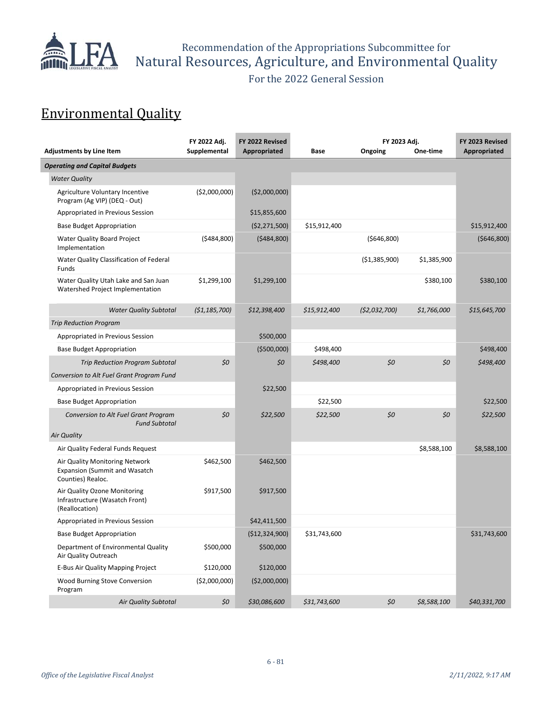

For the 2022 General Session

|                                                                                             | FY 2022 Adj.   | FY 2022 Revised  |              | FY 2023 Adj.   |             | FY 2023 Revised |
|---------------------------------------------------------------------------------------------|----------------|------------------|--------------|----------------|-------------|-----------------|
| <b>Adjustments by Line Item</b>                                                             | Supplemental   | Appropriated     | Base         | Ongoing        | One-time    | Appropriated    |
| <b>Operating and Capital Budgets</b>                                                        |                |                  |              |                |             |                 |
| <b>Water Quality</b>                                                                        |                |                  |              |                |             |                 |
| Agriculture Voluntary Incentive<br>Program (Ag VIP) (DEQ - Out)                             | ( \$2,000,000) | ( \$2,000,000)   |              |                |             |                 |
| Appropriated in Previous Session                                                            |                | \$15,855,600     |              |                |             |                 |
| <b>Base Budget Appropriation</b>                                                            |                | ( \$2, 271, 500) | \$15,912,400 |                |             | \$15,912,400    |
| <b>Water Quality Board Project</b><br>Implementation                                        | (5484,800)     | (5484,800)       |              | (5646,800)     |             | ( \$646, 800)   |
| Water Quality Classification of Federal<br>Funds                                            |                |                  |              | ( \$1,385,900) | \$1,385,900 |                 |
| Water Quality Utah Lake and San Juan<br>Watershed Project Implementation                    | \$1,299,100    | \$1,299,100      |              |                | \$380,100   | \$380,100       |
| <b>Water Quality Subtotal</b>                                                               | (51, 185, 700) | \$12,398,400     | \$15,912,400 | (52,032,700)   | \$1,766,000 | \$15,645,700    |
| <b>Trip Reduction Program</b>                                                               |                |                  |              |                |             |                 |
| Appropriated in Previous Session                                                            |                | \$500,000        |              |                |             |                 |
| <b>Base Budget Appropriation</b>                                                            |                | ( \$500,000)     | \$498,400    |                |             | \$498,400       |
| <b>Trip Reduction Program Subtotal</b>                                                      | \$0            | \$0              | \$498,400    | \$0            | \$0         | \$498,400       |
| Conversion to Alt Fuel Grant Program Fund                                                   |                |                  |              |                |             |                 |
| Appropriated in Previous Session                                                            |                | \$22,500         |              |                |             |                 |
| <b>Base Budget Appropriation</b>                                                            |                |                  | \$22,500     |                |             | \$22,500        |
| Conversion to Alt Fuel Grant Program<br><b>Fund Subtotal</b>                                | \$0            | \$22,500         | \$22,500     | \$0            | \$0         | \$22,500        |
| <b>Air Quality</b>                                                                          |                |                  |              |                |             |                 |
| Air Quality Federal Funds Request                                                           |                |                  |              |                | \$8,588,100 | \$8,588,100     |
| Air Quality Monitoring Network<br><b>Expansion (Summit and Wasatch</b><br>Counties) Realoc. | \$462,500      | \$462,500        |              |                |             |                 |
| Air Quality Ozone Monitoring<br>Infrastructure (Wasatch Front)<br>(Reallocation)            | \$917,500      | \$917,500        |              |                |             |                 |
| Appropriated in Previous Session                                                            |                | \$42,411,500     |              |                |             |                 |
| <b>Base Budget Appropriation</b>                                                            |                | (\$12,324,900)   | \$31,743,600 |                |             | \$31,743,600    |
| Department of Environmental Quality<br>Air Quality Outreach                                 | \$500,000      | \$500,000        |              |                |             |                 |
| E-Bus Air Quality Mapping Project                                                           | \$120,000      | \$120,000        |              |                |             |                 |
| Wood Burning Stove Conversion<br>Program                                                    | ( \$2,000,000) | ( \$2,000,000)   |              |                |             |                 |
| <b>Air Quality Subtotal</b>                                                                 | \$0            | \$30,086,600     | \$31,743,600 | \$0            | \$8,588,100 | \$40,331,700    |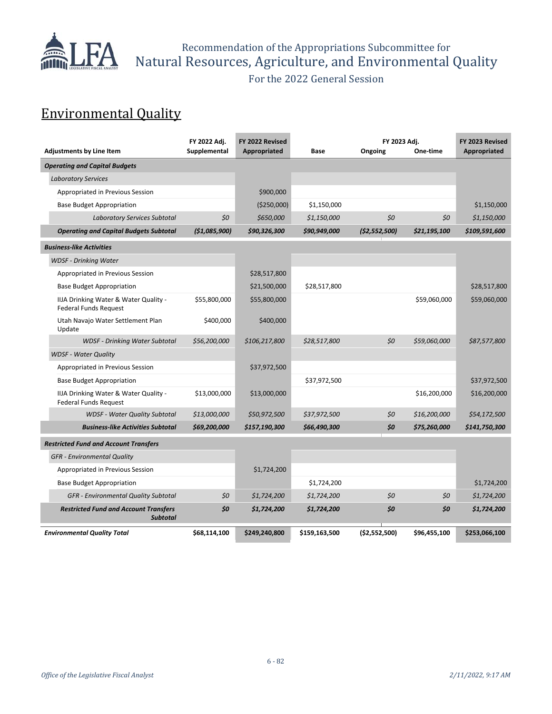

For the 2022 General Session

|                                                                       | FY 2022 Adj. | FY 2022 Revised |               | FY 2023 Adj.    |              | FY 2023 Revised |
|-----------------------------------------------------------------------|--------------|-----------------|---------------|-----------------|--------------|-----------------|
| <b>Adjustments by Line Item</b>                                       | Supplemental | Appropriated    | <b>Base</b>   | Ongoing         | One-time     | Appropriated    |
| <b>Operating and Capital Budgets</b>                                  |              |                 |               |                 |              |                 |
| <b>Laboratory Services</b>                                            |              |                 |               |                 |              |                 |
| Appropriated in Previous Session                                      |              | \$900,000       |               |                 |              |                 |
| <b>Base Budget Appropriation</b>                                      |              | (\$250,000)     | \$1,150,000   |                 |              | \$1,150,000     |
| <b>Laboratory Services Subtotal</b>                                   | \$0          | \$650,000       | \$1,150,000   | \$0             | \$0          | \$1,150,000     |
| <b>Operating and Capital Budgets Subtotal</b>                         | (51,085,900) | \$90,326,300    | \$90,949,000  | ( \$2,552,500 ] | \$21,195,100 | \$109,591,600   |
| <b>Business-like Activities</b>                                       |              |                 |               |                 |              |                 |
| <b>WDSF - Drinking Water</b>                                          |              |                 |               |                 |              |                 |
| Appropriated in Previous Session                                      |              | \$28,517,800    |               |                 |              |                 |
| <b>Base Budget Appropriation</b>                                      |              | \$21,500,000    | \$28,517,800  |                 |              | \$28,517,800    |
| IIJA Drinking Water & Water Quality -<br><b>Federal Funds Request</b> | \$55,800,000 | \$55,800,000    |               |                 | \$59,060,000 | \$59,060,000    |
| Utah Navajo Water Settlement Plan<br>Update                           | \$400,000    | \$400,000       |               |                 |              |                 |
| <b>WDSF - Drinking Water Subtotal</b>                                 | \$56,200,000 | \$106,217,800   | \$28,517,800  | \$0             | \$59,060,000 | \$87,577,800    |
| <b>WDSF - Water Quality</b>                                           |              |                 |               |                 |              |                 |
| Appropriated in Previous Session                                      |              | \$37,972,500    |               |                 |              |                 |
| <b>Base Budget Appropriation</b>                                      |              |                 | \$37,972,500  |                 |              | \$37,972,500    |
| IIJA Drinking Water & Water Quality -<br><b>Federal Funds Request</b> | \$13,000,000 | \$13,000,000    |               |                 | \$16,200,000 | \$16,200,000    |
| <b>WDSF - Water Quality Subtotal</b>                                  | \$13,000,000 | \$50,972,500    | \$37,972,500  | \$0             | \$16,200,000 | \$54,172,500    |
| <b>Business-like Activities Subtotal</b>                              | \$69,200,000 | \$157,190,300   | \$66,490,300  | \$0             | \$75,260,000 | \$141,750,300   |
| <b>Restricted Fund and Account Transfers</b>                          |              |                 |               |                 |              |                 |
| <b>GFR - Environmental Quality</b>                                    |              |                 |               |                 |              |                 |
| Appropriated in Previous Session                                      |              | \$1,724,200     |               |                 |              |                 |
| <b>Base Budget Appropriation</b>                                      |              |                 | \$1,724,200   |                 |              | \$1,724,200     |
| <b>GFR</b> - Environmental Quality Subtotal                           | \$0          | \$1,724,200     | \$1,724,200   | \$0             | \$0          | \$1,724,200     |
| <b>Restricted Fund and Account Transfers</b><br><b>Subtotal</b>       | \$0          | \$1,724,200     | \$1,724,200   | \$0             | \$0          | \$1,724,200     |
| <b>Environmental Quality Total</b>                                    | \$68,114,100 | \$249,240,800   | \$159,163,500 | ( \$2,552,500)  | \$96,455,100 | \$253,066,100   |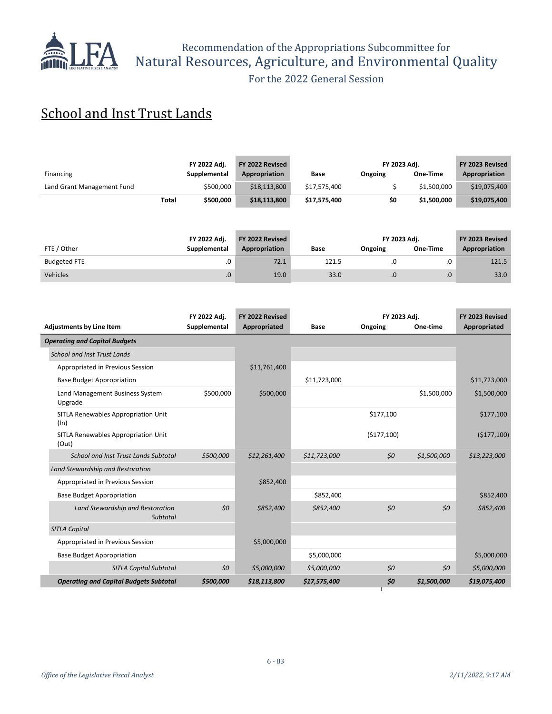

For the 2022 General Session

## School and Inst Trust Lands

|                            |       | FY 2022 Adj. | FY 2022 Revised |              | FY 2023 Adi. |             | FY 2023 Revised |
|----------------------------|-------|--------------|-----------------|--------------|--------------|-------------|-----------------|
| Financing                  |       | Supplemental | Appropriation   | Base         | Ongoing      | One-Time    | Appropriation   |
| Land Grant Management Fund |       | \$500.000    | \$18,113,800    | \$17,575,400 |              | \$1.500.000 | \$19,075,400    |
|                            | Total | \$500,000    | \$18,113,800    | \$17,575,400 | \$0          | \$1,500,000 | \$19,075,400    |

|                     | FY 2022 Adj.    | FY 2022 Revised |       | FY 2023 Adj. |          | FY 2023 Revised |
|---------------------|-----------------|-----------------|-------|--------------|----------|-----------------|
| FTE / Other         | Supplemental    | Appropriation   | Base  | Ongoing      | One Time | Appropriation   |
| <b>Budgeted FTE</b> | ٠.              | 72.1            | 121.5 |              |          | 121.5           |
| Vehicles            | .0 <sub>1</sub> | 19.0            | 33.0  | .0           | .0       | 33.0            |

| <b>Adjustments by Line Item</b>               | FY 2022 Adj.<br>Supplemental | FY 2022 Revised<br>Appropriated | <b>Base</b>  | FY 2023 Adj.<br>Ongoing | One-time    | FY 2023 Revised<br>Appropriated |
|-----------------------------------------------|------------------------------|---------------------------------|--------------|-------------------------|-------------|---------------------------------|
| <b>Operating and Capital Budgets</b>          |                              |                                 |              |                         |             |                                 |
| <b>School and Inst Trust Lands</b>            |                              |                                 |              |                         |             |                                 |
| Appropriated in Previous Session              |                              | \$11,761,400                    |              |                         |             |                                 |
| <b>Base Budget Appropriation</b>              |                              |                                 | \$11,723,000 |                         |             | \$11,723,000                    |
| Land Management Business System<br>Upgrade    | \$500,000                    | \$500,000                       |              |                         | \$1,500,000 | \$1,500,000                     |
| SITLA Renewables Appropriation Unit<br>(ln)   |                              |                                 |              | \$177,100               |             | \$177,100                       |
| SITLA Renewables Appropriation Unit<br>(Out)  |                              |                                 |              | (\$177,100)             |             | (\$177,100)                     |
| School and Inst Trust Lands Subtotal          | \$500,000                    | \$12,261,400                    | \$11,723,000 | \$0                     | \$1,500,000 | \$13,223,000                    |
| Land Stewardship and Restoration              |                              |                                 |              |                         |             |                                 |
| Appropriated in Previous Session              |                              | \$852,400                       |              |                         |             |                                 |
| <b>Base Budget Appropriation</b>              |                              |                                 | \$852,400    |                         |             | \$852,400                       |
| Land Stewardship and Restoration<br>Subtotal  | 50                           | \$852,400                       | \$852,400    | 50                      | 50          | \$852,400                       |
| <b>SITLA Capital</b>                          |                              |                                 |              |                         |             |                                 |
| Appropriated in Previous Session              |                              | \$5,000,000                     |              |                         |             |                                 |
| <b>Base Budget Appropriation</b>              |                              |                                 | \$5,000,000  |                         |             | \$5,000,000                     |
| <b>SITLA Capital Subtotal</b>                 | \$0                          | \$5,000,000                     | \$5,000,000  | \$0                     | \$0         | \$5,000,000                     |
| <b>Operating and Capital Budgets Subtotal</b> | \$500,000                    | \$18,113,800                    | \$17,575,400 | \$0                     | \$1,500,000 | \$19,075,400                    |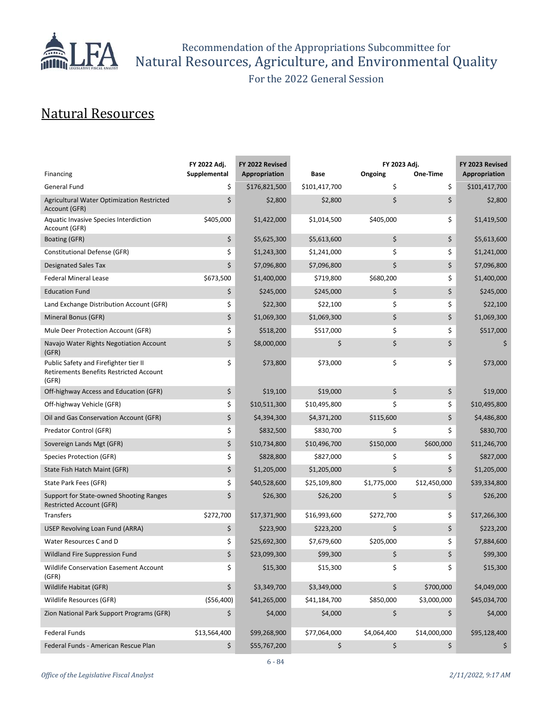

For the 2022 General Session

|                                                                                                  | FY 2022 Adj. | FY 2022 Revised |               |             | FY 2023 Adj. | FY 2023 Revised |
|--------------------------------------------------------------------------------------------------|--------------|-----------------|---------------|-------------|--------------|-----------------|
| Financing                                                                                        | Supplemental | Appropriation   | Base          | Ongoing     | One-Time     | Appropriation   |
| General Fund                                                                                     | \$           | \$176,821,500   | \$101,417,700 | \$          | \$           | \$101,417,700   |
| Agricultural Water Optimization Restricted<br>Account (GFR)                                      | \$           | \$2,800         | \$2,800       | \$          | \$           | \$2,800         |
| Aquatic Invasive Species Interdiction<br>Account (GFR)                                           | \$405,000    | \$1,422,000     | \$1,014,500   | \$405,000   | \$           | \$1,419,500     |
| Boating (GFR)                                                                                    | \$           | \$5,625,300     | \$5,613,600   | \$          | \$           | \$5,613,600     |
| <b>Constitutional Defense (GFR)</b>                                                              | \$           | \$1,243,300     | \$1,241,000   | \$          | \$           | \$1,241,000     |
| Designated Sales Tax                                                                             | \$           | \$7,096,800     | \$7,096,800   | \$          | \$           | \$7,096,800     |
| <b>Federal Mineral Lease</b>                                                                     | \$673,500    | \$1,400,000     | \$719,800     | \$680,200   | \$           | \$1,400,000     |
| <b>Education Fund</b>                                                                            | \$           | \$245,000       | \$245,000     | \$          | \$           | \$245,000       |
| Land Exchange Distribution Account (GFR)                                                         | \$           | \$22,300        | \$22,100      | \$          | \$           | \$22,100        |
| Mineral Bonus (GFR)                                                                              | \$           | \$1,069,300     | \$1,069,300   | \$          | \$           | \$1,069,300     |
| Mule Deer Protection Account (GFR)                                                               | \$           | \$518,200       | \$517,000     | \$          | \$           | \$517,000       |
| Navajo Water Rights Negotiation Account<br>(GFR)                                                 | \$           | \$8,000,000     | \$            | \$          | \$           | \$              |
| Public Safety and Firefighter tier II<br><b>Retirements Benefits Restricted Account</b><br>(GFR) | \$           | \$73,800        | \$73,000      | \$          | \$           | \$73,000        |
| Off-highway Access and Education (GFR)                                                           | \$           | \$19,100        | \$19,000      | \$          | \$           | \$19,000        |
| Off-highway Vehicle (GFR)                                                                        | \$           | \$10,511,300    | \$10,495,800  | \$          | \$           | \$10,495,800    |
| Oil and Gas Conservation Account (GFR)                                                           | \$           | \$4,394,300     | \$4,371,200   | \$115,600   | \$           | \$4,486,800     |
| Predator Control (GFR)                                                                           | \$           | \$832,500       | \$830,700     | \$          | \$           | \$830,700       |
| Sovereign Lands Mgt (GFR)                                                                        | \$           | \$10,734,800    | \$10,496,700  | \$150,000   | \$600,000    | \$11,246,700    |
| Species Protection (GFR)                                                                         | \$           | \$828,800       | \$827,000     | \$          | \$           | \$827,000       |
| State Fish Hatch Maint (GFR)                                                                     | \$           | \$1,205,000     | \$1,205,000   | \$          | \$           | \$1,205,000     |
| State Park Fees (GFR)                                                                            | \$           | \$40,528,600    | \$25,109,800  | \$1,775,000 | \$12,450,000 | \$39,334,800    |
| Support for State-owned Shooting Ranges<br>Restricted Account (GFR)                              | \$           | \$26,300        | \$26,200      | \$          | \$           | \$26,200        |
| Transfers                                                                                        | \$272,700    | \$17,371,900    | \$16,993,600  | \$272,700   | \$           | \$17,266,300    |
| USEP Revolving Loan Fund (ARRA)                                                                  | \$           | \$223,900       | \$223,200     | \$          | \$           | \$223,200       |
| Water Resources C and D                                                                          | \$           | \$25,692,300    | \$7,679,600   | \$205,000   | \$           | \$7,884,600     |
| Wildland Fire Suppression Fund                                                                   | \$           | \$23,099,300    | \$99,300      | \$          | \$           | \$99,300        |
| Wildlife Conservation Easement Account<br>(GFR)                                                  | \$           | \$15,300        | \$15,300      | \$          | \$           | \$15,300        |
| Wildlife Habitat (GFR)                                                                           | \$           | \$3,349,700     | \$3,349,000   | \$          | \$700,000    | \$4,049,000     |
| Wildlife Resources (GFR)                                                                         | ( \$56,400)  | \$41,265,000    | \$41,184,700  | \$850,000   | \$3,000,000  | \$45,034,700    |
| Zion National Park Support Programs (GFR)                                                        | \$           | \$4,000         | \$4,000       | \$          | \$           | \$4,000         |
| Federal Funds                                                                                    | \$13,564,400 | \$99,268,900    | \$77,064,000  | \$4,064,400 | \$14,000,000 | \$95,128,400    |
| Federal Funds - American Rescue Plan                                                             | \$           | \$55,767,200    | \$            | \$          | \$           | \$              |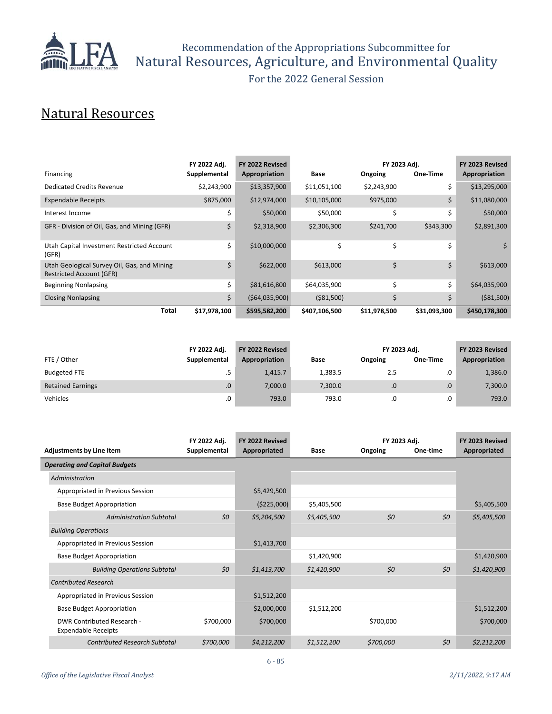

For the 2022 General Session

| Financing                                                               | FY 2022 Adj.<br>Supplemental | FY 2022 Revised<br>Appropriation | Base          | Ongoing      | FY 2023 Adj.<br>One-Time | FY 2023 Revised<br>Appropriation |
|-------------------------------------------------------------------------|------------------------------|----------------------------------|---------------|--------------|--------------------------|----------------------------------|
| <b>Dedicated Credits Revenue</b>                                        | \$2,243,900                  | \$13,357,900                     | \$11,051,100  | \$2,243,900  | \$                       | \$13,295,000                     |
| <b>Expendable Receipts</b>                                              | \$875,000                    | \$12,974,000                     | \$10,105,000  | \$975,000    | \$                       | \$11,080,000                     |
| Interest Income                                                         | \$                           | \$50,000                         | \$50,000      | \$           | \$                       | \$50,000                         |
| GFR - Division of Oil, Gas, and Mining (GFR)                            | \$                           | \$2,318,900                      | \$2,306,300   | \$241,700    | \$343,300                | \$2,891,300                      |
| Utah Capital Investment Restricted Account<br>(GFR)                     | \$                           | \$10,000,000                     | \$            | \$           | Ś.                       | S                                |
| Utah Geological Survey Oil, Gas, and Mining<br>Restricted Account (GFR) | \$                           | \$622,000                        | \$613,000     | \$           | Ś.                       | \$613,000                        |
| <b>Beginning Nonlapsing</b>                                             | \$                           | \$81,616,800                     | \$64,035,900  | \$           | Ś.                       | \$64,035,900                     |
| <b>Closing Nonlapsing</b>                                               | \$                           | (564, 035, 900)                  | ( \$81,500)   | \$           | \$                       | ( \$81,500)                      |
| Total                                                                   | \$17,978,100                 | \$595,582,200                    | \$407,106,500 | \$11,978,500 | \$31,093,300             | \$450,178,300                    |

|                          | FY 2022 Adj. | FY 2022 Revised |         |         | FY 2023 Adj. | FY 2023 Revised |
|--------------------------|--------------|-----------------|---------|---------|--------------|-----------------|
| FTE / Other              | Supplemental | Appropriation   | Base    | Ongoing | One Time     | Appropriation   |
| <b>Budgeted FTE</b>      | .5           | 1,415.7         | 1,383.5 | 2.5     | .0           | 1,386.0         |
| <b>Retained Earnings</b> | .0           | 7,000.0         | 7,300.0 | .0      | $\bf{0}$     | 7,300.0         |
| Vehicles                 | .0           | 793.0           | 793.0   | .0      | .0           | 793.0           |

|                                                          | FY 2022 Adj. | FY 2022 Revised |             | FY 2023 Adj. |          | FY 2023 Revised |
|----------------------------------------------------------|--------------|-----------------|-------------|--------------|----------|-----------------|
| <b>Adjustments by Line Item</b>                          | Supplemental | Appropriated    | <b>Base</b> | Ongoing      | One-time | Appropriated    |
| <b>Operating and Capital Budgets</b>                     |              |                 |             |              |          |                 |
| Administration                                           |              |                 |             |              |          |                 |
| Appropriated in Previous Session                         |              | \$5,429,500     |             |              |          |                 |
| <b>Base Budget Appropriation</b>                         |              | (\$225,000)     | \$5,405,500 |              |          | \$5,405,500     |
| <b>Administration Subtotal</b>                           | SO           | \$5,204,500     | \$5,405,500 | 50           | \$0      | \$5,405,500     |
| <b>Building Operations</b>                               |              |                 |             |              |          |                 |
| Appropriated in Previous Session                         |              | \$1,413,700     |             |              |          |                 |
| <b>Base Budget Appropriation</b>                         |              |                 | \$1,420,900 |              |          | \$1,420,900     |
| <b>Building Operations Subtotal</b>                      | SO           | \$1,413,700     | \$1,420,900 | 50           | \$0      | \$1,420,900     |
| <b>Contributed Research</b>                              |              |                 |             |              |          |                 |
| Appropriated in Previous Session                         |              | \$1,512,200     |             |              |          |                 |
| <b>Base Budget Appropriation</b>                         |              | \$2,000,000     | \$1,512,200 |              |          | \$1,512,200     |
| DWR Contributed Research -<br><b>Expendable Receipts</b> | \$700,000    | \$700,000       |             | \$700,000    |          | \$700,000       |
| <b>Contributed Research Subtotal</b>                     | \$700,000    | \$4,212,200     | \$1,512,200 | \$700,000    | \$0      | \$2,212,200     |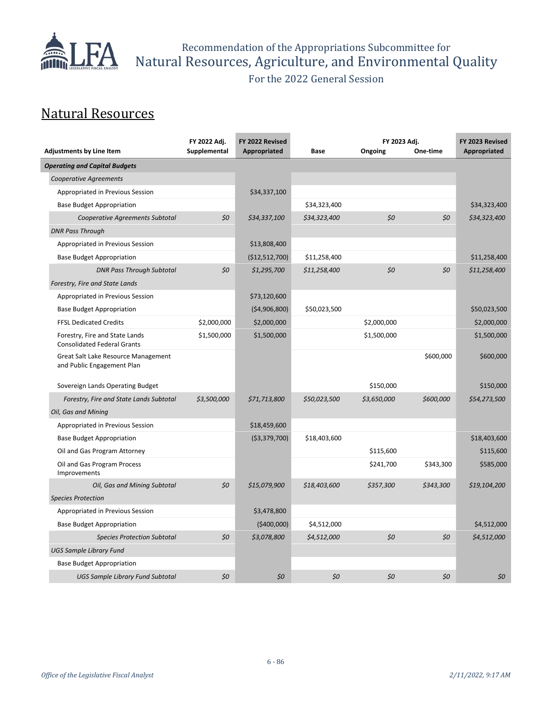

I

Recommendation of the Appropriations Subcommittee for Natural Resources, Agriculture, and Environmental Quality

For the 2022 General Session

|                                                                      | FY 2022 Adj. | FY 2022 Revised |              | FY 2023 Adj. |           | FY 2023 Revised |
|----------------------------------------------------------------------|--------------|-----------------|--------------|--------------|-----------|-----------------|
| <b>Adjustments by Line Item</b>                                      | Supplemental | Appropriated    | Base         | Ongoing      | One-time  | Appropriated    |
| <b>Operating and Capital Budgets</b>                                 |              |                 |              |              |           |                 |
| Cooperative Agreements                                               |              |                 |              |              |           |                 |
| Appropriated in Previous Session                                     |              | \$34,337,100    |              |              |           |                 |
| <b>Base Budget Appropriation</b>                                     |              |                 | \$34,323,400 |              |           | \$34,323,400    |
| Cooperative Agreements Subtotal                                      | 50           | \$34,337,100    | \$34,323,400 | \$0          | \$0       | \$34,323,400    |
| <b>DNR Pass Through</b>                                              |              |                 |              |              |           |                 |
| Appropriated in Previous Session                                     |              | \$13,808,400    |              |              |           |                 |
| <b>Base Budget Appropriation</b>                                     |              | ( \$12,512,700) | \$11,258,400 |              |           | \$11,258,400    |
| <b>DNR Pass Through Subtotal</b>                                     | \$0          | \$1,295,700     | \$11,258,400 | \$0          | \$0       | \$11,258,400    |
| Forestry, Fire and State Lands                                       |              |                 |              |              |           |                 |
| Appropriated in Previous Session                                     |              | \$73,120,600    |              |              |           |                 |
| <b>Base Budget Appropriation</b>                                     |              | (54,906,800)    | \$50,023,500 |              |           | \$50,023,500    |
| <b>FFSL Dedicated Credits</b>                                        | \$2,000,000  | \$2,000,000     |              | \$2,000,000  |           | \$2,000,000     |
| Forestry, Fire and State Lands<br><b>Consolidated Federal Grants</b> | \$1,500,000  | \$1,500,000     |              | \$1,500,000  |           | \$1,500,000     |
| Great Salt Lake Resource Management<br>and Public Engagement Plan    |              |                 |              |              | \$600,000 | \$600,000       |
| Sovereign Lands Operating Budget                                     |              |                 |              | \$150,000    |           | \$150,000       |
| Forestry, Fire and State Lands Subtotal                              | \$3,500,000  | \$71,713,800    | \$50,023,500 | \$3,650,000  | \$600,000 | \$54,273,500    |
| Oil, Gas and Mining                                                  |              |                 |              |              |           |                 |
| Appropriated in Previous Session                                     |              | \$18,459,600    |              |              |           |                 |
| <b>Base Budget Appropriation</b>                                     |              | ( \$3,379,700)  | \$18,403,600 |              |           | \$18,403,600    |
| Oil and Gas Program Attorney                                         |              |                 |              | \$115,600    |           | \$115,600       |
| Oil and Gas Program Process<br>Improvements                          |              |                 |              | \$241,700    | \$343,300 | \$585,000       |
| Oil, Gas and Mining Subtotal                                         | \$0          | \$15,079,900    | \$18,403,600 | \$357,300    | \$343,300 | \$19,104,200    |
| <b>Species Protection</b>                                            |              |                 |              |              |           |                 |
| Appropriated in Previous Session                                     |              | \$3,478,800     |              |              |           |                 |
| <b>Base Budget Appropriation</b>                                     |              | (\$400,000)     | \$4,512,000  |              |           | \$4,512,000     |
| <b>Species Protection Subtotal</b>                                   | 50           | \$3,078,800     | \$4,512,000  | \$0          | \$0       | \$4,512,000     |
| <b>UGS Sample Library Fund</b>                                       |              |                 |              |              |           |                 |
| <b>Base Budget Appropriation</b>                                     |              |                 |              |              |           |                 |
| <b>UGS Sample Library Fund Subtotal</b>                              | \$0          | \$0             | \$0          | \$0          | \$0       | \$0\$           |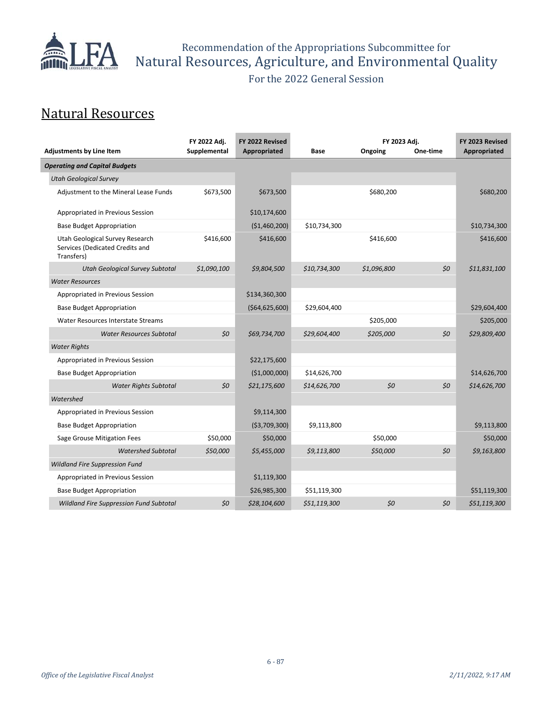

For the 2022 General Session

|                                                                                  | FY 2022 Adj. | FY 2022 Revised |              | FY 2023 Adj. |          | FY 2023 Revised |
|----------------------------------------------------------------------------------|--------------|-----------------|--------------|--------------|----------|-----------------|
| <b>Adjustments by Line Item</b>                                                  | Supplemental | Appropriated    | Base         | Ongoing      | One-time | Appropriated    |
| <b>Operating and Capital Budgets</b>                                             |              |                 |              |              |          |                 |
| <b>Utah Geological Survey</b>                                                    |              |                 |              |              |          |                 |
| Adjustment to the Mineral Lease Funds                                            | \$673,500    | \$673,500       |              | \$680.200    |          | \$680,200       |
| Appropriated in Previous Session                                                 |              | \$10,174,600    |              |              |          |                 |
| <b>Base Budget Appropriation</b>                                                 |              | ( \$1,460,200)  | \$10,734,300 |              |          | \$10,734,300    |
| Utah Geological Survey Research<br>Services (Dedicated Credits and<br>Transfers) | \$416,600    | \$416,600       |              | \$416,600    |          | \$416,600       |
| <b>Utah Geological Survey Subtotal</b>                                           | \$1,090,100  | \$9,804,500     | \$10,734,300 | \$1,096,800  | 50       | \$11,831,100    |
| <b>Water Resources</b>                                                           |              |                 |              |              |          |                 |
| Appropriated in Previous Session                                                 |              | \$134,360,300   |              |              |          |                 |
| <b>Base Budget Appropriation</b>                                                 |              | ( \$64,625,600) | \$29,604,400 |              |          | \$29,604,400    |
| Water Resources Interstate Streams                                               |              |                 |              | \$205,000    |          | \$205,000       |
| <b>Water Resources Subtotal</b>                                                  | \$0          | \$69,734,700    | \$29,604,400 | \$205,000    | \$0      | \$29,809,400    |
| <b>Water Rights</b>                                                              |              |                 |              |              |          |                 |
| Appropriated in Previous Session                                                 |              | \$22,175,600    |              |              |          |                 |
| <b>Base Budget Appropriation</b>                                                 |              | (\$1,000,000)   | \$14,626,700 |              |          | \$14,626,700    |
| <b>Water Rights Subtotal</b>                                                     | \$0          | \$21,175,600    | \$14,626,700 | \$0          | \$0      | \$14,626,700    |
| Watershed                                                                        |              |                 |              |              |          |                 |
| Appropriated in Previous Session                                                 |              | \$9,114,300     |              |              |          |                 |
| <b>Base Budget Appropriation</b>                                                 |              | ( \$3,709,300)  | \$9,113,800  |              |          | \$9,113,800     |
| Sage Grouse Mitigation Fees                                                      | \$50,000     | \$50,000        |              | \$50,000     |          | \$50,000        |
| <b>Watershed Subtotal</b>                                                        | \$50,000     | \$5,455,000     | \$9,113,800  | \$50,000     | \$0      | \$9,163,800     |
| <b>Wildland Fire Suppression Fund</b>                                            |              |                 |              |              |          |                 |
| Appropriated in Previous Session                                                 |              | \$1,119,300     |              |              |          |                 |
| <b>Base Budget Appropriation</b>                                                 |              | \$26,985,300    | \$51,119,300 |              |          | \$51,119,300    |
| Wildland Fire Suppression Fund Subtotal                                          | \$0          | \$28,104,600    | \$51,119,300 | \$0          | \$0      | \$51,119,300    |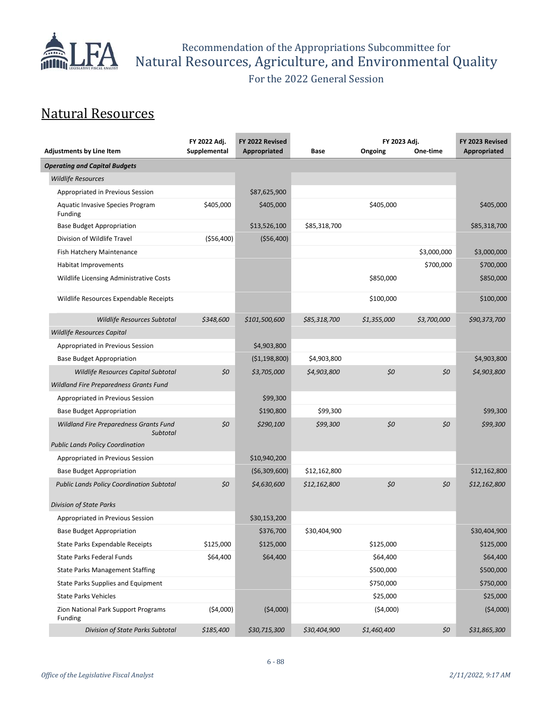

Ī

Recommendation of the Appropriations Subcommittee for Natural Resources, Agriculture, and Environmental Quality

For the 2022 General Session

| <b>Adjustments by Line Item</b>                    | FY 2022 Adj.<br>Supplemental | FY 2022 Revised<br>Appropriated | Base         | FY 2023 Adj.<br>Ongoing | One-time    | FY 2023 Revised<br>Appropriated |
|----------------------------------------------------|------------------------------|---------------------------------|--------------|-------------------------|-------------|---------------------------------|
| <b>Operating and Capital Budgets</b>               |                              |                                 |              |                         |             |                                 |
| <b>Wildlife Resources</b>                          |                              |                                 |              |                         |             |                                 |
| Appropriated in Previous Session                   |                              | \$87,625,900                    |              |                         |             |                                 |
| Aquatic Invasive Species Program<br>Funding        | \$405,000                    | \$405,000                       |              | \$405,000               |             | \$405,000                       |
| <b>Base Budget Appropriation</b>                   |                              | \$13,526,100                    | \$85,318,700 |                         |             | \$85,318,700                    |
| Division of Wildlife Travel                        | ( \$56,400)                  | ( \$56,400)                     |              |                         |             |                                 |
| Fish Hatchery Maintenance                          |                              |                                 |              |                         | \$3,000,000 | \$3,000,000                     |
| <b>Habitat Improvements</b>                        |                              |                                 |              |                         | \$700,000   | \$700,000                       |
| Wildlife Licensing Administrative Costs            |                              |                                 |              | \$850,000               |             | \$850,000                       |
| Wildlife Resources Expendable Receipts             |                              |                                 |              | \$100,000               |             | \$100,000                       |
| Wildlife Resources Subtotal                        | \$348,600                    | \$101,500,600                   | \$85,318,700 | \$1,355,000             | \$3,700,000 | \$90,373,700                    |
| Wildlife Resources Capital                         |                              |                                 |              |                         |             |                                 |
| Appropriated in Previous Session                   |                              | \$4,903,800                     |              |                         |             |                                 |
| <b>Base Budget Appropriation</b>                   |                              | (51, 198, 800)                  | \$4,903,800  |                         |             | \$4,903,800                     |
| Wildlife Resources Capital Subtotal                | \$0                          | \$3,705,000                     | \$4,903,800  | \$0                     | \$0         | \$4,903,800                     |
| Wildland Fire Preparedness Grants Fund             |                              |                                 |              |                         |             |                                 |
| Appropriated in Previous Session                   |                              | \$99,300                        |              |                         |             |                                 |
| <b>Base Budget Appropriation</b>                   |                              | \$190,800                       | \$99,300     |                         |             | \$99,300                        |
| Wildland Fire Preparedness Grants Fund<br>Subtotal | \$0                          | \$290,100                       | \$99,300     | \$0                     | \$0         | \$99,300                        |
| <b>Public Lands Policy Coordination</b>            |                              |                                 |              |                         |             |                                 |
| Appropriated in Previous Session                   |                              | \$10,940,200                    |              |                         |             |                                 |
| <b>Base Budget Appropriation</b>                   |                              | (56,309,600)                    | \$12,162,800 |                         |             | \$12,162,800                    |
| <b>Public Lands Policy Coordination Subtotal</b>   | \$0                          | \$4,630,600                     | \$12,162,800 | \$0                     | \$0         | \$12,162,800                    |
| <b>Division of State Parks</b>                     |                              |                                 |              |                         |             |                                 |
| Appropriated in Previous Session                   |                              | \$30,153,200                    |              |                         |             |                                 |
| <b>Base Budget Appropriation</b>                   |                              | \$376,700                       | \$30,404,900 |                         |             | \$30,404,900                    |
| <b>State Parks Expendable Receipts</b>             | \$125,000                    | \$125,000                       |              | \$125,000               |             | \$125,000                       |
| <b>State Parks Federal Funds</b>                   | \$64,400                     | \$64,400                        |              | \$64,400                |             | \$64,400                        |
| <b>State Parks Management Staffing</b>             |                              |                                 |              | \$500,000               |             | \$500,000                       |
| State Parks Supplies and Equipment                 |                              |                                 |              | \$750,000               |             | \$750,000                       |
| <b>State Parks Vehicles</b>                        |                              |                                 |              | \$25,000                |             | \$25,000                        |
| Zion National Park Support Programs<br>Funding     | ( \$4,000)                   | (54,000)                        |              | ( \$4,000)              |             | ( \$4,000)                      |
| Division of State Parks Subtotal                   | \$185,400                    | \$30,715,300                    | \$30,404,900 | \$1,460,400             | \$0         | \$31,865,300                    |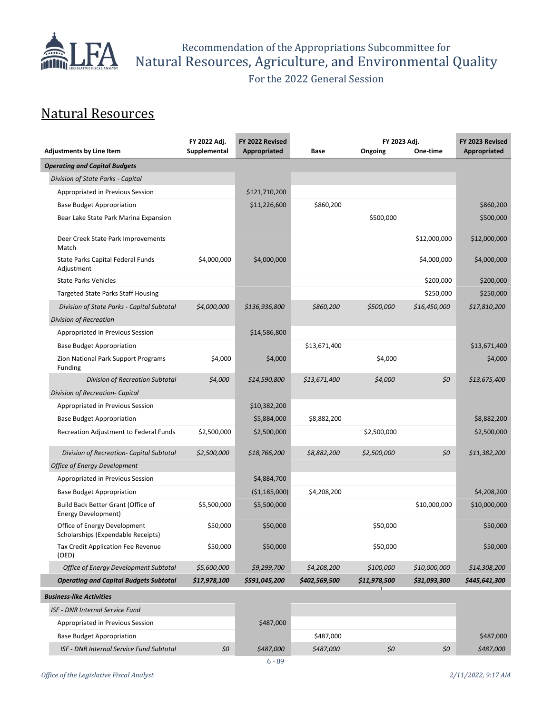

For the 2022 General Session

## Natural Resources

| <b>Adjustments by Line Item</b>                                    | FY 2022 Adj.<br>Supplemental | FY 2022 Revised<br>Appropriated | Base          | FY 2023 Adj.<br>Ongoing | One-time     | FY 2023 Revised<br>Appropriated |
|--------------------------------------------------------------------|------------------------------|---------------------------------|---------------|-------------------------|--------------|---------------------------------|
| <b>Operating and Capital Budgets</b>                               |                              |                                 |               |                         |              |                                 |
| Division of State Parks - Capital                                  |                              |                                 |               |                         |              |                                 |
| Appropriated in Previous Session                                   |                              | \$121,710,200                   |               |                         |              |                                 |
| <b>Base Budget Appropriation</b>                                   |                              | \$11,226,600                    | \$860,200     |                         |              | \$860,200                       |
| Bear Lake State Park Marina Expansion                              |                              |                                 |               | \$500,000               |              | \$500,000                       |
| Deer Creek State Park Improvements<br>Match                        |                              |                                 |               |                         | \$12,000,000 | \$12,000,000                    |
| State Parks Capital Federal Funds<br>Adjustment                    | \$4,000,000                  | \$4,000,000                     |               |                         | \$4,000,000  | \$4,000,000                     |
| <b>State Parks Vehicles</b>                                        |                              |                                 |               |                         | \$200,000    | \$200,000                       |
| <b>Targeted State Parks Staff Housing</b>                          |                              |                                 |               |                         | \$250,000    | \$250,000                       |
| Division of State Parks - Capital Subtotal                         | \$4,000,000                  | \$136,936,800                   | \$860,200     | \$500,000               | \$16,450,000 | \$17,810,200                    |
| <b>Division of Recreation</b>                                      |                              |                                 |               |                         |              |                                 |
| Appropriated in Previous Session                                   |                              | \$14,586,800                    |               |                         |              |                                 |
| <b>Base Budget Appropriation</b>                                   |                              |                                 | \$13,671,400  |                         |              | \$13,671,400                    |
| Zion National Park Support Programs<br>Funding                     | \$4,000                      | \$4,000                         |               | \$4,000                 |              | \$4,000                         |
| Division of Recreation Subtotal                                    | \$4,000                      | \$14,590,800                    | \$13,671,400  | \$4,000                 | \$0          | \$13,675,400                    |
| Division of Recreation- Capital                                    |                              |                                 |               |                         |              |                                 |
| Appropriated in Previous Session                                   |                              | \$10,382,200                    |               |                         |              |                                 |
| <b>Base Budget Appropriation</b>                                   |                              | \$5,884,000                     | \$8,882,200   |                         |              | \$8,882,200                     |
| Recreation Adjustment to Federal Funds                             | \$2,500,000                  | \$2,500,000                     |               | \$2,500,000             |              | \$2,500,000                     |
| Division of Recreation- Capital Subtotal                           | \$2,500,000                  | \$18,766,200                    | \$8,882,200   | \$2,500,000             | \$0          | \$11,382,200                    |
| Office of Energy Development                                       |                              |                                 |               |                         |              |                                 |
| Appropriated in Previous Session                                   |                              | \$4,884,700                     |               |                         |              |                                 |
| <b>Base Budget Appropriation</b>                                   |                              | (\$1,185,000)                   | \$4,208,200   |                         |              | \$4,208,200                     |
| Build Back Better Grant (Office of<br>Energy Development)          | \$5,500,000                  | \$5,500,000                     |               |                         | \$10,000,000 | \$10,000,000                    |
| Office of Energy Development<br>Scholarships (Expendable Receipts) | \$50,000                     | \$50,000                        |               | \$50,000                |              | \$50,000                        |
| Tax Credit Application Fee Revenue<br>(OED)                        | \$50,000                     | \$50,000                        |               | \$50,000                |              | \$50,000                        |
| Office of Energy Development Subtotal                              | \$5,600,000                  | \$9,299,700                     | \$4,208,200   | \$100,000               | \$10,000,000 | \$14,308,200                    |
| <b>Operating and Capital Budgets Subtotal</b>                      | \$17,978,100                 | \$591,045,200                   | \$402,569,500 | \$11,978,500            | \$31,093,300 | \$445,641,300                   |
| <b>Business-like Activities</b>                                    |                              |                                 |               |                         |              |                                 |
| ISF - DNR Internal Service Fund                                    |                              |                                 |               |                         |              |                                 |
| Appropriated in Previous Session                                   |                              | \$487,000                       |               |                         |              |                                 |
| <b>Base Budget Appropriation</b>                                   |                              |                                 | \$487,000     |                         |              | \$487,000                       |

*ISF ‐ DNR Internal Service Fund Subtotal \$0 \$0 \$0 \$487,000 \$487,000 \$487,000*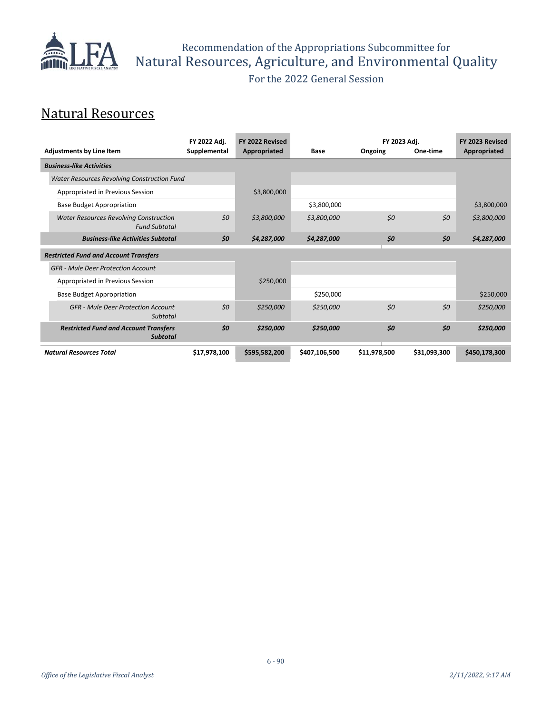

For the 2022 General Session

|                                                                       | FY 2022 Adj. | FY 2022 Revised |               | FY 2023 Adj. |              | FY 2023 Revised |
|-----------------------------------------------------------------------|--------------|-----------------|---------------|--------------|--------------|-----------------|
| <b>Adjustments by Line Item</b>                                       | Supplemental | Appropriated    | <b>Base</b>   | Ongoing      | One-time     | Appropriated    |
| <b>Business-like Activities</b>                                       |              |                 |               |              |              |                 |
| Water Resources Revolving Construction Fund                           |              |                 |               |              |              |                 |
| Appropriated in Previous Session                                      |              | \$3,800,000     |               |              |              |                 |
| <b>Base Budget Appropriation</b>                                      |              |                 | \$3,800,000   |              |              | \$3,800,000     |
| <b>Water Resources Revolving Construction</b><br><b>Fund Subtotal</b> | 50           | \$3,800,000     | \$3,800,000   | \$0          | \$0          | \$3,800,000     |
| <b>Business-like Activities Subtotal</b>                              | \$0          | \$4,287,000     | \$4,287,000   | \$0          | \$0          | \$4,287,000     |
| <b>Restricted Fund and Account Transfers</b>                          |              |                 |               |              |              |                 |
| <b>GFR - Mule Deer Protection Account</b>                             |              |                 |               |              |              |                 |
| Appropriated in Previous Session                                      |              | \$250,000       |               |              |              |                 |
| <b>Base Budget Appropriation</b>                                      |              |                 | \$250,000     |              |              | \$250,000       |
| <b>GFR - Mule Deer Protection Account</b><br>Subtotal                 | 50           | \$250,000       | \$250,000     | 50           | 50           | \$250,000       |
| <b>Restricted Fund and Account Transfers</b><br><b>Subtotal</b>       | \$0          | \$250,000       | \$250,000     | \$0          | \$0          | \$250,000       |
| <b>Natural Resources Total</b>                                        | \$17,978,100 | \$595,582,200   | \$407,106,500 | \$11,978,500 | \$31,093,300 | \$450,178,300   |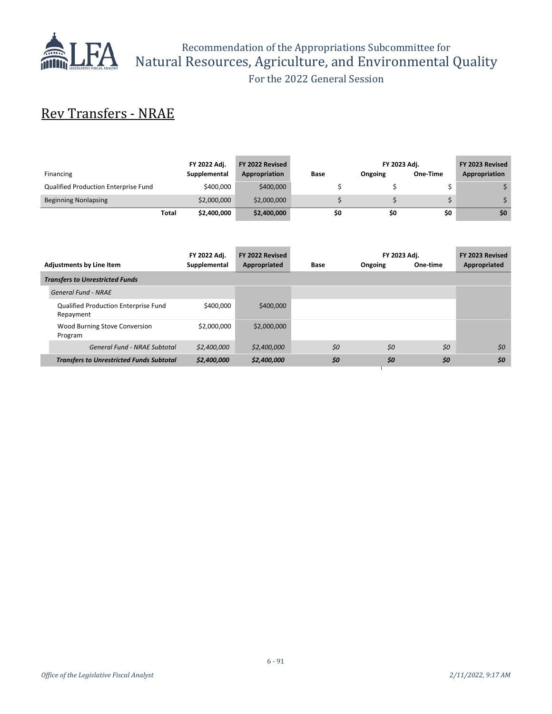

For the 2022 General Session

## Rev Transfers - NRAE

|                                      | FY 2022 Adj.         | FY 2022 Revised |      | FY 2023 Adj. |          | FY 2023 Revised |
|--------------------------------------|----------------------|-----------------|------|--------------|----------|-----------------|
| Financing                            | Supplemental         | Appropriation   | Base | Ongoing      | One-Time | Appropriation   |
| Qualified Production Enterprise Fund | \$400,000            | \$400,000       |      |              |          |                 |
| <b>Beginning Nonlapsing</b>          | \$2,000,000          | \$2,000,000     |      |              |          |                 |
|                                      | \$2,400,000<br>Total | \$2,400,000     | \$0  | \$0          | \$0      | \$0             |

|                                                   | FY 2022 Adj. | FY 2022 Revised |             | FY 2023 Adi. |          | FY 2023 Revised |
|---------------------------------------------------|--------------|-----------------|-------------|--------------|----------|-----------------|
| <b>Adjustments by Line Item</b>                   | Supplemental | Appropriated    | <b>Base</b> | Ongoing      | One-time | Appropriated    |
| <b>Transfers to Unrestricted Funds</b>            |              |                 |             |              |          |                 |
| <b>General Fund - NRAE</b>                        |              |                 |             |              |          |                 |
| Qualified Production Enterprise Fund<br>Repayment | \$400,000    | \$400,000       |             |              |          |                 |
| Wood Burning Stove Conversion<br>Program          | \$2,000,000  | \$2,000,000     |             |              |          |                 |
| General Fund - NRAE Subtotal                      | \$2,400,000  | \$2,400,000     | \$0         | \$0          | \$0      | \$0             |
| <b>Transfers to Unrestricted Funds Subtotal</b>   | \$2,400,000  | \$2,400,000     | \$0         | \$0          | \$0      | \$0             |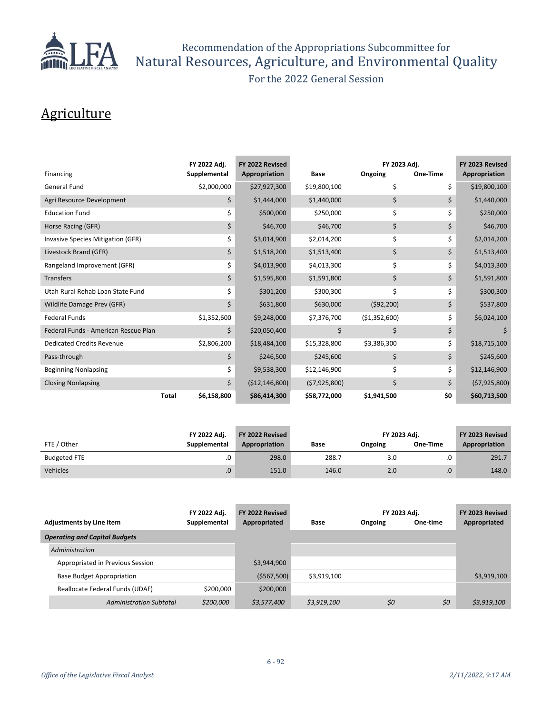

For the 2022 General Session

## **Agriculture**

| Financing                            | FY 2022 Adj.<br>Supplemental | FY 2022 Revised<br>Appropriation | Base           | FY 2023 Adj.<br>Ongoing | One-Time | FY 2023 Revised<br>Appropriation |
|--------------------------------------|------------------------------|----------------------------------|----------------|-------------------------|----------|----------------------------------|
| <b>General Fund</b>                  | \$2,000,000                  | \$27,927,300                     | \$19,800,100   | \$                      | \$       | \$19,800,100                     |
| Agri Resource Development            | \$                           | \$1,444,000                      | \$1,440,000    | \$                      | \$       | \$1,440,000                      |
| <b>Education Fund</b>                | \$                           | \$500,000                        | \$250,000      | \$                      | Ś.       | \$250,000                        |
| Horse Racing (GFR)                   | \$                           | \$46,700                         | \$46,700       | \$                      | \$       | \$46,700                         |
| Invasive Species Mitigation (GFR)    | \$                           | \$3,014,900                      | \$2,014,200    | \$                      | \$       | \$2,014,200                      |
| Livestock Brand (GFR)                | \$                           | \$1,518,200                      | \$1,513,400    | \$                      | \$       | \$1,513,400                      |
| Rangeland Improvement (GFR)          | \$                           | \$4,013,900                      | \$4,013,300    | \$                      | \$       | \$4,013,300                      |
| <b>Transfers</b>                     | \$                           | \$1,595,800                      | \$1,591,800    | \$                      | \$       | \$1,591,800                      |
| Utah Rural Rehab Loan State Fund     | \$                           | \$301,200                        | \$300,300      | \$                      | Ś.       | \$300,300                        |
| Wildlife Damage Prev (GFR)           | \$                           | \$631,800                        | \$630,000      | (592, 200)              | \$       | \$537,800                        |
| <b>Federal Funds</b>                 | \$1,352,600                  | \$9,248,000                      | \$7,376,700    | ( \$1,352,600)          | \$       | \$6,024,100                      |
| Federal Funds - American Rescue Plan | \$                           | \$20,050,400                     | \$             | \$                      | \$       |                                  |
| Dedicated Credits Revenue            | \$2,806,200                  | \$18,484,100                     | \$15,328,800   | \$3,386,300             | Ś.       | \$18,715,100                     |
| Pass-through                         | \$                           | \$246,500                        | \$245,600      | \$                      | \$       | \$245,600                        |
| <b>Beginning Nonlapsing</b>          | \$                           | \$9,538,300                      | \$12,146,900   | \$                      | \$       | \$12,146,900                     |
| <b>Closing Nonlapsing</b>            | \$                           | (512, 146, 800)                  | (57, 925, 800) | \$                      | \$       | (57, 925, 800)                   |
|                                      | <b>Total</b><br>\$6,158,800  | \$86,414,300                     | \$58,772,000   | \$1,941,500             | \$0      | \$60,713,500                     |

|                     | FY 2022 Adj. | FY 2022 Revised | FY 2023 Adj. |         | FY 2023 Revised |               |
|---------------------|--------------|-----------------|--------------|---------|-----------------|---------------|
| FTE / Other         | Supplemental | Appropriation   | Base         | Ongoing | One Time        | Appropriation |
| <b>Budgeted FTE</b> | .0           | 298.0           | 288.7        | 3.0     |                 | 291.7         |
| Vehicles            |              | 151.0           | 146.0        | 2.0     | .0              | 148.0         |

| <b>Adjustments by Line Item</b>      | FY 2022 Adj.<br>Supplemental | FY 2022 Revised<br>Appropriated | <b>Base</b> | FY 2023 Adj.<br>Ongoing | One-time | FY 2023 Revised<br>Appropriated |
|--------------------------------------|------------------------------|---------------------------------|-------------|-------------------------|----------|---------------------------------|
| <b>Operating and Capital Budgets</b> |                              |                                 |             |                         |          |                                 |
| Administration                       |                              |                                 |             |                         |          |                                 |
| Appropriated in Previous Session     |                              | \$3,944,900                     |             |                         |          |                                 |
| <b>Base Budget Appropriation</b>     |                              | ( \$567, 500)                   | \$3,919,100 |                         |          | \$3,919,100                     |
| Reallocate Federal Funds (UDAF)      | \$200,000                    | \$200,000                       |             |                         |          |                                 |
| <b>Administration Subtotal</b>       | \$200,000                    | \$3,577,400                     | \$3,919,100 | \$0                     | \$0      | \$3,919,100                     |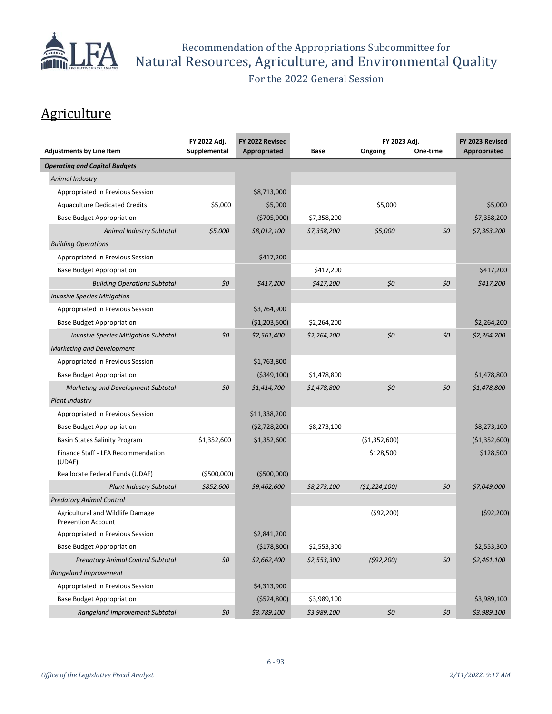

For the 2022 General Session

# **Agriculture**

I

| Adjustments by Line Item                                      | FY 2022 Adj.<br>Supplemental | FY 2022 Revised<br>Appropriated | Base        | FY 2023 Adj.<br>Ongoing | One-time | FY 2023 Revised<br>Appropriated |
|---------------------------------------------------------------|------------------------------|---------------------------------|-------------|-------------------------|----------|---------------------------------|
| <b>Operating and Capital Budgets</b>                          |                              |                                 |             |                         |          |                                 |
| <b>Animal Industry</b>                                        |                              |                                 |             |                         |          |                                 |
| Appropriated in Previous Session                              |                              | \$8,713,000                     |             |                         |          |                                 |
| <b>Aquaculture Dedicated Credits</b>                          | \$5,000                      | \$5,000                         |             | \$5,000                 |          | \$5,000                         |
| <b>Base Budget Appropriation</b>                              |                              | (5705,900)                      | \$7,358,200 |                         |          | \$7,358,200                     |
| <b>Animal Industry Subtotal</b>                               | \$5,000                      | \$8,012,100                     | \$7,358,200 | \$5,000                 | \$0      | \$7,363,200                     |
| <b>Building Operations</b>                                    |                              |                                 |             |                         |          |                                 |
| Appropriated in Previous Session                              |                              | \$417,200                       |             |                         |          |                                 |
| <b>Base Budget Appropriation</b>                              |                              |                                 | \$417,200   |                         |          | \$417,200                       |
| <b>Building Operations Subtotal</b>                           | \$0                          | \$417,200                       | \$417,200   | \$0                     | \$0      | \$417,200                       |
| <b>Invasive Species Mitigation</b>                            |                              |                                 |             |                         |          |                                 |
| Appropriated in Previous Session                              |                              | \$3,764,900                     |             |                         |          |                                 |
| <b>Base Budget Appropriation</b>                              |                              | (\$1,203,500)                   | \$2,264,200 |                         |          | \$2,264,200                     |
| <b>Invasive Species Mitigation Subtotal</b>                   | \$0                          | \$2,561,400                     | \$2,264,200 | \$0                     | \$0      | \$2,264,200                     |
| Marketing and Development                                     |                              |                                 |             |                         |          |                                 |
| Appropriated in Previous Session                              |                              | \$1,763,800                     |             |                         |          |                                 |
| <b>Base Budget Appropriation</b>                              |                              | ( \$349, 100)                   | \$1,478,800 |                         |          | \$1,478,800                     |
| Marketing and Development Subtotal                            | \$0                          | \$1,414,700                     | \$1,478,800 | 50                      | \$0      | \$1,478,800                     |
| <b>Plant Industry</b>                                         |                              |                                 |             |                         |          |                                 |
| Appropriated in Previous Session                              |                              | \$11,338,200                    |             |                         |          |                                 |
| <b>Base Budget Appropriation</b>                              |                              | (52, 728, 200)                  | \$8,273,100 |                         |          | \$8,273,100                     |
| Basin States Salinity Program                                 | \$1,352,600                  | \$1,352,600                     |             | ( \$1,352,600)          |          | (\$1,352,600)                   |
| Finance Staff - LFA Recommendation<br>(UDAF)                  |                              |                                 |             | \$128,500               |          | \$128,500                       |
| Reallocate Federal Funds (UDAF)                               | ( \$500,000)                 | ( \$500,000)                    |             |                         |          |                                 |
| <b>Plant Industry Subtotal</b>                                | \$852,600                    | \$9,462,600                     | \$8,273,100 | (51, 224, 100)          | \$0      | \$7,049,000                     |
| <b>Predatory Animal Control</b>                               |                              |                                 |             |                         |          |                                 |
| Agricultural and Wildlife Damage<br><b>Prevention Account</b> |                              |                                 |             | (592, 200)              |          | (592, 200)                      |
| Appropriated in Previous Session                              |                              | \$2,841,200                     |             |                         |          |                                 |
| <b>Base Budget Appropriation</b>                              |                              | ( \$178, 800)                   | \$2,553,300 |                         |          | \$2,553,300                     |
| <b>Predatory Animal Control Subtotal</b>                      | \$0                          | \$2,662,400                     | \$2,553,300 | (592, 200)              | \$0      | \$2,461,100                     |
| Rangeland Improvement                                         |                              |                                 |             |                         |          |                                 |
| Appropriated in Previous Session                              |                              | \$4,313,900                     |             |                         |          |                                 |
| <b>Base Budget Appropriation</b>                              |                              | ( \$524, 800)                   | \$3,989,100 |                         |          | \$3,989,100                     |
| Rangeland Improvement Subtotal                                | \$0                          | \$3,789,100                     | \$3,989,100 | \$0                     | \$0      | \$3,989,100                     |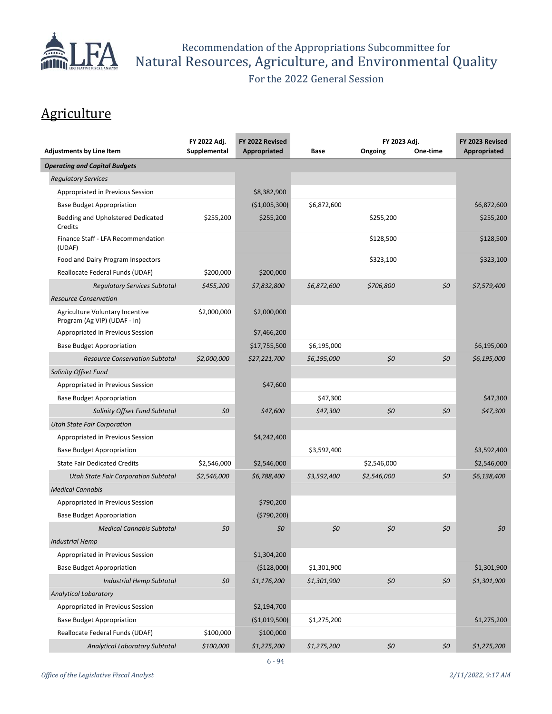

For the 2022 General Session

## **Agriculture**

| Adjustments by Line Item                                        | FY 2022 Adj.<br>Supplemental | FY 2022 Revised<br>Appropriated | Base        | FY 2023 Adj.<br>Ongoing | One-time | FY 2023 Revised<br>Appropriated |
|-----------------------------------------------------------------|------------------------------|---------------------------------|-------------|-------------------------|----------|---------------------------------|
| <b>Operating and Capital Budgets</b>                            |                              |                                 |             |                         |          |                                 |
| <b>Regulatory Services</b>                                      |                              |                                 |             |                         |          |                                 |
| Appropriated in Previous Session                                |                              | \$8,382,900                     |             |                         |          |                                 |
| <b>Base Budget Appropriation</b>                                |                              | ( \$1,005,300)                  | \$6,872,600 |                         |          | \$6,872,600                     |
| Bedding and Upholstered Dedicated<br>Credits                    | \$255,200                    | \$255,200                       |             | \$255,200               |          | \$255,200                       |
| Finance Staff - LFA Recommendation<br>(UDAF)                    |                              |                                 |             | \$128,500               |          | \$128,500                       |
| Food and Dairy Program Inspectors                               |                              |                                 |             | \$323,100               |          | \$323,100                       |
| Reallocate Federal Funds (UDAF)                                 | \$200,000                    | \$200,000                       |             |                         |          |                                 |
| <b>Regulatory Services Subtotal</b>                             | \$455,200                    | \$7,832,800                     | \$6,872,600 | \$706,800               | \$0      | \$7,579,400                     |
| <b>Resource Conservation</b>                                    |                              |                                 |             |                         |          |                                 |
| Agriculture Voluntary Incentive<br>Program (Ag VIP) (UDAF - In) | \$2,000,000                  | \$2,000,000                     |             |                         |          |                                 |
| Appropriated in Previous Session                                |                              | \$7,466,200                     |             |                         |          |                                 |
| <b>Base Budget Appropriation</b>                                |                              | \$17,755,500                    | \$6,195,000 |                         |          | \$6,195,000                     |
| <b>Resource Conservation Subtotal</b>                           | \$2,000,000                  | \$27,221,700                    | \$6,195,000 | \$0                     | \$0      | \$6,195,000                     |
| Salinity Offset Fund                                            |                              |                                 |             |                         |          |                                 |
| Appropriated in Previous Session                                |                              | \$47,600                        |             |                         |          |                                 |
| <b>Base Budget Appropriation</b>                                |                              |                                 | \$47,300    |                         |          | \$47,300                        |
| Salinity Offset Fund Subtotal                                   | \$0                          | \$47,600                        | \$47,300    | \$0                     | \$0      | \$47,300                        |
| <b>Utah State Fair Corporation</b>                              |                              |                                 |             |                         |          |                                 |
| Appropriated in Previous Session                                |                              | \$4,242,400                     |             |                         |          |                                 |
| <b>Base Budget Appropriation</b>                                |                              |                                 | \$3,592,400 |                         |          | \$3,592,400                     |
| <b>State Fair Dedicated Credits</b>                             | \$2,546,000                  | \$2,546,000                     |             | \$2,546,000             |          | \$2,546,000                     |
| <b>Utah State Fair Corporation Subtotal</b>                     | \$2,546,000                  | \$6,788,400                     | \$3,592,400 | \$2,546,000             | \$0      | \$6,138,400                     |
| <b>Medical Cannabis</b>                                         |                              |                                 |             |                         |          |                                 |
| Appropriated in Previous Session                                |                              | \$790,200                       |             |                         |          |                                 |
| <b>Base Budget Appropriation</b>                                |                              | (5790, 200)                     |             |                         |          |                                 |
| <b>Medical Cannabis Subtotal</b>                                | \$0                          | \$0                             | \$0         | \$0                     | \$0      | \$0                             |
| <b>Industrial Hemp</b>                                          |                              |                                 |             |                         |          |                                 |
| Appropriated in Previous Session                                |                              | \$1,304,200                     |             |                         |          |                                 |
| <b>Base Budget Appropriation</b>                                |                              | (\$128,000)                     | \$1,301,900 |                         |          | \$1,301,900                     |
| <b>Industrial Hemp Subtotal</b>                                 | \$0\$                        | \$1,176,200                     | \$1,301,900 | $50$                    | \$0      | \$1,301,900                     |
| <b>Analytical Laboratory</b>                                    |                              |                                 |             |                         |          |                                 |
| Appropriated in Previous Session                                |                              | \$2,194,700                     |             |                         |          |                                 |
| <b>Base Budget Appropriation</b>                                |                              | ( \$1,019,500)                  | \$1,275,200 |                         |          | \$1,275,200                     |
| Reallocate Federal Funds (UDAF)                                 | \$100,000                    | \$100,000                       |             |                         |          |                                 |
| Analytical Laboratory Subtotal                                  | \$100,000                    | \$1,275,200                     | \$1,275,200 | \$0                     | \$0      | \$1,275,200                     |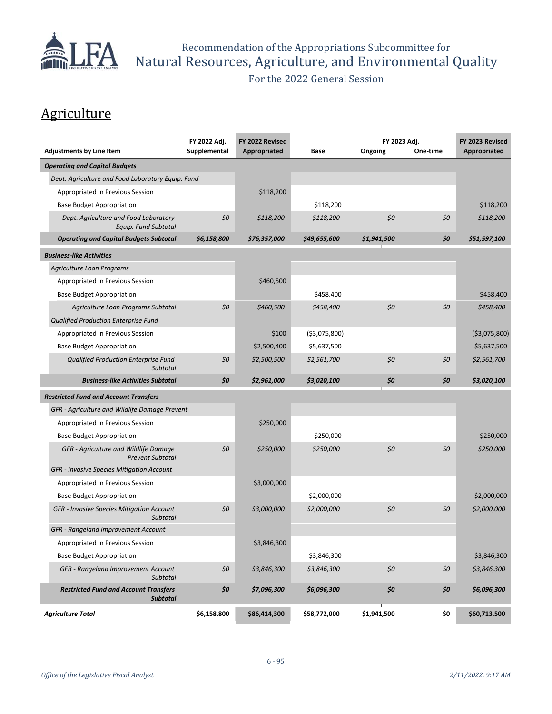

For the 2022 General Session

## **Agriculture**

| <b>Adjustments by Line Item</b>                                  | FY 2022 Adj.<br>Supplemental | FY 2022 Revised<br>Appropriated | Base           | FY 2023 Adi.<br>Ongoing | One-time | FY 2023 Revised<br>Appropriated |
|------------------------------------------------------------------|------------------------------|---------------------------------|----------------|-------------------------|----------|---------------------------------|
| <b>Operating and Capital Budgets</b>                             |                              |                                 |                |                         |          |                                 |
| Dept. Agriculture and Food Laboratory Equip. Fund                |                              |                                 |                |                         |          |                                 |
| Appropriated in Previous Session                                 |                              | \$118,200                       |                |                         |          |                                 |
| <b>Base Budget Appropriation</b>                                 |                              |                                 | \$118,200      |                         |          | \$118,200                       |
| Dept. Agriculture and Food Laboratory<br>Equip. Fund Subtotal    | \$0                          | \$118,200                       | \$118,200      | \$0                     | \$0      | \$118,200                       |
| <b>Operating and Capital Budgets Subtotal</b>                    | \$6,158,800                  | \$76,357,000                    | \$49,655,600   | \$1,941,500             | \$0      | \$51,597,100                    |
| <b>Business-like Activities</b>                                  |                              |                                 |                |                         |          |                                 |
| Agriculture Loan Programs                                        |                              |                                 |                |                         |          |                                 |
| Appropriated in Previous Session                                 |                              | \$460,500                       |                |                         |          |                                 |
| <b>Base Budget Appropriation</b>                                 |                              |                                 | \$458,400      |                         |          | \$458,400                       |
| Agriculture Loan Programs Subtotal                               | \$0                          | \$460,500                       | \$458,400      | \$0                     | \$0      | \$458,400                       |
| Qualified Production Enterprise Fund                             |                              |                                 |                |                         |          |                                 |
| Appropriated in Previous Session                                 |                              | \$100                           | ( \$3,075,800) |                         |          | ( \$3,075,800)                  |
| <b>Base Budget Appropriation</b>                                 |                              | \$2,500,400                     | \$5,637,500    |                         |          | \$5,637,500                     |
| <b>Qualified Production Enterprise Fund</b><br>Subtotal          | \$0                          | \$2,500,500                     | \$2,561,700    | \$0                     | \$0      | \$2,561,700                     |
| <b>Business-like Activities Subtotal</b>                         | \$0                          | \$2,961,000                     | \$3,020,100    | \$0                     | \$0      | \$3,020,100                     |
| <b>Restricted Fund and Account Transfers</b>                     |                              |                                 |                |                         |          |                                 |
| GFR - Agriculture and Wildlife Damage Prevent                    |                              |                                 |                |                         |          |                                 |
| Appropriated in Previous Session                                 |                              | \$250,000                       |                |                         |          |                                 |
| <b>Base Budget Appropriation</b>                                 |                              |                                 | \$250,000      |                         |          | \$250,000                       |
| GFR - Agriculture and Wildlife Damage<br><b>Prevent Subtotal</b> | \$0                          | \$250,000                       | \$250,000      | \$0                     | \$0      | \$250,000                       |
| GFR - Invasive Species Mitigation Account                        |                              |                                 |                |                         |          |                                 |
| Appropriated in Previous Session                                 |                              | \$3,000,000                     |                |                         |          |                                 |
| <b>Base Budget Appropriation</b>                                 |                              |                                 | \$2,000,000    |                         |          | \$2,000,000                     |
| GFR - Invasive Species Mitigation Account<br>Subtotal            | \$0                          | \$3,000,000                     | \$2,000,000    | \$0                     | \$0      | \$2,000,000                     |
| GFR - Rangeland Improvement Account                              |                              |                                 |                |                         |          |                                 |
| Appropriated in Previous Session                                 |                              | \$3,846,300                     |                |                         |          |                                 |
| <b>Base Budget Appropriation</b>                                 |                              |                                 | \$3,846,300    |                         |          | \$3,846,300                     |
| <b>GFR - Rangeland Improvement Account</b><br><b>Subtotal</b>    | \$0                          | \$3,846,300                     | \$3,846,300    | $50$                    | \$0      | \$3,846,300                     |
| <b>Restricted Fund and Account Transfers</b><br><b>Subtotal</b>  | \$0                          | \$7,096,300                     | \$6,096,300    | \$0                     | \$0      | \$6,096,300                     |
| <b>Agriculture Total</b>                                         | \$6,158,800                  | \$86,414,300                    | \$58,772,000   | \$1,941,500             | \$0      | \$60,713,500                    |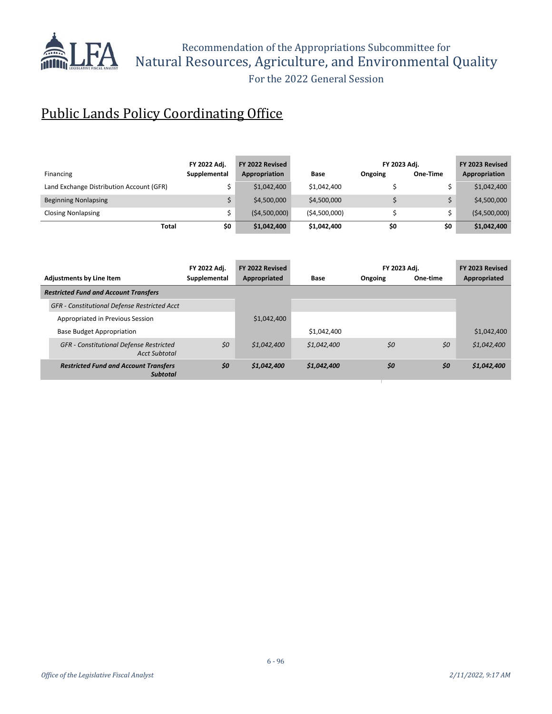

For the 2022 General Session

## Public Lands Policy Coordinating Office

|                                          | FY 2022 Adj. | FY 2022 Revised |              | FY 2023 Adi. |          | FY 2023 Revised |
|------------------------------------------|--------------|-----------------|--------------|--------------|----------|-----------------|
| Financing                                | Supplemental | Appropriation   | Base         | Ongoing      | One-Time | Appropriation   |
| Land Exchange Distribution Account (GFR) |              | \$1,042,400     | \$1,042,400  |              |          | \$1,042,400     |
| <b>Beginning Nonlapsing</b>              |              | \$4,500,000     | \$4,500,000  |              |          | \$4,500,000     |
| <b>Closing Nonlapsing</b>                |              | (54,500,000)    | (54,500,000) |              |          | (54,500,000)    |
| Total                                    | \$0          | \$1,042,400     | \$1,042,400  | \$0          | \$0      | \$1,042,400     |

|                                                                 | FY 2022 Adj. | FY 2022 Revised |             | FY 2023 Adi. |          | FY 2023 Revised |
|-----------------------------------------------------------------|--------------|-----------------|-------------|--------------|----------|-----------------|
| <b>Adjustments by Line Item</b>                                 | Supplemental | Appropriated    | <b>Base</b> | Ongoing      | One-time | Appropriated    |
| <b>Restricted Fund and Account Transfers</b>                    |              |                 |             |              |          |                 |
| GFR - Constitutional Defense Restricted Acct                    |              |                 |             |              |          |                 |
| Appropriated in Previous Session                                |              | \$1,042,400     |             |              |          |                 |
| <b>Base Budget Appropriation</b>                                |              |                 | \$1.042.400 |              |          | \$1,042,400     |
| GFR - Constitutional Defense Restricted<br><b>Acct Subtotal</b> | \$0          | \$1,042,400     | \$1.042.400 | \$0          | \$0      | \$1,042,400     |
| <b>Restricted Fund and Account Transfers</b><br>Subtotal        | \$0          | \$1,042,400     | \$1,042,400 | \$0          | \$0      | \$1,042,400     |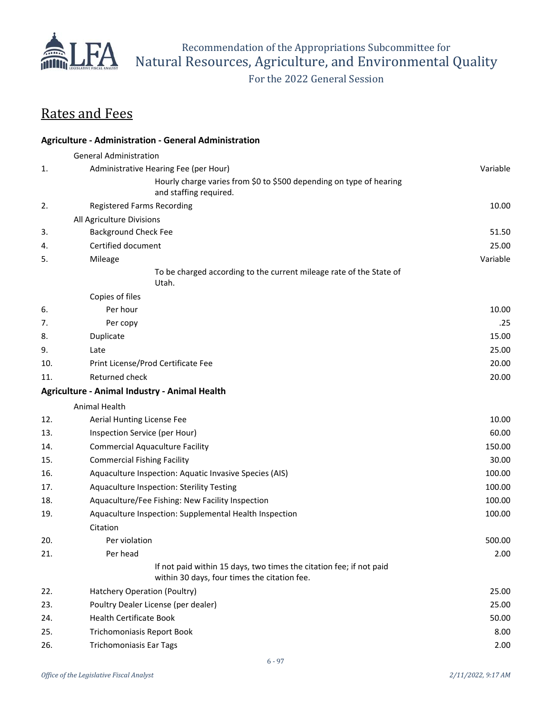

For the 2022 General Session

## Rates and Fees

|     | Agriculture - Administration - General Administration                                                               |          |
|-----|---------------------------------------------------------------------------------------------------------------------|----------|
|     | <b>General Administration</b>                                                                                       |          |
| 1.  | Administrative Hearing Fee (per Hour)                                                                               | Variable |
|     | Hourly charge varies from \$0 to \$500 depending on type of hearing<br>and staffing required.                       |          |
| 2.  | <b>Registered Farms Recording</b>                                                                                   | 10.00    |
|     | All Agriculture Divisions                                                                                           |          |
| 3.  | <b>Background Check Fee</b>                                                                                         | 51.50    |
| 4.  | Certified document                                                                                                  | 25.00    |
| 5.  | Mileage                                                                                                             | Variable |
|     | To be charged according to the current mileage rate of the State of<br>Utah.                                        |          |
|     | Copies of files                                                                                                     |          |
| 6.  | Per hour                                                                                                            | 10.00    |
| 7.  | Per copy                                                                                                            | .25      |
| 8.  | Duplicate                                                                                                           | 15.00    |
| 9.  | Late                                                                                                                | 25.00    |
| 10. | Print License/Prod Certificate Fee                                                                                  | 20.00    |
| 11. | Returned check                                                                                                      | 20.00    |
|     | Agriculture - Animal Industry - Animal Health                                                                       |          |
|     | Animal Health                                                                                                       |          |
| 12. | Aerial Hunting License Fee                                                                                          | 10.00    |
| 13. | Inspection Service (per Hour)                                                                                       | 60.00    |
| 14. | <b>Commercial Aquaculture Facility</b>                                                                              | 150.00   |
| 15. | <b>Commercial Fishing Facility</b>                                                                                  | 30.00    |
| 16. | Aquaculture Inspection: Aquatic Invasive Species (AIS)                                                              | 100.00   |
| 17. | <b>Aquaculture Inspection: Sterility Testing</b>                                                                    | 100.00   |
| 18. | Aquaculture/Fee Fishing: New Facility Inspection                                                                    | 100.00   |
| 19. | Aquaculture Inspection: Supplemental Health Inspection                                                              | 100.00   |
|     | Citation                                                                                                            |          |
| 20. | Per violation                                                                                                       | 500.00   |
| 21. | Per head                                                                                                            | 2.00     |
|     | If not paid within 15 days, two times the citation fee; if not paid<br>within 30 days, four times the citation fee. |          |
| 22. | Hatchery Operation (Poultry)                                                                                        | 25.00    |
| 23. | Poultry Dealer License (per dealer)                                                                                 | 25.00    |
| 24. | <b>Health Certificate Book</b>                                                                                      | 50.00    |
| 25. | Trichomoniasis Report Book                                                                                          | 8.00     |
| 26. | <b>Trichomoniasis Ear Tags</b>                                                                                      | 2.00     |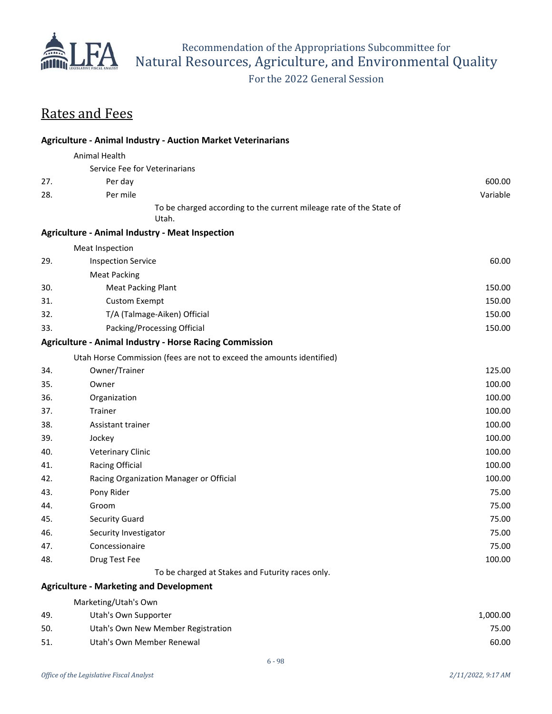

For the 2022 General Session

### Rates and Fees

|     | <b>Agriculture - Animal Industry - Auction Market Veterinarians</b>   |          |
|-----|-----------------------------------------------------------------------|----------|
|     | Animal Health                                                         |          |
|     | Service Fee for Veterinarians                                         |          |
| 27. | Per day                                                               | 600.00   |
| 28. | Per mile                                                              | Variable |
|     | To be charged according to the current mileage rate of the State of   |          |
|     | Utah.                                                                 |          |
|     | <b>Agriculture - Animal Industry - Meat Inspection</b>                |          |
|     | Meat Inspection                                                       |          |
| 29. | <b>Inspection Service</b>                                             | 60.00    |
|     | <b>Meat Packing</b>                                                   |          |
| 30. | <b>Meat Packing Plant</b>                                             | 150.00   |
| 31. | <b>Custom Exempt</b>                                                  | 150.00   |
| 32. | T/A (Talmage-Aiken) Official                                          | 150.00   |
| 33. | Packing/Processing Official                                           | 150.00   |
|     | <b>Agriculture - Animal Industry - Horse Racing Commission</b>        |          |
|     | Utah Horse Commission (fees are not to exceed the amounts identified) |          |
| 34. | Owner/Trainer                                                         | 125.00   |
| 35. | Owner                                                                 | 100.00   |
| 36. | Organization                                                          | 100.00   |
| 37. | Trainer                                                               | 100.00   |
| 38. | Assistant trainer                                                     | 100.00   |
| 39. | Jockey                                                                | 100.00   |
| 40. | <b>Veterinary Clinic</b>                                              | 100.00   |
| 41. | <b>Racing Official</b>                                                | 100.00   |
| 42. | Racing Organization Manager or Official                               | 100.00   |
| 43. | Pony Rider                                                            | 75.00    |
| 44. | Groom                                                                 | 75.00    |
| 45. | Security Guard                                                        | 75.00    |
| 46. | Security Investigator                                                 | 75.00    |
| 47. | Concessionaire                                                        | 75.00    |
| 48. | Drug Test Fee                                                         | 100.00   |
|     | To be charged at Stakes and Futurity races only.                      |          |
|     | <b>Agriculture - Marketing and Development</b>                        |          |
|     | Marketing/Utah's Own                                                  |          |
| 49. | Utah's Own Supporter                                                  | 1,000.00 |
| 50. | Utah's Own New Member Registration                                    | 75.00    |

51. Utah's Own Member Renewal 60.00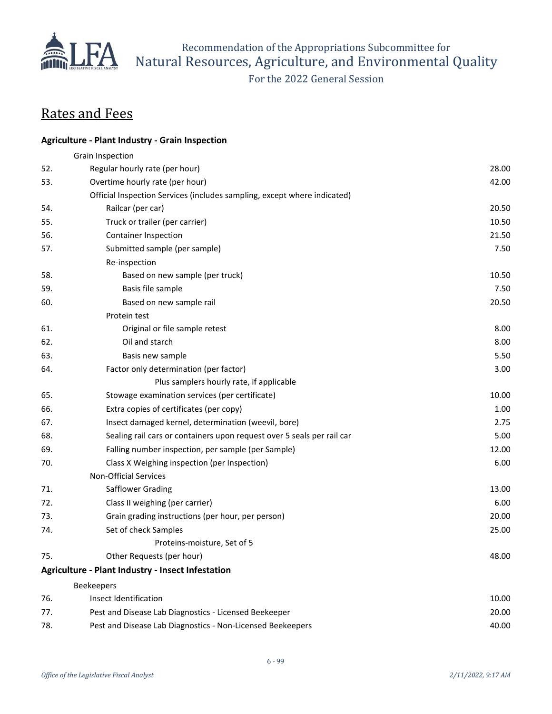

For the 2022 General Session

### Rates and Fees

|     | <b>Agriculture - Plant Industry - Grain Inspection</b>                   |       |
|-----|--------------------------------------------------------------------------|-------|
|     | Grain Inspection                                                         |       |
| 52. | Regular hourly rate (per hour)                                           | 28.00 |
| 53. | Overtime hourly rate (per hour)                                          | 42.00 |
|     | Official Inspection Services (includes sampling, except where indicated) |       |
| 54. | Railcar (per car)                                                        | 20.50 |
| 55. | Truck or trailer (per carrier)                                           | 10.50 |
| 56. | <b>Container Inspection</b>                                              | 21.50 |
| 57. | Submitted sample (per sample)                                            | 7.50  |
|     | Re-inspection                                                            |       |
| 58. | Based on new sample (per truck)                                          | 10.50 |
| 59. | Basis file sample                                                        | 7.50  |
| 60. | Based on new sample rail                                                 | 20.50 |
|     | Protein test                                                             |       |
| 61. | Original or file sample retest                                           | 8.00  |
| 62. | Oil and starch                                                           | 8.00  |
| 63. | Basis new sample                                                         | 5.50  |
| 64. | Factor only determination (per factor)                                   | 3.00  |
|     | Plus samplers hourly rate, if applicable                                 |       |
| 65. | Stowage examination services (per certificate)                           | 10.00 |
| 66. | Extra copies of certificates (per copy)                                  | 1.00  |
| 67. | Insect damaged kernel, determination (weevil, bore)                      | 2.75  |
| 68. | Sealing rail cars or containers upon request over 5 seals per rail car   | 5.00  |
| 69. | Falling number inspection, per sample (per Sample)                       | 12.00 |
| 70. | Class X Weighing inspection (per Inspection)                             | 6.00  |
|     | <b>Non-Official Services</b>                                             |       |
| 71. | Safflower Grading                                                        | 13.00 |
| 72. | Class II weighing (per carrier)                                          | 6.00  |
| 73. | Grain grading instructions (per hour, per person)                        | 20.00 |
| 74. | Set of check Samples                                                     | 25.00 |
|     | Proteins-moisture, Set of 5                                              |       |
| 75. | Other Requests (per hour)                                                | 48.00 |
|     | Agriculture - Plant Industry - Insect Infestation                        |       |
|     | <b>Beekeepers</b>                                                        |       |
| 76. | Insect Identification                                                    | 10.00 |
| 77. | Pest and Disease Lab Diagnostics - Licensed Beekeeper                    | 20.00 |
| 78. | Pest and Disease Lab Diagnostics - Non-Licensed Beekeepers               | 40.00 |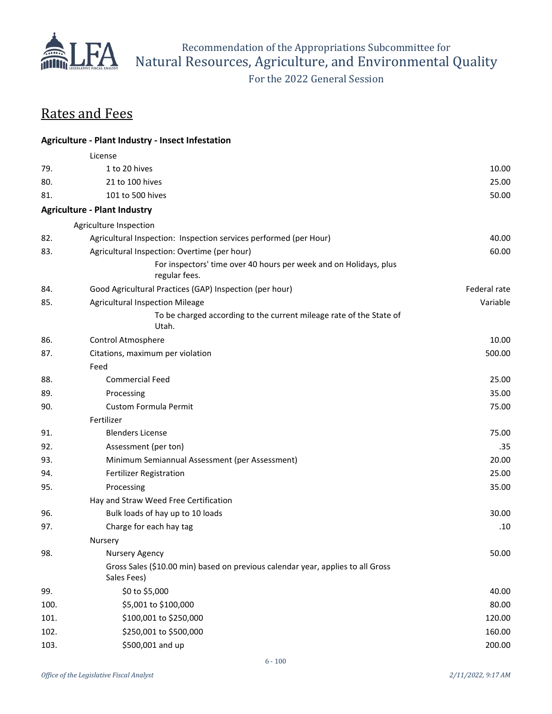

For the 2022 General Session

### Rates and Fees

|      | Agriculture - Plant Industry - Insect Infestation                                              |              |
|------|------------------------------------------------------------------------------------------------|--------------|
|      | License                                                                                        |              |
| 79.  | 1 to 20 hives                                                                                  | 10.00        |
| 80.  | 21 to 100 hives                                                                                | 25.00        |
| 81.  | 101 to 500 hives                                                                               | 50.00        |
|      | <b>Agriculture - Plant Industry</b>                                                            |              |
|      | Agriculture Inspection                                                                         |              |
| 82.  | Agricultural Inspection: Inspection services performed (per Hour)                              | 40.00        |
| 83.  | Agricultural Inspection: Overtime (per hour)                                                   | 60.00        |
|      | For inspectors' time over 40 hours per week and on Holidays, plus<br>regular fees.             |              |
| 84.  | Good Agricultural Practices (GAP) Inspection (per hour)                                        | Federal rate |
| 85.  | <b>Agricultural Inspection Mileage</b>                                                         | Variable     |
|      | To be charged according to the current mileage rate of the State of<br>Utah.                   |              |
| 86.  | <b>Control Atmosphere</b>                                                                      | 10.00        |
| 87.  | Citations, maximum per violation                                                               | 500.00       |
|      | Feed                                                                                           |              |
| 88.  | <b>Commercial Feed</b>                                                                         | 25.00        |
| 89.  | Processing                                                                                     | 35.00        |
| 90.  | Custom Formula Permit                                                                          | 75.00        |
|      | Fertilizer                                                                                     |              |
| 91.  | <b>Blenders License</b>                                                                        | 75.00        |
| 92.  | Assessment (per ton)                                                                           | .35          |
| 93.  | Minimum Semiannual Assessment (per Assessment)                                                 | 20.00        |
| 94.  | Fertilizer Registration                                                                        | 25.00        |
| 95.  | Processing                                                                                     | 35.00        |
|      | Hay and Straw Weed Free Certification                                                          |              |
| 96.  | Bulk loads of hay up to 10 loads                                                               | 30.00        |
| 97.  | Charge for each hay tag                                                                        | .10          |
|      | Nursery                                                                                        |              |
| 98.  | Nursery Agency                                                                                 | 50.00        |
|      | Gross Sales (\$10.00 min) based on previous calendar year, applies to all Gross<br>Sales Fees) |              |
| 99.  | \$0 to \$5,000                                                                                 | 40.00        |
| 100. | \$5,001 to \$100,000                                                                           | 80.00        |
| 101. | \$100,001 to \$250,000                                                                         | 120.00       |
| 102. | \$250,001 to \$500,000                                                                         | 160.00       |
| 103. | \$500,001 and up                                                                               | 200.00       |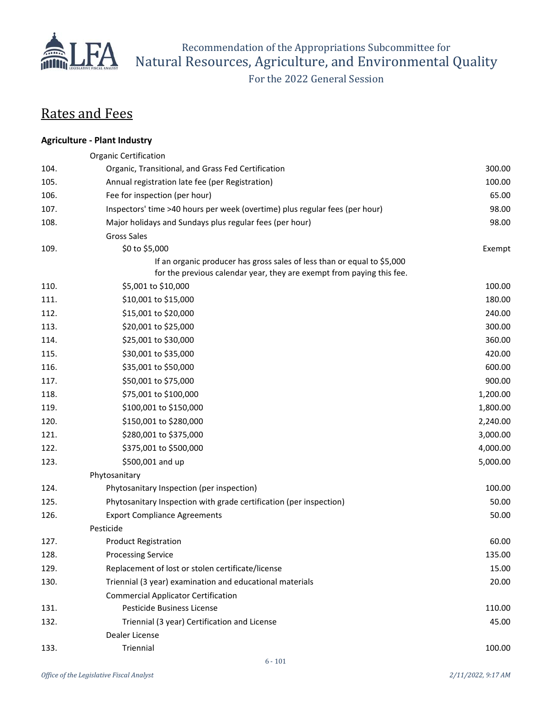

Recommendation of the Appropriations Subcommittee for

Natural Resources, Agriculture, and Environmental Quality

For the 2022 General Session

### Rates and Fees

#### **Agriculture ‐ Plant Industry**

|      | <b>Organic Certification</b>                                                                                                                     |          |
|------|--------------------------------------------------------------------------------------------------------------------------------------------------|----------|
| 104. | Organic, Transitional, and Grass Fed Certification                                                                                               | 300.00   |
| 105. | Annual registration late fee (per Registration)                                                                                                  | 100.00   |
| 106. | Fee for inspection (per hour)                                                                                                                    | 65.00    |
| 107. | Inspectors' time >40 hours per week (overtime) plus regular fees (per hour)                                                                      | 98.00    |
| 108. | Major holidays and Sundays plus regular fees (per hour)                                                                                          | 98.00    |
|      | <b>Gross Sales</b>                                                                                                                               |          |
| 109. | \$0 to \$5,000                                                                                                                                   | Exempt   |
|      | If an organic producer has gross sales of less than or equal to \$5,000<br>for the previous calendar year, they are exempt from paying this fee. |          |
| 110. | \$5,001 to \$10,000                                                                                                                              | 100.00   |
| 111. | \$10,001 to \$15,000                                                                                                                             | 180.00   |
| 112. | \$15,001 to \$20,000                                                                                                                             | 240.00   |
| 113. | \$20,001 to \$25,000                                                                                                                             | 300.00   |
| 114. | \$25,001 to \$30,000                                                                                                                             | 360.00   |
| 115. | \$30,001 to \$35,000                                                                                                                             | 420.00   |
| 116. | \$35,001 to \$50,000                                                                                                                             | 600.00   |
| 117. | \$50,001 to \$75,000                                                                                                                             | 900.00   |
| 118. | \$75,001 to \$100,000                                                                                                                            | 1,200.00 |
| 119. | \$100,001 to \$150,000                                                                                                                           | 1,800.00 |
| 120. | \$150,001 to \$280,000                                                                                                                           | 2,240.00 |
| 121. | \$280,001 to \$375,000                                                                                                                           | 3,000.00 |
| 122. | \$375,001 to \$500,000                                                                                                                           | 4,000.00 |
| 123. | \$500,001 and up                                                                                                                                 | 5,000.00 |
|      | Phytosanitary                                                                                                                                    |          |
| 124. | Phytosanitary Inspection (per inspection)                                                                                                        | 100.00   |
| 125. | Phytosanitary Inspection with grade certification (per inspection)                                                                               | 50.00    |
| 126. | <b>Export Compliance Agreements</b>                                                                                                              | 50.00    |
|      | Pesticide                                                                                                                                        |          |
| 127. | <b>Product Registration</b>                                                                                                                      | 60.00    |
| 128. | <b>Processing Service</b>                                                                                                                        | 135.00   |
| 129. | Replacement of lost or stolen certificate/license                                                                                                | 15.00    |
| 130. | Triennial (3 year) examination and educational materials                                                                                         | 20.00    |
|      | <b>Commercial Applicator Certification</b>                                                                                                       |          |
| 131. | Pesticide Business License                                                                                                                       | 110.00   |
| 132. | Triennial (3 year) Certification and License                                                                                                     | 45.00    |
|      | Dealer License                                                                                                                                   |          |
| 133. | Triennial                                                                                                                                        | 100.00   |
|      |                                                                                                                                                  |          |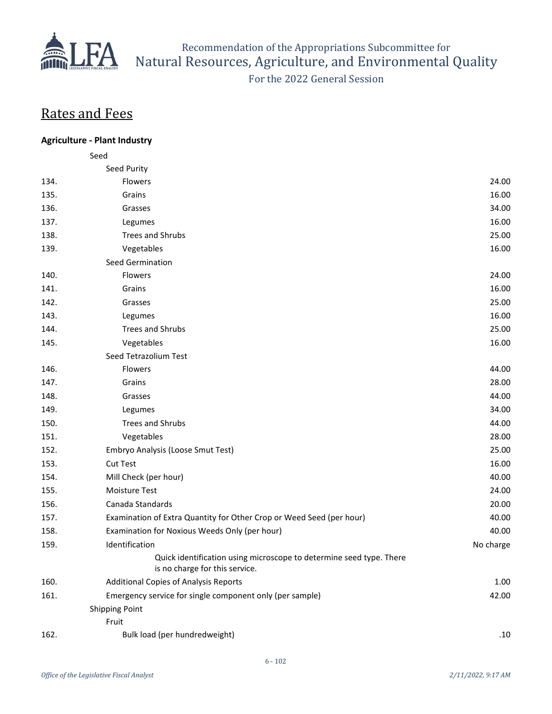

For the 2022 General Session

### Rates and Fees

#### **Agriculture ‐ Plant Industry**

|      | Seed                                                                                                  |           |
|------|-------------------------------------------------------------------------------------------------------|-----------|
|      | Seed Purity                                                                                           |           |
| 134. | Flowers                                                                                               | 24.00     |
| 135. | Grains                                                                                                | 16.00     |
| 136. | Grasses                                                                                               | 34.00     |
| 137. | Legumes                                                                                               | 16.00     |
| 138. | Trees and Shrubs                                                                                      | 25.00     |
| 139. | Vegetables                                                                                            | 16.00     |
|      | Seed Germination                                                                                      |           |
| 140. | Flowers                                                                                               | 24.00     |
| 141. | Grains                                                                                                | 16.00     |
| 142. | Grasses                                                                                               | 25.00     |
| 143. | Legumes                                                                                               | 16.00     |
| 144. | <b>Trees and Shrubs</b>                                                                               | 25.00     |
| 145. | Vegetables                                                                                            | 16.00     |
|      | Seed Tetrazolium Test                                                                                 |           |
| 146. | Flowers                                                                                               | 44.00     |
| 147. | Grains                                                                                                | 28.00     |
| 148. | Grasses                                                                                               | 44.00     |
| 149. | Legumes                                                                                               | 34.00     |
| 150. | <b>Trees and Shrubs</b>                                                                               | 44.00     |
| 151. | Vegetables                                                                                            | 28.00     |
| 152. | Embryo Analysis (Loose Smut Test)                                                                     | 25.00     |
| 153. | <b>Cut Test</b>                                                                                       | 16.00     |
| 154. | Mill Check (per hour)                                                                                 | 40.00     |
| 155. | Moisture Test                                                                                         | 24.00     |
| 156. | Canada Standards                                                                                      | 20.00     |
| 157. | Examination of Extra Quantity for Other Crop or Weed Seed (per hour)                                  | 40.00     |
| 158. | Examination for Noxious Weeds Only (per hour)                                                         | 40.00     |
| 159. | Identification                                                                                        | No charge |
|      | Quick identification using microscope to determine seed type. There<br>is no charge for this service. |           |
| 160. | Additional Copies of Analysis Reports                                                                 | 1.00      |
| 161. | Emergency service for single component only (per sample)                                              | 42.00     |
|      | <b>Shipping Point</b>                                                                                 |           |
|      | Fruit                                                                                                 |           |
| 162. | Bulk load (per hundredweight)                                                                         | .10       |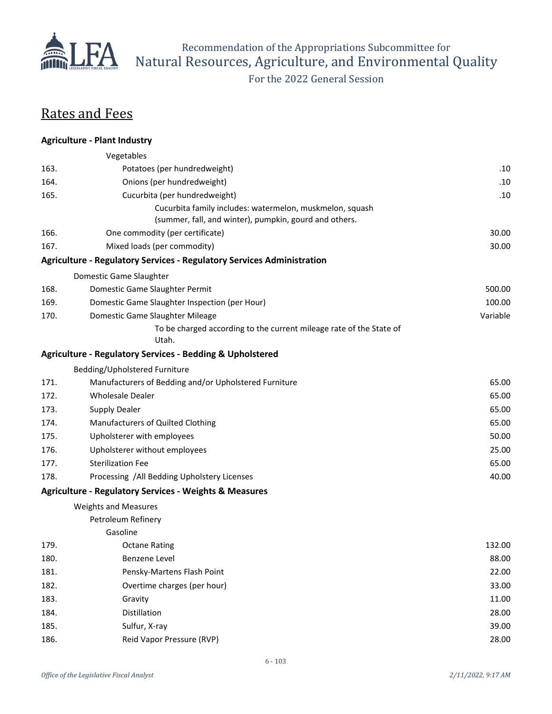

Recommendation of the Appropriations Subcommittee for

Natural Resources, Agriculture, and Environmental Quality

For the 2022 General Session

### Rates and Fees

#### **Agriculture ‐ Plant Industry**

|      | Vegetables                                                                                                         |          |
|------|--------------------------------------------------------------------------------------------------------------------|----------|
| 163. | Potatoes (per hundredweight)                                                                                       | .10      |
| 164. | Onions (per hundredweight)                                                                                         | .10      |
| 165. | Cucurbita (per hundredweight)                                                                                      | .10      |
|      | Cucurbita family includes: watermelon, muskmelon, squash<br>(summer, fall, and winter), pumpkin, gourd and others. |          |
| 166. | One commodity (per certificate)                                                                                    | 30.00    |
| 167. | Mixed loads (per commodity)                                                                                        | 30.00    |
|      | <b>Agriculture - Regulatory Services - Regulatory Services Administration</b>                                      |          |
|      | Domestic Game Slaughter                                                                                            |          |
| 168. | Domestic Game Slaughter Permit                                                                                     | 500.00   |
| 169. | Domestic Game Slaughter Inspection (per Hour)                                                                      | 100.00   |
| 170. | Domestic Game Slaughter Mileage                                                                                    | Variable |
|      | To be charged according to the current mileage rate of the State of<br>Utah.                                       |          |
|      | <b>Agriculture - Regulatory Services - Bedding &amp; Upholstered</b>                                               |          |
|      | Bedding/Upholstered Furniture                                                                                      |          |
| 171. | Manufacturers of Bedding and/or Upholstered Furniture                                                              | 65.00    |
| 172. | <b>Wholesale Dealer</b>                                                                                            | 65.00    |
| 173. | <b>Supply Dealer</b>                                                                                               | 65.00    |
| 174. | Manufacturers of Quilted Clothing                                                                                  | 65.00    |
| 175. | Upholsterer with employees                                                                                         | 50.00    |
| 176. | Upholsterer without employees                                                                                      | 25.00    |
| 177. | <b>Sterilization Fee</b>                                                                                           | 65.00    |
| 178. | Processing /All Bedding Upholstery Licenses                                                                        | 40.00    |
|      | <b>Agriculture - Regulatory Services - Weights &amp; Measures</b>                                                  |          |
|      | <b>Weights and Measures</b>                                                                                        |          |
|      | Petroleum Refinery                                                                                                 |          |
|      | Gasoline                                                                                                           |          |
| 179. | <b>Octane Rating</b>                                                                                               | 132.00   |
| 180. | Benzene Level                                                                                                      | 88.00    |
| 181. | Pensky-Martens Flash Point                                                                                         | 22.00    |
| 182. | Overtime charges (per hour)                                                                                        | 33.00    |
| 183. | Gravity                                                                                                            | 11.00    |
| 184. | Distillation                                                                                                       | 28.00    |
| 185. | Sulfur, X-ray                                                                                                      | 39.00    |
| 186. | Reid Vapor Pressure (RVP)                                                                                          | 28.00    |
|      |                                                                                                                    |          |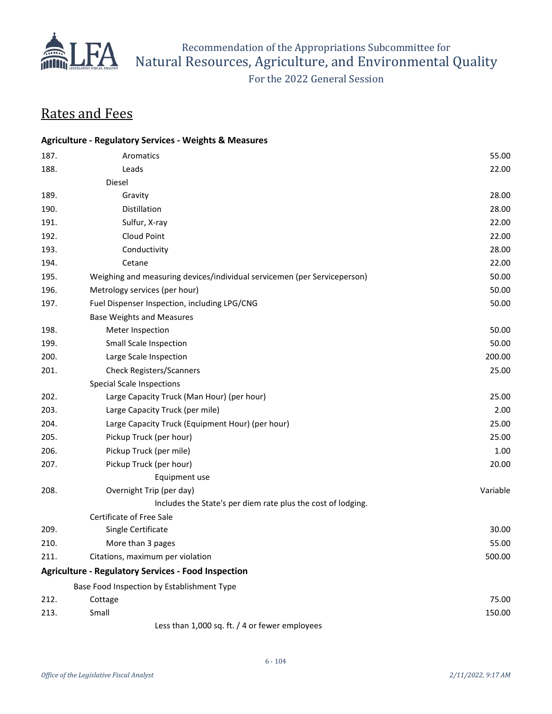

For the 2022 General Session

## Rates and Fees

|      | <b>Agriculture - Regulatory Services - Weights &amp; Measures</b>        |          |
|------|--------------------------------------------------------------------------|----------|
| 187. | Aromatics                                                                | 55.00    |
| 188. | Leads                                                                    | 22.00    |
|      | Diesel                                                                   |          |
| 189. | Gravity                                                                  | 28.00    |
| 190. | Distillation                                                             | 28.00    |
| 191. | Sulfur, X-ray                                                            | 22.00    |
| 192. | Cloud Point                                                              | 22.00    |
| 193. | Conductivity                                                             | 28.00    |
| 194. | Cetane                                                                   | 22.00    |
| 195. | Weighing and measuring devices/individual servicemen (per Serviceperson) | 50.00    |
| 196. | Metrology services (per hour)                                            | 50.00    |
| 197. | Fuel Dispenser Inspection, including LPG/CNG                             | 50.00    |
|      | <b>Base Weights and Measures</b>                                         |          |
| 198. | Meter Inspection                                                         | 50.00    |
| 199. | <b>Small Scale Inspection</b>                                            | 50.00    |
| 200. | Large Scale Inspection                                                   | 200.00   |
| 201. | <b>Check Registers/Scanners</b>                                          | 25.00    |
|      | <b>Special Scale Inspections</b>                                         |          |
| 202. | Large Capacity Truck (Man Hour) (per hour)                               | 25.00    |
| 203. | Large Capacity Truck (per mile)                                          | 2.00     |
| 204. | Large Capacity Truck (Equipment Hour) (per hour)                         | 25.00    |
| 205. | Pickup Truck (per hour)                                                  | 25.00    |
| 206. | Pickup Truck (per mile)                                                  | 1.00     |
| 207. | Pickup Truck (per hour)                                                  | 20.00    |
|      | Equipment use                                                            |          |
| 208. | Overnight Trip (per day)                                                 | Variable |
|      | Includes the State's per diem rate plus the cost of lodging.             |          |
|      | Certificate of Free Sale                                                 |          |
| 209. | Single Certificate                                                       | 30.00    |
| 210. | More than 3 pages                                                        | 55.00    |
| 211. | Citations, maximum per violation                                         | 500.00   |
|      | <b>Agriculture - Regulatory Services - Food Inspection</b>               |          |
|      | Base Food Inspection by Establishment Type                               |          |
| 212. | Cottage                                                                  | 75.00    |
| 213. | Small                                                                    | 150.00   |
|      |                                                                          |          |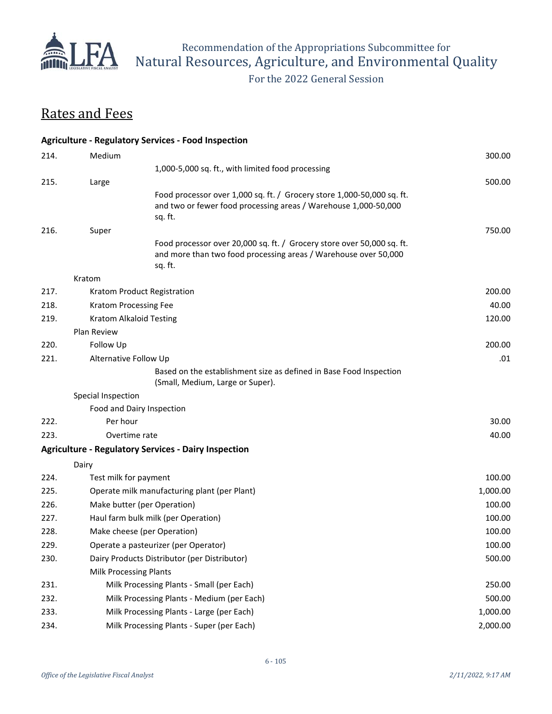

For the 2022 General Session

### Rates and Fees

|      |                                | <b>Agriculture - Regulatory Services - Food Inspection</b>                                                                                           |          |
|------|--------------------------------|------------------------------------------------------------------------------------------------------------------------------------------------------|----------|
| 214. | Medium                         |                                                                                                                                                      | 300.00   |
|      |                                | 1,000-5,000 sq. ft., with limited food processing                                                                                                    |          |
| 215. | Large                          |                                                                                                                                                      | 500.00   |
|      |                                | Food processor over 1,000 sq. ft. / Grocery store 1,000-50,000 sq. ft.<br>and two or fewer food processing areas / Warehouse 1,000-50,000<br>sq. ft. |          |
| 216. | Super                          |                                                                                                                                                      | 750.00   |
|      |                                | Food processor over 20,000 sq. ft. / Grocery store over 50,000 sq. ft.<br>and more than two food processing areas / Warehouse over 50,000<br>sq. ft. |          |
|      | Kratom                         |                                                                                                                                                      |          |
| 217. |                                | Kratom Product Registration                                                                                                                          | 200.00   |
| 218. | Kratom Processing Fee          |                                                                                                                                                      | 40.00    |
| 219. | <b>Kratom Alkaloid Testing</b> |                                                                                                                                                      | 120.00   |
|      | Plan Review                    |                                                                                                                                                      |          |
| 220. | Follow Up                      |                                                                                                                                                      | 200.00   |
| 221. | Alternative Follow Up          |                                                                                                                                                      | .01      |
|      |                                | Based on the establishment size as defined in Base Food Inspection<br>(Small, Medium, Large or Super).                                               |          |
|      | Special Inspection             |                                                                                                                                                      |          |
|      |                                | Food and Dairy Inspection                                                                                                                            |          |
| 222. | Per hour                       |                                                                                                                                                      | 30.00    |
| 223. | Overtime rate                  |                                                                                                                                                      | 40.00    |
|      |                                | <b>Agriculture - Regulatory Services - Dairy Inspection</b>                                                                                          |          |
|      | Dairy                          |                                                                                                                                                      |          |
| 224. | Test milk for payment          |                                                                                                                                                      | 100.00   |
| 225. |                                | Operate milk manufacturing plant (per Plant)                                                                                                         | 1,000.00 |
| 226. |                                | Make butter (per Operation)                                                                                                                          | 100.00   |
| 227. |                                | Haul farm bulk milk (per Operation)                                                                                                                  | 100.00   |
| 228. |                                | Make cheese (per Operation)                                                                                                                          | 100.00   |
| 229. |                                | Operate a pasteurizer (per Operator)                                                                                                                 | 100.00   |
| 230. |                                | Dairy Products Distributor (per Distributor)                                                                                                         | 500.00   |
|      | <b>Milk Processing Plants</b>  |                                                                                                                                                      |          |
| 231. |                                | Milk Processing Plants - Small (per Each)                                                                                                            | 250.00   |
| 232. |                                | Milk Processing Plants - Medium (per Each)                                                                                                           | 500.00   |
| 233. |                                | Milk Processing Plants - Large (per Each)                                                                                                            | 1,000.00 |
| 234. |                                | Milk Processing Plants - Super (per Each)                                                                                                            | 2,000.00 |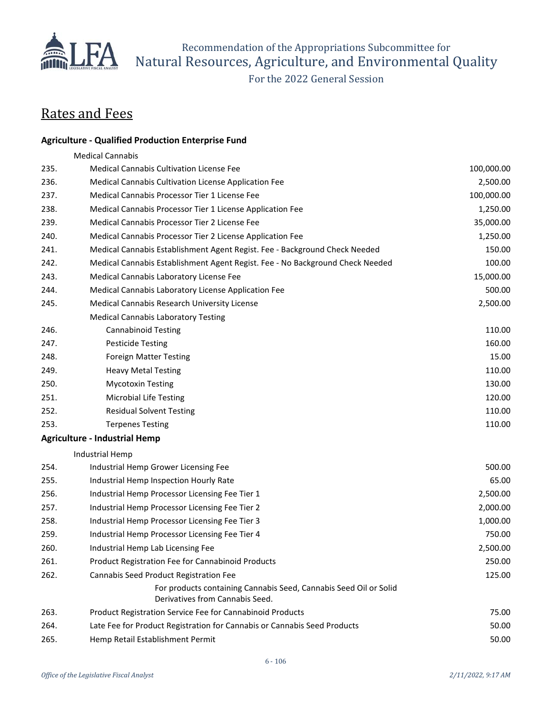

Recommendation of the Appropriations Subcommittee for RA Recommendation of the Appropriation State of Table 1997. Natural Resources, Agriculture, and Environmental Quality

For the 2022 General Session

### Rates and Fees

#### **Agriculture ‐ Qualified Production Enterprise Fund**

|      | <b>Medical Cannabis</b>                                                       |            |
|------|-------------------------------------------------------------------------------|------------|
| 235. | Medical Cannabis Cultivation License Fee                                      | 100,000.00 |
| 236. | Medical Cannabis Cultivation License Application Fee                          | 2,500.00   |
| 237. | Medical Cannabis Processor Tier 1 License Fee                                 | 100,000.00 |
| 238. | Medical Cannabis Processor Tier 1 License Application Fee                     | 1,250.00   |
| 239. | Medical Cannabis Processor Tier 2 License Fee                                 | 35,000.00  |
| 240. | Medical Cannabis Processor Tier 2 License Application Fee                     | 1,250.00   |
| 241. | Medical Cannabis Establishment Agent Regist. Fee - Background Check Needed    | 150.00     |
| 242. | Medical Cannabis Establishment Agent Regist. Fee - No Background Check Needed | 100.00     |
| 243. | Medical Cannabis Laboratory License Fee                                       | 15,000.00  |
| 244. | Medical Cannabis Laboratory License Application Fee                           | 500.00     |
| 245. | Medical Cannabis Research University License                                  | 2,500.00   |
|      | <b>Medical Cannabis Laboratory Testing</b>                                    |            |
| 246. | <b>Cannabinoid Testing</b>                                                    | 110.00     |
| 247. | <b>Pesticide Testing</b>                                                      | 160.00     |
| 248. | <b>Foreign Matter Testing</b>                                                 | 15.00      |
| 249. | <b>Heavy Metal Testing</b>                                                    | 110.00     |
| 250. | <b>Mycotoxin Testing</b>                                                      | 130.00     |
| 251. | <b>Microbial Life Testing</b>                                                 | 120.00     |
| 252. | <b>Residual Solvent Testing</b>                                               | 110.00     |
| 253. | <b>Terpenes Testing</b>                                                       | 110.00     |
|      | <b>Agriculture - Industrial Hemp</b>                                          |            |
|      | <b>Industrial Hemp</b>                                                        |            |
| 254. | Industrial Hemp Grower Licensing Fee                                          | 500.00     |
| 255. | Industrial Hemp Inspection Hourly Rate                                        | 65.00      |
| 256. | Industrial Hemp Processor Licensing Fee Tier 1                                | 2,500.00   |
| 257. | Industrial Hemp Processor Licensing Fee Tier 2                                | 2,000.00   |
| 258. | Industrial Hemp Processor Licensing Fee Tier 3                                | 1,000.00   |

Derivatives from Cannabis Seed.

263. Product Registration Service Fee for Cannabinoid Products 75.00 264. Late Fee for Product Registration for Cannabis or Cannabis Seed Products 50.00 265. Hemp Retail Establishment Permit 60.00 and 50.00 states and 50.00 states of the states of the states of the states of the states of the states of the states of the states of the states of the states of the states of t

259. Industrial Hemp Processor Licensing Fee Tier 4 750.00 260. Industrial Hemp Lab Licensing Fee 2,500.00 261. Product Registration Fee for Cannabinoid Products 250.00 Cannabis Seed Product Registration Fee 262. 125.00 For products containing Cannabis Seed, Cannabis Seed Oil or Solid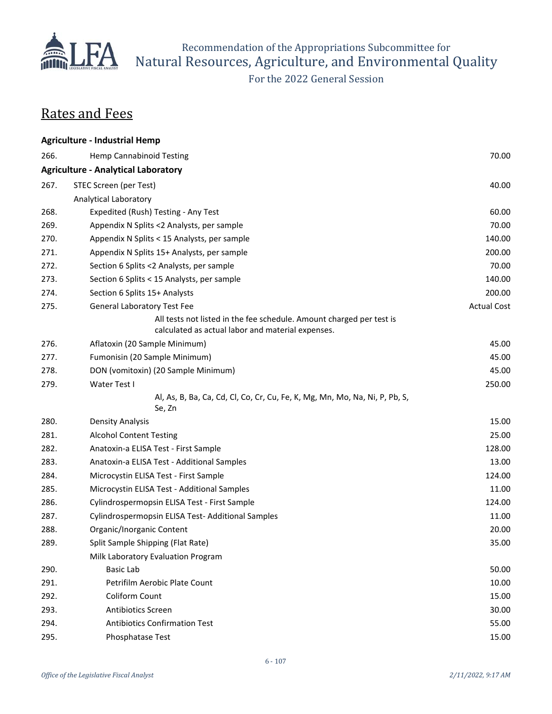

For the 2022 General Session

### Rates and Fees

|      | <b>Agriculture - Industrial Hemp</b>                                                                                      |                    |
|------|---------------------------------------------------------------------------------------------------------------------------|--------------------|
| 266. | <b>Hemp Cannabinoid Testing</b>                                                                                           | 70.00              |
|      | <b>Agriculture - Analytical Laboratory</b>                                                                                |                    |
| 267. | STEC Screen (per Test)                                                                                                    | 40.00              |
|      | Analytical Laboratory                                                                                                     |                    |
| 268. | Expedited (Rush) Testing - Any Test                                                                                       | 60.00              |
| 269. | Appendix N Splits <2 Analysts, per sample                                                                                 | 70.00              |
| 270. | Appendix N Splits < 15 Analysts, per sample                                                                               | 140.00             |
| 271. | Appendix N Splits 15+ Analysts, per sample                                                                                | 200.00             |
| 272. | Section 6 Splits <2 Analysts, per sample                                                                                  | 70.00              |
| 273. | Section 6 Splits < 15 Analysts, per sample                                                                                | 140.00             |
| 274. | Section 6 Splits 15+ Analysts                                                                                             | 200.00             |
| 275. | <b>General Laboratory Test Fee</b>                                                                                        | <b>Actual Cost</b> |
|      | All tests not listed in the fee schedule. Amount charged per test is<br>calculated as actual labor and material expenses. |                    |
| 276. | Aflatoxin (20 Sample Minimum)                                                                                             | 45.00              |
| 277. | Fumonisin (20 Sample Minimum)                                                                                             | 45.00              |
| 278. | DON (vomitoxin) (20 Sample Minimum)                                                                                       | 45.00              |
| 279. | Water Test I                                                                                                              | 250.00             |
|      | Al, As, B, Ba, Ca, Cd, Cl, Co, Cr, Cu, Fe, K, Mg, Mn, Mo, Na, Ni, P, Pb, S,<br>Se, Zn                                     |                    |
| 280. | <b>Density Analysis</b>                                                                                                   | 15.00              |
| 281. | <b>Alcohol Content Testing</b>                                                                                            | 25.00              |
| 282. | Anatoxin-a ELISA Test - First Sample                                                                                      | 128.00             |
| 283. | Anatoxin-a ELISA Test - Additional Samples                                                                                | 13.00              |
| 284. | Microcystin ELISA Test - First Sample                                                                                     | 124.00             |
| 285. | Microcystin ELISA Test - Additional Samples                                                                               | 11.00              |
| 286. | Cylindrospermopsin ELISA Test - First Sample                                                                              | 124.00             |
| 287. | Cylindrospermopsin ELISA Test- Additional Samples                                                                         | 11.00              |
| 288. | Organic/Inorganic Content                                                                                                 | 20.00              |
| 289. | Split Sample Shipping (Flat Rate)                                                                                         | 35.00              |
|      | Milk Laboratory Evaluation Program                                                                                        |                    |
| 290. | <b>Basic Lab</b>                                                                                                          | 50.00              |
| 291. | Petrifilm Aerobic Plate Count                                                                                             | 10.00              |
| 292. | Coliform Count                                                                                                            | 15.00              |
| 293. | Antibiotics Screen                                                                                                        | 30.00              |
| 294. | <b>Antibiotics Confirmation Test</b>                                                                                      | 55.00              |
| 295. | Phosphatase Test                                                                                                          | 15.00              |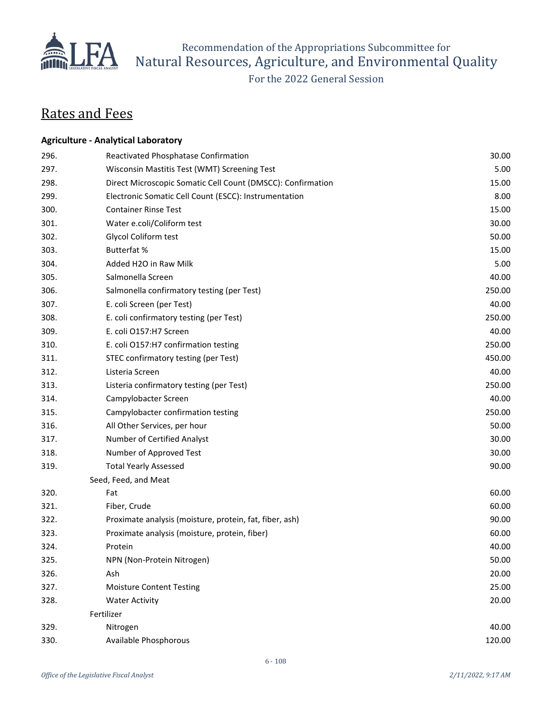

Recommendation of the Appropriations Subcommittee for

Natural Resources, Agriculture, and Environmental Quality

For the 2022 General Session

## Rates and Fees

|                                              | <b>Agriculture - Analytical Laboratory</b>                  |        |  |
|----------------------------------------------|-------------------------------------------------------------|--------|--|
| 296.<br>Reactivated Phosphatase Confirmation |                                                             |        |  |
| 297.                                         | Wisconsin Mastitis Test (WMT) Screening Test                | 5.00   |  |
| 298.                                         | Direct Microscopic Somatic Cell Count (DMSCC): Confirmation | 15.00  |  |
| 299.                                         | Electronic Somatic Cell Count (ESCC): Instrumentation       | 8.00   |  |
| 300.                                         | <b>Container Rinse Test</b>                                 | 15.00  |  |
| 301.                                         | Water e.coli/Coliform test                                  | 30.00  |  |
| 302.                                         | Glycol Coliform test                                        | 50.00  |  |
| 303.                                         | <b>Butterfat %</b>                                          | 15.00  |  |
| 304.                                         | Added H2O in Raw Milk                                       | 5.00   |  |
| 305.                                         | Salmonella Screen                                           | 40.00  |  |
| 306.                                         | Salmonella confirmatory testing (per Test)                  | 250.00 |  |
| 307.                                         | E. coli Screen (per Test)                                   | 40.00  |  |
| 308.                                         | E. coli confirmatory testing (per Test)                     | 250.00 |  |
| 309.                                         | E. coli O157:H7 Screen                                      | 40.00  |  |
| 310.                                         | E. coli O157:H7 confirmation testing                        | 250.00 |  |
| 311.                                         | STEC confirmatory testing (per Test)                        | 450.00 |  |
| 312.                                         | Listeria Screen                                             | 40.00  |  |
| 313.                                         | Listeria confirmatory testing (per Test)                    | 250.00 |  |
| 314.                                         | Campylobacter Screen                                        | 40.00  |  |
| 315.                                         | Campylobacter confirmation testing                          | 250.00 |  |
| 316.                                         | All Other Services, per hour                                | 50.00  |  |
| 317.                                         | Number of Certified Analyst                                 | 30.00  |  |
| 318.                                         | Number of Approved Test                                     | 30.00  |  |
| 319.                                         | <b>Total Yearly Assessed</b>                                | 90.00  |  |
|                                              | Seed, Feed, and Meat                                        |        |  |
| 320.                                         | Fat                                                         | 60.00  |  |
| 321.                                         | Fiber, Crude                                                | 60.00  |  |
| 322.                                         | Proximate analysis (moisture, protein, fat, fiber, ash)     | 90.00  |  |
| 323.                                         | Proximate analysis (moisture, protein, fiber)               | 60.00  |  |
| 324.                                         | Protein                                                     | 40.00  |  |
| 325.                                         | NPN (Non-Protein Nitrogen)                                  | 50.00  |  |
| 326.                                         | Ash                                                         | 20.00  |  |
| 327.                                         | <b>Moisture Content Testing</b>                             | 25.00  |  |
| 328.                                         | <b>Water Activity</b>                                       | 20.00  |  |
|                                              | Fertilizer                                                  |        |  |
| 329.                                         | Nitrogen                                                    | 40.00  |  |
| 330.                                         | Available Phosphorous                                       | 120.00 |  |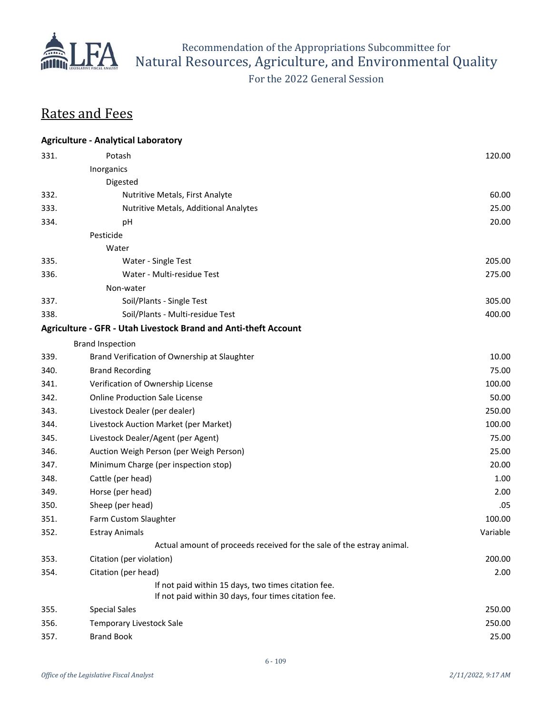

For the 2022 General Session

|      | <b>Agriculture - Analytical Laboratory</b>                            |          |
|------|-----------------------------------------------------------------------|----------|
| 331. | Potash                                                                | 120.00   |
|      | Inorganics                                                            |          |
|      | Digested                                                              |          |
| 332. | Nutritive Metals, First Analyte                                       | 60.00    |
| 333. | Nutritive Metals, Additional Analytes                                 | 25.00    |
| 334. | рH                                                                    | 20.00    |
|      | Pesticide                                                             |          |
|      | Water                                                                 |          |
| 335. | Water - Single Test                                                   | 205.00   |
| 336. | Water - Multi-residue Test                                            | 275.00   |
|      | Non-water                                                             |          |
| 337. | Soil/Plants - Single Test                                             | 305.00   |
| 338. | Soil/Plants - Multi-residue Test                                      | 400.00   |
|      | Agriculture - GFR - Utah Livestock Brand and Anti-theft Account       |          |
|      | <b>Brand Inspection</b>                                               |          |
| 339. | Brand Verification of Ownership at Slaughter                          | 10.00    |
| 340. | <b>Brand Recording</b>                                                | 75.00    |
| 341. | Verification of Ownership License                                     | 100.00   |
| 342. | <b>Online Production Sale License</b>                                 | 50.00    |
| 343. | Livestock Dealer (per dealer)                                         | 250.00   |
| 344. | Livestock Auction Market (per Market)                                 | 100.00   |
| 345. | Livestock Dealer/Agent (per Agent)                                    | 75.00    |
| 346. | Auction Weigh Person (per Weigh Person)                               | 25.00    |
| 347. | Minimum Charge (per inspection stop)                                  | 20.00    |
| 348. | Cattle (per head)                                                     | 1.00     |
| 349. | Horse (per head)                                                      | 2.00     |
| 350. | Sheep (per head)                                                      | .05      |
| 351. | Farm Custom Slaughter                                                 | 100.00   |
| 352. | <b>Estray Animals</b>                                                 | Variable |
|      | Actual amount of proceeds received for the sale of the estray animal. |          |
| 353. | Citation (per violation)                                              | 200.00   |
| 354. | Citation (per head)                                                   | 2.00     |
|      | If not paid within 15 days, two times citation fee.                   |          |
|      | If not paid within 30 days, four times citation fee.                  |          |
| 355. | <b>Special Sales</b>                                                  | 250.00   |
| 356. | <b>Temporary Livestock Sale</b>                                       | 250.00   |
| 357. | <b>Brand Book</b>                                                     | 25.00    |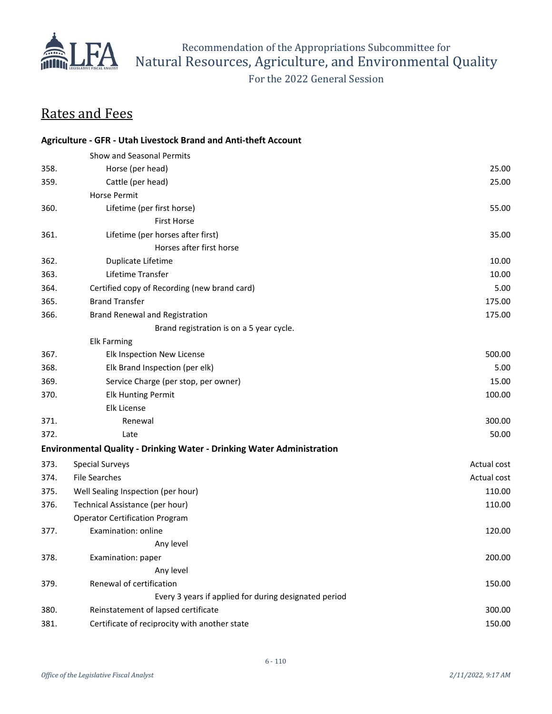

For the 2022 General Session

|      | <b>Agriculture - GFR - Utah Livestock Brand and Anti-theft Account</b>        |             |
|------|-------------------------------------------------------------------------------|-------------|
|      | Show and Seasonal Permits                                                     |             |
| 358. | Horse (per head)                                                              | 25.00       |
| 359. | Cattle (per head)                                                             | 25.00       |
|      | <b>Horse Permit</b>                                                           |             |
| 360. | Lifetime (per first horse)                                                    | 55.00       |
|      | <b>First Horse</b>                                                            |             |
| 361. | Lifetime (per horses after first)                                             | 35.00       |
|      | Horses after first horse                                                      |             |
| 362. | Duplicate Lifetime                                                            | 10.00       |
| 363. | Lifetime Transfer                                                             | 10.00       |
| 364. | Certified copy of Recording (new brand card)                                  | 5.00        |
| 365. | <b>Brand Transfer</b>                                                         | 175.00      |
| 366. | <b>Brand Renewal and Registration</b>                                         | 175.00      |
|      | Brand registration is on a 5 year cycle.                                      |             |
|      | <b>Elk Farming</b>                                                            |             |
| 367. | Elk Inspection New License                                                    | 500.00      |
| 368. | Elk Brand Inspection (per elk)                                                | 5.00        |
| 369. | Service Charge (per stop, per owner)                                          | 15.00       |
| 370. | <b>Elk Hunting Permit</b>                                                     | 100.00      |
|      | Elk License                                                                   |             |
| 371. | Renewal                                                                       | 300.00      |
| 372. | Late                                                                          | 50.00       |
|      | <b>Environmental Quality - Drinking Water - Drinking Water Administration</b> |             |
| 373. | <b>Special Surveys</b>                                                        | Actual cost |
| 374. | <b>File Searches</b>                                                          | Actual cost |
| 375. | Well Sealing Inspection (per hour)                                            | 110.00      |
| 376. | Technical Assistance (per hour)                                               | 110.00      |
|      | <b>Operator Certification Program</b>                                         |             |
| 377. | Examination: online                                                           | 120.00      |
|      | Any level                                                                     |             |
| 378. | Examination: paper                                                            | 200.00      |
|      | Any level                                                                     |             |
| 379. | Renewal of certification                                                      | 150.00      |
|      | Every 3 years if applied for during designated period                         |             |
| 380. | Reinstatement of lapsed certificate                                           | 300.00      |
| 381. | Certificate of reciprocity with another state                                 | 150.00      |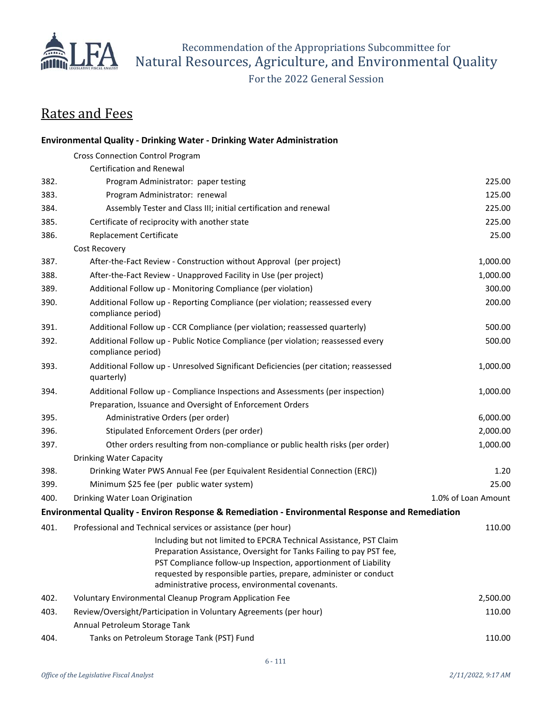

For the 2022 General Session

|      | <b>Environmental Quality - Drinking Water - Drinking Water Administration</b>                                                                                                                                                                                                                                                        |                     |
|------|--------------------------------------------------------------------------------------------------------------------------------------------------------------------------------------------------------------------------------------------------------------------------------------------------------------------------------------|---------------------|
|      | <b>Cross Connection Control Program</b>                                                                                                                                                                                                                                                                                              |                     |
|      | <b>Certification and Renewal</b>                                                                                                                                                                                                                                                                                                     |                     |
| 382. | Program Administrator: paper testing                                                                                                                                                                                                                                                                                                 | 225.00              |
| 383. | Program Administrator: renewal                                                                                                                                                                                                                                                                                                       | 125.00              |
| 384. | Assembly Tester and Class III; initial certification and renewal                                                                                                                                                                                                                                                                     | 225.00              |
| 385. | Certificate of reciprocity with another state                                                                                                                                                                                                                                                                                        | 225.00              |
| 386. | Replacement Certificate                                                                                                                                                                                                                                                                                                              | 25.00               |
|      | Cost Recovery                                                                                                                                                                                                                                                                                                                        |                     |
| 387. | After-the-Fact Review - Construction without Approval (per project)                                                                                                                                                                                                                                                                  | 1,000.00            |
| 388. | After-the-Fact Review - Unapproved Facility in Use (per project)                                                                                                                                                                                                                                                                     | 1,000.00            |
| 389. | Additional Follow up - Monitoring Compliance (per violation)                                                                                                                                                                                                                                                                         | 300.00              |
| 390. | Additional Follow up - Reporting Compliance (per violation; reassessed every<br>compliance period)                                                                                                                                                                                                                                   | 200.00              |
| 391. | Additional Follow up - CCR Compliance (per violation; reassessed quarterly)                                                                                                                                                                                                                                                          | 500.00              |
| 392. | Additional Follow up - Public Notice Compliance (per violation; reassessed every<br>compliance period)                                                                                                                                                                                                                               | 500.00              |
| 393. | Additional Follow up - Unresolved Significant Deficiencies (per citation; reassessed<br>quarterly)                                                                                                                                                                                                                                   | 1,000.00            |
| 394. | Additional Follow up - Compliance Inspections and Assessments (per inspection)                                                                                                                                                                                                                                                       | 1,000.00            |
|      | Preparation, Issuance and Oversight of Enforcement Orders                                                                                                                                                                                                                                                                            |                     |
| 395. | Administrative Orders (per order)                                                                                                                                                                                                                                                                                                    | 6,000.00            |
| 396. | Stipulated Enforcement Orders (per order)                                                                                                                                                                                                                                                                                            | 2,000.00            |
| 397. | Other orders resulting from non-compliance or public health risks (per order)                                                                                                                                                                                                                                                        | 1,000.00            |
|      | <b>Drinking Water Capacity</b>                                                                                                                                                                                                                                                                                                       |                     |
| 398. | Drinking Water PWS Annual Fee (per Equivalent Residential Connection (ERC))                                                                                                                                                                                                                                                          | 1.20                |
| 399. | Minimum \$25 fee (per public water system)                                                                                                                                                                                                                                                                                           | 25.00               |
| 400. | Drinking Water Loan Origination                                                                                                                                                                                                                                                                                                      | 1.0% of Loan Amount |
|      | Environmental Quality - Environ Response & Remediation - Environmental Response and Remediation                                                                                                                                                                                                                                      |                     |
| 401. | Professional and Technical services or assistance (per hour)                                                                                                                                                                                                                                                                         | 110.00              |
|      | Including but not limited to EPCRA Technical Assistance, PST Claim<br>Preparation Assistance, Oversight for Tanks Failing to pay PST fee,<br>PST Compliance follow-up Inspection, apportionment of Liability<br>requested by responsible parties, prepare, administer or conduct<br>administrative process, environmental covenants. |                     |
| 402. | Voluntary Environmental Cleanup Program Application Fee                                                                                                                                                                                                                                                                              | 2,500.00            |
| 403. | Review/Oversight/Participation in Voluntary Agreements (per hour)                                                                                                                                                                                                                                                                    | 110.00              |
|      | Annual Petroleum Storage Tank                                                                                                                                                                                                                                                                                                        |                     |
| 404. | Tanks on Petroleum Storage Tank (PST) Fund                                                                                                                                                                                                                                                                                           | 110.00              |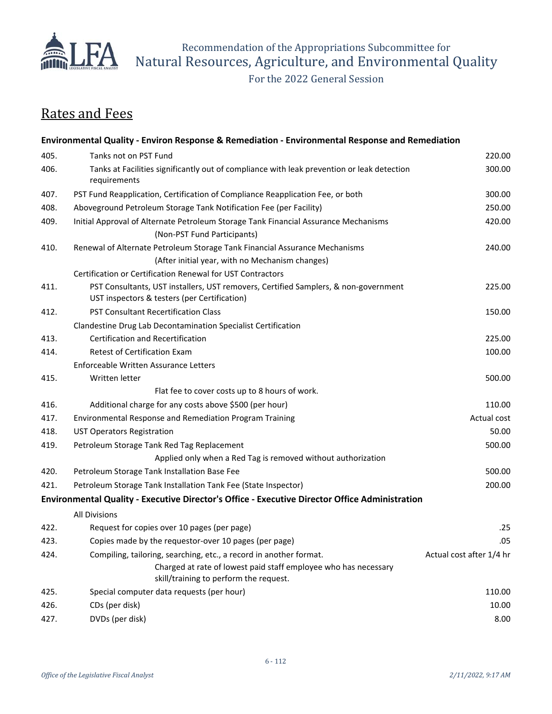

Natural Resources, Agriculture, and Environmental Quality

For the 2022 General Session

|      | Environmental Quality - Environ Response & Remediation - Environmental Response and Remediation                                     |                          |
|------|-------------------------------------------------------------------------------------------------------------------------------------|--------------------------|
| 405. | Tanks not on PST Fund                                                                                                               | 220.00                   |
| 406. | Tanks at Facilities significantly out of compliance with leak prevention or leak detection<br>requirements                          | 300.00                   |
| 407. | PST Fund Reapplication, Certification of Compliance Reapplication Fee, or both                                                      | 300.00                   |
| 408. | Aboveground Petroleum Storage Tank Notification Fee (per Facility)                                                                  | 250.00                   |
| 409. | Initial Approval of Alternate Petroleum Storage Tank Financial Assurance Mechanisms<br>(Non-PST Fund Participants)                  | 420.00                   |
| 410. | Renewal of Alternate Petroleum Storage Tank Financial Assurance Mechanisms                                                          | 240.00                   |
|      | (After initial year, with no Mechanism changes)                                                                                     |                          |
|      | Certification or Certification Renewal for UST Contractors                                                                          |                          |
| 411. | PST Consultants, UST installers, UST removers, Certified Samplers, & non-government<br>UST inspectors & testers (per Certification) | 225.00                   |
| 412. | PST Consultant Recertification Class                                                                                                | 150.00                   |
|      | Clandestine Drug Lab Decontamination Specialist Certification                                                                       |                          |
| 413. | Certification and Recertification                                                                                                   | 225.00                   |
| 414. | <b>Retest of Certification Exam</b>                                                                                                 | 100.00                   |
|      | Enforceable Written Assurance Letters                                                                                               |                          |
| 415. | Written letter                                                                                                                      | 500.00                   |
|      | Flat fee to cover costs up to 8 hours of work.                                                                                      |                          |
| 416. | Additional charge for any costs above \$500 (per hour)                                                                              | 110.00                   |
| 417. | Environmental Response and Remediation Program Training                                                                             | Actual cost              |
| 418. | <b>UST Operators Registration</b>                                                                                                   | 50.00                    |
| 419. | Petroleum Storage Tank Red Tag Replacement                                                                                          | 500.00                   |
|      | Applied only when a Red Tag is removed without authorization                                                                        |                          |
| 420. | Petroleum Storage Tank Installation Base Fee                                                                                        | 500.00                   |
| 421. | Petroleum Storage Tank Installation Tank Fee (State Inspector)                                                                      | 200.00                   |
|      | Environmental Quality - Executive Director's Office - Executive Director Office Administration                                      |                          |
|      | <b>All Divisions</b>                                                                                                                |                          |
| 422. | Request for copies over 10 pages (per page)                                                                                         | .25                      |
| 423. | Copies made by the requestor-over 10 pages (per page)                                                                               | .05                      |
| 424. | Compiling, tailoring, searching, etc., a record in another format.                                                                  | Actual cost after 1/4 hr |
|      | Charged at rate of lowest paid staff employee who has necessary<br>skill/training to perform the request.                           |                          |
| 425. | Special computer data requests (per hour)                                                                                           | 110.00                   |
| 426. | CDs (per disk)                                                                                                                      | 10.00                    |
| 427. | DVDs (per disk)                                                                                                                     | 8.00                     |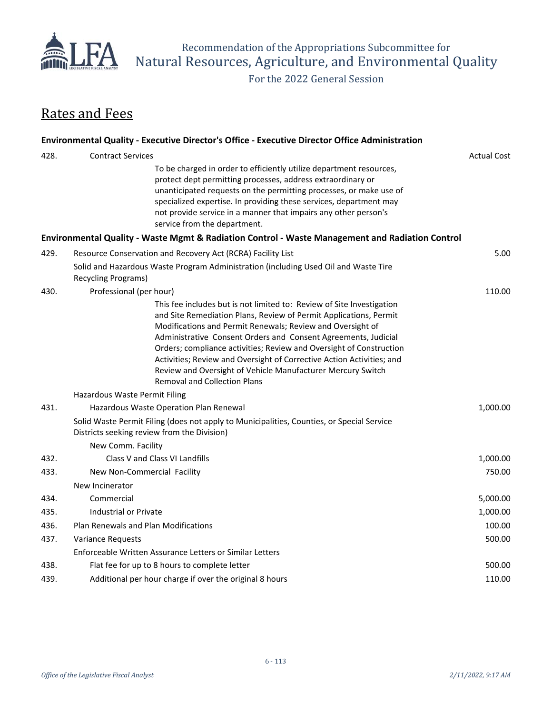

For the 2022 General Session

|      |                               | Environmental Quality - Executive Director's Office - Executive Director Office Administration                                                                                                                                                                                                                                                                                                                                                                                                                                   |                    |
|------|-------------------------------|----------------------------------------------------------------------------------------------------------------------------------------------------------------------------------------------------------------------------------------------------------------------------------------------------------------------------------------------------------------------------------------------------------------------------------------------------------------------------------------------------------------------------------|--------------------|
| 428. | <b>Contract Services</b>      |                                                                                                                                                                                                                                                                                                                                                                                                                                                                                                                                  | <b>Actual Cost</b> |
|      |                               | To be charged in order to efficiently utilize department resources,<br>protect dept permitting processes, address extraordinary or<br>unanticipated requests on the permitting processes, or make use of<br>specialized expertise. In providing these services, department may<br>not provide service in a manner that impairs any other person's<br>service from the department.                                                                                                                                                |                    |
|      |                               | Environmental Quality - Waste Mgmt & Radiation Control - Waste Management and Radiation Control                                                                                                                                                                                                                                                                                                                                                                                                                                  |                    |
| 429. |                               | Resource Conservation and Recovery Act (RCRA) Facility List                                                                                                                                                                                                                                                                                                                                                                                                                                                                      | 5.00               |
|      | <b>Recycling Programs)</b>    | Solid and Hazardous Waste Program Administration (including Used Oil and Waste Tire                                                                                                                                                                                                                                                                                                                                                                                                                                              |                    |
| 430. | Professional (per hour)       |                                                                                                                                                                                                                                                                                                                                                                                                                                                                                                                                  | 110.00             |
|      |                               | This fee includes but is not limited to: Review of Site Investigation<br>and Site Remediation Plans, Review of Permit Applications, Permit<br>Modifications and Permit Renewals; Review and Oversight of<br>Administrative Consent Orders and Consent Agreements, Judicial<br>Orders; compliance activities; Review and Oversight of Construction<br>Activities; Review and Oversight of Corrective Action Activities; and<br>Review and Oversight of Vehicle Manufacturer Mercury Switch<br><b>Removal and Collection Plans</b> |                    |
|      | Hazardous Waste Permit Filing |                                                                                                                                                                                                                                                                                                                                                                                                                                                                                                                                  |                    |
| 431. |                               | Hazardous Waste Operation Plan Renewal                                                                                                                                                                                                                                                                                                                                                                                                                                                                                           | 1,000.00           |
|      |                               | Solid Waste Permit Filing (does not apply to Municipalities, Counties, or Special Service<br>Districts seeking review from the Division)                                                                                                                                                                                                                                                                                                                                                                                         |                    |
|      | New Comm. Facility            |                                                                                                                                                                                                                                                                                                                                                                                                                                                                                                                                  |                    |
| 432. |                               | Class V and Class VI Landfills                                                                                                                                                                                                                                                                                                                                                                                                                                                                                                   | 1,000.00           |
| 433. |                               | New Non-Commercial Facility                                                                                                                                                                                                                                                                                                                                                                                                                                                                                                      | 750.00             |
|      | New Incinerator               |                                                                                                                                                                                                                                                                                                                                                                                                                                                                                                                                  |                    |
| 434. | Commercial                    |                                                                                                                                                                                                                                                                                                                                                                                                                                                                                                                                  | 5,000.00           |
| 435. | Industrial or Private         |                                                                                                                                                                                                                                                                                                                                                                                                                                                                                                                                  | 1,000.00           |
| 436. |                               | Plan Renewals and Plan Modifications                                                                                                                                                                                                                                                                                                                                                                                                                                                                                             | 100.00             |
| 437. | Variance Requests             |                                                                                                                                                                                                                                                                                                                                                                                                                                                                                                                                  | 500.00             |
|      |                               | Enforceable Written Assurance Letters or Similar Letters                                                                                                                                                                                                                                                                                                                                                                                                                                                                         |                    |
| 438. |                               | Flat fee for up to 8 hours to complete letter                                                                                                                                                                                                                                                                                                                                                                                                                                                                                    | 500.00             |
| 439. |                               | Additional per hour charge if over the original 8 hours                                                                                                                                                                                                                                                                                                                                                                                                                                                                          | 110.00             |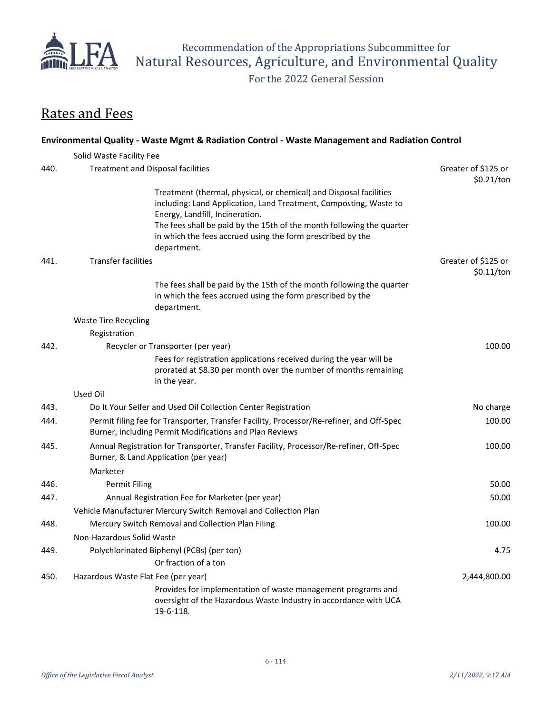

For the 2022 General Session

|      | Environmental Quality - Waste Mgmt & Radiation Control - Waste Management and Radiation Control                                                                            |                                   |  |
|------|----------------------------------------------------------------------------------------------------------------------------------------------------------------------------|-----------------------------------|--|
|      | Solid Waste Facility Fee                                                                                                                                                   |                                   |  |
| 440. | <b>Treatment and Disposal facilities</b>                                                                                                                                   | Greater of \$125 or<br>\$0.21/ton |  |
|      | Treatment (thermal, physical, or chemical) and Disposal facilities<br>including: Land Application, Land Treatment, Composting, Waste to<br>Energy, Landfill, Incineration. |                                   |  |
|      | The fees shall be paid by the 15th of the month following the quarter<br>in which the fees accrued using the form prescribed by the<br>department.                         |                                   |  |
| 441. | <b>Transfer facilities</b>                                                                                                                                                 | Greater of \$125 or<br>\$0.11/ton |  |
|      | The fees shall be paid by the 15th of the month following the quarter<br>in which the fees accrued using the form prescribed by the<br>department.                         |                                   |  |
|      | <b>Waste Tire Recycling</b>                                                                                                                                                |                                   |  |
|      | Registration                                                                                                                                                               |                                   |  |
| 442. | Recycler or Transporter (per year)                                                                                                                                         | 100.00                            |  |
|      | Fees for registration applications received during the year will be<br>prorated at \$8.30 per month over the number of months remaining<br>in the year.                    |                                   |  |
|      | Used Oil                                                                                                                                                                   |                                   |  |
| 443. | Do It Your Selfer and Used Oil Collection Center Registration                                                                                                              | No charge                         |  |
| 444. | Permit filing fee for Transporter, Transfer Facility, Processor/Re-refiner, and Off-Spec<br>Burner, including Permit Modifications and Plan Reviews                        | 100.00                            |  |
| 445. | Annual Registration for Transporter, Transfer Facility, Processor/Re-refiner, Off-Spec<br>Burner, & Land Application (per year)                                            | 100.00                            |  |
|      | Marketer                                                                                                                                                                   |                                   |  |
| 446. | <b>Permit Filing</b>                                                                                                                                                       | 50.00                             |  |
| 447. | Annual Registration Fee for Marketer (per year)                                                                                                                            | 50.00                             |  |
|      | Vehicle Manufacturer Mercury Switch Removal and Collection Plan                                                                                                            |                                   |  |
| 448. | Mercury Switch Removal and Collection Plan Filing                                                                                                                          | 100.00                            |  |
|      | Non-Hazardous Solid Waste                                                                                                                                                  |                                   |  |
| 449. | Polychlorinated Biphenyl (PCBs) (per ton)                                                                                                                                  | 4.75                              |  |
|      | Or fraction of a ton                                                                                                                                                       |                                   |  |
| 450. | Hazardous Waste Flat Fee (per year)                                                                                                                                        | 2,444,800.00                      |  |
|      | Provides for implementation of waste management programs and<br>oversight of the Hazardous Waste Industry in accordance with UCA<br>19-6-118.                              |                                   |  |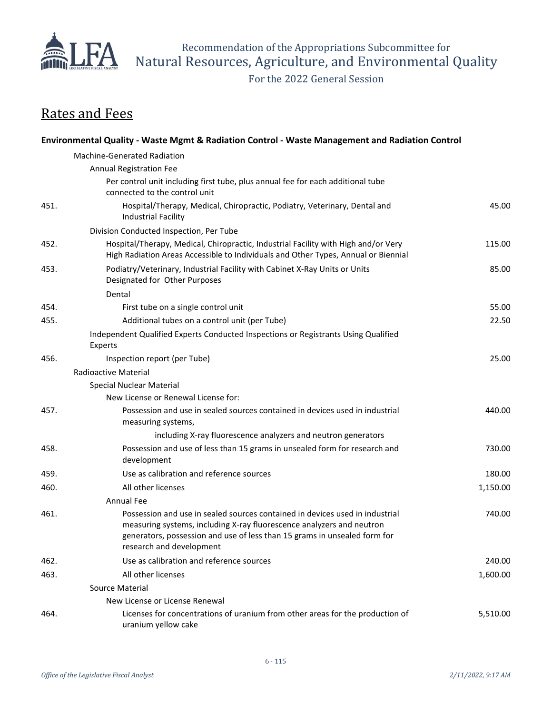

Natural Resources, Agriculture, and Environmental Quality

For the 2022 General Session

|      | Environmental Quality - Waste Mgmt & Radiation Control - Waste Management and Radiation Control                                                                                                                                                                |          |
|------|----------------------------------------------------------------------------------------------------------------------------------------------------------------------------------------------------------------------------------------------------------------|----------|
|      | <b>Machine-Generated Radiation</b>                                                                                                                                                                                                                             |          |
|      | <b>Annual Registration Fee</b>                                                                                                                                                                                                                                 |          |
|      | Per control unit including first tube, plus annual fee for each additional tube<br>connected to the control unit                                                                                                                                               |          |
| 451. | Hospital/Therapy, Medical, Chiropractic, Podiatry, Veterinary, Dental and<br><b>Industrial Facility</b>                                                                                                                                                        | 45.00    |
|      | Division Conducted Inspection, Per Tube                                                                                                                                                                                                                        |          |
| 452. | Hospital/Therapy, Medical, Chiropractic, Industrial Facility with High and/or Very<br>High Radiation Areas Accessible to Individuals and Other Types, Annual or Biennial                                                                                       | 115.00   |
| 453. | Podiatry/Veterinary, Industrial Facility with Cabinet X-Ray Units or Units<br>Designated for Other Purposes                                                                                                                                                    | 85.00    |
|      | Dental                                                                                                                                                                                                                                                         |          |
| 454. | First tube on a single control unit                                                                                                                                                                                                                            | 55.00    |
| 455. | Additional tubes on a control unit (per Tube)                                                                                                                                                                                                                  | 22.50    |
|      | Independent Qualified Experts Conducted Inspections or Registrants Using Qualified<br><b>Experts</b>                                                                                                                                                           |          |
| 456. | Inspection report (per Tube)                                                                                                                                                                                                                                   | 25.00    |
|      | <b>Radioactive Material</b>                                                                                                                                                                                                                                    |          |
|      | Special Nuclear Material                                                                                                                                                                                                                                       |          |
|      | New License or Renewal License for:                                                                                                                                                                                                                            |          |
| 457. | Possession and use in sealed sources contained in devices used in industrial<br>measuring systems,                                                                                                                                                             | 440.00   |
|      | including X-ray fluorescence analyzers and neutron generators                                                                                                                                                                                                  |          |
| 458. | Possession and use of less than 15 grams in unsealed form for research and<br>development                                                                                                                                                                      | 730.00   |
| 459. | Use as calibration and reference sources                                                                                                                                                                                                                       | 180.00   |
| 460. | All other licenses                                                                                                                                                                                                                                             | 1,150.00 |
|      | <b>Annual Fee</b>                                                                                                                                                                                                                                              |          |
| 461. | Possession and use in sealed sources contained in devices used in industrial<br>measuring systems, including X-ray fluorescence analyzers and neutron<br>generators, possession and use of less than 15 grams in unsealed form for<br>research and development | 740.00   |
| 462. | Use as calibration and reference sources                                                                                                                                                                                                                       | 240.00   |
| 463. | All other licenses                                                                                                                                                                                                                                             | 1,600.00 |
|      | Source Material                                                                                                                                                                                                                                                |          |
|      | New License or License Renewal                                                                                                                                                                                                                                 |          |
| 464. | Licenses for concentrations of uranium from other areas for the production of<br>uranium yellow cake                                                                                                                                                           | 5,510.00 |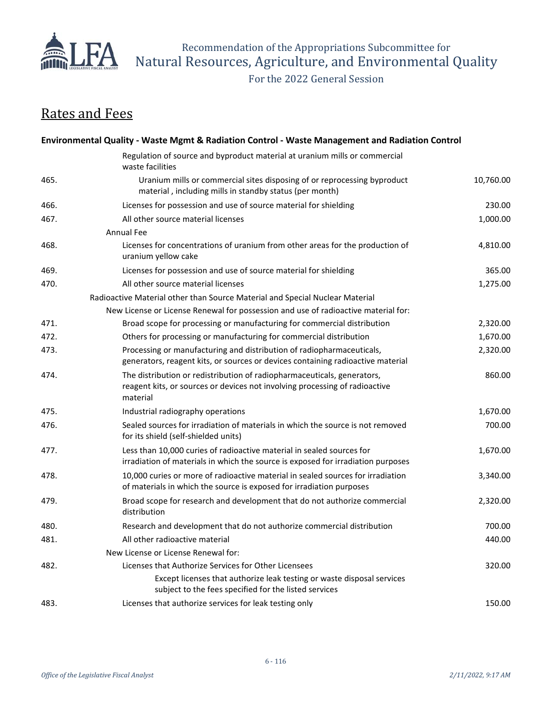

Natural Resources, Agriculture, and Environmental Quality

For the 2022 General Session

|      | Environmental Quality - Waste Mgmt & Radiation Control - Waste Management and Radiation Control                                                                    |           |
|------|--------------------------------------------------------------------------------------------------------------------------------------------------------------------|-----------|
|      | Regulation of source and byproduct material at uranium mills or commercial<br>waste facilities                                                                     |           |
| 465. | Uranium mills or commercial sites disposing of or reprocessing byproduct<br>material, including mills in standby status (per month)                                | 10,760.00 |
| 466. | Licenses for possession and use of source material for shielding                                                                                                   | 230.00    |
| 467. | All other source material licenses                                                                                                                                 | 1,000.00  |
|      | <b>Annual Fee</b>                                                                                                                                                  |           |
| 468. | Licenses for concentrations of uranium from other areas for the production of<br>uranium yellow cake                                                               | 4,810.00  |
| 469. | Licenses for possession and use of source material for shielding                                                                                                   | 365.00    |
| 470. | All other source material licenses                                                                                                                                 | 1,275.00  |
|      | Radioactive Material other than Source Material and Special Nuclear Material                                                                                       |           |
|      | New License or License Renewal for possession and use of radioactive material for:                                                                                 |           |
| 471. | Broad scope for processing or manufacturing for commercial distribution                                                                                            | 2,320.00  |
| 472. | Others for processing or manufacturing for commercial distribution                                                                                                 | 1,670.00  |
| 473. | Processing or manufacturing and distribution of radiopharmaceuticals,<br>generators, reagent kits, or sources or devices containing radioactive material           | 2,320.00  |
| 474. | The distribution or redistribution of radiopharmaceuticals, generators,<br>reagent kits, or sources or devices not involving processing of radioactive<br>material | 860.00    |
| 475. | Industrial radiography operations                                                                                                                                  | 1,670.00  |
| 476. | Sealed sources for irradiation of materials in which the source is not removed<br>for its shield (self-shielded units)                                             | 700.00    |
| 477. | Less than 10,000 curies of radioactive material in sealed sources for<br>irradiation of materials in which the source is exposed for irradiation purposes          | 1,670.00  |
| 478. | 10,000 curies or more of radioactive material in sealed sources for irradiation<br>of materials in which the source is exposed for irradiation purposes            | 3,340.00  |
| 479. | Broad scope for research and development that do not authorize commercial<br>distribution                                                                          | 2,320.00  |
| 480. | Research and development that do not authorize commercial distribution                                                                                             | 700.00    |
| 481. | All other radioactive material                                                                                                                                     | 440.00    |
|      | New License or License Renewal for:                                                                                                                                |           |
| 482. | Licenses that Authorize Services for Other Licensees                                                                                                               | 320.00    |
|      | Except licenses that authorize leak testing or waste disposal services<br>subject to the fees specified for the listed services                                    |           |
| 483. | Licenses that authorize services for leak testing only                                                                                                             | 150.00    |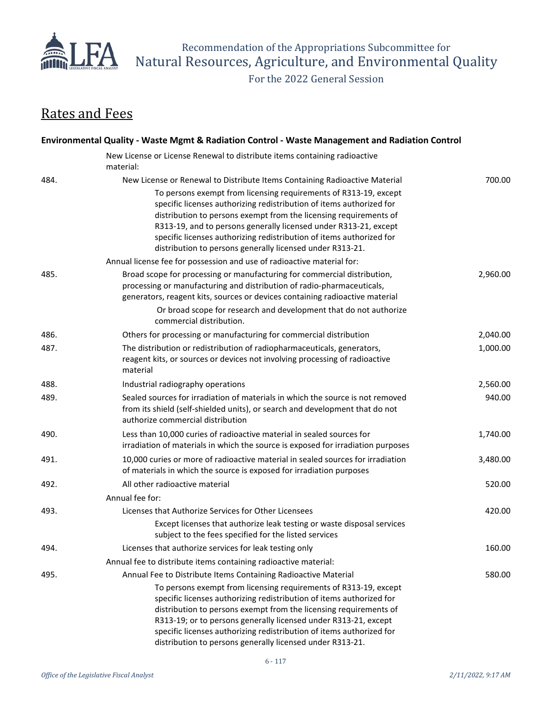

For the 2022 General Session

|      | Environmental Quality - Waste Mgmt & Radiation Control - Waste Management and Radiation Control                                                                                                                                                                                                                                                                                                                                                                                                      |          |
|------|------------------------------------------------------------------------------------------------------------------------------------------------------------------------------------------------------------------------------------------------------------------------------------------------------------------------------------------------------------------------------------------------------------------------------------------------------------------------------------------------------|----------|
|      | New License or License Renewal to distribute items containing radioactive<br>material:                                                                                                                                                                                                                                                                                                                                                                                                               |          |
| 484. | New License or Renewal to Distribute Items Containing Radioactive Material<br>To persons exempt from licensing requirements of R313-19, except<br>specific licenses authorizing redistribution of items authorized for<br>distribution to persons exempt from the licensing requirements of<br>R313-19, and to persons generally licensed under R313-21, except<br>specific licenses authorizing redistribution of items authorized for<br>distribution to persons generally licensed under R313-21. | 700.00   |
|      | Annual license fee for possession and use of radioactive material for:                                                                                                                                                                                                                                                                                                                                                                                                                               |          |
| 485. | Broad scope for processing or manufacturing for commercial distribution,<br>processing or manufacturing and distribution of radio-pharmaceuticals,<br>generators, reagent kits, sources or devices containing radioactive material<br>Or broad scope for research and development that do not authorize<br>commercial distribution.                                                                                                                                                                  | 2,960.00 |
| 486. | Others for processing or manufacturing for commercial distribution                                                                                                                                                                                                                                                                                                                                                                                                                                   | 2,040.00 |
| 487. | The distribution or redistribution of radiopharmaceuticals, generators,<br>reagent kits, or sources or devices not involving processing of radioactive<br>material                                                                                                                                                                                                                                                                                                                                   | 1,000.00 |
| 488. | Industrial radiography operations                                                                                                                                                                                                                                                                                                                                                                                                                                                                    | 2,560.00 |
| 489. | Sealed sources for irradiation of materials in which the source is not removed<br>from its shield (self-shielded units), or search and development that do not<br>authorize commercial distribution                                                                                                                                                                                                                                                                                                  | 940.00   |
| 490. | Less than 10,000 curies of radioactive material in sealed sources for<br>irradiation of materials in which the source is exposed for irradiation purposes                                                                                                                                                                                                                                                                                                                                            | 1,740.00 |
| 491. | 10,000 curies or more of radioactive material in sealed sources for irradiation<br>of materials in which the source is exposed for irradiation purposes                                                                                                                                                                                                                                                                                                                                              | 3,480.00 |
| 492. | All other radioactive material                                                                                                                                                                                                                                                                                                                                                                                                                                                                       | 520.00   |
|      | Annual fee for:                                                                                                                                                                                                                                                                                                                                                                                                                                                                                      |          |
| 493. | Licenses that Authorize Services for Other Licensees<br>Except licenses that authorize leak testing or waste disposal services<br>subject to the fees specified for the listed services                                                                                                                                                                                                                                                                                                              | 420.00   |
| 494. | Licenses that authorize services for leak testing only                                                                                                                                                                                                                                                                                                                                                                                                                                               | 160.00   |
|      | Annual fee to distribute items containing radioactive material:                                                                                                                                                                                                                                                                                                                                                                                                                                      |          |
| 495. | Annual Fee to Distribute Items Containing Radioactive Material                                                                                                                                                                                                                                                                                                                                                                                                                                       | 580.00   |
|      | To persons exempt from licensing requirements of R313-19, except<br>specific licenses authorizing redistribution of items authorized for<br>distribution to persons exempt from the licensing requirements of<br>R313-19; or to persons generally licensed under R313-21, except<br>specific licenses authorizing redistribution of items authorized for<br>distribution to persons generally licensed under R313-21.                                                                                |          |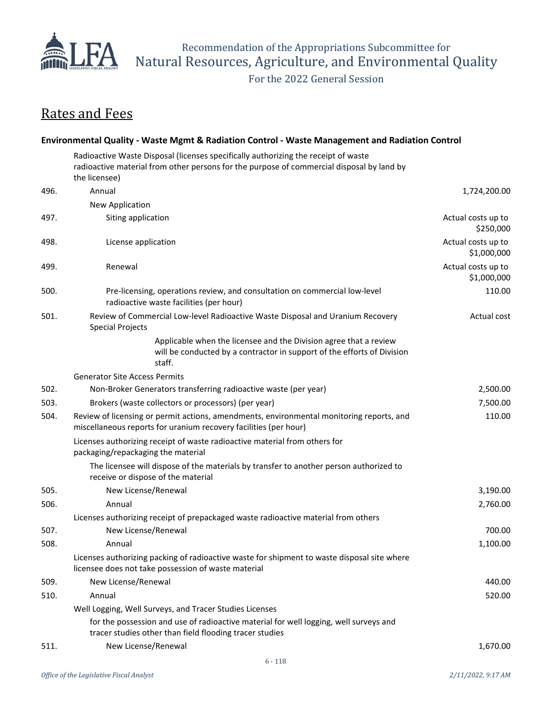

For the 2022 General Session

|      | Environmental Quality - Waste Mgmt & Radiation Control - Waste Management and Radiation Control                                                                                                  |                                   |
|------|--------------------------------------------------------------------------------------------------------------------------------------------------------------------------------------------------|-----------------------------------|
|      | Radioactive Waste Disposal (licenses specifically authorizing the receipt of waste<br>radioactive material from other persons for the purpose of commercial disposal by land by<br>the licensee) |                                   |
| 496. | Annual                                                                                                                                                                                           | 1,724,200.00                      |
|      | New Application                                                                                                                                                                                  |                                   |
| 497. | Siting application                                                                                                                                                                               | Actual costs up to<br>\$250,000   |
| 498. | License application                                                                                                                                                                              | Actual costs up to<br>\$1,000,000 |
| 499. | Renewal                                                                                                                                                                                          | Actual costs up to<br>\$1,000,000 |
| 500. | Pre-licensing, operations review, and consultation on commercial low-level<br>radioactive waste facilities (per hour)                                                                            | 110.00                            |
| 501. | Review of Commercial Low-level Radioactive Waste Disposal and Uranium Recovery<br><b>Special Projects</b>                                                                                        | Actual cost                       |
|      | Applicable when the licensee and the Division agree that a review<br>will be conducted by a contractor in support of the efforts of Division<br>staff.                                           |                                   |
|      | <b>Generator Site Access Permits</b>                                                                                                                                                             |                                   |
| 502. | Non-Broker Generators transferring radioactive waste (per year)                                                                                                                                  | 2,500.00                          |
| 503. | Brokers (waste collectors or processors) (per year)                                                                                                                                              | 7,500.00                          |
| 504. | Review of licensing or permit actions, amendments, environmental monitoring reports, and<br>miscellaneous reports for uranium recovery facilities (per hour)                                     | 110.00                            |
|      | Licenses authorizing receipt of waste radioactive material from others for<br>packaging/repackaging the material                                                                                 |                                   |
|      | The licensee will dispose of the materials by transfer to another person authorized to<br>receive or dispose of the material                                                                     |                                   |
| 505. | New License/Renewal                                                                                                                                                                              | 3,190.00                          |
| 506. | Annual                                                                                                                                                                                           | 2,760.00                          |
|      | Licenses authorizing receipt of prepackaged waste radioactive material from others                                                                                                               |                                   |
| 507. | New License/Renewal                                                                                                                                                                              | 700.00                            |
| 508. | Annual                                                                                                                                                                                           | 1,100.00                          |
|      | Licenses authorizing packing of radioactive waste for shipment to waste disposal site where<br>licensee does not take possession of waste material                                               |                                   |
| 509. | New License/Renewal                                                                                                                                                                              | 440.00                            |
| 510. | Annual                                                                                                                                                                                           | 520.00                            |
|      | Well Logging, Well Surveys, and Tracer Studies Licenses                                                                                                                                          |                                   |
|      | for the possession and use of radioactive material for well logging, well surveys and<br>tracer studies other than field flooding tracer studies                                                 |                                   |
| 511. | New License/Renewal                                                                                                                                                                              | 1,670.00                          |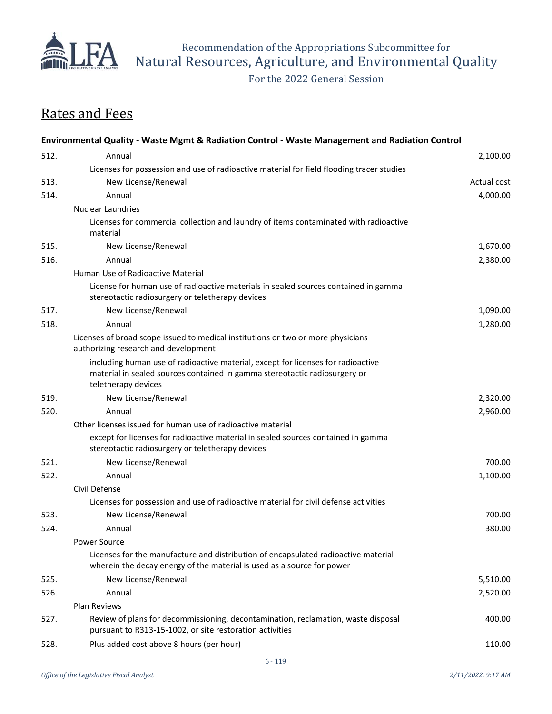

For the 2022 General Session

|      | Environmental Quality - Waste Mgmt & Radiation Control - Waste Management and Radiation Control                                                                                       |             |
|------|---------------------------------------------------------------------------------------------------------------------------------------------------------------------------------------|-------------|
| 512. | Annual                                                                                                                                                                                | 2,100.00    |
|      | Licenses for possession and use of radioactive material for field flooding tracer studies                                                                                             |             |
| 513. | New License/Renewal                                                                                                                                                                   | Actual cost |
| 514. | Annual                                                                                                                                                                                | 4,000.00    |
|      | <b>Nuclear Laundries</b>                                                                                                                                                              |             |
|      | Licenses for commercial collection and laundry of items contaminated with radioactive<br>material                                                                                     |             |
| 515. | New License/Renewal                                                                                                                                                                   | 1,670.00    |
| 516. | Annual                                                                                                                                                                                | 2,380.00    |
|      | Human Use of Radioactive Material                                                                                                                                                     |             |
|      | License for human use of radioactive materials in sealed sources contained in gamma<br>stereotactic radiosurgery or teletherapy devices                                               |             |
| 517. | New License/Renewal                                                                                                                                                                   | 1,090.00    |
| 518. | Annual                                                                                                                                                                                | 1,280.00    |
|      | Licenses of broad scope issued to medical institutions or two or more physicians<br>authorizing research and development                                                              |             |
|      | including human use of radioactive material, except for licenses for radioactive<br>material in sealed sources contained in gamma stereotactic radiosurgery or<br>teletherapy devices |             |
| 519. | New License/Renewal                                                                                                                                                                   | 2,320.00    |
| 520. | Annual                                                                                                                                                                                | 2,960.00    |
|      | Other licenses issued for human use of radioactive material                                                                                                                           |             |
|      | except for licenses for radioactive material in sealed sources contained in gamma<br>stereotactic radiosurgery or teletherapy devices                                                 |             |
| 521. | New License/Renewal                                                                                                                                                                   | 700.00      |
| 522. | Annual                                                                                                                                                                                | 1,100.00    |
|      | Civil Defense                                                                                                                                                                         |             |
|      | Licenses for possession and use of radioactive material for civil defense activities                                                                                                  |             |
| 523. | New License/Renewal                                                                                                                                                                   | 700.00      |
| 524. | Annual                                                                                                                                                                                | 380.00      |
|      | Power Source                                                                                                                                                                          |             |
|      | Licenses for the manufacture and distribution of encapsulated radioactive material<br>wherein the decay energy of the material is used as a source for power                          |             |
| 525. | New License/Renewal                                                                                                                                                                   | 5,510.00    |
| 526. | Annual                                                                                                                                                                                | 2,520.00    |
|      | Plan Reviews                                                                                                                                                                          |             |
| 527. | Review of plans for decommissioning, decontamination, reclamation, waste disposal<br>pursuant to R313-15-1002, or site restoration activities                                         | 400.00      |
| 528. | Plus added cost above 8 hours (per hour)                                                                                                                                              | 110.00      |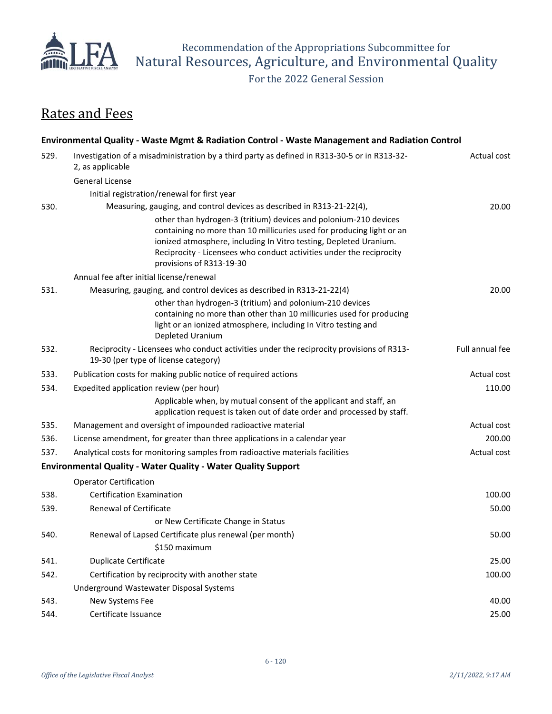

For the 2022 General Session

|      | Environmental Quality - Waste Mgmt & Radiation Control - Waste Management and Radiation Control                                                                                                                                                                                                                    |                 |
|------|--------------------------------------------------------------------------------------------------------------------------------------------------------------------------------------------------------------------------------------------------------------------------------------------------------------------|-----------------|
| 529. | Investigation of a misadministration by a third party as defined in R313-30-5 or in R313-32-<br>2, as applicable                                                                                                                                                                                                   | Actual cost     |
|      | General License                                                                                                                                                                                                                                                                                                    |                 |
|      | Initial registration/renewal for first year                                                                                                                                                                                                                                                                        |                 |
| 530. | Measuring, gauging, and control devices as described in R313-21-22(4),                                                                                                                                                                                                                                             | 20.00           |
|      | other than hydrogen-3 (tritium) devices and polonium-210 devices<br>containing no more than 10 millicuries used for producing light or an<br>ionized atmosphere, including In Vitro testing, Depleted Uranium.<br>Reciprocity - Licensees who conduct activities under the reciprocity<br>provisions of R313-19-30 |                 |
|      | Annual fee after initial license/renewal                                                                                                                                                                                                                                                                           |                 |
| 531. | Measuring, gauging, and control devices as described in R313-21-22(4)                                                                                                                                                                                                                                              | 20.00           |
|      | other than hydrogen-3 (tritium) and polonium-210 devices<br>containing no more than other than 10 millicuries used for producing<br>light or an ionized atmosphere, including In Vitro testing and<br>Depleted Uranium                                                                                             |                 |
| 532. | Reciprocity - Licensees who conduct activities under the reciprocity provisions of R313-<br>19-30 (per type of license category)                                                                                                                                                                                   | Full annual fee |
| 533. | Publication costs for making public notice of required actions                                                                                                                                                                                                                                                     | Actual cost     |
| 534. | Expedited application review (per hour)                                                                                                                                                                                                                                                                            | 110.00          |
|      | Applicable when, by mutual consent of the applicant and staff, an<br>application request is taken out of date order and processed by staff.                                                                                                                                                                        |                 |
| 535. | Management and oversight of impounded radioactive material                                                                                                                                                                                                                                                         | Actual cost     |
| 536. | License amendment, for greater than three applications in a calendar year                                                                                                                                                                                                                                          | 200.00          |
| 537. | Analytical costs for monitoring samples from radioactive materials facilities                                                                                                                                                                                                                                      | Actual cost     |
|      | <b>Environmental Quality - Water Quality - Water Quality Support</b>                                                                                                                                                                                                                                               |                 |
|      | <b>Operator Certification</b>                                                                                                                                                                                                                                                                                      |                 |
| 538. | <b>Certification Examination</b>                                                                                                                                                                                                                                                                                   | 100.00          |
| 539. | <b>Renewal of Certificate</b>                                                                                                                                                                                                                                                                                      | 50.00           |
|      | or New Certificate Change in Status                                                                                                                                                                                                                                                                                |                 |
| 540. | Renewal of Lapsed Certificate plus renewal (per month)<br>\$150 maximum                                                                                                                                                                                                                                            | 50.00           |
| 541. | <b>Duplicate Certificate</b>                                                                                                                                                                                                                                                                                       | 25.00           |
| 542. | Certification by reciprocity with another state                                                                                                                                                                                                                                                                    | 100.00          |
|      | Underground Wastewater Disposal Systems                                                                                                                                                                                                                                                                            |                 |
| 543. | New Systems Fee                                                                                                                                                                                                                                                                                                    | 40.00           |
| 544. | Certificate Issuance                                                                                                                                                                                                                                                                                               | 25.00           |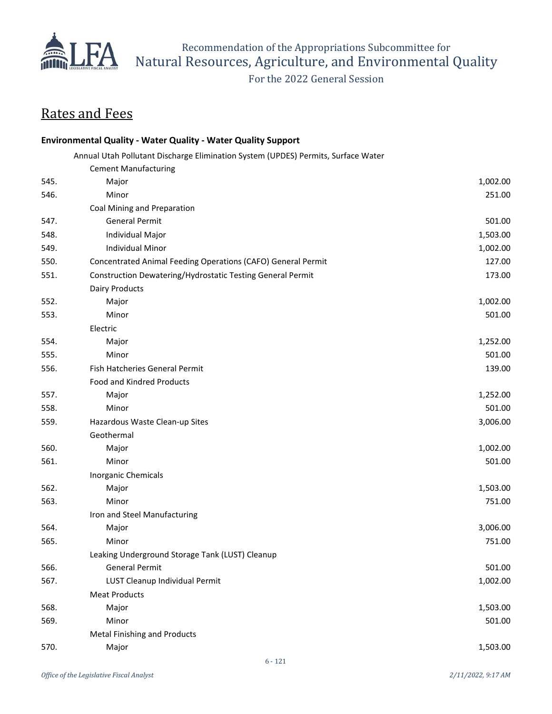

For the 2022 General Session

#### Rates and Fees

#### **Environmental Quality ‐ Water Quality ‐ Water Quality Support**

Annual Utah Pollutant Discharge Elimination System (UPDES) Permits, Surface Water

|      | <b>Cement Manufacturing</b>                                  |          |
|------|--------------------------------------------------------------|----------|
| 545. | Major                                                        | 1,002.00 |
| 546. | Minor                                                        | 251.00   |
|      | Coal Mining and Preparation                                  |          |
| 547. | <b>General Permit</b>                                        | 501.00   |
| 548. | <b>Individual Major</b>                                      | 1,503.00 |
| 549. | <b>Individual Minor</b>                                      | 1,002.00 |
| 550. | Concentrated Animal Feeding Operations (CAFO) General Permit | 127.00   |
| 551. | Construction Dewatering/Hydrostatic Testing General Permit   | 173.00   |
|      | Dairy Products                                               |          |
| 552. | Major                                                        | 1,002.00 |
| 553. | Minor                                                        | 501.00   |
|      | Electric                                                     |          |
| 554. | Major                                                        | 1,252.00 |
| 555. | Minor                                                        | 501.00   |
| 556. | Fish Hatcheries General Permit                               | 139.00   |
|      | <b>Food and Kindred Products</b>                             |          |
| 557. | Major                                                        | 1,252.00 |
| 558. | Minor                                                        | 501.00   |
| 559. | Hazardous Waste Clean-up Sites                               | 3,006.00 |
|      | Geothermal                                                   |          |
| 560. | Major                                                        | 1,002.00 |
| 561. | Minor                                                        | 501.00   |
|      | Inorganic Chemicals                                          |          |
| 562. | Major                                                        | 1,503.00 |
| 563. | Minor                                                        | 751.00   |
|      | Iron and Steel Manufacturing                                 |          |
| 564. | Major                                                        | 3,006.00 |
| 565. | Minor                                                        | 751.00   |
|      | Leaking Underground Storage Tank (LUST) Cleanup              |          |
| 566. | <b>General Permit</b>                                        | 501.00   |
| 567. | LUST Cleanup Individual Permit                               | 1,002.00 |
|      | <b>Meat Products</b>                                         |          |
| 568. | Major                                                        | 1,503.00 |
| 569. | Minor                                                        | 501.00   |
|      | <b>Metal Finishing and Products</b>                          |          |
| 570. | Major                                                        | 1,503.00 |
|      | $6 - 121$                                                    |          |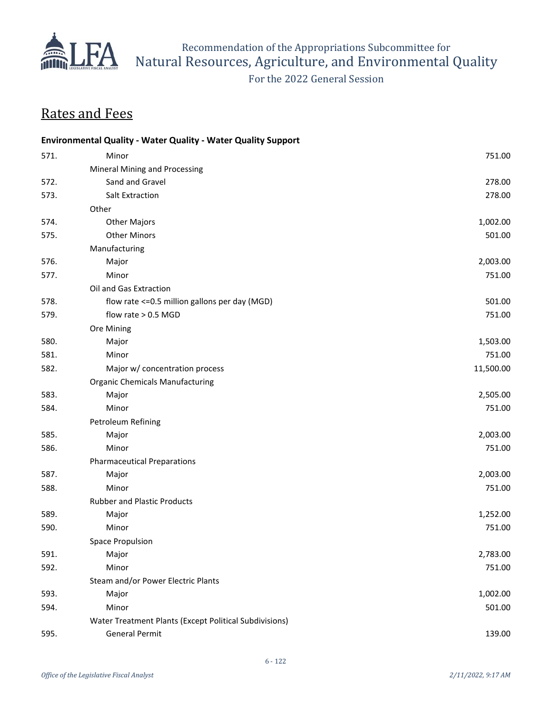

For the 2022 General Session

|      | <b>Environmental Quality - Water Quality - Water Quality Support</b> |           |
|------|----------------------------------------------------------------------|-----------|
| 571. | Minor                                                                | 751.00    |
|      | Mineral Mining and Processing                                        |           |
| 572. | Sand and Gravel                                                      | 278.00    |
| 573. | <b>Salt Extraction</b>                                               | 278.00    |
|      | Other                                                                |           |
| 574. | <b>Other Majors</b>                                                  | 1,002.00  |
| 575. | <b>Other Minors</b>                                                  | 501.00    |
|      | Manufacturing                                                        |           |
| 576. | Major                                                                | 2,003.00  |
| 577. | Minor                                                                | 751.00    |
|      | Oil and Gas Extraction                                               |           |
| 578. | flow rate <= 0.5 million gallons per day (MGD)                       | 501.00    |
| 579. | flow rate > 0.5 MGD                                                  | 751.00    |
|      | Ore Mining                                                           |           |
| 580. | Major                                                                | 1,503.00  |
| 581. | Minor                                                                | 751.00    |
| 582. | Major w/ concentration process                                       | 11,500.00 |
|      | <b>Organic Chemicals Manufacturing</b>                               |           |
| 583. | Major                                                                | 2,505.00  |
| 584. | Minor                                                                | 751.00    |
|      | Petroleum Refining                                                   |           |
| 585. | Major                                                                | 2,003.00  |
| 586. | Minor                                                                | 751.00    |
|      | <b>Pharmaceutical Preparations</b>                                   |           |
| 587. | Major                                                                | 2,003.00  |
| 588. | Minor                                                                | 751.00    |
|      | <b>Rubber and Plastic Products</b>                                   |           |
| 589. | Major                                                                | 1,252.00  |
| 590. | Minor                                                                | 751.00    |
|      | <b>Space Propulsion</b>                                              |           |
| 591. | Major                                                                | 2,783.00  |
| 592. | Minor                                                                | 751.00    |
|      | Steam and/or Power Electric Plants                                   |           |
| 593. | Major                                                                | 1,002.00  |
| 594. | Minor                                                                | 501.00    |
|      | Water Treatment Plants (Except Political Subdivisions)               |           |
| 595. | <b>General Permit</b>                                                | 139.00    |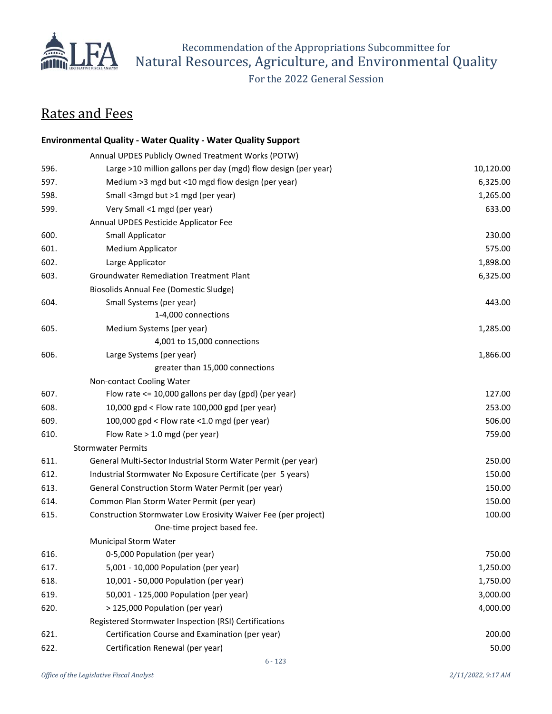

For the 2022 General Session

|      | <b>Environmental Quality - Water Quality - Water Quality Support</b> |           |
|------|----------------------------------------------------------------------|-----------|
|      | Annual UPDES Publicly Owned Treatment Works (POTW)                   |           |
| 596. | Large >10 million gallons per day (mgd) flow design (per year)       | 10,120.00 |
| 597. | Medium >3 mgd but <10 mgd flow design (per year)                     | 6,325.00  |
| 598. | Small <3mgd but >1 mgd (per year)                                    | 1,265.00  |
| 599. | Very Small <1 mgd (per year)                                         | 633.00    |
|      | Annual UPDES Pesticide Applicator Fee                                |           |
| 600. | <b>Small Applicator</b>                                              | 230.00    |
| 601. | <b>Medium Applicator</b>                                             | 575.00    |
| 602. | Large Applicator                                                     | 1,898.00  |
| 603. | <b>Groundwater Remediation Treatment Plant</b>                       | 6,325.00  |
|      | Biosolids Annual Fee (Domestic Sludge)                               |           |
| 604. | Small Systems (per year)                                             | 443.00    |
|      | 1-4,000 connections                                                  |           |
| 605. | Medium Systems (per year)                                            | 1,285.00  |
|      | 4,001 to 15,000 connections                                          |           |
| 606. | Large Systems (per year)                                             | 1,866.00  |
|      | greater than 15,000 connections                                      |           |
|      | Non-contact Cooling Water                                            |           |
| 607. | Flow rate $\leq$ 10,000 gallons per day (gpd) (per year)             | 127.00    |
| 608. | 10,000 gpd < Flow rate 100,000 gpd (per year)                        | 253.00    |
| 609. | 100,000 gpd < Flow rate <1.0 mgd (per year)                          | 506.00    |
| 610. | Flow Rate $> 1.0$ mgd (per year)                                     | 759.00    |
|      | <b>Stormwater Permits</b>                                            |           |
| 611. | General Multi-Sector Industrial Storm Water Permit (per year)        | 250.00    |
| 612. | Industrial Stormwater No Exposure Certificate (per 5 years)          | 150.00    |
| 613. | General Construction Storm Water Permit (per year)                   | 150.00    |
| 614. | Common Plan Storm Water Permit (per year)                            | 150.00    |
| 615. | Construction Stormwater Low Erosivity Waiver Fee (per project)       | 100.00    |
|      | One-time project based fee.                                          |           |
|      | Municipal Storm Water                                                |           |
| 616. | 0-5,000 Population (per year)                                        | 750.00    |
| 617. | 5,001 - 10,000 Population (per year)                                 | 1,250.00  |
| 618. | 10,001 - 50,000 Population (per year)                                | 1,750.00  |
| 619. | 50,001 - 125,000 Population (per year)                               | 3,000.00  |
| 620. | > 125,000 Population (per year)                                      | 4,000.00  |
|      | Registered Stormwater Inspection (RSI) Certifications                |           |
| 621. | Certification Course and Examination (per year)                      | 200.00    |
| 622. | Certification Renewal (per year)                                     | 50.00     |
|      |                                                                      |           |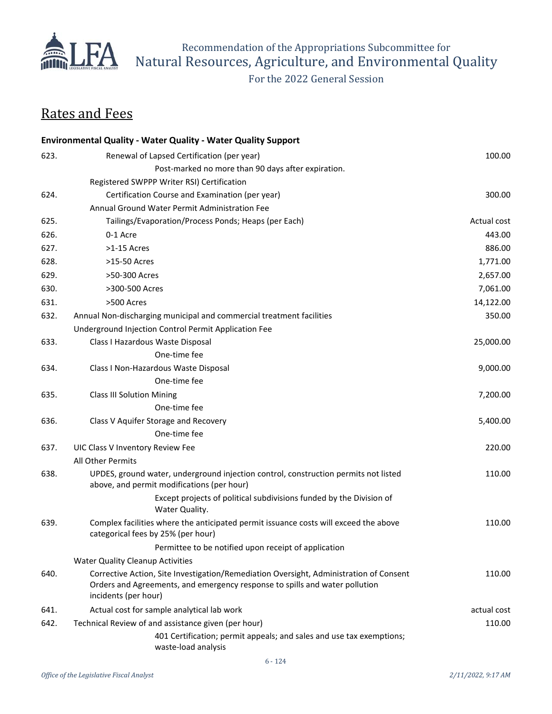

Natural Resources, Agriculture, and Environmental Quality

For the 2022 General Session

|      | <b>Environmental Quality - Water Quality - Water Quality Support</b>                                                                                                                          |             |
|------|-----------------------------------------------------------------------------------------------------------------------------------------------------------------------------------------------|-------------|
| 623. | Renewal of Lapsed Certification (per year)                                                                                                                                                    | 100.00      |
|      | Post-marked no more than 90 days after expiration.                                                                                                                                            |             |
|      | Registered SWPPP Writer RSI) Certification                                                                                                                                                    |             |
| 624. | Certification Course and Examination (per year)                                                                                                                                               | 300.00      |
|      | Annual Ground Water Permit Administration Fee                                                                                                                                                 |             |
| 625. | Tailings/Evaporation/Process Ponds; Heaps (per Each)                                                                                                                                          | Actual cost |
| 626. | 0-1 Acre                                                                                                                                                                                      | 443.00      |
| 627. | $>1-15$ Acres                                                                                                                                                                                 | 886.00      |
| 628. | >15-50 Acres                                                                                                                                                                                  | 1,771.00    |
| 629. | >50-300 Acres                                                                                                                                                                                 | 2,657.00    |
| 630. | >300-500 Acres                                                                                                                                                                                | 7,061.00    |
| 631. | >500 Acres                                                                                                                                                                                    | 14,122.00   |
| 632. | Annual Non-discharging municipal and commercial treatment facilities                                                                                                                          | 350.00      |
|      | Underground Injection Control Permit Application Fee                                                                                                                                          |             |
| 633. | Class I Hazardous Waste Disposal                                                                                                                                                              | 25,000.00   |
|      | One-time fee                                                                                                                                                                                  |             |
| 634. | Class I Non-Hazardous Waste Disposal                                                                                                                                                          | 9,000.00    |
|      | One-time fee                                                                                                                                                                                  |             |
| 635. | <b>Class III Solution Mining</b>                                                                                                                                                              | 7,200.00    |
|      | One-time fee                                                                                                                                                                                  |             |
| 636. | Class V Aquifer Storage and Recovery                                                                                                                                                          | 5,400.00    |
|      | One-time fee                                                                                                                                                                                  |             |
| 637. | UIC Class V Inventory Review Fee                                                                                                                                                              | 220.00      |
|      | <b>All Other Permits</b>                                                                                                                                                                      |             |
| 638. | UPDES, ground water, underground injection control, construction permits not listed<br>above, and permit modifications (per hour)                                                             | 110.00      |
|      | Except projects of political subdivisions funded by the Division of<br>Water Quality.                                                                                                         |             |
| 639. | Complex facilities where the anticipated permit issuance costs will exceed the above<br>categorical fees by 25% (per hour)                                                                    | 110.00      |
|      | Permittee to be notified upon receipt of application                                                                                                                                          |             |
|      | <b>Water Quality Cleanup Activities</b>                                                                                                                                                       |             |
| 640. | Corrective Action, Site Investigation/Remediation Oversight, Administration of Consent<br>Orders and Agreements, and emergency response to spills and water pollution<br>incidents (per hour) | 110.00      |
| 641. | Actual cost for sample analytical lab work                                                                                                                                                    | actual cost |
| 642. | Technical Review of and assistance given (per hour)                                                                                                                                           | 110.00      |
|      | 401 Certification; permit appeals; and sales and use tax exemptions;<br>waste-load analysis                                                                                                   |             |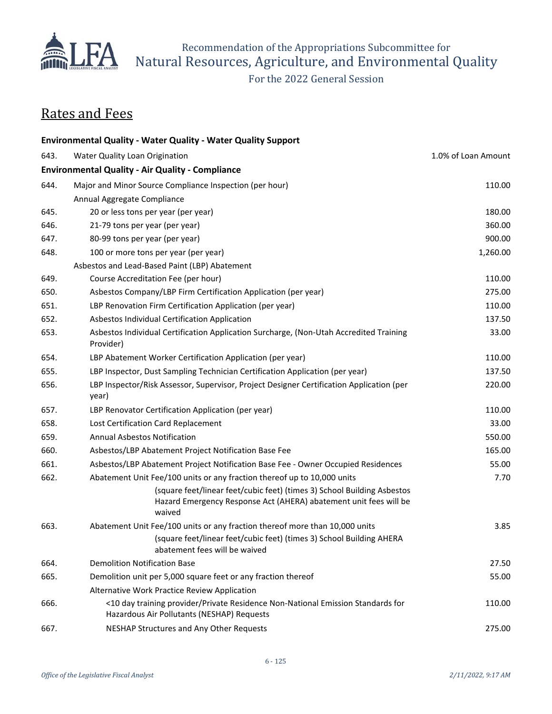

Natural Resources, Agriculture, and Environmental Quality

For the 2022 General Session

|      | <b>Environmental Quality - Water Quality - Water Quality Support</b>                                                                                   |                     |
|------|--------------------------------------------------------------------------------------------------------------------------------------------------------|---------------------|
| 643. | Water Quality Loan Origination                                                                                                                         | 1.0% of Loan Amount |
|      | <b>Environmental Quality - Air Quality - Compliance</b>                                                                                                |                     |
| 644. | Major and Minor Source Compliance Inspection (per hour)                                                                                                | 110.00              |
|      | Annual Aggregate Compliance                                                                                                                            |                     |
| 645. | 20 or less tons per year (per year)                                                                                                                    | 180.00              |
| 646. | 21-79 tons per year (per year)                                                                                                                         | 360.00              |
| 647. | 80-99 tons per year (per year)                                                                                                                         | 900.00              |
| 648. | 100 or more tons per year (per year)                                                                                                                   | 1,260.00            |
|      | Asbestos and Lead-Based Paint (LBP) Abatement                                                                                                          |                     |
| 649. | Course Accreditation Fee (per hour)                                                                                                                    | 110.00              |
| 650. | Asbestos Company/LBP Firm Certification Application (per year)                                                                                         | 275.00              |
| 651. | LBP Renovation Firm Certification Application (per year)                                                                                               | 110.00              |
| 652. | Asbestos Individual Certification Application                                                                                                          | 137.50              |
| 653. | Asbestos Individual Certification Application Surcharge, (Non-Utah Accredited Training<br>Provider)                                                    | 33.00               |
| 654. | LBP Abatement Worker Certification Application (per year)                                                                                              | 110.00              |
| 655. | LBP Inspector, Dust Sampling Technician Certification Application (per year)                                                                           | 137.50              |
| 656. | LBP Inspector/Risk Assessor, Supervisor, Project Designer Certification Application (per<br>year)                                                      | 220.00              |
| 657. | LBP Renovator Certification Application (per year)                                                                                                     | 110.00              |
| 658. | Lost Certification Card Replacement                                                                                                                    | 33.00               |
| 659. | Annual Asbestos Notification                                                                                                                           | 550.00              |
| 660. | Asbestos/LBP Abatement Project Notification Base Fee                                                                                                   | 165.00              |
| 661. | Asbestos/LBP Abatement Project Notification Base Fee - Owner Occupied Residences                                                                       | 55.00               |
| 662. | Abatement Unit Fee/100 units or any fraction thereof up to 10,000 units                                                                                | 7.70                |
|      | (square feet/linear feet/cubic feet) (times 3) School Building Asbestos<br>Hazard Emergency Response Act (AHERA) abatement unit fees will be<br>waived |                     |
| 663. | Abatement Unit Fee/100 units or any fraction thereof more than 10,000 units                                                                            | 3.85                |
|      | (square feet/linear feet/cubic feet) (times 3) School Building AHERA<br>abatement fees will be waived                                                  |                     |
| 664. | <b>Demolition Notification Base</b>                                                                                                                    | 27.50               |
| 665. | Demolition unit per 5,000 square feet or any fraction thereof                                                                                          | 55.00               |
|      | Alternative Work Practice Review Application                                                                                                           |                     |
| 666. | <10 day training provider/Private Residence Non-National Emission Standards for<br>Hazardous Air Pollutants (NESHAP) Requests                          | 110.00              |
| 667. | NESHAP Structures and Any Other Requests                                                                                                               | 275.00              |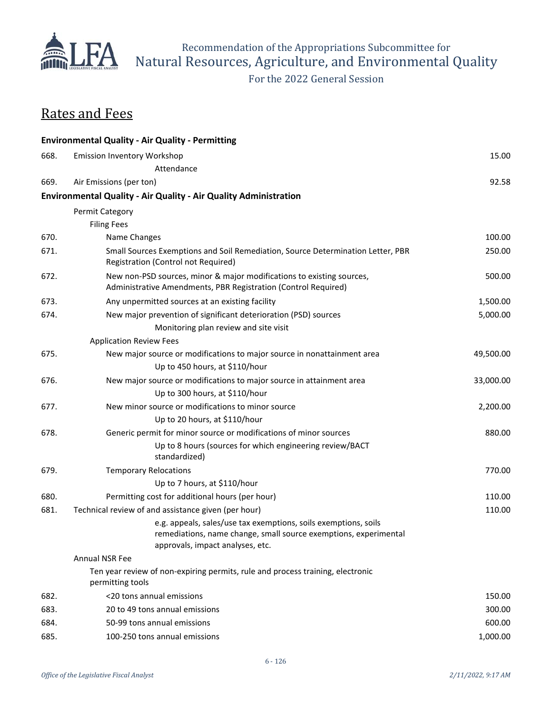

For the 2022 General Session

|      | <b>Environmental Quality - Air Quality - Permitting</b>                                                                                                                 |           |
|------|-------------------------------------------------------------------------------------------------------------------------------------------------------------------------|-----------|
| 668. | <b>Emission Inventory Workshop</b>                                                                                                                                      | 15.00     |
|      | Attendance                                                                                                                                                              |           |
| 669. | Air Emissions (per ton)                                                                                                                                                 | 92.58     |
|      | <b>Environmental Quality - Air Quality - Air Quality Administration</b>                                                                                                 |           |
|      | <b>Permit Category</b>                                                                                                                                                  |           |
|      | <b>Filing Fees</b>                                                                                                                                                      |           |
| 670. | Name Changes                                                                                                                                                            | 100.00    |
| 671. | Small Sources Exemptions and Soil Remediation, Source Determination Letter, PBR<br>Registration (Control not Required)                                                  | 250.00    |
| 672. | New non-PSD sources, minor & major modifications to existing sources,<br>Administrative Amendments, PBR Registration (Control Required)                                 | 500.00    |
| 673. | Any unpermitted sources at an existing facility                                                                                                                         | 1,500.00  |
| 674. | New major prevention of significant deterioration (PSD) sources                                                                                                         | 5,000.00  |
|      | Monitoring plan review and site visit                                                                                                                                   |           |
|      | <b>Application Review Fees</b>                                                                                                                                          |           |
| 675. | New major source or modifications to major source in nonattainment area                                                                                                 | 49,500.00 |
|      | Up to 450 hours, at \$110/hour                                                                                                                                          |           |
| 676. | New major source or modifications to major source in attainment area                                                                                                    | 33,000.00 |
|      | Up to 300 hours, at \$110/hour                                                                                                                                          |           |
| 677. | New minor source or modifications to minor source                                                                                                                       | 2,200.00  |
|      | Up to 20 hours, at \$110/hour                                                                                                                                           |           |
| 678. | Generic permit for minor source or modifications of minor sources                                                                                                       | 880.00    |
|      | Up to 8 hours (sources for which engineering review/BACT<br>standardized)                                                                                               |           |
| 679. | <b>Temporary Relocations</b>                                                                                                                                            | 770.00    |
|      | Up to 7 hours, at \$110/hour                                                                                                                                            |           |
| 680. | Permitting cost for additional hours (per hour)                                                                                                                         | 110.00    |
| 681. | Technical review of and assistance given (per hour)                                                                                                                     | 110.00    |
|      | e.g. appeals, sales/use tax exemptions, soils exemptions, soils<br>remediations, name change, small source exemptions, experimental<br>approvals, impact analyses, etc. |           |
|      | Annual NSR Fee                                                                                                                                                          |           |
|      | Ten year review of non-expiring permits, rule and process training, electronic<br>permitting tools                                                                      |           |
| 682. | <20 tons annual emissions                                                                                                                                               | 150.00    |
| 683. | 20 to 49 tons annual emissions                                                                                                                                          | 300.00    |
| 684. | 50-99 tons annual emissions                                                                                                                                             | 600.00    |
| 685. | 100-250 tons annual emissions                                                                                                                                           | 1,000.00  |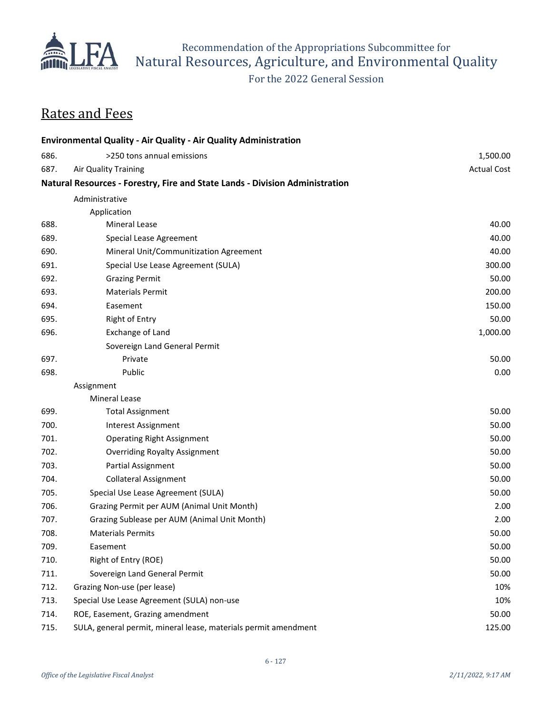

For the 2022 General Session

|      | <b>Environmental Quality - Air Quality - Air Quality Administration</b>      |                    |
|------|------------------------------------------------------------------------------|--------------------|
| 686. | >250 tons annual emissions                                                   | 1,500.00           |
| 687. | Air Quality Training                                                         | <b>Actual Cost</b> |
|      | Natural Resources - Forestry, Fire and State Lands - Division Administration |                    |
|      | Administrative                                                               |                    |
|      | Application                                                                  |                    |
| 688. | <b>Mineral Lease</b>                                                         | 40.00              |
| 689. | Special Lease Agreement                                                      | 40.00              |
| 690. | Mineral Unit/Communitization Agreement                                       | 40.00              |
| 691. | Special Use Lease Agreement (SULA)                                           | 300.00             |
| 692. | <b>Grazing Permit</b>                                                        | 50.00              |
| 693. | <b>Materials Permit</b>                                                      | 200.00             |
| 694. | Easement                                                                     | 150.00             |
| 695. | Right of Entry                                                               | 50.00              |
| 696. | Exchange of Land                                                             | 1,000.00           |
|      | Sovereign Land General Permit                                                |                    |
| 697. | Private                                                                      | 50.00              |
| 698. | Public                                                                       | 0.00               |
|      | Assignment                                                                   |                    |
|      | <b>Mineral Lease</b>                                                         |                    |
| 699. | <b>Total Assignment</b>                                                      | 50.00              |
| 700. | <b>Interest Assignment</b>                                                   | 50.00              |
| 701. | <b>Operating Right Assignment</b>                                            | 50.00              |
| 702. | <b>Overriding Royalty Assignment</b>                                         | 50.00              |
| 703. | Partial Assignment                                                           | 50.00              |
| 704. | <b>Collateral Assignment</b>                                                 | 50.00              |
| 705. | Special Use Lease Agreement (SULA)                                           | 50.00              |
| 706. | Grazing Permit per AUM (Animal Unit Month)                                   | 2.00               |
| 707. | Grazing Sublease per AUM (Animal Unit Month)                                 | 2.00               |
| 708. | <b>Materials Permits</b>                                                     | 50.00              |
| 709. | Easement                                                                     | 50.00              |
| 710. | Right of Entry (ROE)                                                         | 50.00              |
| 711. | Sovereign Land General Permit                                                | 50.00              |
| 712. | Grazing Non-use (per lease)                                                  | 10%                |
| 713. | Special Use Lease Agreement (SULA) non-use                                   | 10%                |
| 714. | ROE, Easement, Grazing amendment                                             | 50.00              |
| 715. | SULA, general permit, mineral lease, materials permit amendment              | 125.00             |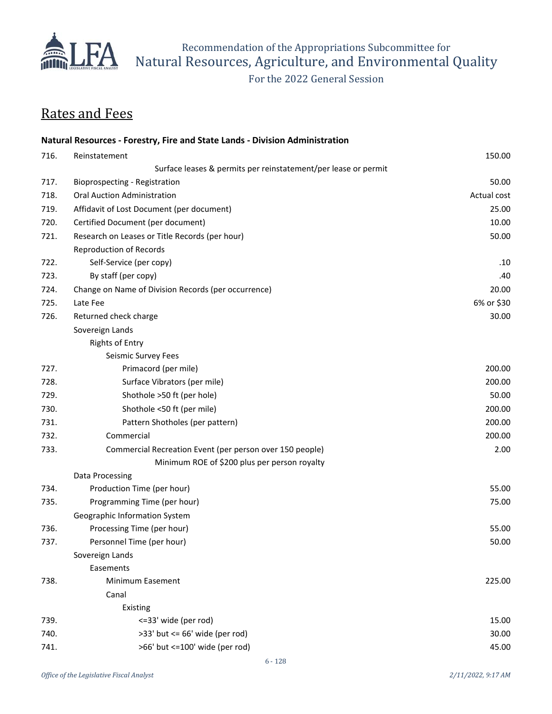

For the 2022 General Session

|      | Natural Resources - Forestry, Fire and State Lands - Division Administration |             |
|------|------------------------------------------------------------------------------|-------------|
| 716. | Reinstatement                                                                | 150.00      |
|      | Surface leases & permits per reinstatement/per lease or permit               |             |
| 717. | Bioprospecting - Registration                                                | 50.00       |
| 718. | <b>Oral Auction Administration</b>                                           | Actual cost |
| 719. | Affidavit of Lost Document (per document)                                    | 25.00       |
| 720. | Certified Document (per document)                                            | 10.00       |
| 721. | Research on Leases or Title Records (per hour)                               | 50.00       |
|      | <b>Reproduction of Records</b>                                               |             |
| 722. | Self-Service (per copy)                                                      | .10         |
| 723. | By staff (per copy)                                                          | .40         |
| 724. | Change on Name of Division Records (per occurrence)                          | 20.00       |
| 725. | Late Fee                                                                     | 6% or \$30  |
| 726. | Returned check charge                                                        | 30.00       |
|      | Sovereign Lands                                                              |             |
|      | <b>Rights of Entry</b>                                                       |             |
|      | Seismic Survey Fees                                                          |             |
| 727. | Primacord (per mile)                                                         | 200.00      |
| 728. | Surface Vibrators (per mile)                                                 | 200.00      |
| 729. | Shothole >50 ft (per hole)                                                   | 50.00       |
| 730. | Shothole <50 ft (per mile)                                                   | 200.00      |
| 731. | Pattern Shotholes (per pattern)                                              | 200.00      |
| 732. | Commercial                                                                   | 200.00      |
| 733. | Commercial Recreation Event (per person over 150 people)                     | 2.00        |
|      | Minimum ROE of \$200 plus per person royalty                                 |             |
|      | Data Processing                                                              |             |
| 734. | Production Time (per hour)                                                   | 55.00       |
| 735. | Programming Time (per hour)                                                  | 75.00       |
|      | Geographic Information System                                                |             |
| 736. | Processing Time (per hour)                                                   | 55.00       |
| 737. | Personnel Time (per hour)                                                    | 50.00       |
|      | Sovereign Lands                                                              |             |
|      | Easements                                                                    |             |
| 738. | Minimum Easement                                                             | 225.00      |
|      | Canal                                                                        |             |
|      | Existing                                                                     |             |
| 739. | <= 33' wide (per rod)                                                        | 15.00       |
| 740. | $>33'$ but <= 66' wide (per rod)                                             | 30.00       |
| 741. | >66' but <= 100' wide (per rod)                                              | 45.00       |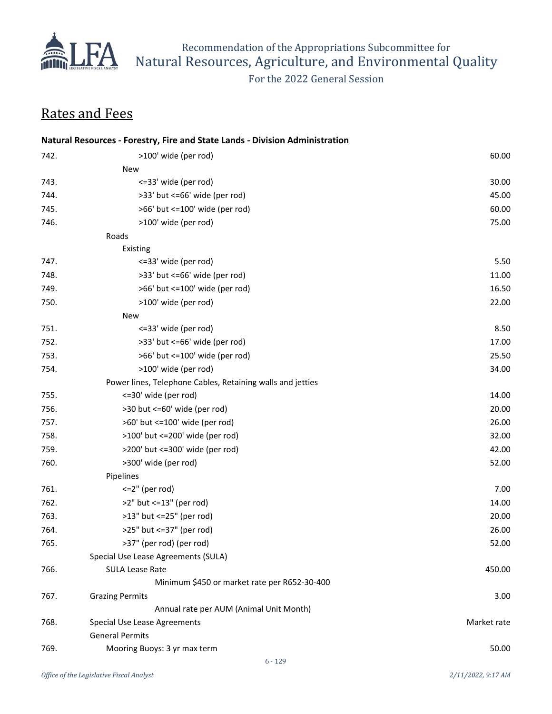

For the 2022 General Session

|      | Natural Resources - Forestry, Fire and State Lands - Division Administration |             |
|------|------------------------------------------------------------------------------|-------------|
| 742. | >100' wide (per rod)                                                         | 60.00       |
|      | <b>New</b>                                                                   |             |
| 743. | <=33' wide (per rod)                                                         | 30.00       |
| 744. | >33' but <=66' wide (per rod)                                                | 45.00       |
| 745. | >66' but <= 100' wide (per rod)                                              | 60.00       |
| 746. | >100' wide (per rod)                                                         | 75.00       |
|      | Roads                                                                        |             |
|      | Existing                                                                     |             |
| 747. | <=33' wide (per rod)                                                         | 5.50        |
| 748. | >33' but <=66' wide (per rod)                                                | 11.00       |
| 749. | >66' but <=100' wide (per rod)                                               | 16.50       |
| 750. | >100' wide (per rod)                                                         | 22.00       |
|      | <b>New</b>                                                                   |             |
| 751. | <= 33' wide (per rod)                                                        | 8.50        |
| 752. | >33' but <=66' wide (per rod)                                                | 17.00       |
| 753. | >66' but <= 100' wide (per rod)                                              | 25.50       |
| 754. | >100' wide (per rod)                                                         | 34.00       |
|      | Power lines, Telephone Cables, Retaining walls and jetties                   |             |
| 755. | <= 30' wide (per rod)                                                        | 14.00       |
| 756. | >30 but <=60' wide (per rod)                                                 | 20.00       |
| 757. | >60' but <=100' wide (per rod)                                               | 26.00       |
| 758. | >100' but <=200' wide (per rod)                                              | 32.00       |
| 759. | >200' but <=300' wide (per rod)                                              | 42.00       |
| 760. | >300' wide (per rod)                                                         | 52.00       |
|      | Pipelines                                                                    |             |
| 761. | $\leq$ =2" (per rod)                                                         | 7.00        |
| 762. | >2" but <=13" (per rod)                                                      | 14.00       |
| 763. | >13" but <= 25" (per rod)                                                    | 20.00       |
| 764. | >25" but <= 37" (per rod)                                                    | 26.00       |
| 765. | >37" (per rod) (per rod)                                                     | 52.00       |
|      | Special Use Lease Agreements (SULA)                                          |             |
| 766. | <b>SULA Lease Rate</b>                                                       | 450.00      |
|      | Minimum \$450 or market rate per R652-30-400                                 |             |
| 767. | <b>Grazing Permits</b>                                                       | 3.00        |
|      | Annual rate per AUM (Animal Unit Month)                                      |             |
| 768. | Special Use Lease Agreements                                                 | Market rate |
|      | <b>General Permits</b>                                                       |             |
| 769. | Mooring Buoys: 3 yr max term                                                 | 50.00       |
|      |                                                                              |             |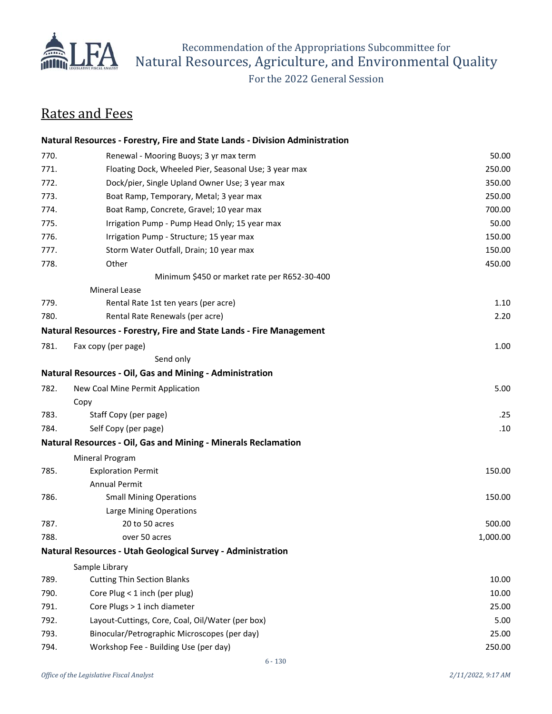

For the 2022 General Session

|      | Natural Resources - Forestry, Fire and State Lands - Division Administration |          |
|------|------------------------------------------------------------------------------|----------|
| 770. | Renewal - Mooring Buoys; 3 yr max term                                       | 50.00    |
| 771. | Floating Dock, Wheeled Pier, Seasonal Use; 3 year max                        | 250.00   |
| 772. | Dock/pier, Single Upland Owner Use; 3 year max                               | 350.00   |
| 773. | Boat Ramp, Temporary, Metal; 3 year max                                      | 250.00   |
| 774. | Boat Ramp, Concrete, Gravel; 10 year max                                     | 700.00   |
| 775. | Irrigation Pump - Pump Head Only; 15 year max                                | 50.00    |
| 776. | Irrigation Pump - Structure; 15 year max                                     | 150.00   |
| 777. | Storm Water Outfall, Drain; 10 year max                                      | 150.00   |
| 778. | Other                                                                        | 450.00   |
|      | Minimum \$450 or market rate per R652-30-400                                 |          |
|      | <b>Mineral Lease</b>                                                         |          |
| 779. | Rental Rate 1st ten years (per acre)                                         | 1.10     |
| 780. | Rental Rate Renewals (per acre)                                              | 2.20     |
|      | Natural Resources - Forestry, Fire and State Lands - Fire Management         |          |
| 781. | Fax copy (per page)                                                          | 1.00     |
|      | Send only                                                                    |          |
|      | Natural Resources - Oil, Gas and Mining - Administration                     |          |
| 782. | New Coal Mine Permit Application                                             | 5.00     |
|      | Copy                                                                         |          |
| 783. | Staff Copy (per page)                                                        | .25      |
| 784. | Self Copy (per page)                                                         | .10      |
|      | Natural Resources - Oil, Gas and Mining - Minerals Reclamation               |          |
|      | Mineral Program                                                              |          |
| 785. | <b>Exploration Permit</b>                                                    | 150.00   |
|      | <b>Annual Permit</b>                                                         |          |
| 786. | <b>Small Mining Operations</b>                                               | 150.00   |
|      | Large Mining Operations                                                      |          |
| 787. | 20 to 50 acres                                                               | 500.00   |
| 788. | over 50 acres                                                                | 1,000.00 |
|      | <b>Natural Resources - Utah Geological Survey - Administration</b>           |          |
|      | Sample Library                                                               |          |
| 789. | <b>Cutting Thin Section Blanks</b>                                           | 10.00    |
| 790. | Core Plug < 1 inch (per plug)                                                | 10.00    |
| 791. | Core Plugs > 1 inch diameter                                                 | 25.00    |
| 792. | Layout-Cuttings, Core, Coal, Oil/Water (per box)                             | 5.00     |
| 793. | Binocular/Petrographic Microscopes (per day)                                 | 25.00    |
| 794. | Workshop Fee - Building Use (per day)                                        | 250.00   |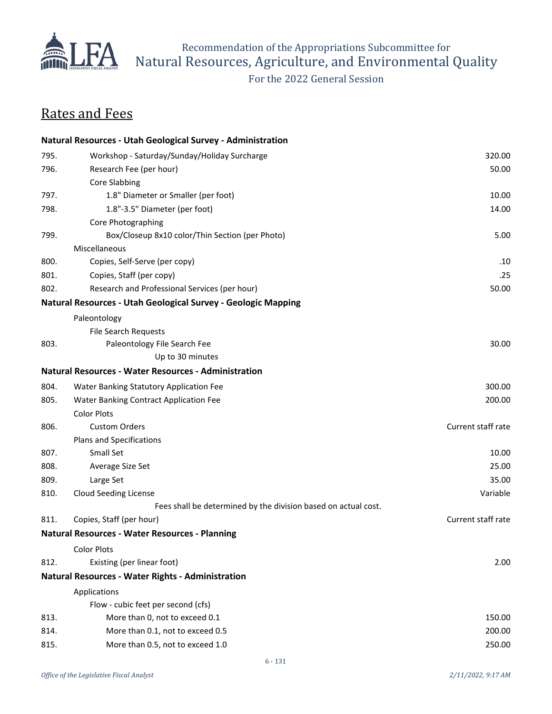

Natural Resources, Agriculture, and Environmental Quality

For the 2022 General Session

|      | <b>Natural Resources - Utah Geological Survey - Administration</b>   |                    |
|------|----------------------------------------------------------------------|--------------------|
| 795. | Workshop - Saturday/Sunday/Holiday Surcharge                         | 320.00             |
| 796. | Research Fee (per hour)                                              | 50.00              |
|      | <b>Core Slabbing</b>                                                 |                    |
| 797. | 1.8" Diameter or Smaller (per foot)                                  | 10.00              |
| 798. | 1.8"-3.5" Diameter (per foot)                                        | 14.00              |
|      | Core Photographing                                                   |                    |
| 799. | Box/Closeup 8x10 color/Thin Section (per Photo)                      | 5.00               |
|      | Miscellaneous                                                        |                    |
| 800. | Copies, Self-Serve (per copy)                                        | .10                |
| 801. | Copies, Staff (per copy)                                             | .25                |
| 802. | Research and Professional Services (per hour)                        | 50.00              |
|      | <b>Natural Resources - Utah Geological Survey - Geologic Mapping</b> |                    |
|      | Paleontology                                                         |                    |
|      | <b>File Search Requests</b>                                          |                    |
| 803. | Paleontology File Search Fee                                         | 30.00              |
|      | Up to 30 minutes                                                     |                    |
|      | <b>Natural Resources - Water Resources - Administration</b>          |                    |
| 804. | Water Banking Statutory Application Fee                              | 300.00             |
| 805. | Water Banking Contract Application Fee                               | 200.00             |
|      | <b>Color Plots</b>                                                   |                    |
| 806. | <b>Custom Orders</b>                                                 | Current staff rate |
|      | Plans and Specifications                                             |                    |
| 807. | Small Set                                                            | 10.00              |
| 808. | Average Size Set                                                     | 25.00              |
| 809. | Large Set                                                            | 35.00              |
| 810. | <b>Cloud Seeding License</b>                                         | Variable           |
|      | Fees shall be determined by the division based on actual cost.       |                    |
| 811. | Copies, Staff (per hour)                                             | Current staff rate |
|      | <b>Natural Resources - Water Resources - Planning</b>                |                    |
|      | <b>Color Plots</b>                                                   |                    |
| 812. | Existing (per linear foot)                                           | 2.00               |
|      | <b>Natural Resources - Water Rights - Administration</b>             |                    |
|      | Applications                                                         |                    |
|      | Flow - cubic feet per second (cfs)                                   |                    |
| 813. | More than 0, not to exceed 0.1                                       | 150.00             |
| 814. | More than 0.1, not to exceed 0.5                                     | 200.00             |
| 815. | More than 0.5, not to exceed 1.0                                     | 250.00             |
|      | $6 - 131$                                                            |                    |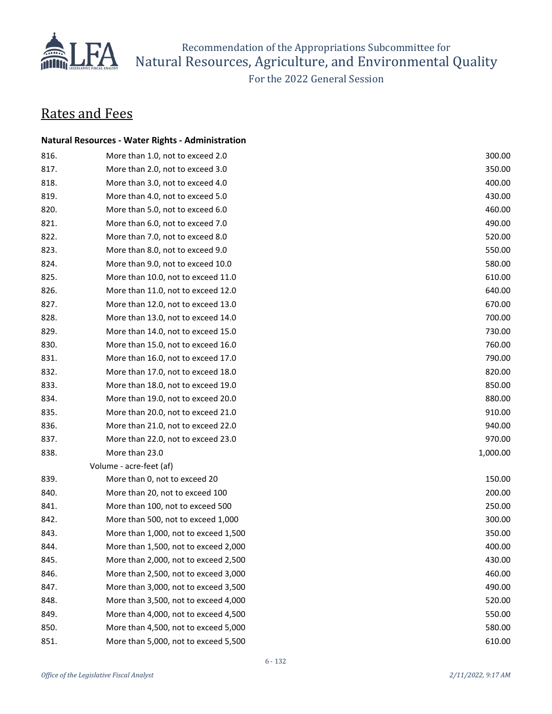

For the 2022 General Session

|      | <b>Natural Resources - Water Rights - Administration</b> |          |
|------|----------------------------------------------------------|----------|
| 816. | More than 1.0, not to exceed 2.0                         | 300.00   |
| 817. | More than 2.0, not to exceed 3.0                         | 350.00   |
| 818. | More than 3.0, not to exceed 4.0                         | 400.00   |
| 819. | More than 4.0, not to exceed 5.0                         | 430.00   |
| 820. | More than 5.0, not to exceed 6.0                         | 460.00   |
| 821. | More than 6.0, not to exceed 7.0                         | 490.00   |
| 822. | More than 7.0, not to exceed 8.0                         | 520.00   |
| 823. | More than 8.0, not to exceed 9.0                         | 550.00   |
| 824. | More than 9.0, not to exceed 10.0                        | 580.00   |
| 825. | More than 10.0, not to exceed 11.0                       | 610.00   |
| 826. | More than 11.0, not to exceed 12.0                       | 640.00   |
| 827. | More than 12.0, not to exceed 13.0                       | 670.00   |
| 828. | More than 13.0, not to exceed 14.0                       | 700.00   |
| 829. | More than 14.0, not to exceed 15.0                       | 730.00   |
| 830. | More than 15.0, not to exceed 16.0                       | 760.00   |
| 831. | More than 16.0, not to exceed 17.0                       | 790.00   |
| 832. | More than 17.0, not to exceed 18.0                       | 820.00   |
| 833. | More than 18.0, not to exceed 19.0                       | 850.00   |
| 834. | More than 19.0, not to exceed 20.0                       | 880.00   |
| 835. | More than 20.0, not to exceed 21.0                       | 910.00   |
| 836. | More than 21.0, not to exceed 22.0                       | 940.00   |
| 837. | More than 22.0, not to exceed 23.0                       | 970.00   |
| 838. | More than 23.0                                           | 1,000.00 |
|      | Volume - acre-feet (af)                                  |          |
| 839. | More than 0, not to exceed 20                            | 150.00   |
| 840. | More than 20, not to exceed 100                          | 200.00   |
| 841. | More than 100, not to exceed 500                         | 250.00   |
| 842. | More than 500, not to exceed 1,000                       | 300.00   |
| 843. | More than 1,000, not to exceed 1,500                     | 350.00   |
| 844. | More than 1,500, not to exceed 2,000                     | 400.00   |
| 845. | More than 2,000, not to exceed 2,500                     | 430.00   |
| 846. | More than 2,500, not to exceed 3,000                     | 460.00   |
| 847. | More than 3,000, not to exceed 3,500                     | 490.00   |
| 848. | More than 3,500, not to exceed 4,000                     | 520.00   |
| 849. | More than 4,000, not to exceed 4,500                     | 550.00   |
| 850. | More than 4,500, not to exceed 5,000                     | 580.00   |
| 851. | More than 5,000, not to exceed 5,500                     | 610.00   |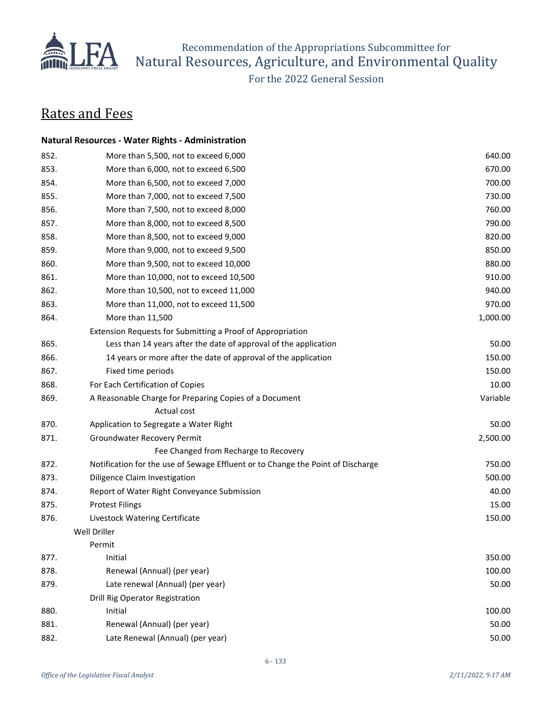

For the 2022 General Session

|      | <b>Natural Resources - Water Rights - Administration</b>                        |          |
|------|---------------------------------------------------------------------------------|----------|
| 852. | More than 5,500, not to exceed 6,000                                            | 640.00   |
| 853. | More than 6,000, not to exceed 6,500                                            | 670.00   |
| 854. | More than 6,500, not to exceed 7,000                                            | 700.00   |
| 855. | More than 7,000, not to exceed 7,500                                            | 730.00   |
| 856. | More than 7,500, not to exceed 8,000                                            | 760.00   |
| 857. | More than 8,000, not to exceed 8,500                                            | 790.00   |
| 858. | More than 8,500, not to exceed 9,000                                            | 820.00   |
| 859. | More than 9,000, not to exceed 9,500                                            | 850.00   |
| 860. | More than 9,500, not to exceed 10,000                                           | 880.00   |
| 861. | More than 10,000, not to exceed 10,500                                          | 910.00   |
| 862. | More than 10,500, not to exceed 11,000                                          | 940.00   |
| 863. | More than 11,000, not to exceed 11,500                                          | 970.00   |
| 864. | More than 11,500                                                                | 1,000.00 |
|      | Extension Requests for Submitting a Proof of Appropriation                      |          |
| 865. | Less than 14 years after the date of approval of the application                | 50.00    |
| 866. | 14 years or more after the date of approval of the application                  | 150.00   |
| 867. | Fixed time periods                                                              | 150.00   |
| 868. | For Each Certification of Copies                                                | 10.00    |
| 869. | A Reasonable Charge for Preparing Copies of a Document                          | Variable |
|      | Actual cost                                                                     |          |
| 870. | Application to Segregate a Water Right                                          | 50.00    |
| 871. | Groundwater Recovery Permit                                                     | 2,500.00 |
|      | Fee Changed from Recharge to Recovery                                           |          |
| 872. | Notification for the use of Sewage Effluent or to Change the Point of Discharge | 750.00   |
| 873. | Diligence Claim Investigation                                                   | 500.00   |
| 874. | Report of Water Right Conveyance Submission                                     | 40.00    |
| 875. | <b>Protest Filings</b>                                                          | 15.00    |
| 876. | Livestock Watering Certificate                                                  | 150.00   |
|      | Well Driller                                                                    |          |
|      | Permit                                                                          |          |
| 877. | Initial                                                                         | 350.00   |
| 878. | Renewal (Annual) (per year)                                                     | 100.00   |
| 879. | Late renewal (Annual) (per year)                                                | 50.00    |
|      | Drill Rig Operator Registration                                                 |          |
| 880. | Initial                                                                         | 100.00   |
| 881. | Renewal (Annual) (per year)                                                     | 50.00    |
| 882. | Late Renewal (Annual) (per year)                                                | 50.00    |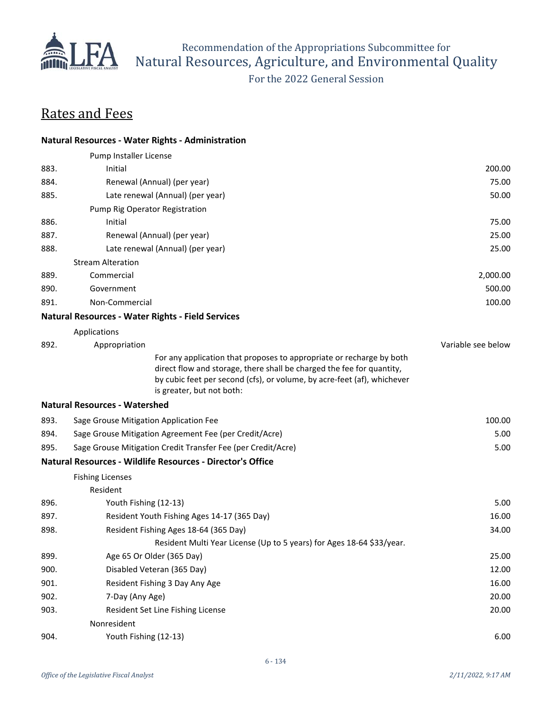

For the 2022 General Session

|      | <b>Natural Resources - Water Rights - Administration</b>                                                                                                                                                                                              |                    |
|------|-------------------------------------------------------------------------------------------------------------------------------------------------------------------------------------------------------------------------------------------------------|--------------------|
|      | Pump Installer License                                                                                                                                                                                                                                |                    |
| 883. | Initial                                                                                                                                                                                                                                               | 200.00             |
| 884. | Renewal (Annual) (per year)                                                                                                                                                                                                                           | 75.00              |
| 885. | Late renewal (Annual) (per year)                                                                                                                                                                                                                      | 50.00              |
|      | Pump Rig Operator Registration                                                                                                                                                                                                                        |                    |
| 886. | Initial                                                                                                                                                                                                                                               | 75.00              |
| 887. | Renewal (Annual) (per year)                                                                                                                                                                                                                           | 25.00              |
| 888. | Late renewal (Annual) (per year)                                                                                                                                                                                                                      | 25.00              |
|      | <b>Stream Alteration</b>                                                                                                                                                                                                                              |                    |
| 889. | Commercial                                                                                                                                                                                                                                            | 2,000.00           |
| 890. | Government                                                                                                                                                                                                                                            | 500.00             |
| 891. | Non-Commercial                                                                                                                                                                                                                                        | 100.00             |
|      | <b>Natural Resources - Water Rights - Field Services</b>                                                                                                                                                                                              |                    |
|      | Applications                                                                                                                                                                                                                                          |                    |
| 892. | Appropriation                                                                                                                                                                                                                                         | Variable see below |
|      | For any application that proposes to appropriate or recharge by both<br>direct flow and storage, there shall be charged the fee for quantity,<br>by cubic feet per second (cfs), or volume, by acre-feet (af), whichever<br>is greater, but not both: |                    |
|      | <b>Natural Resources - Watershed</b>                                                                                                                                                                                                                  |                    |
| 893. | Sage Grouse Mitigation Application Fee                                                                                                                                                                                                                | 100.00             |
| 894. | Sage Grouse Mitigation Agreement Fee (per Credit/Acre)                                                                                                                                                                                                | 5.00               |
| 895. | Sage Grouse Mitigation Credit Transfer Fee (per Credit/Acre)                                                                                                                                                                                          | 5.00               |
|      | Natural Resources - Wildlife Resources - Director's Office                                                                                                                                                                                            |                    |
|      | <b>Fishing Licenses</b>                                                                                                                                                                                                                               |                    |
|      | Resident                                                                                                                                                                                                                                              |                    |
| 896. | Youth Fishing (12-13)                                                                                                                                                                                                                                 | 5.00               |
| 897. | Resident Youth Fishing Ages 14-17 (365 Day)                                                                                                                                                                                                           | 16.00              |
| 898. | Resident Fishing Ages 18-64 (365 Day)                                                                                                                                                                                                                 | 34.00              |
|      | Resident Multi Year License (Up to 5 years) for Ages 18-64 \$33/year.                                                                                                                                                                                 |                    |
| 899. | Age 65 Or Older (365 Day)                                                                                                                                                                                                                             | 25.00              |
| 900. | Disabled Veteran (365 Day)                                                                                                                                                                                                                            | 12.00              |
| 901. | Resident Fishing 3 Day Any Age                                                                                                                                                                                                                        | 16.00              |
| 902. | 7-Day (Any Age)                                                                                                                                                                                                                                       | 20.00              |
| 903. | Resident Set Line Fishing License                                                                                                                                                                                                                     | 20.00              |
|      | Nonresident                                                                                                                                                                                                                                           |                    |
| 904. | Youth Fishing (12-13)                                                                                                                                                                                                                                 | 6.00               |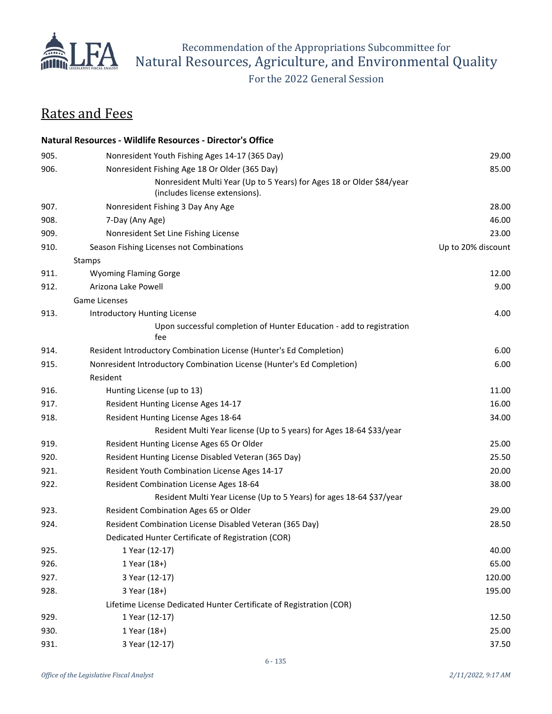

Natural Resources, Agriculture, and Environmental Quality

For the 2022 General Session

|      | Natural Resources - Wildlife Resources - Director's Office                                              |                    |
|------|---------------------------------------------------------------------------------------------------------|--------------------|
| 905. | Nonresident Youth Fishing Ages 14-17 (365 Day)                                                          | 29.00              |
| 906. | Nonresident Fishing Age 18 Or Older (365 Day)                                                           | 85.00              |
|      | Nonresident Multi Year (Up to 5 Years) for Ages 18 or Older \$84/year<br>(includes license extensions). |                    |
| 907. | Nonresident Fishing 3 Day Any Age                                                                       | 28.00              |
| 908. | 7-Day (Any Age)                                                                                         | 46.00              |
| 909. | Nonresident Set Line Fishing License                                                                    | 23.00              |
| 910. | Season Fishing Licenses not Combinations                                                                | Up to 20% discount |
|      | Stamps                                                                                                  |                    |
| 911. | <b>Wyoming Flaming Gorge</b>                                                                            | 12.00              |
| 912. | Arizona Lake Powell                                                                                     | 9.00               |
|      | <b>Game Licenses</b>                                                                                    |                    |
| 913. | <b>Introductory Hunting License</b>                                                                     | 4.00               |
|      | Upon successful completion of Hunter Education - add to registration<br>fee                             |                    |
| 914. | Resident Introductory Combination License (Hunter's Ed Completion)                                      | 6.00               |
| 915. | Nonresident Introductory Combination License (Hunter's Ed Completion)                                   | 6.00               |
|      | Resident                                                                                                |                    |
| 916. | Hunting License (up to 13)                                                                              | 11.00              |
| 917. | Resident Hunting License Ages 14-17                                                                     | 16.00              |
| 918. | Resident Hunting License Ages 18-64                                                                     | 34.00              |
|      | Resident Multi Year license (Up to 5 years) for Ages 18-64 \$33/year                                    |                    |
| 919. | Resident Hunting License Ages 65 Or Older                                                               | 25.00              |
| 920. | Resident Hunting License Disabled Veteran (365 Day)                                                     | 25.50              |
| 921. | Resident Youth Combination License Ages 14-17                                                           | 20.00              |
| 922. | Resident Combination License Ages 18-64                                                                 | 38.00              |
|      | Resident Multi Year License (Up to 5 Years) for ages 18-64 \$37/year                                    |                    |
| 923. | Resident Combination Ages 65 or Older                                                                   | 29.00              |
| 924. | Resident Combination License Disabled Veteran (365 Day)                                                 | 28.50              |
|      | Dedicated Hunter Certificate of Registration (COR)                                                      |                    |
| 925. | 1 Year (12-17)                                                                                          | 40.00              |
| 926. | 1 Year (18+)                                                                                            | 65.00              |
| 927. | 3 Year (12-17)                                                                                          | 120.00             |
| 928. | 3 Year (18+)                                                                                            | 195.00             |
|      | Lifetime License Dedicated Hunter Certificate of Registration (COR)                                     |                    |
| 929. | 1 Year (12-17)                                                                                          | 12.50              |
| 930. | 1 Year (18+)                                                                                            | 25.00              |
| 931. | 3 Year (12-17)                                                                                          | 37.50              |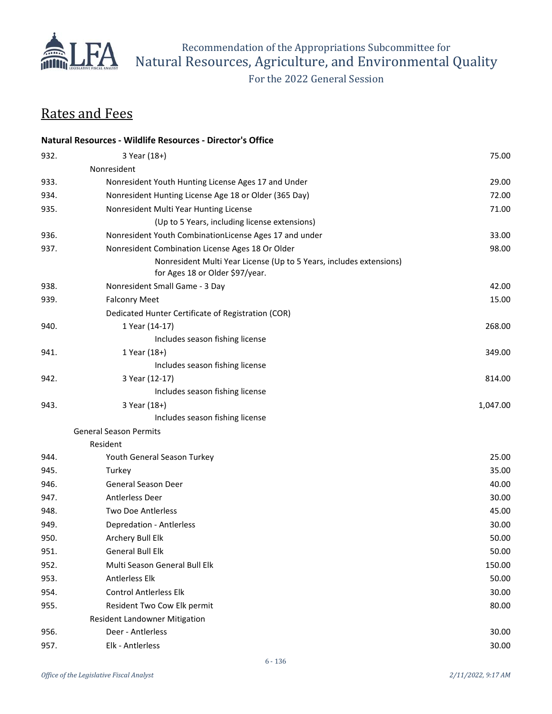

Natural Resources, Agriculture, and Environmental Quality

For the 2022 General Session

|      | Natural Resources - Wildlife Resources - Director's Office                                             |          |
|------|--------------------------------------------------------------------------------------------------------|----------|
| 932. | 3 Year (18+)                                                                                           | 75.00    |
|      | Nonresident                                                                                            |          |
| 933. | Nonresident Youth Hunting License Ages 17 and Under                                                    | 29.00    |
| 934. | Nonresident Hunting License Age 18 or Older (365 Day)                                                  | 72.00    |
| 935. | Nonresident Multi Year Hunting License                                                                 | 71.00    |
|      | (Up to 5 Years, including license extensions)                                                          |          |
| 936. | Nonresident Youth CombinationLicense Ages 17 and under                                                 | 33.00    |
| 937. | Nonresident Combination License Ages 18 Or Older                                                       | 98.00    |
|      | Nonresident Multi Year License (Up to 5 Years, includes extensions)<br>for Ages 18 or Older \$97/year. |          |
| 938. | Nonresident Small Game - 3 Day                                                                         | 42.00    |
| 939. | <b>Falconry Meet</b>                                                                                   | 15.00    |
|      | Dedicated Hunter Certificate of Registration (COR)                                                     |          |
| 940. | 1 Year (14-17)                                                                                         | 268.00   |
|      | Includes season fishing license                                                                        |          |
| 941. | 1 Year (18+)                                                                                           | 349.00   |
|      | Includes season fishing license                                                                        |          |
| 942. | 3 Year (12-17)                                                                                         | 814.00   |
|      | Includes season fishing license                                                                        |          |
| 943. | 3 Year (18+)                                                                                           | 1,047.00 |
|      | Includes season fishing license                                                                        |          |
|      | <b>General Season Permits</b>                                                                          |          |
|      | Resident                                                                                               |          |
| 944. | Youth General Season Turkey                                                                            | 25.00    |
| 945. | Turkey                                                                                                 | 35.00    |
| 946. | General Season Deer                                                                                    | 40.00    |
| 947. | <b>Antlerless Deer</b>                                                                                 | 30.00    |
| 948. | <b>Two Doe Antierless</b>                                                                              | 45.00    |
| 949. | <b>Depredation - Antlerless</b>                                                                        | 30.00    |
| 950. | Archery Bull Elk                                                                                       | 50.00    |
| 951. | <b>General Bull Elk</b>                                                                                | 50.00    |
| 952. | Multi Season General Bull Elk                                                                          | 150.00   |
| 953. | Antlerless Elk                                                                                         | 50.00    |
| 954. | <b>Control Antlerless Elk</b>                                                                          | 30.00    |
| 955. | Resident Two Cow Elk permit                                                                            | 80.00    |
|      | Resident Landowner Mitigation                                                                          |          |
| 956. | Deer - Antlerless                                                                                      | 30.00    |
| 957. | Elk - Antlerless                                                                                       | 30.00    |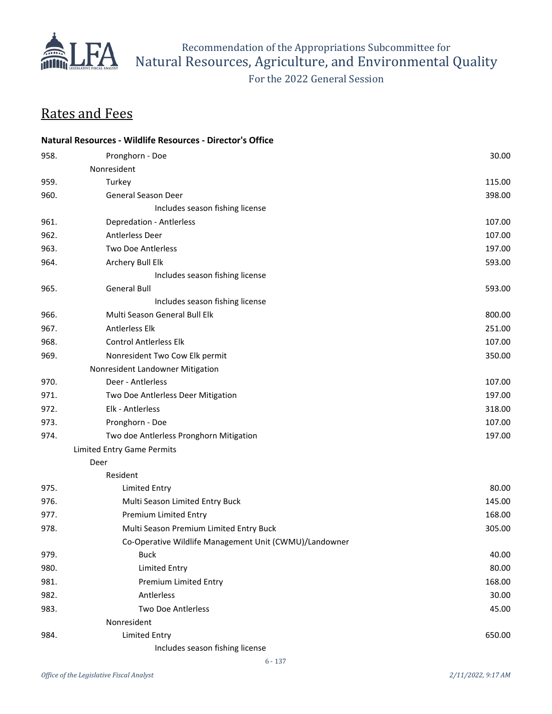

For the 2022 General Session

|      | Natural Resources - Wildlife Resources - Director's Office |        |
|------|------------------------------------------------------------|--------|
| 958. | Pronghorn - Doe                                            | 30.00  |
|      | Nonresident                                                |        |
| 959. | Turkey                                                     | 115.00 |
| 960. | General Season Deer                                        | 398.00 |
|      | Includes season fishing license                            |        |
| 961. | Depredation - Antlerless                                   | 107.00 |
| 962. | Antlerless Deer                                            | 107.00 |
| 963. | Two Doe Antlerless                                         | 197.00 |
| 964. | Archery Bull Elk                                           | 593.00 |
|      | Includes season fishing license                            |        |
| 965. | <b>General Bull</b>                                        | 593.00 |
|      | Includes season fishing license                            |        |
| 966. | Multi Season General Bull Elk                              | 800.00 |
| 967. | <b>Antlerless Elk</b>                                      | 251.00 |
| 968. | <b>Control Antlerless Elk</b>                              | 107.00 |
| 969. | Nonresident Two Cow Elk permit                             | 350.00 |
|      | Nonresident Landowner Mitigation                           |        |
| 970. | Deer - Antierless                                          | 107.00 |
| 971. | Two Doe Antlerless Deer Mitigation                         | 197.00 |
| 972. | Elk - Antlerless                                           | 318.00 |
| 973. | Pronghorn - Doe                                            | 107.00 |
| 974. | Two doe Antlerless Pronghorn Mitigation                    | 197.00 |
|      | <b>Limited Entry Game Permits</b>                          |        |
|      | Deer                                                       |        |
|      | Resident                                                   |        |
| 975. | <b>Limited Entry</b>                                       | 80.00  |
| 976. | Multi Season Limited Entry Buck                            | 145.00 |
| 977. | <b>Premium Limited Entry</b>                               | 168.00 |
| 978. | Multi Season Premium Limited Entry Buck                    | 305.00 |
|      | Co-Operative Wildlife Management Unit (CWMU)/Landowner     |        |
| 979. | <b>Buck</b>                                                | 40.00  |
| 980. | <b>Limited Entry</b>                                       | 80.00  |
| 981. | Premium Limited Entry                                      | 168.00 |
| 982. | Antlerless                                                 | 30.00  |
| 983. | Two Doe Antlerless                                         | 45.00  |
|      | Nonresident                                                |        |
| 984. | <b>Limited Entry</b>                                       | 650.00 |
|      | Includes season fishing license                            |        |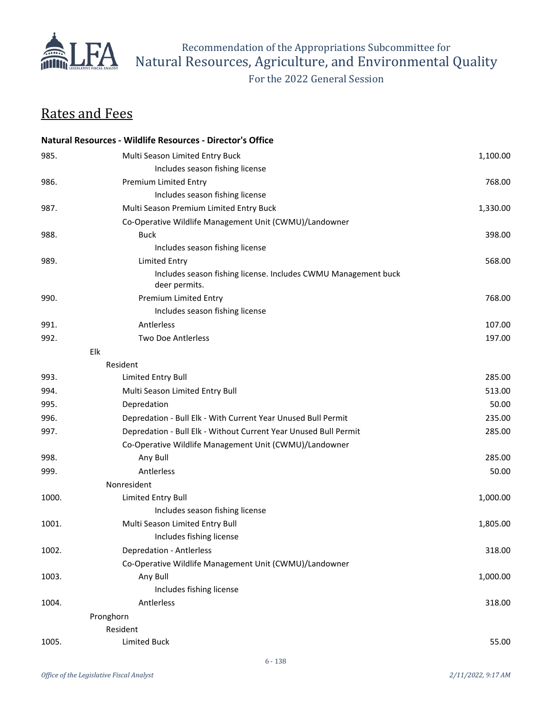

Natural Resources, Agriculture, and Environmental Quality

For the 2022 General Session

|       | Natural Resources - Wildlife Resources - Director's Office                      |          |
|-------|---------------------------------------------------------------------------------|----------|
| 985.  | Multi Season Limited Entry Buck                                                 | 1,100.00 |
|       | Includes season fishing license                                                 |          |
| 986.  | <b>Premium Limited Entry</b>                                                    | 768.00   |
|       | Includes season fishing license                                                 |          |
| 987.  | Multi Season Premium Limited Entry Buck                                         | 1,330.00 |
|       | Co-Operative Wildlife Management Unit (CWMU)/Landowner                          |          |
| 988.  | Buck                                                                            | 398.00   |
|       | Includes season fishing license                                                 |          |
| 989.  | <b>Limited Entry</b>                                                            | 568.00   |
|       | Includes season fishing license. Includes CWMU Management buck<br>deer permits. |          |
| 990.  | Premium Limited Entry                                                           | 768.00   |
|       | Includes season fishing license                                                 |          |
| 991.  | Antlerless                                                                      | 107.00   |
| 992.  | Two Doe Antlerless                                                              | 197.00   |
|       | Elk                                                                             |          |
|       | Resident                                                                        |          |
| 993.  | Limited Entry Bull                                                              | 285.00   |
| 994.  | Multi Season Limited Entry Bull                                                 | 513.00   |
| 995.  | Depredation                                                                     | 50.00    |
| 996.  | Depredation - Bull Elk - With Current Year Unused Bull Permit                   | 235.00   |
| 997.  | Depredation - Bull Elk - Without Current Year Unused Bull Permit                | 285.00   |
|       | Co-Operative Wildlife Management Unit (CWMU)/Landowner                          |          |
| 998.  | Any Bull                                                                        | 285.00   |
| 999.  | Antlerless                                                                      | 50.00    |
|       | Nonresident                                                                     |          |
| 1000. | Limited Entry Bull                                                              | 1,000.00 |
|       | Includes season fishing license                                                 |          |
| 1001. | Multi Season Limited Entry Bull                                                 | 1,805.00 |
|       | Includes fishing license                                                        |          |
| 1002. | <b>Depredation - Antlerless</b>                                                 | 318.00   |
|       | Co-Operative Wildlife Management Unit (CWMU)/Landowner                          |          |
| 1003. | Any Bull                                                                        | 1,000.00 |
|       | Includes fishing license                                                        |          |
| 1004. | Antlerless                                                                      | 318.00   |
|       | Pronghorn                                                                       |          |
|       | Resident                                                                        |          |
| 1005. | <b>Limited Buck</b>                                                             | 55.00    |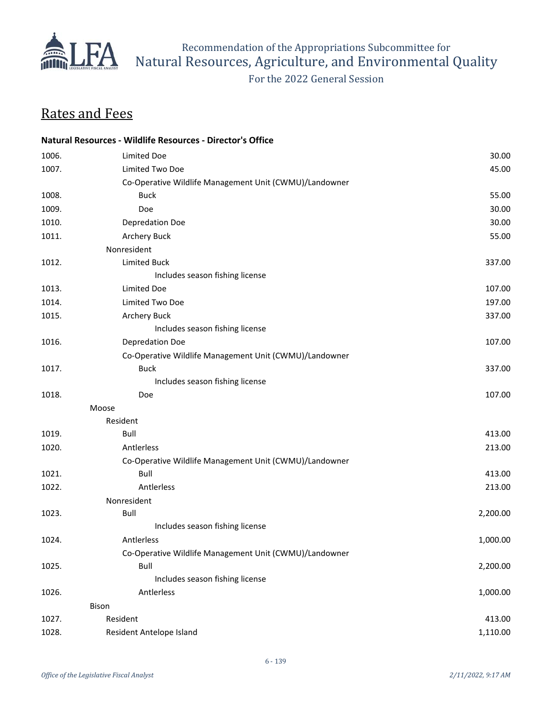

For the 2022 General Session

|       | Natural Resources - Wildlife Resources - Director's Office |          |
|-------|------------------------------------------------------------|----------|
| 1006. | <b>Limited Doe</b>                                         | 30.00    |
| 1007. | Limited Two Doe                                            | 45.00    |
|       | Co-Operative Wildlife Management Unit (CWMU)/Landowner     |          |
| 1008. | <b>Buck</b>                                                | 55.00    |
| 1009. | Doe                                                        | 30.00    |
| 1010. | Depredation Doe                                            | 30.00    |
| 1011. | <b>Archery Buck</b>                                        | 55.00    |
|       | Nonresident                                                |          |
| 1012. | <b>Limited Buck</b>                                        | 337.00   |
|       | Includes season fishing license                            |          |
| 1013. | <b>Limited Doe</b>                                         | 107.00   |
| 1014. | Limited Two Doe                                            | 197.00   |
| 1015. | <b>Archery Buck</b>                                        | 337.00   |
|       | Includes season fishing license                            |          |
| 1016. | <b>Depredation Doe</b>                                     | 107.00   |
|       | Co-Operative Wildlife Management Unit (CWMU)/Landowner     |          |
| 1017. | <b>Buck</b>                                                | 337.00   |
|       | Includes season fishing license                            |          |
| 1018. | Doe                                                        | 107.00   |
|       | Moose                                                      |          |
|       | Resident                                                   |          |
| 1019. | Bull                                                       | 413.00   |
| 1020. | Antlerless                                                 | 213.00   |
|       | Co-Operative Wildlife Management Unit (CWMU)/Landowner     |          |
| 1021. | Bull                                                       | 413.00   |
| 1022. | Antlerless                                                 | 213.00   |
|       | Nonresident                                                |          |
| 1023. | Bull                                                       | 2,200.00 |
|       | Includes season fishing license                            |          |
| 1024. | Antlerless                                                 | 1,000.00 |
|       | Co-Operative Wildlife Management Unit (CWMU)/Landowner     |          |
| 1025. | Bull                                                       | 2,200.00 |
|       | Includes season fishing license                            |          |
| 1026. | Antlerless                                                 | 1,000.00 |
|       | <b>Bison</b>                                               |          |
| 1027. | Resident                                                   | 413.00   |
| 1028. | Resident Antelope Island                                   | 1,110.00 |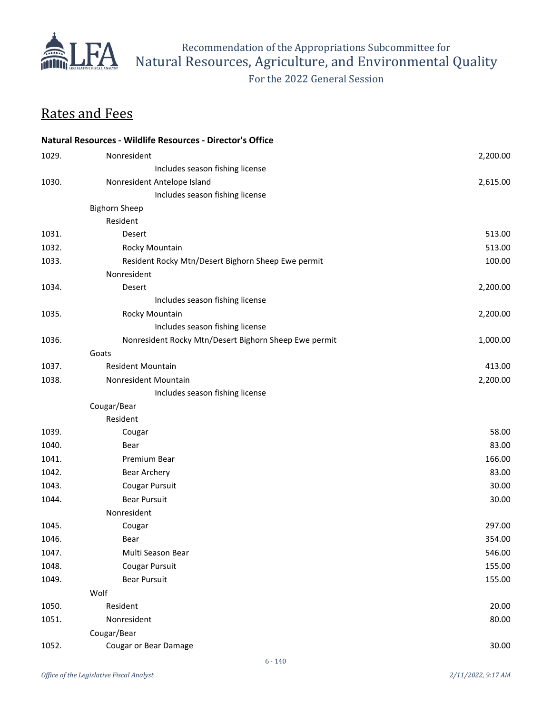

Natural Resources, Agriculture, and Environmental Quality

For the 2022 General Session

|       | <b>Natural Resources - Wildlife Resources - Director's Office</b> |          |
|-------|-------------------------------------------------------------------|----------|
| 1029. | Nonresident                                                       | 2,200.00 |
|       | Includes season fishing license                                   |          |
| 1030. | Nonresident Antelope Island                                       | 2,615.00 |
|       | Includes season fishing license                                   |          |
|       | <b>Bighorn Sheep</b>                                              |          |
|       | Resident                                                          |          |
| 1031. | Desert                                                            | 513.00   |
| 1032. | Rocky Mountain                                                    | 513.00   |
| 1033. | Resident Rocky Mtn/Desert Bighorn Sheep Ewe permit                | 100.00   |
|       | Nonresident                                                       |          |
| 1034. | Desert                                                            | 2,200.00 |
|       | Includes season fishing license                                   |          |
| 1035. | Rocky Mountain                                                    | 2,200.00 |
|       | Includes season fishing license                                   |          |
| 1036. | Nonresident Rocky Mtn/Desert Bighorn Sheep Ewe permit             | 1,000.00 |
|       | Goats                                                             |          |
| 1037. | <b>Resident Mountain</b>                                          | 413.00   |
| 1038. | Nonresident Mountain                                              | 2,200.00 |
|       | Includes season fishing license                                   |          |
|       | Cougar/Bear                                                       |          |
|       | Resident                                                          |          |
| 1039. | Cougar                                                            | 58.00    |
| 1040. | Bear                                                              | 83.00    |
| 1041. | Premium Bear                                                      | 166.00   |
| 1042. | <b>Bear Archery</b>                                               | 83.00    |
| 1043. | <b>Cougar Pursuit</b>                                             | 30.00    |
| 1044. | <b>Bear Pursuit</b>                                               | 30.00    |
|       | Nonresident                                                       |          |
| 1045. | Cougar                                                            | 297.00   |
| 1046. | Bear                                                              | 354.00   |
| 1047. | Multi Season Bear                                                 | 546.00   |
| 1048. | Cougar Pursuit                                                    | 155.00   |
| 1049. | <b>Bear Pursuit</b>                                               | 155.00   |
|       | Wolf                                                              |          |
| 1050. | Resident                                                          | 20.00    |
| 1051. | Nonresident                                                       | 80.00    |
|       | Cougar/Bear                                                       |          |
| 1052. | Cougar or Bear Damage                                             | 30.00    |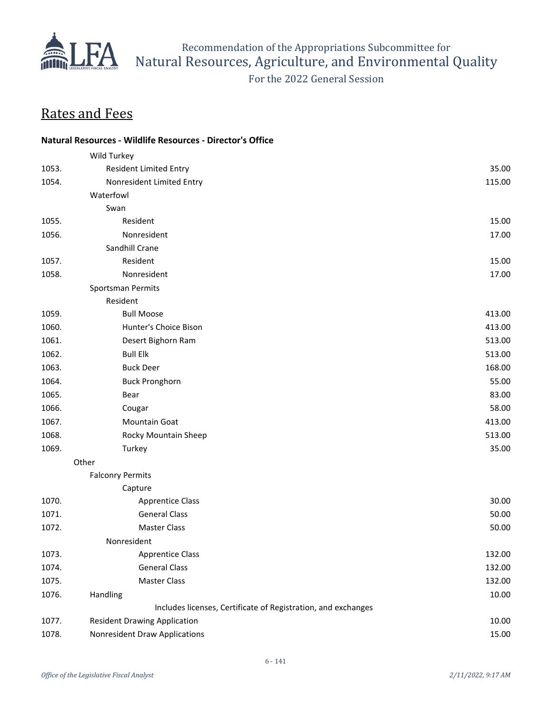

For the 2022 General Session

|       | <b>Natural Resources - Wildlife Resources - Director's Office</b> |        |
|-------|-------------------------------------------------------------------|--------|
|       | Wild Turkey                                                       |        |
| 1053. | <b>Resident Limited Entry</b>                                     | 35.00  |
| 1054. | Nonresident Limited Entry                                         | 115.00 |
|       | Waterfowl                                                         |        |
|       | Swan                                                              |        |
| 1055. | Resident                                                          | 15.00  |
| 1056. | Nonresident                                                       | 17.00  |
|       | Sandhill Crane                                                    |        |
| 1057. | Resident                                                          | 15.00  |
| 1058. | Nonresident                                                       | 17.00  |
|       | Sportsman Permits                                                 |        |
|       | Resident                                                          |        |
| 1059. | <b>Bull Moose</b>                                                 | 413.00 |
| 1060. | Hunter's Choice Bison                                             | 413.00 |
| 1061. | Desert Bighorn Ram                                                | 513.00 |
| 1062. | <b>Bull Elk</b>                                                   | 513.00 |
| 1063. | <b>Buck Deer</b>                                                  | 168.00 |
| 1064. | <b>Buck Pronghorn</b>                                             | 55.00  |
| 1065. | Bear                                                              | 83.00  |
| 1066. | Cougar                                                            | 58.00  |
| 1067. | <b>Mountain Goat</b>                                              | 413.00 |
| 1068. | Rocky Mountain Sheep                                              | 513.00 |
| 1069. | Turkey                                                            | 35.00  |
|       | Other                                                             |        |
|       | <b>Falconry Permits</b>                                           |        |
|       | Capture                                                           |        |
| 1070. | <b>Apprentice Class</b>                                           | 30.00  |
| 1071. | <b>General Class</b>                                              | 50.00  |
| 1072. | <b>Master Class</b>                                               | 50.00  |
|       | Nonresident                                                       |        |
| 1073. | <b>Apprentice Class</b>                                           | 132.00 |
| 1074. | <b>General Class</b>                                              | 132.00 |
| 1075. | <b>Master Class</b>                                               | 132.00 |
| 1076. | Handling                                                          | 10.00  |
|       | Includes licenses, Certificate of Registration, and exchanges     |        |
| 1077. | <b>Resident Drawing Application</b>                               | 10.00  |
| 1078. | <b>Nonresident Draw Applications</b>                              | 15.00  |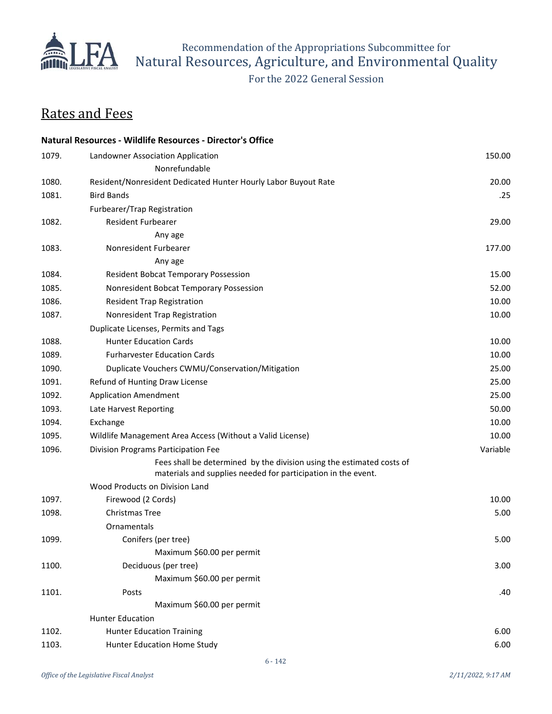

Natural Resources, Agriculture, and Environmental Quality

For the 2022 General Session

|       | <b>Natural Resources - Wildlife Resources - Director's Office</b>                                                                      |          |
|-------|----------------------------------------------------------------------------------------------------------------------------------------|----------|
| 1079. | Landowner Association Application                                                                                                      | 150.00   |
|       | Nonrefundable                                                                                                                          |          |
| 1080. | Resident/Nonresident Dedicated Hunter Hourly Labor Buyout Rate                                                                         | 20.00    |
| 1081. | <b>Bird Bands</b>                                                                                                                      | .25      |
|       | Furbearer/Trap Registration                                                                                                            |          |
| 1082. | <b>Resident Furbearer</b>                                                                                                              | 29.00    |
|       | Any age                                                                                                                                |          |
| 1083. | Nonresident Furbearer                                                                                                                  | 177.00   |
|       | Any age                                                                                                                                |          |
| 1084. | <b>Resident Bobcat Temporary Possession</b>                                                                                            | 15.00    |
| 1085. | Nonresident Bobcat Temporary Possession                                                                                                | 52.00    |
| 1086. | <b>Resident Trap Registration</b>                                                                                                      | 10.00    |
| 1087. | Nonresident Trap Registration                                                                                                          | 10.00    |
|       | Duplicate Licenses, Permits and Tags                                                                                                   |          |
| 1088. | <b>Hunter Education Cards</b>                                                                                                          | 10.00    |
| 1089. | <b>Furharvester Education Cards</b>                                                                                                    | 10.00    |
| 1090. | Duplicate Vouchers CWMU/Conservation/Mitigation                                                                                        | 25.00    |
| 1091. | Refund of Hunting Draw License                                                                                                         | 25.00    |
| 1092. | <b>Application Amendment</b>                                                                                                           | 25.00    |
| 1093. | Late Harvest Reporting                                                                                                                 | 50.00    |
| 1094. | Exchange                                                                                                                               | 10.00    |
| 1095. | Wildlife Management Area Access (Without a Valid License)                                                                              | 10.00    |
| 1096. | Division Programs Participation Fee                                                                                                    | Variable |
|       | Fees shall be determined by the division using the estimated costs of<br>materials and supplies needed for participation in the event. |          |
|       | Wood Products on Division Land                                                                                                         |          |
| 1097. | Firewood (2 Cords)                                                                                                                     | 10.00    |
| 1098. | <b>Christmas Tree</b>                                                                                                                  | 5.00     |
|       | Ornamentals                                                                                                                            |          |
| 1099. | Conifers (per tree)                                                                                                                    | 5.00     |
|       | Maximum \$60.00 per permit                                                                                                             |          |
| 1100. | Deciduous (per tree)                                                                                                                   | 3.00     |
|       | Maximum \$60.00 per permit                                                                                                             |          |
| 1101. | Posts                                                                                                                                  | .40      |
|       | Maximum \$60.00 per permit                                                                                                             |          |
|       | <b>Hunter Education</b>                                                                                                                |          |
| 1102. | <b>Hunter Education Training</b>                                                                                                       | 6.00     |
| 1103. | Hunter Education Home Study                                                                                                            | 6.00     |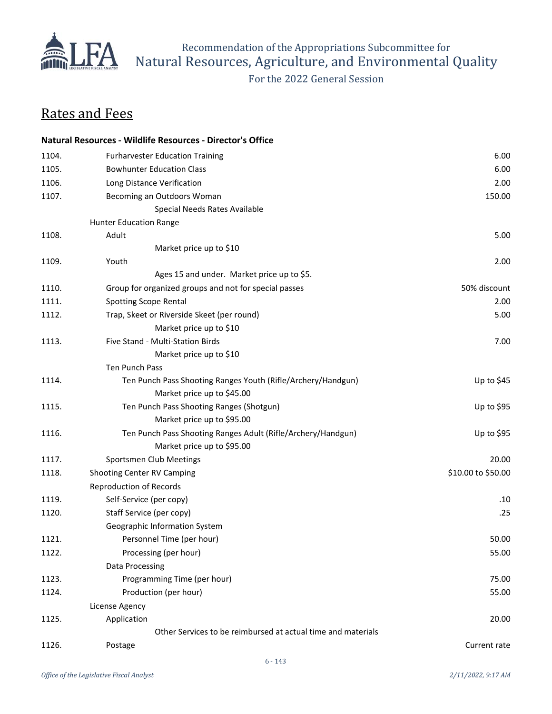

Natural Resources, Agriculture, and Environmental Quality

For the 2022 General Session

|       | <b>Natural Resources - Wildlife Resources - Director's Office</b> |                    |
|-------|-------------------------------------------------------------------|--------------------|
| 1104. | <b>Furharvester Education Training</b>                            | 6.00               |
| 1105. | <b>Bowhunter Education Class</b>                                  | 6.00               |
| 1106. | Long Distance Verification                                        | 2.00               |
| 1107. | Becoming an Outdoors Woman                                        | 150.00             |
|       | Special Needs Rates Available                                     |                    |
|       | <b>Hunter Education Range</b>                                     |                    |
| 1108. | Adult                                                             | 5.00               |
|       | Market price up to \$10                                           |                    |
| 1109. | Youth                                                             | 2.00               |
|       | Ages 15 and under. Market price up to \$5.                        |                    |
| 1110. | Group for organized groups and not for special passes             | 50% discount       |
| 1111. | <b>Spotting Scope Rental</b>                                      | 2.00               |
| 1112. | Trap, Skeet or Riverside Skeet (per round)                        | 5.00               |
|       | Market price up to \$10                                           |                    |
| 1113. | Five Stand - Multi-Station Birds                                  | 7.00               |
|       | Market price up to \$10                                           |                    |
|       | Ten Punch Pass                                                    |                    |
| 1114. | Ten Punch Pass Shooting Ranges Youth (Rifle/Archery/Handgun)      | Up to \$45         |
|       | Market price up to \$45.00                                        |                    |
| 1115. | Ten Punch Pass Shooting Ranges (Shotgun)                          | Up to \$95         |
|       | Market price up to \$95.00                                        |                    |
| 1116. | Ten Punch Pass Shooting Ranges Adult (Rifle/Archery/Handgun)      | Up to \$95         |
|       | Market price up to \$95.00                                        |                    |
| 1117. | Sportsmen Club Meetings                                           | 20.00              |
| 1118. | Shooting Center RV Camping                                        | \$10.00 to \$50.00 |
|       | <b>Reproduction of Records</b>                                    |                    |
| 1119. | Self-Service (per copy)                                           | .10                |
| 1120. | Staff Service (per copy)                                          | .25                |
|       | Geographic Information System                                     |                    |
| 1121. | Personnel Time (per hour)                                         | 50.00              |
| 1122. | Processing (per hour)                                             | 55.00              |
|       | Data Processing                                                   |                    |
| 1123. | Programming Time (per hour)                                       | 75.00              |
| 1124. | Production (per hour)                                             | 55.00              |
|       | License Agency                                                    |                    |
| 1125. | Application                                                       | 20.00              |
|       | Other Services to be reimbursed at actual time and materials      |                    |
| 1126. | Postage                                                           | Current rate       |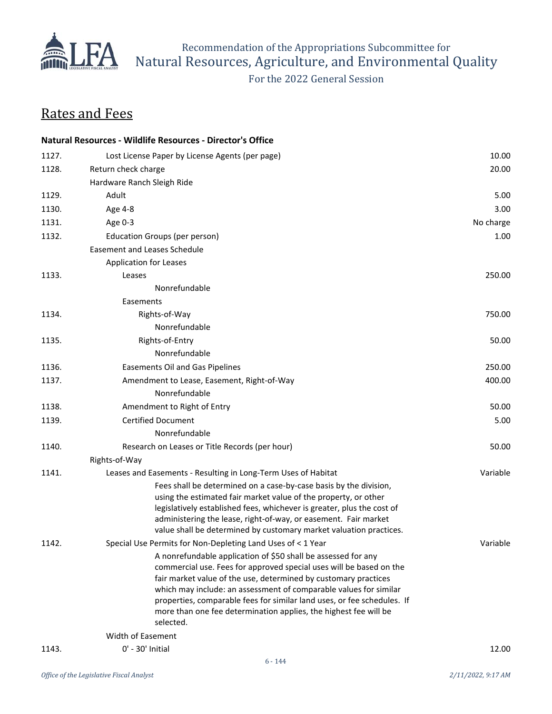

For the 2022 General Session

|       | Natural Resources - Wildlife Resources - Director's Office                                                                                  |           |
|-------|---------------------------------------------------------------------------------------------------------------------------------------------|-----------|
| 1127. | Lost License Paper by License Agents (per page)                                                                                             | 10.00     |
| 1128. | Return check charge                                                                                                                         | 20.00     |
|       | Hardware Ranch Sleigh Ride                                                                                                                  |           |
| 1129. | Adult                                                                                                                                       | 5.00      |
| 1130. | Age 4-8                                                                                                                                     | 3.00      |
| 1131. | Age 0-3                                                                                                                                     | No charge |
| 1132. | Education Groups (per person)                                                                                                               | 1.00      |
|       | <b>Easement and Leases Schedule</b>                                                                                                         |           |
|       | <b>Application for Leases</b>                                                                                                               |           |
| 1133. | Leases                                                                                                                                      | 250.00    |
|       | Nonrefundable                                                                                                                               |           |
|       | Easements                                                                                                                                   |           |
| 1134. | Rights-of-Way                                                                                                                               | 750.00    |
|       | Nonrefundable                                                                                                                               |           |
| 1135. | Rights-of-Entry                                                                                                                             | 50.00     |
|       | Nonrefundable                                                                                                                               |           |
| 1136. | <b>Easements Oil and Gas Pipelines</b>                                                                                                      | 250.00    |
| 1137. | Amendment to Lease, Easement, Right-of-Way                                                                                                  | 400.00    |
|       | Nonrefundable                                                                                                                               |           |
| 1138. | Amendment to Right of Entry                                                                                                                 | 50.00     |
| 1139. | <b>Certified Document</b>                                                                                                                   | 5.00      |
|       | Nonrefundable                                                                                                                               |           |
| 1140. | Research on Leases or Title Records (per hour)                                                                                              | 50.00     |
|       | Rights-of-Way                                                                                                                               |           |
| 1141. | Leases and Easements - Resulting in Long-Term Uses of Habitat                                                                               | Variable  |
|       | Fees shall be determined on a case-by-case basis by the division,<br>using the estimated fair market value of the property, or other        |           |
|       | legislatively established fees, whichever is greater, plus the cost of                                                                      |           |
|       | administering the lease, right-of-way, or easement. Fair market<br>value shall be determined by customary market valuation practices.       |           |
| 1142. | Special Use Permits for Non-Depleting Land Uses of < 1 Year                                                                                 | Variable  |
|       | A nonrefundable application of \$50 shall be assessed for any                                                                               |           |
|       | commercial use. Fees for approved special uses will be based on the                                                                         |           |
|       | fair market value of the use, determined by customary practices                                                                             |           |
|       | which may include: an assessment of comparable values for similar                                                                           |           |
|       | properties, comparable fees for similar land uses, or fee schedules. If<br>more than one fee determination applies, the highest fee will be |           |
|       | selected.                                                                                                                                   |           |
|       | Width of Easement                                                                                                                           |           |
| 1143. | 0' - 30' Initial                                                                                                                            | 12.00     |
|       | $6 - 144$                                                                                                                                   |           |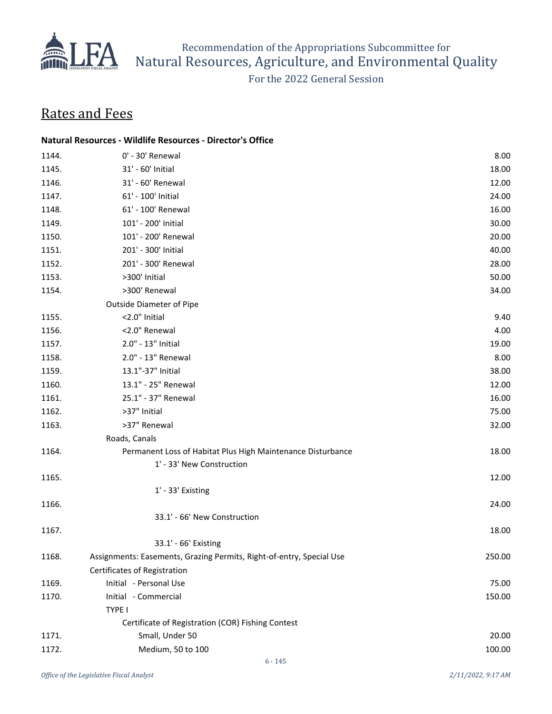

For the 2022 General Session

| <b>Natural Resources - Wildlife Resources - Director's Office</b> |                                                                                                                                                                                                                                                                                                                       |
|-------------------------------------------------------------------|-----------------------------------------------------------------------------------------------------------------------------------------------------------------------------------------------------------------------------------------------------------------------------------------------------------------------|
| 0' - 30' Renewal                                                  | 8.00                                                                                                                                                                                                                                                                                                                  |
| 31' - 60' Initial                                                 | 18.00                                                                                                                                                                                                                                                                                                                 |
| 31' - 60' Renewal                                                 | 12.00                                                                                                                                                                                                                                                                                                                 |
| 61' - 100' Initial                                                | 24.00                                                                                                                                                                                                                                                                                                                 |
| 61' - 100' Renewal                                                | 16.00                                                                                                                                                                                                                                                                                                                 |
| 101' - 200' Initial                                               | 30.00                                                                                                                                                                                                                                                                                                                 |
| 101' - 200' Renewal                                               | 20.00                                                                                                                                                                                                                                                                                                                 |
| 201' - 300' Initial                                               | 40.00                                                                                                                                                                                                                                                                                                                 |
| 201' - 300' Renewal                                               | 28.00                                                                                                                                                                                                                                                                                                                 |
| >300' Initial                                                     | 50.00                                                                                                                                                                                                                                                                                                                 |
| >300' Renewal                                                     | 34.00                                                                                                                                                                                                                                                                                                                 |
| <b>Outside Diameter of Pipe</b>                                   |                                                                                                                                                                                                                                                                                                                       |
| <2.0" Initial                                                     | 9.40                                                                                                                                                                                                                                                                                                                  |
| <2.0" Renewal                                                     | 4.00                                                                                                                                                                                                                                                                                                                  |
| 2.0" - 13" Initial                                                | 19.00                                                                                                                                                                                                                                                                                                                 |
| 2.0" - 13" Renewal                                                | 8.00                                                                                                                                                                                                                                                                                                                  |
| 13.1"-37" Initial                                                 | 38.00                                                                                                                                                                                                                                                                                                                 |
| 13.1" - 25" Renewal                                               | 12.00                                                                                                                                                                                                                                                                                                                 |
| 25.1" - 37" Renewal                                               | 16.00                                                                                                                                                                                                                                                                                                                 |
| >37" Initial                                                      | 75.00                                                                                                                                                                                                                                                                                                                 |
| >37" Renewal                                                      | 32.00                                                                                                                                                                                                                                                                                                                 |
| Roads, Canals                                                     |                                                                                                                                                                                                                                                                                                                       |
| Permanent Loss of Habitat Plus High Maintenance Disturbance       | 18.00                                                                                                                                                                                                                                                                                                                 |
| 1' - 33' New Construction                                         |                                                                                                                                                                                                                                                                                                                       |
|                                                                   | 12.00                                                                                                                                                                                                                                                                                                                 |
| 1' - 33' Existing                                                 |                                                                                                                                                                                                                                                                                                                       |
|                                                                   | 24.00                                                                                                                                                                                                                                                                                                                 |
|                                                                   |                                                                                                                                                                                                                                                                                                                       |
|                                                                   | 18.00                                                                                                                                                                                                                                                                                                                 |
|                                                                   |                                                                                                                                                                                                                                                                                                                       |
|                                                                   | 250.00                                                                                                                                                                                                                                                                                                                |
|                                                                   |                                                                                                                                                                                                                                                                                                                       |
|                                                                   | 75.00                                                                                                                                                                                                                                                                                                                 |
|                                                                   | 150.00                                                                                                                                                                                                                                                                                                                |
|                                                                   |                                                                                                                                                                                                                                                                                                                       |
|                                                                   |                                                                                                                                                                                                                                                                                                                       |
|                                                                   | 20.00                                                                                                                                                                                                                                                                                                                 |
|                                                                   | 100.00                                                                                                                                                                                                                                                                                                                |
|                                                                   | 33.1' - 66' New Construction<br>33.1' - 66' Existing<br>Assignments: Easements, Grazing Permits, Right-of-entry, Special Use<br>Certificates of Registration<br>Initial - Personal Use<br>Initial - Commercial<br>TYPE I<br>Certificate of Registration (COR) Fishing Contest<br>Small, Under 50<br>Medium, 50 to 100 |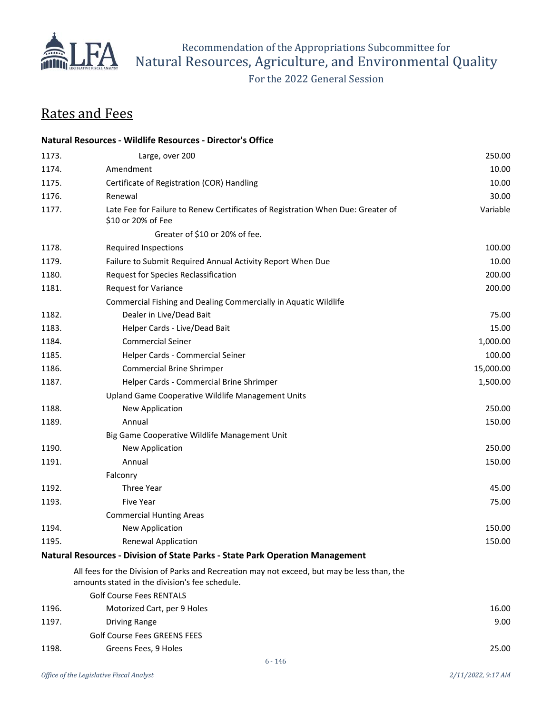

For the 2022 General Session

|       | Natural Resources - Wildlife Resources - Director's Office                                                                                    |           |
|-------|-----------------------------------------------------------------------------------------------------------------------------------------------|-----------|
| 1173. | Large, over 200                                                                                                                               | 250.00    |
| 1174. | Amendment                                                                                                                                     | 10.00     |
| 1175. | Certificate of Registration (COR) Handling                                                                                                    | 10.00     |
| 1176. | Renewal                                                                                                                                       | 30.00     |
| 1177. | Late Fee for Failure to Renew Certificates of Registration When Due: Greater of<br>\$10 or 20% of Fee                                         | Variable  |
|       | Greater of \$10 or 20% of fee.                                                                                                                |           |
| 1178. | <b>Required Inspections</b>                                                                                                                   | 100.00    |
| 1179. | Failure to Submit Required Annual Activity Report When Due                                                                                    | 10.00     |
| 1180. | Request for Species Reclassification                                                                                                          | 200.00    |
| 1181. | <b>Request for Variance</b>                                                                                                                   | 200.00    |
|       | Commercial Fishing and Dealing Commercially in Aquatic Wildlife                                                                               |           |
| 1182. | Dealer in Live/Dead Bait                                                                                                                      | 75.00     |
| 1183. | Helper Cards - Live/Dead Bait                                                                                                                 | 15.00     |
| 1184. | <b>Commercial Seiner</b>                                                                                                                      | 1,000.00  |
| 1185. | Helper Cards - Commercial Seiner                                                                                                              | 100.00    |
| 1186. | <b>Commercial Brine Shrimper</b>                                                                                                              | 15,000.00 |
| 1187. | Helper Cards - Commercial Brine Shrimper                                                                                                      | 1,500.00  |
|       | Upland Game Cooperative Wildlife Management Units                                                                                             |           |
| 1188. | New Application                                                                                                                               | 250.00    |
| 1189. | Annual                                                                                                                                        | 150.00    |
|       | Big Game Cooperative Wildlife Management Unit                                                                                                 |           |
| 1190. | New Application                                                                                                                               | 250.00    |
| 1191. | Annual                                                                                                                                        | 150.00    |
|       | Falconry                                                                                                                                      |           |
| 1192. | <b>Three Year</b>                                                                                                                             | 45.00     |
| 1193. | <b>Five Year</b>                                                                                                                              | 75.00     |
|       | <b>Commercial Hunting Areas</b>                                                                                                               |           |
| 1194. | New Application                                                                                                                               | 150.00    |
| 1195. | <b>Renewal Application</b>                                                                                                                    | 150.00    |
|       | Natural Resources - Division of State Parks - State Park Operation Management                                                                 |           |
|       | All fees for the Division of Parks and Recreation may not exceed, but may be less than, the<br>amounts stated in the division's fee schedule. |           |
|       | <b>Golf Course Fees RENTALS</b>                                                                                                               |           |
| 1196. | Motorized Cart, per 9 Holes                                                                                                                   | 16.00     |
| 1197. | <b>Driving Range</b>                                                                                                                          | 9.00      |
|       | <b>Golf Course Fees GREENS FEES</b>                                                                                                           |           |
| 1198. | Greens Fees, 9 Holes                                                                                                                          | 25.00     |
|       |                                                                                                                                               |           |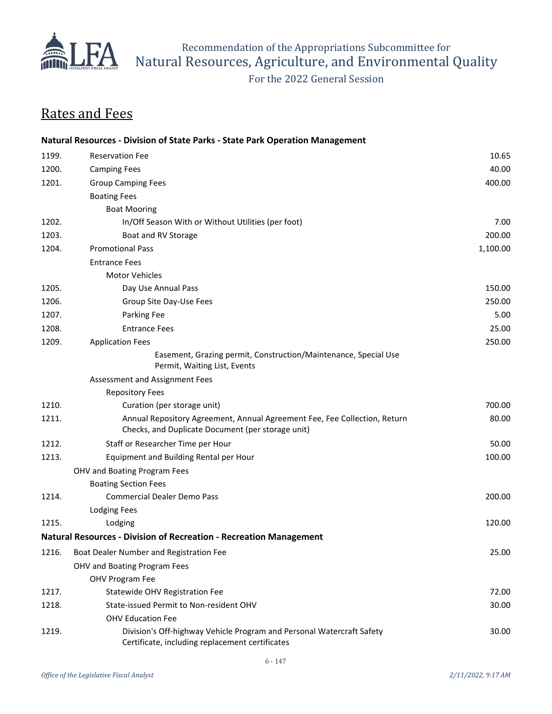

For the 2022 General Session

|       | Natural Resources - Division of State Parks - State Park Operation Management                                                  |          |
|-------|--------------------------------------------------------------------------------------------------------------------------------|----------|
| 1199. | <b>Reservation Fee</b>                                                                                                         | 10.65    |
| 1200. | <b>Camping Fees</b>                                                                                                            | 40.00    |
| 1201. | <b>Group Camping Fees</b>                                                                                                      | 400.00   |
|       | <b>Boating Fees</b>                                                                                                            |          |
|       | <b>Boat Mooring</b>                                                                                                            |          |
| 1202. | In/Off Season With or Without Utilities (per foot)                                                                             | 7.00     |
| 1203. | Boat and RV Storage                                                                                                            | 200.00   |
| 1204. | <b>Promotional Pass</b>                                                                                                        | 1,100.00 |
|       | <b>Entrance Fees</b>                                                                                                           |          |
|       | <b>Motor Vehicles</b>                                                                                                          |          |
| 1205. | Day Use Annual Pass                                                                                                            | 150.00   |
| 1206. | Group Site Day-Use Fees                                                                                                        | 250.00   |
| 1207. | Parking Fee                                                                                                                    | 5.00     |
| 1208. | <b>Entrance Fees</b>                                                                                                           | 25.00    |
| 1209. | <b>Application Fees</b>                                                                                                        | 250.00   |
|       | Easement, Grazing permit, Construction/Maintenance, Special Use<br>Permit, Waiting List, Events                                |          |
|       | Assessment and Assignment Fees                                                                                                 |          |
|       | <b>Repository Fees</b>                                                                                                         |          |
| 1210. | Curation (per storage unit)                                                                                                    | 700.00   |
| 1211. | Annual Repository Agreement, Annual Agreement Fee, Fee Collection, Return<br>Checks, and Duplicate Document (per storage unit) | 80.00    |
| 1212. | Staff or Researcher Time per Hour                                                                                              | 50.00    |
| 1213. | Equipment and Building Rental per Hour                                                                                         | 100.00   |
|       | OHV and Boating Program Fees                                                                                                   |          |
|       | <b>Boating Section Fees</b>                                                                                                    |          |
| 1214. | <b>Commercial Dealer Demo Pass</b>                                                                                             | 200.00   |
|       | <b>Lodging Fees</b>                                                                                                            |          |
| 1215. | Lodging                                                                                                                        | 120.00   |
|       | Natural Resources - Division of Recreation - Recreation Management                                                             |          |
| 1216. | Boat Dealer Number and Registration Fee                                                                                        | 25.00    |
|       | OHV and Boating Program Fees                                                                                                   |          |
|       | OHV Program Fee                                                                                                                |          |
| 1217. | Statewide OHV Registration Fee                                                                                                 | 72.00    |
| 1218. | State-issued Permit to Non-resident OHV                                                                                        | 30.00    |
|       | <b>OHV Education Fee</b>                                                                                                       |          |
| 1219. | Division's Off-highway Vehicle Program and Personal Watercraft Safety<br>Certificate, including replacement certificates       | 30.00    |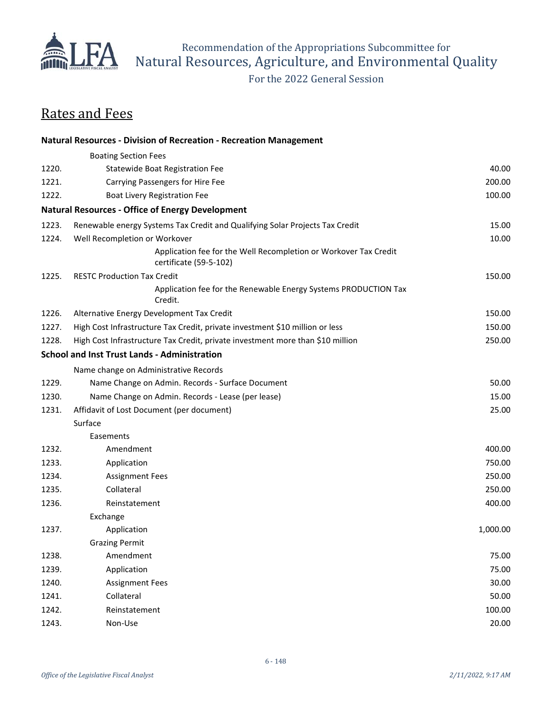

For the 2022 General Session

|       | <b>Natural Resources - Division of Recreation - Recreation Management</b>                  |          |
|-------|--------------------------------------------------------------------------------------------|----------|
|       | <b>Boating Section Fees</b>                                                                |          |
| 1220. | Statewide Boat Registration Fee                                                            | 40.00    |
| 1221. | Carrying Passengers for Hire Fee                                                           | 200.00   |
| 1222. | <b>Boat Livery Registration Fee</b>                                                        | 100.00   |
|       | <b>Natural Resources - Office of Energy Development</b>                                    |          |
| 1223. | Renewable energy Systems Tax Credit and Qualifying Solar Projects Tax Credit               | 15.00    |
| 1224. | Well Recompletion or Workover                                                              | 10.00    |
|       | Application fee for the Well Recompletion or Workover Tax Credit<br>certificate (59-5-102) |          |
| 1225. | <b>RESTC Production Tax Credit</b>                                                         | 150.00   |
|       | Application fee for the Renewable Energy Systems PRODUCTION Tax<br>Credit.                 |          |
| 1226. | Alternative Energy Development Tax Credit                                                  | 150.00   |
| 1227. | High Cost Infrastructure Tax Credit, private investment \$10 million or less               | 150.00   |
| 1228. | High Cost Infrastructure Tax Credit, private investment more than \$10 million             | 250.00   |
|       | <b>School and Inst Trust Lands - Administration</b>                                        |          |
|       | Name change on Administrative Records                                                      |          |
| 1229. | Name Change on Admin. Records - Surface Document                                           | 50.00    |
| 1230. | Name Change on Admin. Records - Lease (per lease)                                          | 15.00    |
| 1231. | Affidavit of Lost Document (per document)                                                  | 25.00    |
|       | Surface                                                                                    |          |
|       | Easements                                                                                  |          |
| 1232. | Amendment                                                                                  | 400.00   |
| 1233. | Application                                                                                | 750.00   |
| 1234. | <b>Assignment Fees</b>                                                                     | 250.00   |
| 1235. | Collateral                                                                                 | 250.00   |
| 1236. | Reinstatement                                                                              | 400.00   |
|       | Exchange                                                                                   |          |
| 1237. | Application                                                                                | 1,000.00 |
|       | <b>Grazing Permit</b>                                                                      |          |
| 1238. | Amendment                                                                                  | 75.00    |
| 1239. | Application                                                                                | 75.00    |
| 1240. | <b>Assignment Fees</b>                                                                     | 30.00    |
| 1241. | Collateral                                                                                 | 50.00    |
| 1242. | Reinstatement                                                                              | 100.00   |
| 1243. | Non-Use                                                                                    | 20.00    |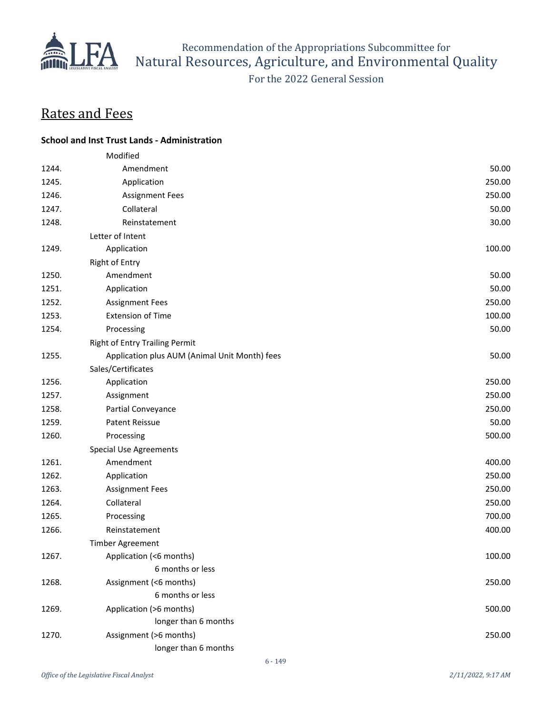

For the 2022 General Session

### Rates and Fees

#### **School and Inst Trust Lands ‐ Administration**

|       | Modified                                      |        |
|-------|-----------------------------------------------|--------|
| 1244. | Amendment                                     | 50.00  |
| 1245. | Application                                   | 250.00 |
| 1246. | <b>Assignment Fees</b>                        | 250.00 |
| 1247. | Collateral                                    | 50.00  |
| 1248. | Reinstatement                                 | 30.00  |
|       | Letter of Intent                              |        |
| 1249. | Application                                   | 100.00 |
|       | Right of Entry                                |        |
| 1250. | Amendment                                     | 50.00  |
| 1251. | Application                                   | 50.00  |
| 1252. | <b>Assignment Fees</b>                        | 250.00 |
| 1253. | <b>Extension of Time</b>                      | 100.00 |
| 1254. | Processing                                    | 50.00  |
|       | <b>Right of Entry Trailing Permit</b>         |        |
| 1255. | Application plus AUM (Animal Unit Month) fees | 50.00  |
|       | Sales/Certificates                            |        |
| 1256. | Application                                   | 250.00 |
| 1257. | Assignment                                    | 250.00 |
| 1258. | Partial Conveyance                            | 250.00 |
| 1259. | <b>Patent Reissue</b>                         | 50.00  |
| 1260. | Processing                                    | 500.00 |
|       | <b>Special Use Agreements</b>                 |        |
| 1261. | Amendment                                     | 400.00 |
| 1262. | Application                                   | 250.00 |
| 1263. | <b>Assignment Fees</b>                        | 250.00 |
| 1264. | Collateral                                    | 250.00 |
| 1265. | Processing                                    | 700.00 |
| 1266. | Reinstatement                                 | 400.00 |
|       | <b>Timber Agreement</b>                       |        |
| 1267. | Application (<6 months)                       | 100.00 |
|       | 6 months or less                              |        |
| 1268. | Assignment (<6 months)                        | 250.00 |
|       | 6 months or less                              |        |
| 1269. | Application (>6 months)                       | 500.00 |
|       | longer than 6 months                          |        |
| 1270. | Assignment (>6 months)                        | 250.00 |
|       | longer than 6 months                          |        |
|       |                                               |        |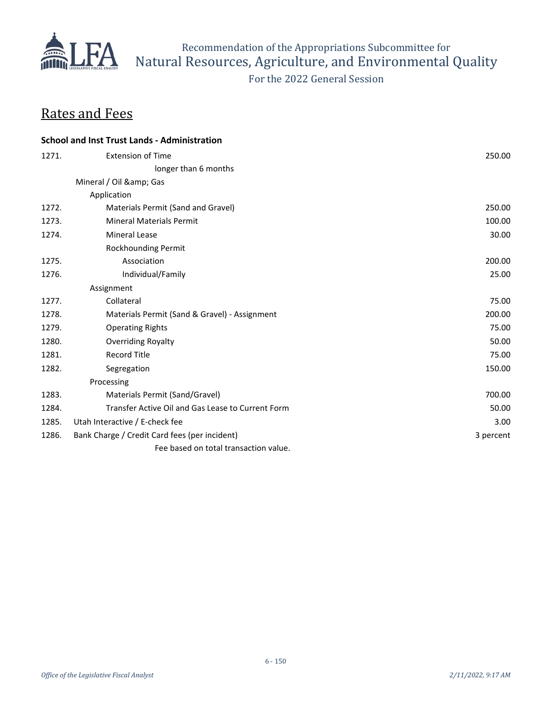

For the 2022 General Session

|       | <b>School and Inst Trust Lands - Administration</b> |           |
|-------|-----------------------------------------------------|-----------|
| 1271. | <b>Extension of Time</b>                            | 250.00    |
|       | longer than 6 months                                |           |
|       | Mineral / Oil & Gas                                 |           |
|       | Application                                         |           |
| 1272. | Materials Permit (Sand and Gravel)                  | 250.00    |
| 1273. | <b>Mineral Materials Permit</b>                     | 100.00    |
| 1274. | <b>Mineral Lease</b>                                | 30.00     |
|       | Rockhounding Permit                                 |           |
| 1275. | Association                                         | 200.00    |
| 1276. | Individual/Family                                   | 25.00     |
|       | Assignment                                          |           |
| 1277. | Collateral                                          | 75.00     |
| 1278. | Materials Permit (Sand & Gravel) - Assignment       | 200.00    |
| 1279. | <b>Operating Rights</b>                             | 75.00     |
| 1280. | <b>Overriding Royalty</b>                           | 50.00     |
| 1281. | <b>Record Title</b>                                 | 75.00     |
| 1282. | Segregation                                         | 150.00    |
|       | Processing                                          |           |
| 1283. | Materials Permit (Sand/Gravel)                      | 700.00    |
| 1284. | Transfer Active Oil and Gas Lease to Current Form   | 50.00     |
| 1285. | Utah Interactive / E-check fee<br>3.00              |           |
| 1286. | Bank Charge / Credit Card fees (per incident)       | 3 percent |
|       | Fee based on total transaction value.               |           |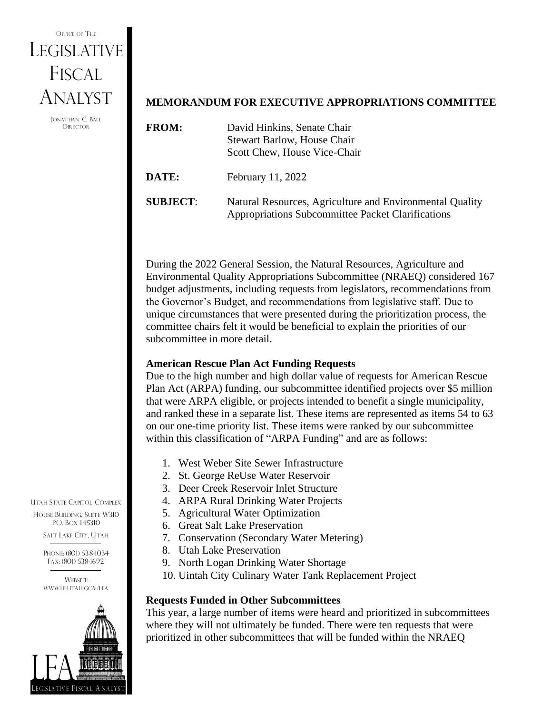#### **MEMORANDUM FOR EXECUTIVE APPROPRIATIONS COMMITTEE**

| <b>FROM:</b>    | David Hinkins, Senate Chair<br><b>Stewart Barlow, House Chair</b><br>Scott Chew, House Vice-Chair |
|-----------------|---------------------------------------------------------------------------------------------------|
| DATE:           | February 11, 2022                                                                                 |
| <b>SUBJECT:</b> | Natural Resources, Agriculture and Environmental Quality                                          |

Appropriations Subcommittee Packet Clarifications

During the 2022 General Session, the Natural Resources, Agriculture and Environmental Quality Appropriations Subcommittee (NRAEQ) considered 167 budget adjustments, including requests from legislators, recommendations from the Governor's Budget, and recommendations from legislative staff. Due to unique circumstances that were presented during the prioritization process, the committee chairs felt it would be beneficial to explain the priorities of our subcommittee in more detail.

#### **American Rescue Plan Act Funding Requests**

Due to the high number and high dollar value of requests for American Rescue Plan Act (ARPA) funding, our subcommittee identified projects over \$5 million that were ARPA eligible, or projects intended to benefit a single municipality, and ranked these in a separate list. These items are represented as items 54 to 63 on our one-time priority list. These items were ranked by our subcommittee within this classification of "ARPA Funding" and are as follows:

- 1. West Weber Site Sewer Infrastructure
- 2. St. George ReUse Water Reservoir
- 3. Deer Creek Reservoir Inlet Structure
- 4. ARPA Rural Drinking Water Projects
- 5. Agricultural Water Optimization
- 6. Great Salt Lake Preservation
- 7. Conservation (Secondary Water Metering)
- 8. Utah Lake Preservation
- 9. North Logan Drinking Water Shortage
- 10. Uintah City Culinary Water Tank Replacement Project

#### **Requests Funded in Other Subcommittees**

This year, a large number of items were heard and prioritized in subcommittees where they will not ultimately be funded. There were ten requests that were prioritized in other subcommittees that will be funded within the NRAEQ

UTAH STATE CAPITOL COMPLEX

OFFICE OF THE **LEGISLATIVE** 

FISCAL

ANALYST

JONATHAN C. BALL **DIRECTOR** 

HOUSE BUILDING, SUITE W310 P.O. BOX 145310

SALT LAKE CITY, UTAH

PHONE: (801) 538-1034 FAX: (801) 538-1692

WEBSITE: WWW.LE.UTAH.GOV/LFA